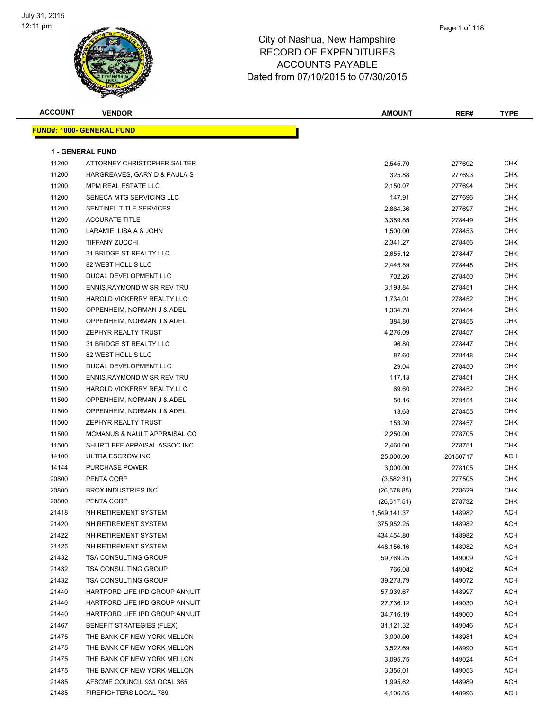

| <b>ACCOUNT</b> | <b>VENDOR</b>                    | <b>AMOUNT</b> | REF#             | <b>TYPE</b> |
|----------------|----------------------------------|---------------|------------------|-------------|
|                | <b>FUND#: 1000- GENERAL FUND</b> |               |                  |             |
|                |                                  |               |                  |             |
|                | <b>1 - GENERAL FUND</b>          |               |                  |             |
| 11200          | ATTORNEY CHRISTOPHER SALTER      | 2,545.70      | 277692           | CHK         |
| 11200          | HARGREAVES, GARY D & PAULA S     | 325.88        | 277693           | <b>CHK</b>  |
| 11200          | MPM REAL ESTATE LLC              | 2,150.07      | 277694           | <b>CHK</b>  |
| 11200          | SENECA MTG SERVICING LLC         | 147.91        | 277696           | CHK         |
| 11200          | SENTINEL TITLE SERVICES          | 2,864.36      | 277697           | <b>CHK</b>  |
| 11200          | <b>ACCURATE TITLE</b>            | 3,389.85      | 278449           | CHK         |
| 11200          | LARAMIE, LISA A & JOHN           | 1,500.00      | 278453           | CHK         |
| 11200          | <b>TIFFANY ZUCCHI</b>            | 2,341.27      | 278456           | CHK         |
| 11500          | 31 BRIDGE ST REALTY LLC          | 2,655.12      | 278447           | CHK         |
| 11500          | 82 WEST HOLLIS LLC               | 2,445.89      | 278448           | <b>CHK</b>  |
| 11500          | DUCAL DEVELOPMENT LLC            | 702.26        | 278450           | <b>CHK</b>  |
| 11500          | ENNIS, RAYMOND W SR REV TRU      | 3,193.84      | 278451           | CHK         |
| 11500          | HAROLD VICKERRY REALTY, LLC      | 1,734.01      | 278452           | CHK         |
| 11500          | OPPENHEIM, NORMAN J & ADEL       | 1,334.78      | 278454           | CHK         |
| 11500          | OPPENHEIM, NORMAN J & ADEL       | 384.80        | 278455           | <b>CHK</b>  |
| 11500          | <b>ZEPHYR REALTY TRUST</b>       | 4,276.09      | 278457           | CHK         |
| 11500          | 31 BRIDGE ST REALTY LLC          | 96.80         | 278447           | CHK         |
| 11500          | 82 WEST HOLLIS LLC               | 87.60         | 278448           | CHK         |
| 11500          | DUCAL DEVELOPMENT LLC            | 29.04         | 278450           | CHK         |
| 11500          | ENNIS, RAYMOND W SR REV TRU      | 117.13        | 278451           | CHK         |
| 11500          | HAROLD VICKERRY REALTY, LLC      | 69.60         | 278452           | CHK         |
| 11500          | OPPENHEIM, NORMAN J & ADEL       | 50.16         | 278454           | CHK         |
| 11500          | OPPENHEIM, NORMAN J & ADEL       | 13.68         | 278455           | CHK         |
| 11500          | ZEPHYR REALTY TRUST              | 153.30        | 278457           | <b>CHK</b>  |
| 11500          | MCMANUS & NAULT APPRAISAL CO     | 2,250.00      | 278705           | CHK         |
| 11500          | SHURTLEFF APPAISAL ASSOC INC     | 2,460.00      | 278751           | <b>CHK</b>  |
| 14100          | ULTRA ESCROW INC                 | 25,000.00     | 20150717         | ACH         |
| 14144          | <b>PURCHASE POWER</b>            | 3,000.00      | 278105           | <b>CHK</b>  |
| 20800          | PENTA CORP                       | (3,582.31)    | 277505           | CHK         |
| 20800          | <b>BROX INDUSTRIES INC</b>       | (26, 578.85)  |                  | CHK         |
| 20800          | PENTA CORP                       |               | 278629<br>278732 | CHK         |
|                | NH RETIREMENT SYSTEM             | (26, 617.51)  |                  |             |
| 21418          | NH RETIREMENT SYSTEM             | 1,549,141.37  | 148982           | ACH         |
| 21420          |                                  | 375,952.25    | 148982           | ACH         |
| 21422          | NH RETIREMENT SYSTEM             | 434,454.80    | 148982           | ACH         |
| 21425          | NH RETIREMENT SYSTEM             | 448,156.16    | 148982           | <b>ACH</b>  |
| 21432          | <b>TSA CONSULTING GROUP</b>      | 59,769.25     | 149009           | ACH         |
| 21432          | <b>TSA CONSULTING GROUP</b>      | 766.08        | 149042           | ACH         |
| 21432          | <b>TSA CONSULTING GROUP</b>      | 39,278.79     | 149072           | ACH         |
| 21440          | HARTFORD LIFE IPD GROUP ANNUIT   | 57,039.67     | 148997           | ACH         |
| 21440          | HARTFORD LIFE IPD GROUP ANNUIT   | 27,736.12     | 149030           | ACH         |
| 21440          | HARTFORD LIFE IPD GROUP ANNUIT   | 34,716.19     | 149060           | ACH         |
| 21467          | <b>BENEFIT STRATEGIES (FLEX)</b> | 31,121.32     | 149046           | ACH         |
| 21475          | THE BANK OF NEW YORK MELLON      | 3,000.00      | 148981           | ACH         |
| 21475          | THE BANK OF NEW YORK MELLON      | 3,522.69      | 148990           | ACH         |
| 21475          | THE BANK OF NEW YORK MELLON      | 3,095.75      | 149024           | ACH         |
| 21475          | THE BANK OF NEW YORK MELLON      | 3,356.01      | 149053           | ACH         |
| 21485          | AFSCME COUNCIL 93/LOCAL 365      | 1,995.62      | 148989           | ACH         |
| 21485          | FIREFIGHTERS LOCAL 789           | 4,106.85      | 148996           | ACH         |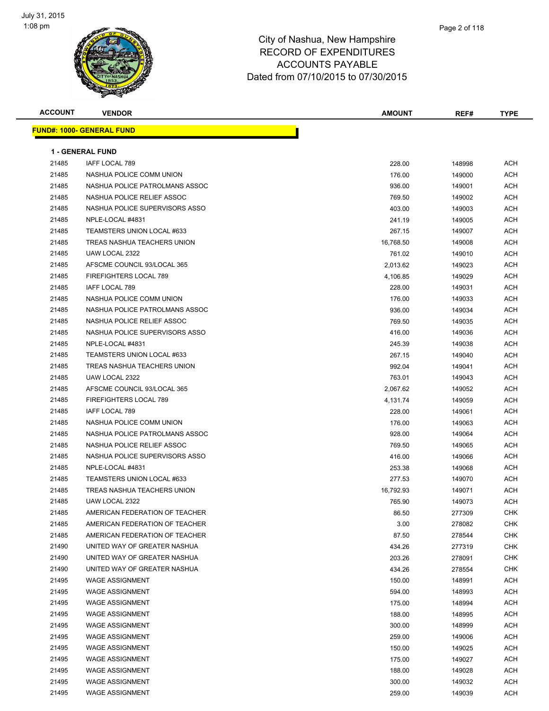

| <b>ACCOUNT</b> | <b>VENDOR</b>                    | AMOUNT    | REF#   | <b>TYPE</b> |
|----------------|----------------------------------|-----------|--------|-------------|
|                | <b>FUND#: 1000- GENERAL FUND</b> |           |        |             |
|                |                                  |           |        |             |
|                | <b>1 - GENERAL FUND</b>          |           |        |             |
| 21485          | <b>IAFF LOCAL 789</b>            | 228.00    | 148998 | <b>ACH</b>  |
| 21485          | NASHUA POLICE COMM UNION         | 176.00    | 149000 | ACH         |
| 21485          | NASHUA POLICE PATROLMANS ASSOC   | 936.00    | 149001 | ACH         |
| 21485          | NASHUA POLICE RELIEF ASSOC       | 769.50    | 149002 | ACH         |
| 21485          | NASHUA POLICE SUPERVISORS ASSO   | 403.00    | 149003 | ACH         |
| 21485          | NPLE-LOCAL #4831                 | 241.19    | 149005 | ACH         |
| 21485          | TEAMSTERS UNION LOCAL #633       | 267.15    | 149007 | ACH         |
| 21485          | TREAS NASHUA TEACHERS UNION      | 16,768.50 | 149008 | ACH         |
| 21485          | UAW LOCAL 2322                   | 761.02    | 149010 | ACH         |
| 21485          | AFSCME COUNCIL 93/LOCAL 365      | 2,013.62  | 149023 | ACH         |
| 21485          | FIREFIGHTERS LOCAL 789           | 4,106.85  | 149029 | ACH         |
| 21485          | <b>IAFF LOCAL 789</b>            | 228.00    | 149031 | ACH         |
| 21485          | NASHUA POLICE COMM UNION         | 176.00    | 149033 | ACH         |
| 21485          | NASHUA POLICE PATROLMANS ASSOC   | 936.00    | 149034 | ACH         |
| 21485          | NASHUA POLICE RELIEF ASSOC       | 769.50    | 149035 | ACH         |
| 21485          | NASHUA POLICE SUPERVISORS ASSO   | 416.00    | 149036 | ACH         |
| 21485          | NPLE-LOCAL #4831                 | 245.39    | 149038 | ACH         |
| 21485          | TEAMSTERS UNION LOCAL #633       | 267.15    | 149040 | ACH         |
| 21485          | TREAS NASHUA TEACHERS UNION      | 992.04    | 149041 | ACH         |
| 21485          | UAW LOCAL 2322                   | 763.01    | 149043 | ACH         |
| 21485          | AFSCME COUNCIL 93/LOCAL 365      | 2,067.62  | 149052 | ACH         |
| 21485          | FIREFIGHTERS LOCAL 789           | 4,131.74  | 149059 | ACH         |
| 21485          | IAFF LOCAL 789                   | 228.00    | 149061 | ACH         |
| 21485          | NASHUA POLICE COMM UNION         | 176.00    | 149063 | ACH         |
| 21485          | NASHUA POLICE PATROLMANS ASSOC   | 928.00    | 149064 | ACH         |
| 21485          | NASHUA POLICE RELIEF ASSOC       | 769.50    | 149065 | ACH         |
| 21485          | NASHUA POLICE SUPERVISORS ASSO   | 416.00    | 149066 | ACH         |
| 21485          | NPLE-LOCAL #4831                 | 253.38    | 149068 | ACH         |
| 21485          | TEAMSTERS UNION LOCAL #633       | 277.53    | 149070 | ACH         |
| 21485          | TREAS NASHUA TEACHERS UNION      | 16,792.93 | 149071 | ACH         |
| 21485          | UAW LOCAL 2322                   | 765.90    | 149073 | ACH         |
| 21485          | AMERICAN FEDERATION OF TEACHER   | 86.50     | 277309 | CHK         |
| 21485          | AMERICAN FEDERATION OF TEACHER   | 3.00      | 278082 | <b>CHK</b>  |
| 21485          | AMERICAN FEDERATION OF TEACHER   | 87.50     | 278544 | <b>CHK</b>  |
| 21490          | UNITED WAY OF GREATER NASHUA     | 434.26    | 277319 | <b>CHK</b>  |
| 21490          | UNITED WAY OF GREATER NASHUA     | 203.26    | 278091 | <b>CHK</b>  |
| 21490          | UNITED WAY OF GREATER NASHUA     | 434.26    | 278554 | <b>CHK</b>  |
| 21495          | <b>WAGE ASSIGNMENT</b>           | 150.00    | 148991 | ACH         |
| 21495          | <b>WAGE ASSIGNMENT</b>           | 594.00    | 148993 | ACH         |
| 21495          | <b>WAGE ASSIGNMENT</b>           | 175.00    | 148994 | ACH         |
| 21495          | <b>WAGE ASSIGNMENT</b>           | 188.00    | 148995 | ACH         |
| 21495          | <b>WAGE ASSIGNMENT</b>           | 300.00    | 148999 | ACH         |
| 21495          | <b>WAGE ASSIGNMENT</b>           | 259.00    | 149006 | ACH         |
| 21495          | <b>WAGE ASSIGNMENT</b>           | 150.00    | 149025 | ACH         |
| 21495          | <b>WAGE ASSIGNMENT</b>           | 175.00    | 149027 | ACH         |
| 21495          | <b>WAGE ASSIGNMENT</b>           | 188.00    | 149028 | ACH         |
| 21495          | <b>WAGE ASSIGNMENT</b>           | 300.00    | 149032 | ACH         |
| 21495          | <b>WAGE ASSIGNMENT</b>           | 259.00    | 149039 | ACH         |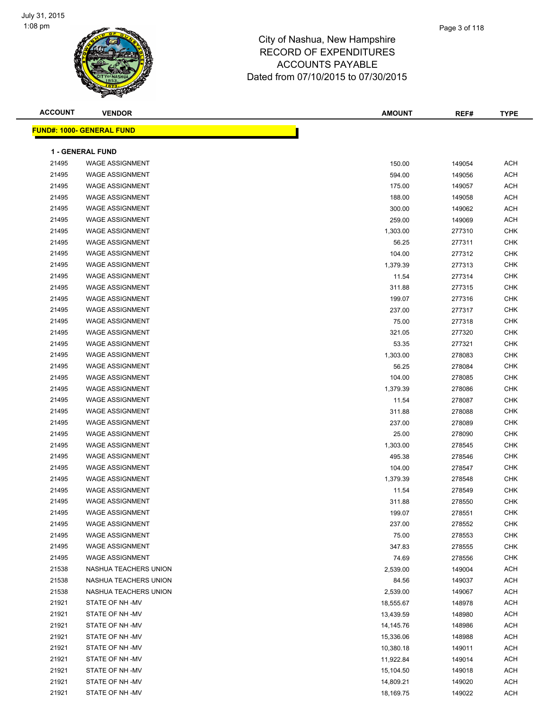

| <b>ACCOUNT</b> | <b>VENDOR</b>                    | <b>AMOUNT</b> | REF#   | <b>TYPE</b> |
|----------------|----------------------------------|---------------|--------|-------------|
|                | <b>FUND#: 1000- GENERAL FUND</b> |               |        |             |
|                |                                  |               |        |             |
|                | <b>1 - GENERAL FUND</b>          |               |        |             |
| 21495          | <b>WAGE ASSIGNMENT</b>           | 150.00        | 149054 | <b>ACH</b>  |
| 21495          | <b>WAGE ASSIGNMENT</b>           | 594.00        | 149056 | <b>ACH</b>  |
| 21495          | <b>WAGE ASSIGNMENT</b>           | 175.00        | 149057 | <b>ACH</b>  |
| 21495          | <b>WAGE ASSIGNMENT</b>           | 188.00        | 149058 | <b>ACH</b>  |
| 21495          | <b>WAGE ASSIGNMENT</b>           | 300.00        | 149062 | <b>ACH</b>  |
| 21495          | <b>WAGE ASSIGNMENT</b>           | 259.00        | 149069 | <b>ACH</b>  |
| 21495          | <b>WAGE ASSIGNMENT</b>           | 1,303.00      | 277310 | <b>CHK</b>  |
| 21495          | <b>WAGE ASSIGNMENT</b>           | 56.25         | 277311 | <b>CHK</b>  |
| 21495          | <b>WAGE ASSIGNMENT</b>           | 104.00        | 277312 | <b>CHK</b>  |
| 21495          | <b>WAGE ASSIGNMENT</b>           | 1,379.39      | 277313 | <b>CHK</b>  |
| 21495          | <b>WAGE ASSIGNMENT</b>           | 11.54         | 277314 | <b>CHK</b>  |
| 21495          | <b>WAGE ASSIGNMENT</b>           | 311.88        | 277315 | <b>CHK</b>  |
| 21495          | <b>WAGE ASSIGNMENT</b>           | 199.07        | 277316 | <b>CHK</b>  |
| 21495          | <b>WAGE ASSIGNMENT</b>           | 237.00        | 277317 | <b>CHK</b>  |
| 21495          | <b>WAGE ASSIGNMENT</b>           | 75.00         | 277318 | <b>CHK</b>  |
| 21495          | <b>WAGE ASSIGNMENT</b>           | 321.05        | 277320 | <b>CHK</b>  |
| 21495          | <b>WAGE ASSIGNMENT</b>           | 53.35         | 277321 | <b>CHK</b>  |
| 21495          | <b>WAGE ASSIGNMENT</b>           | 1,303.00      | 278083 | <b>CHK</b>  |
| 21495          | <b>WAGE ASSIGNMENT</b>           | 56.25         | 278084 | <b>CHK</b>  |
| 21495          | <b>WAGE ASSIGNMENT</b>           | 104.00        | 278085 | <b>CHK</b>  |
| 21495          | <b>WAGE ASSIGNMENT</b>           | 1,379.39      | 278086 | <b>CHK</b>  |
| 21495          | <b>WAGE ASSIGNMENT</b>           | 11.54         | 278087 | <b>CHK</b>  |
| 21495          | <b>WAGE ASSIGNMENT</b>           | 311.88        | 278088 | <b>CHK</b>  |
| 21495          | <b>WAGE ASSIGNMENT</b>           | 237.00        | 278089 | <b>CHK</b>  |
| 21495          | <b>WAGE ASSIGNMENT</b>           | 25.00         | 278090 | <b>CHK</b>  |
| 21495          | <b>WAGE ASSIGNMENT</b>           | 1,303.00      | 278545 | <b>CHK</b>  |
| 21495          | <b>WAGE ASSIGNMENT</b>           | 495.38        | 278546 | <b>CHK</b>  |
| 21495          | <b>WAGE ASSIGNMENT</b>           | 104.00        | 278547 | <b>CHK</b>  |
| 21495          | <b>WAGE ASSIGNMENT</b>           | 1,379.39      | 278548 | <b>CHK</b>  |
| 21495          | <b>WAGE ASSIGNMENT</b>           | 11.54         | 278549 | <b>CHK</b>  |
| 21495          | <b>WAGE ASSIGNMENT</b>           | 311.88        | 278550 | <b>CHK</b>  |
| 21495          | WAGE ASSIGNMENT                  | 199.07        | 278551 | <b>CHK</b>  |
| 21495          | <b>WAGE ASSIGNMENT</b>           | 237.00        | 278552 | <b>CHK</b>  |
| 21495          | <b>WAGE ASSIGNMENT</b>           | 75.00         | 278553 | <b>CHK</b>  |
| 21495          | <b>WAGE ASSIGNMENT</b>           | 347.83        | 278555 | <b>CHK</b>  |
| 21495          | <b>WAGE ASSIGNMENT</b>           | 74.69         | 278556 | <b>CHK</b>  |
| 21538          | NASHUA TEACHERS UNION            | 2,539.00      | 149004 | <b>ACH</b>  |
| 21538          | NASHUA TEACHERS UNION            | 84.56         | 149037 | <b>ACH</b>  |
| 21538          | NASHUA TEACHERS UNION            | 2,539.00      | 149067 | <b>ACH</b>  |
| 21921          | STATE OF NH-MV                   | 18,555.67     | 148978 | <b>ACH</b>  |
| 21921          | STATE OF NH -MV                  | 13,439.59     | 148980 | <b>ACH</b>  |
| 21921          | STATE OF NH-MV                   | 14,145.76     | 148986 | <b>ACH</b>  |
| 21921          | STATE OF NH-MV                   | 15,336.06     | 148988 | <b>ACH</b>  |
| 21921          | STATE OF NH -MV                  | 10,380.18     | 149011 | <b>ACH</b>  |
| 21921          | STATE OF NH -MV                  | 11,922.84     | 149014 | <b>ACH</b>  |
| 21921          | STATE OF NH -MV                  | 15,104.50     | 149018 | <b>ACH</b>  |
| 21921          | STATE OF NH -MV                  | 14,809.21     | 149020 | ACH         |
| 21921          | STATE OF NH -MV                  | 18,169.75     | 149022 | <b>ACH</b>  |
|                |                                  |               |        |             |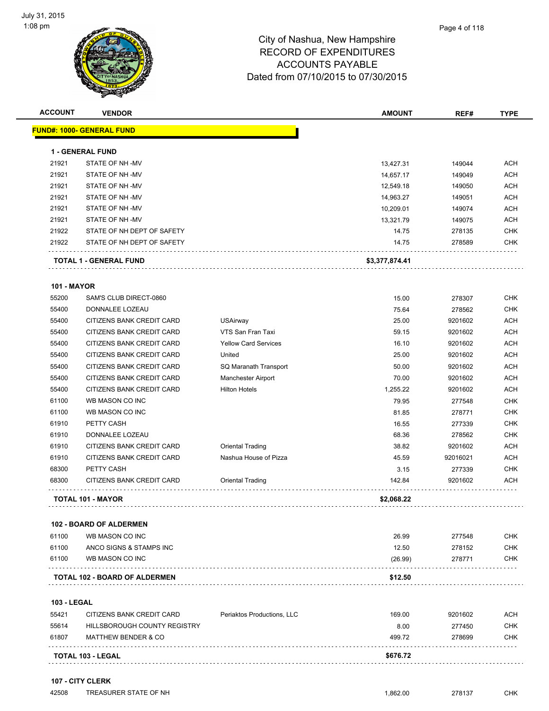

### City of Nashua, New Hampshire RECORD ACCO Dated from 07/10/2015 to 07/30/2015

| OF EXPENDITURES                                                                                                                                                                              |  |
|----------------------------------------------------------------------------------------------------------------------------------------------------------------------------------------------|--|
| <b>DUNTS PAYABLE</b>                                                                                                                                                                         |  |
| $\begin{array}{c}\n\mathbf{1} & \mathbf{1} & \mathbf{1} & \mathbf{1} \\ \mathbf{1} & \mathbf{1} & \mathbf{1} & \mathbf{1} \\ \mathbf{1} & \mathbf{1} & \mathbf{1} & \mathbf{1}\n\end{array}$ |  |

| <b>ACCOUNT</b>     | <b>VENDOR</b>                        |                             | <b>AMOUNT</b>  | REF#     | <b>TYPE</b> |
|--------------------|--------------------------------------|-----------------------------|----------------|----------|-------------|
|                    | <b>FUND#: 1000- GENERAL FUND</b>     |                             |                |          |             |
|                    | <b>1 - GENERAL FUND</b>              |                             |                |          |             |
| 21921              | STATE OF NH-MV                       |                             | 13,427.31      | 149044   | <b>ACH</b>  |
| 21921              | STATE OF NH-MV                       |                             | 14,657.17      | 149049   | <b>ACH</b>  |
| 21921              | STATE OF NH-MV                       |                             | 12,549.18      | 149050   | <b>ACH</b>  |
| 21921              | STATE OF NH-MV                       |                             | 14,963.27      | 149051   | <b>ACH</b>  |
| 21921              | STATE OF NH-MV                       |                             | 10,209.01      | 149074   | <b>ACH</b>  |
| 21921              | STATE OF NH-MV                       |                             | 13,321.79      | 149075   | <b>ACH</b>  |
| 21922              | STATE OF NH DEPT OF SAFETY           |                             | 14.75          | 278135   | <b>CHK</b>  |
| 21922              | STATE OF NH DEPT OF SAFETY           |                             | 14.75          | 278589   | <b>CHK</b>  |
|                    | <b>TOTAL 1 - GENERAL FUND</b>        |                             | \$3,377,874.41 |          |             |
| <b>101 - MAYOR</b> |                                      |                             |                |          |             |
| 55200              | SAM'S CLUB DIRECT-0860               |                             | 15.00          | 278307   | <b>CHK</b>  |
| 55400              | DONNALEE LOZEAU                      |                             | 75.64          | 278562   | <b>CHK</b>  |
| 55400              | CITIZENS BANK CREDIT CARD            | <b>USAirway</b>             | 25.00          | 9201602  | ACH         |
| 55400              | CITIZENS BANK CREDIT CARD            | VTS San Fran Taxi           | 59.15          | 9201602  | <b>ACH</b>  |
| 55400              | CITIZENS BANK CREDIT CARD            | <b>Yellow Card Services</b> | 16.10          | 9201602  | <b>ACH</b>  |
| 55400              | CITIZENS BANK CREDIT CARD            | United                      | 25.00          | 9201602  | <b>ACH</b>  |
| 55400              | CITIZENS BANK CREDIT CARD            | SQ Maranath Transport       | 50.00          | 9201602  | ACH         |
| 55400              | CITIZENS BANK CREDIT CARD            | <b>Manchester Airport</b>   | 70.00          | 9201602  | <b>ACH</b>  |
| 55400              | CITIZENS BANK CREDIT CARD            | <b>Hilton Hotels</b>        | 1,255.22       | 9201602  | <b>ACH</b>  |
| 61100              | WB MASON CO INC                      |                             | 79.95          | 277548   | <b>CHK</b>  |
| 61100              | WB MASON CO INC                      |                             | 81.85          | 278771   | <b>CHK</b>  |
| 61910              | PETTY CASH                           |                             | 16.55          | 277339   | <b>CHK</b>  |
| 61910              | DONNALEE LOZEAU                      |                             | 68.36          | 278562   | <b>CHK</b>  |
| 61910              | CITIZENS BANK CREDIT CARD            | <b>Oriental Trading</b>     | 38.82          | 9201602  | <b>ACH</b>  |
| 61910              | CITIZENS BANK CREDIT CARD            | Nashua House of Pizza       | 45.59          | 92016021 | <b>ACH</b>  |
| 68300              | PETTY CASH                           |                             | 3.15           | 277339   | <b>CHK</b>  |
| 68300              | CITIZENS BANK CREDIT CARD            | Oriental Trading            | 142.84         | 9201602  | <b>ACH</b>  |
|                    | <b>TOTAL 101 - MAYOR</b>             |                             | \$2,068.22     |          |             |
|                    | <b>102 - BOARD OF ALDERMEN</b>       |                             |                |          |             |
| 61100              | WB MASON CO INC                      |                             | 26.99          | 277548   | <b>CHK</b>  |
| 61100              | ANCO SIGNS & STAMPS INC              |                             | 12.50          | 278152   | <b>CHK</b>  |
| 61100              | WB MASON CO INC                      |                             | (26.99)        | 278771   | CHK         |
|                    | <b>TOTAL 102 - BOARD OF ALDERMEN</b> |                             | \$12.50        |          |             |
| <b>103 - LEGAL</b> |                                      |                             |                |          |             |
| 55421              | CITIZENS BANK CREDIT CARD            | Periaktos Productions, LLC  | 169.00         | 9201602  | ACH         |
| 55614              | HILLSBOROUGH COUNTY REGISTRY         |                             | 8.00           | 277450   | CHK         |
| 61807              | <b>MATTHEW BENDER &amp; CO</b>       |                             | 499.72         | 278699   | <b>CHK</b>  |
|                    |                                      |                             |                |          |             |

#### **107 - CITY CLERK**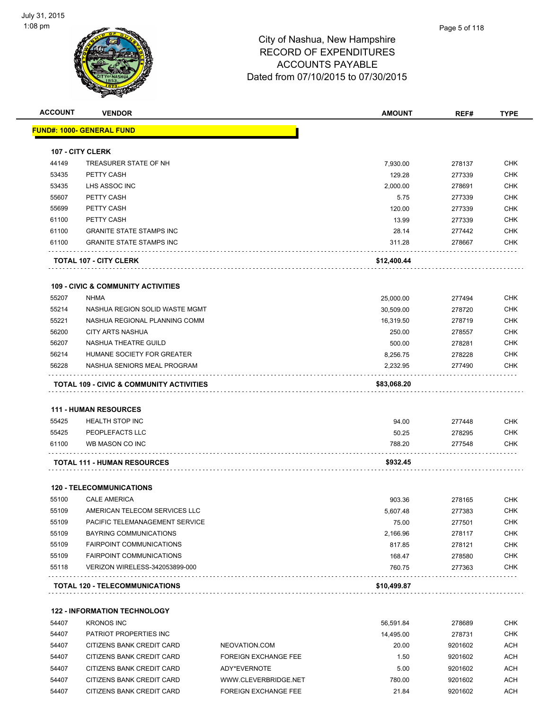

| <b>ACCOUNT</b> | <b>VENDOR</b>                                            |                             | <b>AMOUNT</b>      | REF#              | <b>TYPE</b>       |
|----------------|----------------------------------------------------------|-----------------------------|--------------------|-------------------|-------------------|
|                | <b>FUND#: 1000- GENERAL FUND</b>                         |                             |                    |                   |                   |
|                |                                                          |                             |                    |                   |                   |
|                | 107 - CITY CLERK                                         |                             |                    |                   |                   |
| 44149<br>53435 | TREASURER STATE OF NH<br>PETTY CASH                      |                             | 7,930.00<br>129.28 | 278137            | CHK<br><b>CHK</b> |
| 53435          | LHS ASSOC INC                                            |                             |                    | 277339            | <b>CHK</b>        |
| 55607          | PETTY CASH                                               |                             | 2,000.00<br>5.75   | 278691<br>277339  | CHK               |
| 55699          | PETTY CASH                                               |                             | 120.00             | 277339            | <b>CHK</b>        |
| 61100          | PETTY CASH                                               |                             | 13.99              | 277339            | <b>CHK</b>        |
| 61100          | <b>GRANITE STATE STAMPS INC</b>                          |                             | 28.14              | 277442            | <b>CHK</b>        |
| 61100          | <b>GRANITE STATE STAMPS INC</b>                          |                             | 311.28             | 278667            | <b>CHK</b>        |
|                | <b>TOTAL 107 - CITY CLERK</b>                            |                             | \$12,400.44        |                   |                   |
|                | <b>109 - CIVIC &amp; COMMUNITY ACTIVITIES</b>            |                             |                    |                   |                   |
| 55207          | <b>NHMA</b>                                              |                             | 25,000.00          | 277494            | <b>CHK</b>        |
| 55214          | NASHUA REGION SOLID WASTE MGMT                           |                             | 30,509.00          | 278720            | <b>CHK</b>        |
| 55221          | NASHUA REGIONAL PLANNING COMM                            |                             | 16,319.50          | 278719            | <b>CHK</b>        |
| 56200          | <b>CITY ARTS NASHUA</b>                                  |                             | 250.00             | 278557            | <b>CHK</b>        |
| 56207          | NASHUA THEATRE GUILD                                     |                             | 500.00             | 278281            | <b>CHK</b>        |
| 56214          | HUMANE SOCIETY FOR GREATER                               |                             | 8,256.75           | 278228            | CHK               |
| 56228          | NASHUA SENIORS MEAL PROGRAM                              |                             | 2,232.95           | 277490            | <b>CHK</b>        |
|                | <b>TOTAL 109 - CIVIC &amp; COMMUNITY ACTIVITIES</b>      |                             | \$83,068.20        |                   |                   |
|                |                                                          |                             |                    |                   |                   |
|                | <b>111 - HUMAN RESOURCES</b>                             |                             |                    |                   |                   |
| 55425          | <b>HEALTH STOP INC</b>                                   |                             | 94.00              | 277448            | <b>CHK</b>        |
| 55425          | PEOPLEFACTS LLC                                          |                             | 50.25              | 278295            | CHK               |
| 61100          | WB MASON CO INC                                          |                             | 788.20             | 277548            | CHK               |
|                | <b>TOTAL 111 - HUMAN RESOURCES</b>                       |                             | \$932.45           |                   |                   |
|                | <b>120 - TELECOMMUNICATIONS</b>                          |                             |                    |                   |                   |
| 55100          | <b>CALE AMERICA</b>                                      |                             | 903.36             | 278165            | <b>CHK</b>        |
| 55109          | AMERICAN TELECOM SERVICES LLC                            |                             | 5,607.48           | 277383            | <b>CHK</b>        |
| 55109          | PACIFIC TELEMANAGEMENT SERVICE                           |                             | 75.00              | 277501            | CHK               |
| 55109          | <b>BAYRING COMMUNICATIONS</b>                            |                             | 2,166.96           | 278117            | CHK               |
| 55109          | <b>FAIRPOINT COMMUNICATIONS</b>                          |                             | 817.85             | 278121            | CHK               |
| 55109          | <b>FAIRPOINT COMMUNICATIONS</b>                          |                             | 168.47             | 278580            | <b>CHK</b>        |
| 55118          | VERIZON WIRELESS-342053899-000                           |                             | 760.75             | 277363            | CHK               |
|                | TOTAL 120 - TELECOMMUNICATIONS                           |                             | \$10,499.87        |                   |                   |
|                |                                                          |                             |                    |                   |                   |
| 54407          | <b>122 - INFORMATION TECHNOLOGY</b><br><b>KRONOS INC</b> |                             |                    |                   | CHK               |
| 54407          | PATRIOT PROPERTIES INC                                   |                             | 56,591.84          | 278689            | <b>CHK</b>        |
| 54407          | CITIZENS BANK CREDIT CARD                                | NEOVATION.COM               | 14,495.00<br>20.00 | 278731<br>9201602 | ACH               |
|                |                                                          | <b>FOREIGN EXCHANGE FEE</b> |                    |                   |                   |
| 54407          | CITIZENS BANK CREDIT CARD                                |                             | 1.50               | 9201602           | ACH               |
| 54407          | CITIZENS BANK CREDIT CARD                                | ADY*EVERNOTE                | 5.00               | 9201602           | ACH               |
| 54407          | CITIZENS BANK CREDIT CARD                                | WWW.CLEVERBRIDGE.NET        | 780.00             | 9201602           | <b>ACH</b>        |
| 54407          | CITIZENS BANK CREDIT CARD                                | <b>FOREIGN EXCHANGE FEE</b> | 21.84              | 9201602           | ACH               |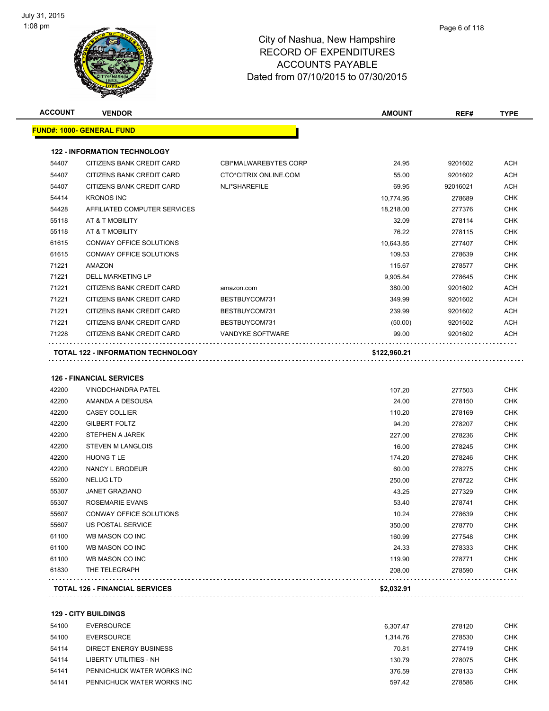

| <b>ACCOUNT</b> | <b>VENDOR</b>                             |                              | <b>AMOUNT</b> | REF#     | TYPE       |
|----------------|-------------------------------------------|------------------------------|---------------|----------|------------|
|                | <u> FUND#: 1000- GENERAL FUND</u>         |                              |               |          |            |
|                | <b>122 - INFORMATION TECHNOLOGY</b>       |                              |               |          |            |
| 54407          | CITIZENS BANK CREDIT CARD                 | <b>CBI*MALWAREBYTES CORP</b> | 24.95         | 9201602  | ACH        |
| 54407          | CITIZENS BANK CREDIT CARD                 | CTO*CITRIX ONLINE.COM        | 55.00         | 9201602  | <b>ACH</b> |
| 54407          | CITIZENS BANK CREDIT CARD                 | NLI*SHAREFILE                | 69.95         | 92016021 | <b>ACH</b> |
| 54414          | <b>KRONOS INC</b>                         |                              | 10,774.95     | 278689   | <b>CHK</b> |
| 54428          | AFFILIATED COMPUTER SERVICES              |                              | 18,218.00     | 277376   | <b>CHK</b> |
| 55118          | AT & T MOBILITY                           |                              | 32.09         | 278114   | <b>CHK</b> |
| 55118          | AT & T MOBILITY                           |                              | 76.22         | 278115   | <b>CHK</b> |
| 61615          | CONWAY OFFICE SOLUTIONS                   |                              | 10,643.85     | 277407   | <b>CHK</b> |
| 61615          | CONWAY OFFICE SOLUTIONS                   |                              | 109.53        | 278639   | <b>CHK</b> |
| 71221          | AMAZON                                    |                              | 115.67        | 278577   | <b>CHK</b> |
| 71221          | <b>DELL MARKETING LP</b>                  |                              | 9,905.84      | 278645   | <b>CHK</b> |
| 71221          | CITIZENS BANK CREDIT CARD                 | amazon.com                   | 380.00        | 9201602  | <b>ACH</b> |
| 71221          | CITIZENS BANK CREDIT CARD                 | BESTBUYCOM731                | 349.99        | 9201602  | <b>ACH</b> |
| 71221          | CITIZENS BANK CREDIT CARD                 | BESTBUYCOM731                | 239.99        | 9201602  | <b>ACH</b> |
| 71221          | CITIZENS BANK CREDIT CARD                 | BESTBUYCOM731                | (50.00)       | 9201602  | <b>ACH</b> |
| 71228          | CITIZENS BANK CREDIT CARD                 | VANDYKE SOFTWARE             | 99.00         | 9201602  | ACH        |
|                | <b>TOTAL 122 - INFORMATION TECHNOLOGY</b> | .                            |               |          |            |
|                |                                           |                              | \$122,960.21  |          |            |
|                | <b>126 - FINANCIAL SERVICES</b>           |                              |               |          |            |
| 42200          | <b>VINODCHANDRA PATEL</b>                 |                              | 107.20        | 277503   | <b>CHK</b> |
| 42200          | AMANDA A DESOUSA                          |                              | 24.00         | 278150   | <b>CHK</b> |
| 42200          | <b>CASEY COLLIER</b>                      |                              | 110.20        | 278169   | <b>CHK</b> |
| 42200          | <b>GILBERT FOLTZ</b>                      |                              | 94.20         | 278207   | <b>CHK</b> |
| 42200          | STEPHEN A JAREK                           |                              | 227.00        | 278236   | <b>CHK</b> |
| 42200          | <b>STEVEN M LANGLOIS</b>                  |                              | 16.00         | 278245   | <b>CHK</b> |
| 42200          | <b>HUONG T LE</b>                         |                              | 174.20        | 278246   | <b>CHK</b> |
| 42200          | NANCY L BRODEUR                           |                              | 60.00         | 278275   | <b>CHK</b> |
| 55200          | <b>NELUG LTD</b>                          |                              | 250.00        | 278722   | <b>CHK</b> |
| 55307          | <b>JANET GRAZIANO</b>                     |                              | 43.25         | 277329   | <b>CHK</b> |
| 55307          | ROSEMARIE EVANS                           |                              | 53.40         | 278741   | <b>CHK</b> |
| 55607          | CONWAY OFFICE SOLUTIONS                   |                              | 10.24         | 278639   | <b>CHK</b> |
| 55607          | US POSTAL SERVICE                         |                              | 350.00        | 278770   | CHK        |
| 61100          | WB MASON CO INC                           |                              | 160.99        | 277548   | <b>CHK</b> |
| 61100          | WB MASON CO INC                           |                              | 24.33         | 278333   | <b>CHK</b> |
| 61100          | WB MASON CO INC                           |                              | 119.90        | 278771   | <b>CHK</b> |
| 61830          | THE TELEGRAPH                             |                              | 208.00        | 278590   | <b>CHK</b> |
|                | <b>TOTAL 126 - FINANCIAL SERVICES</b>     |                              | \$2,032.91    |          |            |
|                |                                           |                              |               |          |            |
|                | <b>129 - CITY BUILDINGS</b>               |                              |               |          |            |
| 54100          | <b>EVERSOURCE</b>                         |                              | 6,307.47      | 278120   | <b>CHK</b> |
| 54100          | <b>EVERSOURCE</b>                         |                              | 1,314.76      | 278530   | <b>CHK</b> |
| 54114          | DIRECT ENERGY BUSINESS                    |                              | 70.81         | 277419   | <b>CHK</b> |
| 54114          | LIBERTY UTILITIES - NH                    |                              | 130.79        | 278075   | <b>CHK</b> |
| 54141          | PENNICHUCK WATER WORKS INC                |                              | 376.59        | 278133   | <b>CHK</b> |
|                |                                           |                              |               |          |            |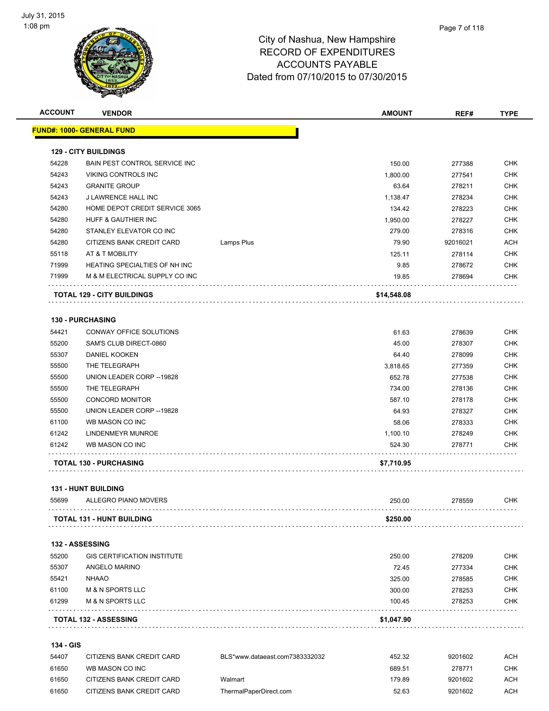

| <b>ACCOUNT</b> | <b>VENDOR</b>                        |            | <b>AMOUNT</b> | REF#     | <b>TYPE</b> |
|----------------|--------------------------------------|------------|---------------|----------|-------------|
|                | <u> FUND#: 1000- GENERAL FUND</u>    |            |               |          |             |
|                | <b>129 - CITY BUILDINGS</b>          |            |               |          |             |
| 54228          | <b>BAIN PEST CONTROL SERVICE INC</b> |            | 150.00        | 277388   | <b>CHK</b>  |
| 54243          | VIKING CONTROLS INC                  |            | 1,800.00      | 277541   | <b>CHK</b>  |
| 54243          | <b>GRANITE GROUP</b>                 |            | 63.64         | 278211   | <b>CHK</b>  |
| 54243          | J LAWRENCE HALL INC                  |            | 1,138.47      | 278234   | <b>CHK</b>  |
| 54280          | HOME DEPOT CREDIT SERVICE 3065       |            | 134.42        | 278223   | <b>CHK</b>  |
| 54280          | HUFF & GAUTHIER INC                  |            | 1,950.00      | 278227   | <b>CHK</b>  |
| 54280          | STANLEY ELEVATOR CO INC              |            | 279.00        | 278316   | <b>CHK</b>  |
| 54280          | CITIZENS BANK CREDIT CARD            | Lamps Plus | 79.90         | 92016021 | <b>ACH</b>  |
| 55118          | AT & T MOBILITY                      |            | 125.11        | 278114   | <b>CHK</b>  |
| 71999          | HEATING SPECIALTIES OF NH INC        |            | 9.85          | 278672   | <b>CHK</b>  |
| 71999          | M & M ELECTRICAL SUPPLY CO INC       |            | 19.85         | 278694   | <b>CHK</b>  |
|                | <b>TOTAL 129 - CITY BUILDINGS</b>    |            | \$14,548.08   |          |             |
|                | <b>130 - PURCHASING</b>              |            |               |          |             |
| 54421          | CONWAY OFFICE SOLUTIONS              |            | 61.63         | 278639   | <b>CHK</b>  |
| 55200          | SAM'S CLUB DIRECT-0860               |            | 45.00         | 278307   | CHK         |
| 55307          | DANIEL KOOKEN                        |            | 64.40         | 278099   | <b>CHK</b>  |
| 55500          | THE TELEGRAPH                        |            | 3,818.65      | 277359   | <b>CHK</b>  |
| 55500          | UNION LEADER CORP -- 19828           |            | 652.78        | 277538   | <b>CHK</b>  |
| 55500          | THE TELEGRAPH                        |            | 734.00        | 278136   | <b>CHK</b>  |
| 55500          | <b>CONCORD MONITOR</b>               |            | 587.10        | 278178   | <b>CHK</b>  |
| 55500          | UNION LEADER CORP -- 19828           |            | 64.93         | 278327   | <b>CHK</b>  |
| 61100          | WB MASON CO INC                      |            | 58.06         | 278333   | <b>CHK</b>  |
| 61242          | LINDENMEYR MUNROE                    |            | 1,100.10      | 278249   | <b>CHK</b>  |
| 61242          | WB MASON CO INC                      |            | 524.30        | 278771   | <b>CHK</b>  |
|                | <b>TOTAL 130 - PURCHASING</b>        |            | \$7,710.95    |          |             |
|                | <b>131 - HUNT BUILDING</b>           |            |               |          |             |
| 55699          | ALLEGRO PIANO MOVERS                 |            | 250.00        | 278559   | <b>CHK</b>  |
|                | TOTAL 131 - HUNT BUILDING            |            | \$250.00      |          |             |
|                | 132 - ASSESSING                      |            |               |          |             |
| 55200          | <b>GIS CERTIFICATION INSTITUTE</b>   |            | 250.00        | 278209   | CHK         |
| 55307          | ANGELO MARINO                        |            | 72.45         | 277334   | <b>CHK</b>  |
| 55421          | <b>NHAAO</b>                         |            | 325.00        | 278585   | <b>CHK</b>  |
| 61100          | <b>M &amp; N SPORTS LLC</b>          |            | 300.00        | 278253   | <b>CHK</b>  |
| 61299          | <b>M &amp; N SPORTS LLC</b>          |            | 100.45        | 278253   | <b>CHK</b>  |
|                | <b>TOTAL 132 - ASSESSING</b>         |            | \$1,047.90    |          |             |
|                |                                      |            |               |          |             |

#### **134 - GIS**

| 54407 | CITIZENS BANK CREDIT CARD | BLS*www.dataeast.com7383332032 | 452.32 | 9201602 | АСН |
|-------|---------------------------|--------------------------------|--------|---------|-----|
| 61650 | WB MASON CO INC           |                                | 689.51 | 278771  | СНК |
| 61650 | CITIZENS BANK CREDIT CARD | Walmart                        | 179.89 | 9201602 | АСН |
| 61650 | CITIZENS BANK CREDIT CARD | ThermalPaperDirect.com         | 52.63  | 9201602 | ACH |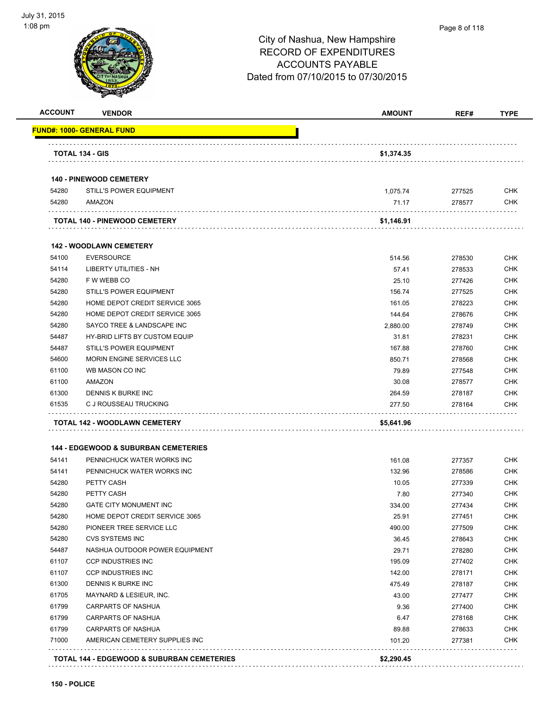

#### Page 8 of 118

| FUND#: 1000- GENERAL FUND<br>TOTAL 134 - GIS<br>\$1,374.35<br><b>140 - PINEWOOD CEMETERY</b><br>54280<br><b>STILL'S POWER EQUIPMENT</b><br>1,075.74<br>277525<br>54280<br>AMAZON<br>71.17<br>278577<br><b>TOTAL 140 - PINEWOOD CEMETERY</b><br>\$1,146.91<br><b>142 - WOODLAWN CEMETERY</b><br><b>EVERSOURCE</b><br>54100<br>514.56<br>278530<br>54114<br>LIBERTY UTILITIES - NH<br>57.41<br>278533<br>54280<br>F W WEBB CO<br>25.10<br>277426<br>54280<br><b>STILL'S POWER EQUIPMENT</b><br>156.74<br>277525<br>54280<br>HOME DEPOT CREDIT SERVICE 3065<br>161.05<br>278223<br>54280<br>HOME DEPOT CREDIT SERVICE 3065<br>144.64<br>278676<br>54280<br>SAYCO TREE & LANDSCAPE INC<br>2,880.00<br>278749<br>54487<br>HY-BRID LIFTS BY CUSTOM EQUIP<br>31.81<br>278231<br><b>STILL'S POWER EQUIPMENT</b><br>54487<br>167.88<br>278760<br>MORIN ENGINE SERVICES LLC<br>54600<br>850.71<br>278568<br>61100<br>WB MASON CO INC<br>79.89<br>277548<br>61100<br>AMAZON<br>30.08<br>278577<br>61300<br>DENNIS K BURKE INC<br>278187<br>264.59<br>61535<br>C J ROUSSEAU TRUCKING<br>277.50<br>278164<br>TOTAL 142 - WOODLAWN CEMETERY<br>\$5,641.96<br><b>144 - EDGEWOOD &amp; SUBURBAN CEMETERIES</b><br>54141<br>PENNICHUCK WATER WORKS INC<br>161.08<br>277357<br>54141<br>PENNICHUCK WATER WORKS INC<br>132.96<br>278586<br>54280<br>PETTY CASH<br>10.05<br>277339<br>54280<br>PETTY CASH<br>7.80<br>277340<br>54280<br><b>GATE CITY MONUMENT INC</b><br>334.00<br>277434<br>54280<br>HOME DEPOT CREDIT SERVICE 3065<br>25.91<br>277451<br>54280<br>PIONEER TREE SERVICE LLC<br>490.00<br>277509<br>54280<br><b>CVS SYSTEMS INC</b><br>36.45<br>278643<br>54487<br>NASHUA OUTDOOR POWER EQUIPMENT<br>29.71<br>278280<br>195.09<br>61107<br><b>CCP INDUSTRIES INC</b><br>277402<br>61107<br><b>CCP INDUSTRIES INC</b><br>142.00<br>278171<br>61300<br>475.49<br>DENNIS K BURKE INC<br>278187<br>61705<br>MAYNARD & LESIEUR, INC.<br>43.00<br>277477<br>61799<br>9.36<br>CARPARTS OF NASHUA<br>277400<br>61799<br>CARPARTS OF NASHUA<br>6.47<br>278168<br>61799<br>CARPARTS OF NASHUA<br>89.88<br>278633<br>71000<br>AMERICAN CEMETERY SUPPLIES INC<br>101.20<br>277381 | <b>ACCOUNT</b> | <b>VENDOR</b> | <b>AMOUNT</b> | REF# | <b>TYPE</b> |
|-------------------------------------------------------------------------------------------------------------------------------------------------------------------------------------------------------------------------------------------------------------------------------------------------------------------------------------------------------------------------------------------------------------------------------------------------------------------------------------------------------------------------------------------------------------------------------------------------------------------------------------------------------------------------------------------------------------------------------------------------------------------------------------------------------------------------------------------------------------------------------------------------------------------------------------------------------------------------------------------------------------------------------------------------------------------------------------------------------------------------------------------------------------------------------------------------------------------------------------------------------------------------------------------------------------------------------------------------------------------------------------------------------------------------------------------------------------------------------------------------------------------------------------------------------------------------------------------------------------------------------------------------------------------------------------------------------------------------------------------------------------------------------------------------------------------------------------------------------------------------------------------------------------------------------------------------------------------------------------------------------------------------------------------------------------------------------------------------------------------------------------------------------------------|----------------|---------------|---------------|------|-------------|
|                                                                                                                                                                                                                                                                                                                                                                                                                                                                                                                                                                                                                                                                                                                                                                                                                                                                                                                                                                                                                                                                                                                                                                                                                                                                                                                                                                                                                                                                                                                                                                                                                                                                                                                                                                                                                                                                                                                                                                                                                                                                                                                                                                   |                |               |               |      |             |
|                                                                                                                                                                                                                                                                                                                                                                                                                                                                                                                                                                                                                                                                                                                                                                                                                                                                                                                                                                                                                                                                                                                                                                                                                                                                                                                                                                                                                                                                                                                                                                                                                                                                                                                                                                                                                                                                                                                                                                                                                                                                                                                                                                   |                |               |               |      |             |
|                                                                                                                                                                                                                                                                                                                                                                                                                                                                                                                                                                                                                                                                                                                                                                                                                                                                                                                                                                                                                                                                                                                                                                                                                                                                                                                                                                                                                                                                                                                                                                                                                                                                                                                                                                                                                                                                                                                                                                                                                                                                                                                                                                   |                |               |               |      |             |
|                                                                                                                                                                                                                                                                                                                                                                                                                                                                                                                                                                                                                                                                                                                                                                                                                                                                                                                                                                                                                                                                                                                                                                                                                                                                                                                                                                                                                                                                                                                                                                                                                                                                                                                                                                                                                                                                                                                                                                                                                                                                                                                                                                   |                |               |               |      | <b>CHK</b>  |
|                                                                                                                                                                                                                                                                                                                                                                                                                                                                                                                                                                                                                                                                                                                                                                                                                                                                                                                                                                                                                                                                                                                                                                                                                                                                                                                                                                                                                                                                                                                                                                                                                                                                                                                                                                                                                                                                                                                                                                                                                                                                                                                                                                   |                |               |               |      | <b>CHK</b>  |
|                                                                                                                                                                                                                                                                                                                                                                                                                                                                                                                                                                                                                                                                                                                                                                                                                                                                                                                                                                                                                                                                                                                                                                                                                                                                                                                                                                                                                                                                                                                                                                                                                                                                                                                                                                                                                                                                                                                                                                                                                                                                                                                                                                   |                |               |               |      |             |
|                                                                                                                                                                                                                                                                                                                                                                                                                                                                                                                                                                                                                                                                                                                                                                                                                                                                                                                                                                                                                                                                                                                                                                                                                                                                                                                                                                                                                                                                                                                                                                                                                                                                                                                                                                                                                                                                                                                                                                                                                                                                                                                                                                   |                |               |               |      |             |
|                                                                                                                                                                                                                                                                                                                                                                                                                                                                                                                                                                                                                                                                                                                                                                                                                                                                                                                                                                                                                                                                                                                                                                                                                                                                                                                                                                                                                                                                                                                                                                                                                                                                                                                                                                                                                                                                                                                                                                                                                                                                                                                                                                   |                |               |               |      | <b>CHK</b>  |
|                                                                                                                                                                                                                                                                                                                                                                                                                                                                                                                                                                                                                                                                                                                                                                                                                                                                                                                                                                                                                                                                                                                                                                                                                                                                                                                                                                                                                                                                                                                                                                                                                                                                                                                                                                                                                                                                                                                                                                                                                                                                                                                                                                   |                |               |               |      | <b>CHK</b>  |
|                                                                                                                                                                                                                                                                                                                                                                                                                                                                                                                                                                                                                                                                                                                                                                                                                                                                                                                                                                                                                                                                                                                                                                                                                                                                                                                                                                                                                                                                                                                                                                                                                                                                                                                                                                                                                                                                                                                                                                                                                                                                                                                                                                   |                |               |               |      | <b>CHK</b>  |
|                                                                                                                                                                                                                                                                                                                                                                                                                                                                                                                                                                                                                                                                                                                                                                                                                                                                                                                                                                                                                                                                                                                                                                                                                                                                                                                                                                                                                                                                                                                                                                                                                                                                                                                                                                                                                                                                                                                                                                                                                                                                                                                                                                   |                |               |               |      | <b>CHK</b>  |
|                                                                                                                                                                                                                                                                                                                                                                                                                                                                                                                                                                                                                                                                                                                                                                                                                                                                                                                                                                                                                                                                                                                                                                                                                                                                                                                                                                                                                                                                                                                                                                                                                                                                                                                                                                                                                                                                                                                                                                                                                                                                                                                                                                   |                |               |               |      | <b>CHK</b>  |
|                                                                                                                                                                                                                                                                                                                                                                                                                                                                                                                                                                                                                                                                                                                                                                                                                                                                                                                                                                                                                                                                                                                                                                                                                                                                                                                                                                                                                                                                                                                                                                                                                                                                                                                                                                                                                                                                                                                                                                                                                                                                                                                                                                   |                |               |               |      | <b>CHK</b>  |
|                                                                                                                                                                                                                                                                                                                                                                                                                                                                                                                                                                                                                                                                                                                                                                                                                                                                                                                                                                                                                                                                                                                                                                                                                                                                                                                                                                                                                                                                                                                                                                                                                                                                                                                                                                                                                                                                                                                                                                                                                                                                                                                                                                   |                |               |               |      | <b>CHK</b>  |
|                                                                                                                                                                                                                                                                                                                                                                                                                                                                                                                                                                                                                                                                                                                                                                                                                                                                                                                                                                                                                                                                                                                                                                                                                                                                                                                                                                                                                                                                                                                                                                                                                                                                                                                                                                                                                                                                                                                                                                                                                                                                                                                                                                   |                |               |               |      | <b>CHK</b>  |
|                                                                                                                                                                                                                                                                                                                                                                                                                                                                                                                                                                                                                                                                                                                                                                                                                                                                                                                                                                                                                                                                                                                                                                                                                                                                                                                                                                                                                                                                                                                                                                                                                                                                                                                                                                                                                                                                                                                                                                                                                                                                                                                                                                   |                |               |               |      | <b>CHK</b>  |
|                                                                                                                                                                                                                                                                                                                                                                                                                                                                                                                                                                                                                                                                                                                                                                                                                                                                                                                                                                                                                                                                                                                                                                                                                                                                                                                                                                                                                                                                                                                                                                                                                                                                                                                                                                                                                                                                                                                                                                                                                                                                                                                                                                   |                |               |               |      | <b>CHK</b>  |
|                                                                                                                                                                                                                                                                                                                                                                                                                                                                                                                                                                                                                                                                                                                                                                                                                                                                                                                                                                                                                                                                                                                                                                                                                                                                                                                                                                                                                                                                                                                                                                                                                                                                                                                                                                                                                                                                                                                                                                                                                                                                                                                                                                   |                |               |               |      | <b>CHK</b>  |
|                                                                                                                                                                                                                                                                                                                                                                                                                                                                                                                                                                                                                                                                                                                                                                                                                                                                                                                                                                                                                                                                                                                                                                                                                                                                                                                                                                                                                                                                                                                                                                                                                                                                                                                                                                                                                                                                                                                                                                                                                                                                                                                                                                   |                |               |               |      | <b>CHK</b>  |
|                                                                                                                                                                                                                                                                                                                                                                                                                                                                                                                                                                                                                                                                                                                                                                                                                                                                                                                                                                                                                                                                                                                                                                                                                                                                                                                                                                                                                                                                                                                                                                                                                                                                                                                                                                                                                                                                                                                                                                                                                                                                                                                                                                   |                |               |               |      | <b>CHK</b>  |
|                                                                                                                                                                                                                                                                                                                                                                                                                                                                                                                                                                                                                                                                                                                                                                                                                                                                                                                                                                                                                                                                                                                                                                                                                                                                                                                                                                                                                                                                                                                                                                                                                                                                                                                                                                                                                                                                                                                                                                                                                                                                                                                                                                   |                |               |               |      | <b>CHK</b>  |
|                                                                                                                                                                                                                                                                                                                                                                                                                                                                                                                                                                                                                                                                                                                                                                                                                                                                                                                                                                                                                                                                                                                                                                                                                                                                                                                                                                                                                                                                                                                                                                                                                                                                                                                                                                                                                                                                                                                                                                                                                                                                                                                                                                   |                |               |               |      |             |
|                                                                                                                                                                                                                                                                                                                                                                                                                                                                                                                                                                                                                                                                                                                                                                                                                                                                                                                                                                                                                                                                                                                                                                                                                                                                                                                                                                                                                                                                                                                                                                                                                                                                                                                                                                                                                                                                                                                                                                                                                                                                                                                                                                   |                |               |               |      |             |
|                                                                                                                                                                                                                                                                                                                                                                                                                                                                                                                                                                                                                                                                                                                                                                                                                                                                                                                                                                                                                                                                                                                                                                                                                                                                                                                                                                                                                                                                                                                                                                                                                                                                                                                                                                                                                                                                                                                                                                                                                                                                                                                                                                   |                |               |               |      | <b>CHK</b>  |
|                                                                                                                                                                                                                                                                                                                                                                                                                                                                                                                                                                                                                                                                                                                                                                                                                                                                                                                                                                                                                                                                                                                                                                                                                                                                                                                                                                                                                                                                                                                                                                                                                                                                                                                                                                                                                                                                                                                                                                                                                                                                                                                                                                   |                |               |               |      | <b>CHK</b>  |
|                                                                                                                                                                                                                                                                                                                                                                                                                                                                                                                                                                                                                                                                                                                                                                                                                                                                                                                                                                                                                                                                                                                                                                                                                                                                                                                                                                                                                                                                                                                                                                                                                                                                                                                                                                                                                                                                                                                                                                                                                                                                                                                                                                   |                |               |               |      | <b>CHK</b>  |
|                                                                                                                                                                                                                                                                                                                                                                                                                                                                                                                                                                                                                                                                                                                                                                                                                                                                                                                                                                                                                                                                                                                                                                                                                                                                                                                                                                                                                                                                                                                                                                                                                                                                                                                                                                                                                                                                                                                                                                                                                                                                                                                                                                   |                |               |               |      | <b>CHK</b>  |
|                                                                                                                                                                                                                                                                                                                                                                                                                                                                                                                                                                                                                                                                                                                                                                                                                                                                                                                                                                                                                                                                                                                                                                                                                                                                                                                                                                                                                                                                                                                                                                                                                                                                                                                                                                                                                                                                                                                                                                                                                                                                                                                                                                   |                |               |               |      | <b>CHK</b>  |
|                                                                                                                                                                                                                                                                                                                                                                                                                                                                                                                                                                                                                                                                                                                                                                                                                                                                                                                                                                                                                                                                                                                                                                                                                                                                                                                                                                                                                                                                                                                                                                                                                                                                                                                                                                                                                                                                                                                                                                                                                                                                                                                                                                   |                |               |               |      | <b>CHK</b>  |
|                                                                                                                                                                                                                                                                                                                                                                                                                                                                                                                                                                                                                                                                                                                                                                                                                                                                                                                                                                                                                                                                                                                                                                                                                                                                                                                                                                                                                                                                                                                                                                                                                                                                                                                                                                                                                                                                                                                                                                                                                                                                                                                                                                   |                |               |               |      | <b>CHK</b>  |
|                                                                                                                                                                                                                                                                                                                                                                                                                                                                                                                                                                                                                                                                                                                                                                                                                                                                                                                                                                                                                                                                                                                                                                                                                                                                                                                                                                                                                                                                                                                                                                                                                                                                                                                                                                                                                                                                                                                                                                                                                                                                                                                                                                   |                |               |               |      | <b>CHK</b>  |
|                                                                                                                                                                                                                                                                                                                                                                                                                                                                                                                                                                                                                                                                                                                                                                                                                                                                                                                                                                                                                                                                                                                                                                                                                                                                                                                                                                                                                                                                                                                                                                                                                                                                                                                                                                                                                                                                                                                                                                                                                                                                                                                                                                   |                |               |               |      | <b>CHK</b>  |
|                                                                                                                                                                                                                                                                                                                                                                                                                                                                                                                                                                                                                                                                                                                                                                                                                                                                                                                                                                                                                                                                                                                                                                                                                                                                                                                                                                                                                                                                                                                                                                                                                                                                                                                                                                                                                                                                                                                                                                                                                                                                                                                                                                   |                |               |               |      | <b>CHK</b>  |
|                                                                                                                                                                                                                                                                                                                                                                                                                                                                                                                                                                                                                                                                                                                                                                                                                                                                                                                                                                                                                                                                                                                                                                                                                                                                                                                                                                                                                                                                                                                                                                                                                                                                                                                                                                                                                                                                                                                                                                                                                                                                                                                                                                   |                |               |               |      | <b>CHK</b>  |
|                                                                                                                                                                                                                                                                                                                                                                                                                                                                                                                                                                                                                                                                                                                                                                                                                                                                                                                                                                                                                                                                                                                                                                                                                                                                                                                                                                                                                                                                                                                                                                                                                                                                                                                                                                                                                                                                                                                                                                                                                                                                                                                                                                   |                |               |               |      | <b>CHK</b>  |
|                                                                                                                                                                                                                                                                                                                                                                                                                                                                                                                                                                                                                                                                                                                                                                                                                                                                                                                                                                                                                                                                                                                                                                                                                                                                                                                                                                                                                                                                                                                                                                                                                                                                                                                                                                                                                                                                                                                                                                                                                                                                                                                                                                   |                |               |               |      | <b>CHK</b>  |
|                                                                                                                                                                                                                                                                                                                                                                                                                                                                                                                                                                                                                                                                                                                                                                                                                                                                                                                                                                                                                                                                                                                                                                                                                                                                                                                                                                                                                                                                                                                                                                                                                                                                                                                                                                                                                                                                                                                                                                                                                                                                                                                                                                   |                |               |               |      | <b>CHK</b>  |
|                                                                                                                                                                                                                                                                                                                                                                                                                                                                                                                                                                                                                                                                                                                                                                                                                                                                                                                                                                                                                                                                                                                                                                                                                                                                                                                                                                                                                                                                                                                                                                                                                                                                                                                                                                                                                                                                                                                                                                                                                                                                                                                                                                   |                |               |               |      | <b>CHK</b>  |
|                                                                                                                                                                                                                                                                                                                                                                                                                                                                                                                                                                                                                                                                                                                                                                                                                                                                                                                                                                                                                                                                                                                                                                                                                                                                                                                                                                                                                                                                                                                                                                                                                                                                                                                                                                                                                                                                                                                                                                                                                                                                                                                                                                   |                |               |               |      | <b>CHK</b>  |
|                                                                                                                                                                                                                                                                                                                                                                                                                                                                                                                                                                                                                                                                                                                                                                                                                                                                                                                                                                                                                                                                                                                                                                                                                                                                                                                                                                                                                                                                                                                                                                                                                                                                                                                                                                                                                                                                                                                                                                                                                                                                                                                                                                   |                |               |               |      | <b>CHK</b>  |
| \$2,290.45<br>TOTAL 144 - EDGEWOOD & SUBURBAN CEMETERIES                                                                                                                                                                                                                                                                                                                                                                                                                                                                                                                                                                                                                                                                                                                                                                                                                                                                                                                                                                                                                                                                                                                                                                                                                                                                                                                                                                                                                                                                                                                                                                                                                                                                                                                                                                                                                                                                                                                                                                                                                                                                                                          |                |               |               |      |             |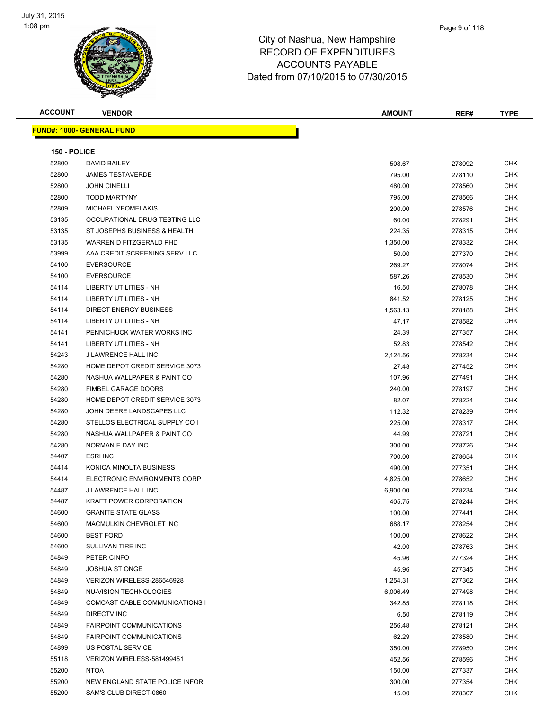

| <b>ACCOUNT</b> | <b>VENDOR</b>                     | <b>AMOUNT</b> | REF#   | <b>TYPE</b> |
|----------------|-----------------------------------|---------------|--------|-------------|
|                | <u> FUND#: 1000- GENERAL FUND</u> |               |        |             |
|                |                                   |               |        |             |
| 150 - POLICE   |                                   |               |        |             |
| 52800          | DAVID BAILEY                      | 508.67        | 278092 | CHK         |
| 52800          | <b>JAMES TESTAVERDE</b>           | 795.00        | 278110 | <b>CHK</b>  |
| 52800          | <b>JOHN CINELLI</b>               | 480.00        | 278560 | CHK         |
| 52800          | <b>TODD MARTYNY</b>               | 795.00        | 278566 | CHK         |
| 52809          | <b>MICHAEL YEOMELAKIS</b>         | 200.00        | 278576 | <b>CHK</b>  |
| 53135          | OCCUPATIONAL DRUG TESTING LLC     | 60.00         | 278291 | CHK         |
| 53135          | ST JOSEPHS BUSINESS & HEALTH      | 224.35        | 278315 | CHK         |
| 53135          | WARREN D FITZGERALD PHD           | 1,350.00      | 278332 | CHK         |
| 53999          | AAA CREDIT SCREENING SERV LLC     | 50.00         | 277370 | CHK         |
| 54100          | <b>EVERSOURCE</b>                 | 269.27        | 278074 | <b>CHK</b>  |
| 54100          | <b>EVERSOURCE</b>                 | 587.26        | 278530 | CHK         |
| 54114          | LIBERTY UTILITIES - NH            | 16.50         | 278078 | CHK         |
| 54114          | LIBERTY UTILITIES - NH            |               |        | CHK         |
|                | <b>DIRECT ENERGY BUSINESS</b>     | 841.52        | 278125 |             |
| 54114          |                                   | 1,563.13      | 278188 | CHK         |
| 54114          | LIBERTY UTILITIES - NH            | 47.17         | 278582 | CHK         |
| 54141          | PENNICHUCK WATER WORKS INC        | 24.39         | 277357 | CHK         |
| 54141          | <b>LIBERTY UTILITIES - NH</b>     | 52.83         | 278542 | <b>CHK</b>  |
| 54243          | J LAWRENCE HALL INC               | 2,124.56      | 278234 | CHK         |
| 54280          | HOME DEPOT CREDIT SERVICE 3073    | 27.48         | 277452 | <b>CHK</b>  |
| 54280          | NASHUA WALLPAPER & PAINT CO       | 107.96        | 277491 | <b>CHK</b>  |
| 54280          | <b>FIMBEL GARAGE DOORS</b>        | 240.00        | 278197 | <b>CHK</b>  |
| 54280          | HOME DEPOT CREDIT SERVICE 3073    | 82.07         | 278224 | <b>CHK</b>  |
| 54280          | JOHN DEERE LANDSCAPES LLC         | 112.32        | 278239 | <b>CHK</b>  |
| 54280          | STELLOS ELECTRICAL SUPPLY CO I    | 225.00        | 278317 | <b>CHK</b>  |
| 54280          | NASHUA WALLPAPER & PAINT CO       | 44.99         | 278721 | CHK         |
| 54280          | NORMAN E DAY INC                  | 300.00        | 278726 | CHK         |
| 54407          | <b>ESRI INC</b>                   | 700.00        | 278654 | CHK         |
| 54414          | KONICA MINOLTA BUSINESS           | 490.00        | 277351 | CHK         |
| 54414          | ELECTRONIC ENVIRONMENTS CORP      | 4,825.00      | 278652 | CHK         |
| 54487          | J LAWRENCE HALL INC               | 6,900.00      | 278234 | <b>CHK</b>  |
| 54487          | <b>KRAFT POWER CORPORATION</b>    | 405.75        | 278244 | CHK         |
| 54600          | <b>GRANITE STATE GLASS</b>        | 100.00        | 277441 | <b>CHK</b>  |
| 54600          | MACMULKIN CHEVROLET INC           | 688.17        | 278254 | <b>CHK</b>  |
| 54600          | <b>BEST FORD</b>                  | 100.00        | 278622 | <b>CHK</b>  |
| 54600          | SULLIVAN TIRE INC                 | 42.00         | 278763 | <b>CHK</b>  |
| 54849          | PETER CINFO                       | 45.96         | 277324 | <b>CHK</b>  |
| 54849          | <b>JOSHUA ST ONGE</b>             | 45.96         | 277345 | <b>CHK</b>  |
| 54849          | VERIZON WIRELESS-286546928        | 1,254.31      | 277362 | CHK         |
| 54849          | <b>NU-VISION TECHNOLOGIES</b>     | 6,006.49      | 277498 | CHK         |
| 54849          | COMCAST CABLE COMMUNICATIONS I    | 342.85        | 278118 | CHK         |
| 54849          | <b>DIRECTV INC</b>                | 6.50          | 278119 | <b>CHK</b>  |
| 54849          | <b>FAIRPOINT COMMUNICATIONS</b>   | 256.48        | 278121 | <b>CHK</b>  |
| 54849          | <b>FAIRPOINT COMMUNICATIONS</b>   | 62.29         | 278580 | <b>CHK</b>  |
| 54899          | US POSTAL SERVICE                 | 350.00        | 278950 | <b>CHK</b>  |
| 55118          | VERIZON WIRELESS-581499451        | 452.56        | 278596 | <b>CHK</b>  |
| 55200          | <b>NTOA</b>                       | 150.00        | 277337 | <b>CHK</b>  |
| 55200          | NEW ENGLAND STATE POLICE INFOR    | 300.00        | 277354 | <b>CHK</b>  |
| 55200          | SAM'S CLUB DIRECT-0860            | 15.00         | 278307 | <b>CHK</b>  |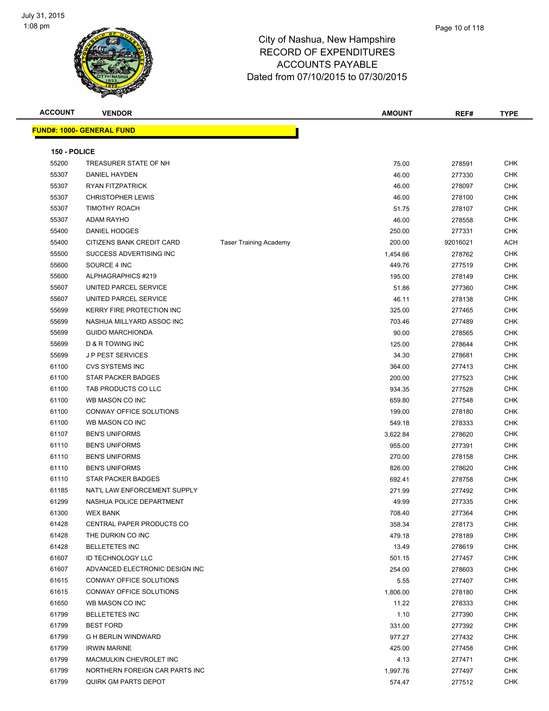

| <b>ACCOUNT</b> | <b>VENDOR</b>                     |                               | <b>AMOUNT</b> | REF#     | <b>TYPE</b> |
|----------------|-----------------------------------|-------------------------------|---------------|----------|-------------|
|                | <u> FUND#: 1000- GENERAL FUND</u> |                               |               |          |             |
|                |                                   |                               |               |          |             |
| 150 - POLICE   |                                   |                               |               |          |             |
| 55200          | TREASURER STATE OF NH             |                               | 75.00         | 278591   | <b>CHK</b>  |
| 55307          | DANIEL HAYDEN                     |                               | 46.00         | 277330   | <b>CHK</b>  |
| 55307          | RYAN FITZPATRICK                  |                               | 46.00         | 278097   | <b>CHK</b>  |
| 55307          | <b>CHRISTOPHER LEWIS</b>          |                               | 46.00         | 278100   | <b>CHK</b>  |
| 55307          | <b>TIMOTHY ROACH</b>              |                               | 51.75         | 278107   | <b>CHK</b>  |
| 55307          | <b>ADAM RAYHO</b>                 |                               | 46.00         | 278558   | <b>CHK</b>  |
| 55400          | DANIEL HODGES                     |                               | 250.00        | 277331   | <b>CHK</b>  |
| 55400          | CITIZENS BANK CREDIT CARD         | <b>Taser Training Academy</b> | 200.00        | 92016021 | <b>ACH</b>  |
| 55500          | SUCCESS ADVERTISING INC           |                               | 1,454.66      | 278762   | <b>CHK</b>  |
| 55600          | SOURCE 4 INC                      |                               | 449.76        | 277519   | <b>CHK</b>  |
| 55600          | ALPHAGRAPHICS #219                |                               | 195.00        | 278149   | <b>CHK</b>  |
| 55607          | UNITED PARCEL SERVICE             |                               | 51.86         | 277360   | <b>CHK</b>  |
| 55607          | UNITED PARCEL SERVICE             |                               | 46.11         | 278138   | <b>CHK</b>  |
| 55699          | KERRY FIRE PROTECTION INC         |                               | 325.00        | 277465   | <b>CHK</b>  |
| 55699          | NASHUA MILLYARD ASSOC INC         |                               | 703.46        | 277489   | <b>CHK</b>  |
| 55699          | <b>GUIDO MARCHIONDA</b>           |                               | 90.00         | 278565   | <b>CHK</b>  |
| 55699          | D & R TOWING INC                  |                               | 125.00        | 278644   | <b>CHK</b>  |
| 55699          | <b>JP PEST SERVICES</b>           |                               | 34.30         | 278681   | <b>CHK</b>  |
| 61100          | <b>CVS SYSTEMS INC</b>            |                               | 364.00        | 277413   | <b>CHK</b>  |
| 61100          | <b>STAR PACKER BADGES</b>         |                               | 200.00        | 277523   | <b>CHK</b>  |
| 61100          | TAB PRODUCTS CO LLC               |                               | 934.35        | 277528   | <b>CHK</b>  |
| 61100          | WB MASON CO INC                   |                               | 659.80        | 277548   | <b>CHK</b>  |
| 61100          | CONWAY OFFICE SOLUTIONS           |                               | 199.00        | 278180   | <b>CHK</b>  |
| 61100          | WB MASON CO INC                   |                               | 549.18        | 278333   | <b>CHK</b>  |
| 61107          | <b>BEN'S UNIFORMS</b>             |                               | 3,622.84      | 278620   | <b>CHK</b>  |
| 61110          | <b>BEN'S UNIFORMS</b>             |                               | 955.00        | 277391   | <b>CHK</b>  |
| 61110          | <b>BEN'S UNIFORMS</b>             |                               | 270.00        | 278158   | <b>CHK</b>  |
| 61110          | <b>BEN'S UNIFORMS</b>             |                               | 826.00        | 278620   | <b>CHK</b>  |
| 61110          | STAR PACKER BADGES                |                               | 692.41        | 278758   | <b>CHK</b>  |
| 61185          | NAT'L LAW ENFORCEMENT SUPPLY      |                               | 271.99        | 277492   | <b>CHK</b>  |
| 61299          | NASHUA POLICE DEPARTMENT          |                               | 49.99         | 277335   | <b>CHK</b>  |
| 61300          | <b>WEX BANK</b>                   |                               | 708.40        | 277364   | <b>CHK</b>  |
| 61428          | CENTRAL PAPER PRODUCTS CO         |                               | 358.34        | 278173   | <b>CHK</b>  |
| 61428          | THE DURKIN CO INC                 |                               | 479.18        | 278189   | <b>CHK</b>  |
| 61428          | <b>BELLETETES INC</b>             |                               | 13.49         | 278619   | <b>CHK</b>  |
| 61607          | <b>ID TECHNOLOGY LLC</b>          |                               | 501.15        | 277457   | <b>CHK</b>  |
| 61607          | ADVANCED ELECTRONIC DESIGN INC    |                               | 254.00        | 278603   | <b>CHK</b>  |
| 61615          | CONWAY OFFICE SOLUTIONS           |                               | 5.55          | 277407   | <b>CHK</b>  |
| 61615          | CONWAY OFFICE SOLUTIONS           |                               | 1,806.00      | 278180   | <b>CHK</b>  |
| 61650          | WB MASON CO INC                   |                               | 11.22         | 278333   | <b>CHK</b>  |
| 61799          | <b>BELLETETES INC</b>             |                               | 1.10          | 277390   | <b>CHK</b>  |
| 61799          | <b>BEST FORD</b>                  |                               | 331.00        | 277392   | <b>CHK</b>  |
| 61799          | G H BERLIN WINDWARD               |                               | 977.27        | 277432   | <b>CHK</b>  |
| 61799          | <b>IRWIN MARINE</b>               |                               | 425.00        | 277458   | <b>CHK</b>  |
| 61799          | MACMULKIN CHEVROLET INC           |                               | 4.13          | 277471   | <b>CHK</b>  |
| 61799          | NORTHERN FOREIGN CAR PARTS INC    |                               | 1,997.76      | 277497   | <b>CHK</b>  |
| 61799          | QUIRK GM PARTS DEPOT              |                               | 574.47        | 277512   | <b>CHK</b>  |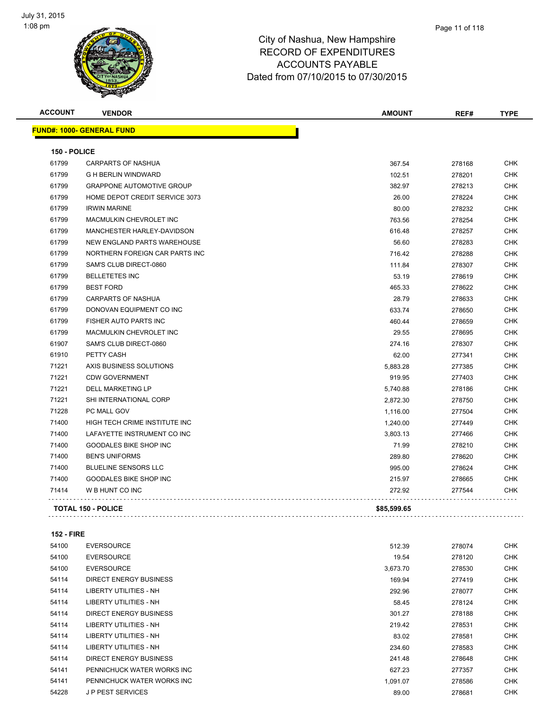

| <b>ACCOUNT</b> | <b>VENDOR</b>                    | <b>AMOUNT</b> | REF#   | <b>TYPE</b> |
|----------------|----------------------------------|---------------|--------|-------------|
|                | <b>FUND#: 1000- GENERAL FUND</b> |               |        |             |
| 150 - POLICE   |                                  |               |        |             |
| 61799          | CARPARTS OF NASHUA               | 367.54        | 278168 | CHK         |
| 61799          | <b>G H BERLIN WINDWARD</b>       | 102.51        | 278201 | CHK         |
| 61799          | <b>GRAPPONE AUTOMOTIVE GROUP</b> | 382.97        | 278213 | <b>CHK</b>  |
| 61799          | HOME DEPOT CREDIT SERVICE 3073   | 26.00         | 278224 | <b>CHK</b>  |
| 61799          | <b>IRWIN MARINE</b>              | 80.00         | 278232 | <b>CHK</b>  |
| 61799          | <b>MACMULKIN CHEVROLET INC</b>   | 763.56        | 278254 | <b>CHK</b>  |
| 61799          | MANCHESTER HARLEY-DAVIDSON       | 616.48        | 278257 | <b>CHK</b>  |
| 61799          | NEW ENGLAND PARTS WAREHOUSE      | 56.60         | 278283 | <b>CHK</b>  |
| 61799          | NORTHERN FOREIGN CAR PARTS INC   | 716.42        | 278288 | <b>CHK</b>  |
| 61799          | SAM'S CLUB DIRECT-0860           | 111.84        | 278307 | CHK         |
| 61799          | <b>BELLETETES INC</b>            | 53.19         | 278619 | CHK         |
| 61799          | <b>BEST FORD</b>                 | 465.33        | 278622 | <b>CHK</b>  |
| 61799          | <b>CARPARTS OF NASHUA</b>        | 28.79         | 278633 | <b>CHK</b>  |
| 61799          | DONOVAN EQUIPMENT CO INC         | 633.74        | 278650 | <b>CHK</b>  |
| 61799          | FISHER AUTO PARTS INC            | 460.44        | 278659 | CHK         |
| 61799          | <b>MACMULKIN CHEVROLET INC</b>   | 29.55         | 278695 | <b>CHK</b>  |
| 61907          | SAM'S CLUB DIRECT-0860           | 274.16        | 278307 | <b>CHK</b>  |
| 61910          | PETTY CASH                       | 62.00         | 277341 | <b>CHK</b>  |
| 71221          | AXIS BUSINESS SOLUTIONS          | 5,883.28      | 277385 | CHK         |
| 71221          | <b>CDW GOVERNMENT</b>            | 919.95        | 277403 | CHK         |
| 71221          | <b>DELL MARKETING LP</b>         | 5,740.88      | 278186 | <b>CHK</b>  |
| 71221          | SHI INTERNATIONAL CORP           | 2,872.30      | 278750 | <b>CHK</b>  |
| 71228          | PC MALL GOV                      | 1,116.00      | 277504 | <b>CHK</b>  |
| 71400          | HIGH TECH CRIME INSTITUTE INC    | 1,240.00      | 277449 | CHK         |
| 71400          | LAFAYETTE INSTRUMENT CO INC      | 3,803.13      | 277466 | <b>CHK</b>  |
| 71400          | <b>GOODALES BIKE SHOP INC</b>    | 71.99         | 278210 | <b>CHK</b>  |
| 71400          | <b>BEN'S UNIFORMS</b>            | 289.80        | 278620 | CHK         |
| 71400          | <b>BLUELINE SENSORS LLC</b>      | 995.00        | 278624 | CHK         |
| 71400          | <b>GOODALES BIKE SHOP INC</b>    | 215.97        | 278665 | CHK         |
| 71414          | W B HUNT CO INC                  | 272.92        | 277544 | CHK         |
|                | <b>TOTAL 150 - POLICE</b>        | \$85,599.65   |        |             |

**152 - FIRE**

| 54100 | <b>EVERSOURCE</b>             | 512.39   | 278074 | <b>CHK</b> |
|-------|-------------------------------|----------|--------|------------|
| 54100 | <b>EVERSOURCE</b>             | 19.54    | 278120 | <b>CHK</b> |
| 54100 | <b>EVERSOURCE</b>             | 3,673.70 | 278530 | <b>CHK</b> |
| 54114 | <b>DIRECT ENERGY BUSINESS</b> | 169.94   | 277419 | <b>CHK</b> |
| 54114 | LIBERTY UTILITIES - NH        | 292.96   | 278077 | <b>CHK</b> |
| 54114 | LIBERTY UTILITIES - NH        | 58.45    | 278124 | <b>CHK</b> |
| 54114 | DIRECT ENERGY BUSINESS        | 301.27   | 278188 | <b>CHK</b> |
| 54114 | LIBERTY UTILITIES - NH        | 219.42   | 278531 | <b>CHK</b> |
| 54114 | LIBERTY UTILITIES - NH        | 83.02    | 278581 | <b>CHK</b> |
| 54114 | LIBERTY UTILITIES - NH        | 234.60   | 278583 | <b>CHK</b> |
| 54114 | DIRECT ENERGY BUSINESS        | 241.48   | 278648 | <b>CHK</b> |
| 54141 | PENNICHUCK WATER WORKS INC    | 627.23   | 277357 | <b>CHK</b> |
| 54141 | PENNICHUCK WATER WORKS INC    | 1,091.07 | 278586 | <b>CHK</b> |
| 54228 | <b>JP PEST SERVICES</b>       | 89.00    | 278681 | <b>CHK</b> |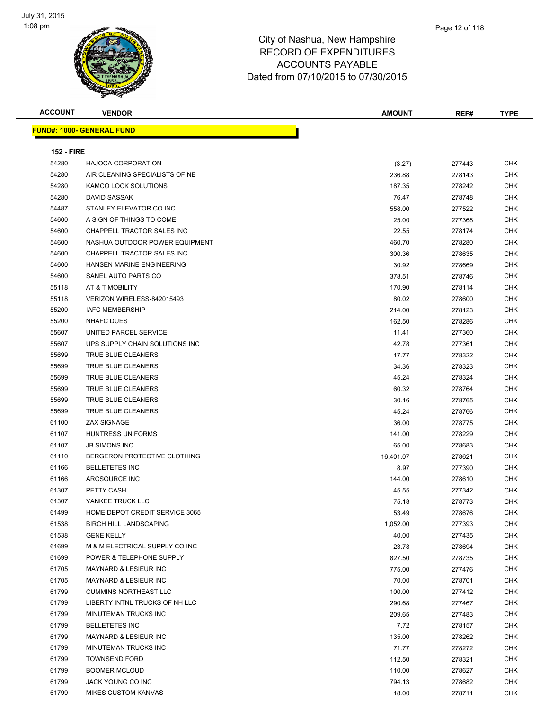

| <b>ACCOUNT</b>    | <b>VENDOR</b>                    | <b>AMOUNT</b> | REF#   | <b>TYPE</b> |
|-------------------|----------------------------------|---------------|--------|-------------|
|                   | <b>FUND#: 1000- GENERAL FUND</b> |               |        |             |
|                   |                                  |               |        |             |
| <b>152 - FIRE</b> |                                  |               |        |             |
| 54280             | <b>HAJOCA CORPORATION</b>        | (3.27)        | 277443 | <b>CHK</b>  |
| 54280             | AIR CLEANING SPECIALISTS OF NE   | 236.88        | 278143 | <b>CHK</b>  |
| 54280             | KAMCO LOCK SOLUTIONS             | 187.35        | 278242 | <b>CHK</b>  |
| 54280             | DAVID SASSAK                     | 76.47         | 278748 | <b>CHK</b>  |
| 54487             | STANLEY ELEVATOR CO INC          | 558.00        | 277522 | <b>CHK</b>  |
| 54600             | A SIGN OF THINGS TO COME         | 25.00         | 277368 | <b>CHK</b>  |
| 54600             | CHAPPELL TRACTOR SALES INC       | 22.55         | 278174 | <b>CHK</b>  |
| 54600             | NASHUA OUTDOOR POWER EQUIPMENT   | 460.70        | 278280 | <b>CHK</b>  |
| 54600             | CHAPPELL TRACTOR SALES INC       | 300.36        | 278635 | <b>CHK</b>  |
| 54600             | HANSEN MARINE ENGINEERING        | 30.92         | 278669 | <b>CHK</b>  |
| 54600             | SANEL AUTO PARTS CO              | 378.51        | 278746 | <b>CHK</b>  |
| 55118             | AT & T MOBILITY                  | 170.90        | 278114 | <b>CHK</b>  |
| 55118             | VERIZON WIRELESS-842015493       | 80.02         | 278600 | <b>CHK</b>  |
| 55200             | <b>IAFC MEMBERSHIP</b>           | 214.00        | 278123 | <b>CHK</b>  |
| 55200             | <b>NHAFC DUES</b>                | 162.50        | 278286 | <b>CHK</b>  |
| 55607             | UNITED PARCEL SERVICE            | 11.41         | 277360 | <b>CHK</b>  |
| 55607             | UPS SUPPLY CHAIN SOLUTIONS INC   | 42.78         | 277361 | <b>CHK</b>  |
| 55699             | TRUE BLUE CLEANERS               | 17.77         | 278322 | <b>CHK</b>  |
| 55699             | TRUE BLUE CLEANERS               | 34.36         | 278323 | <b>CHK</b>  |
| 55699             | TRUE BLUE CLEANERS               | 45.24         | 278324 | <b>CHK</b>  |
| 55699             | TRUE BLUE CLEANERS               | 60.32         | 278764 | <b>CHK</b>  |
| 55699             | TRUE BLUE CLEANERS               | 30.16         | 278765 | <b>CHK</b>  |
| 55699             | TRUE BLUE CLEANERS               | 45.24         | 278766 | <b>CHK</b>  |
| 61100             | <b>ZAX SIGNAGE</b>               | 36.00         | 278775 | <b>CHK</b>  |
| 61107             | <b>HUNTRESS UNIFORMS</b>         | 141.00        | 278229 | <b>CHK</b>  |
| 61107             | <b>JB SIMONS INC</b>             | 65.00         | 278683 | <b>CHK</b>  |
| 61110             | BERGERON PROTECTIVE CLOTHING     | 16,401.07     | 278621 | <b>CHK</b>  |
| 61166             | <b>BELLETETES INC</b>            | 8.97          | 277390 | <b>CHK</b>  |
| 61166             | ARCSOURCE INC                    | 144.00        | 278610 | CHK         |
| 61307             | PETTY CASH                       | 45.55         | 277342 | <b>CHK</b>  |
| 61307             | YANKEE TRUCK LLC                 | 75.18         | 278773 | <b>CHK</b>  |
| 61499             | HOME DEPOT CREDIT SERVICE 3065   | 53.49         | 278676 | <b>CHK</b>  |
| 61538             | <b>BIRCH HILL LANDSCAPING</b>    | 1,052.00      | 277393 | <b>CHK</b>  |
| 61538             | <b>GENE KELLY</b>                | 40.00         | 277435 | <b>CHK</b>  |
| 61699             | M & M ELECTRICAL SUPPLY CO INC   | 23.78         | 278694 | <b>CHK</b>  |
| 61699             | POWER & TELEPHONE SUPPLY         | 827.50        | 278735 | <b>CHK</b>  |
| 61705             | <b>MAYNARD &amp; LESIEUR INC</b> | 775.00        | 277476 | <b>CHK</b>  |
| 61705             | MAYNARD & LESIEUR INC            | 70.00         | 278701 | <b>CHK</b>  |
| 61799             | <b>CUMMINS NORTHEAST LLC</b>     | 100.00        | 277412 | <b>CHK</b>  |
| 61799             | LIBERTY INTNL TRUCKS OF NH LLC   | 290.68        | 277467 | <b>CHK</b>  |
| 61799             | MINUTEMAN TRUCKS INC             | 209.65        | 277483 | CHK         |
| 61799             | <b>BELLETETES INC</b>            | 7.72          | 278157 | <b>CHK</b>  |
| 61799             | MAYNARD & LESIEUR INC            | 135.00        | 278262 | <b>CHK</b>  |
| 61799             | MINUTEMAN TRUCKS INC             | 71.77         | 278272 | <b>CHK</b>  |
| 61799             | <b>TOWNSEND FORD</b>             | 112.50        | 278321 | <b>CHK</b>  |
| 61799             | <b>BOOMER MCLOUD</b>             | 110.00        | 278627 | CHK         |
| 61799             | JACK YOUNG CO INC                | 794.13        | 278682 | <b>CHK</b>  |
| 61799             | <b>MIKES CUSTOM KANVAS</b>       | 18.00         | 278711 | CHK         |
|                   |                                  |               |        |             |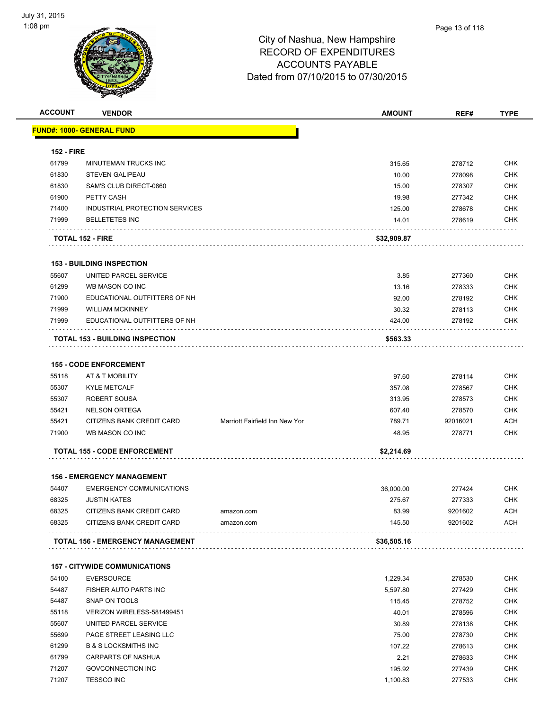

| <b>ACCOUNT</b>    | <b>VENDOR</b>                           |                                | <b>AMOUNT</b> | REF#     | <b>TYPE</b> |
|-------------------|-----------------------------------------|--------------------------------|---------------|----------|-------------|
|                   | FUND#: 1000- GENERAL FUND               |                                |               |          |             |
|                   |                                         |                                |               |          |             |
| <b>152 - FIRE</b> |                                         |                                |               |          |             |
| 61799             | MINUTEMAN TRUCKS INC<br>STEVEN GALIPEAU |                                | 315.65        | 278712   | <b>CHK</b>  |
| 61830             |                                         |                                | 10.00         | 278098   | <b>CHK</b>  |
| 61830             | SAM'S CLUB DIRECT-0860                  |                                | 15.00         | 278307   | <b>CHK</b>  |
| 61900             | PETTY CASH                              |                                | 19.98         | 277342   | <b>CHK</b>  |
| 71400             | INDUSTRIAL PROTECTION SERVICES          |                                | 125.00        | 278678   | <b>CHK</b>  |
| 71999             | <b>BELLETETES INC</b>                   |                                | 14.01         | 278619   | <b>CHK</b>  |
|                   | <b>TOTAL 152 - FIRE</b>                 |                                | \$32,909.87   |          |             |
|                   | <b>153 - BUILDING INSPECTION</b>        |                                |               |          |             |
| 55607             | UNITED PARCEL SERVICE                   |                                | 3.85          | 277360   | <b>CHK</b>  |
| 61299             | WB MASON CO INC                         |                                | 13.16         | 278333   | <b>CHK</b>  |
| 71900             | EDUCATIONAL OUTFITTERS OF NH            |                                | 92.00         | 278192   | <b>CHK</b>  |
| 71999             | <b>WILLIAM MCKINNEY</b>                 |                                | 30.32         | 278113   | <b>CHK</b>  |
| 71999             | EDUCATIONAL OUTFITTERS OF NH            |                                | 424.00        | 278192   | <b>CHK</b>  |
|                   |                                         |                                |               |          |             |
|                   | <b>TOTAL 153 - BUILDING INSPECTION</b>  |                                | \$563.33      |          |             |
|                   | <b>155 - CODE ENFORCEMENT</b>           |                                |               |          |             |
| 55118             | AT & T MOBILITY                         |                                | 97.60         | 278114   | <b>CHK</b>  |
| 55307             | <b>KYLE METCALF</b>                     |                                | 357.08        | 278567   | <b>CHK</b>  |
| 55307             | ROBERT SOUSA                            |                                | 313.95        | 278573   | <b>CHK</b>  |
| 55421             | <b>NELSON ORTEGA</b>                    |                                | 607.40        | 278570   | <b>CHK</b>  |
| 55421             | CITIZENS BANK CREDIT CARD               | Marriott Fairfield Inn New Yor | 789.71        | 92016021 | <b>ACH</b>  |
| 71900             | WB MASON CO INC                         |                                | 48.95         | 278771   | <b>CHK</b>  |
|                   | <b>TOTAL 155 - CODE ENFORCEMENT</b>     |                                | \$2,214.69    |          |             |
|                   |                                         |                                |               |          |             |
|                   | <b>156 - EMERGENCY MANAGEMENT</b>       |                                |               |          |             |
| 54407             | <b>EMERGENCY COMMUNICATIONS</b>         |                                | 36,000.00     | 277424   | <b>CHK</b>  |
| 68325             | <b>JUSTIN KATES</b>                     |                                | 275.67        | 277333   | <b>CHK</b>  |
| 68325             | CITIZENS BANK CREDIT CARD               | amazon.com                     | 83.99         | 9201602  | <b>ACH</b>  |
| 68325             | CITIZENS BANK CREDIT CARD               | amazon.com                     | 145.50        | 9201602  | <b>ACH</b>  |
|                   | <b>TOTAL 156 - EMERGENCY MANAGEMENT</b> |                                | \$36,505.16   |          |             |
|                   | <b>157 - CITYWIDE COMMUNICATIONS</b>    |                                |               |          |             |
| 54100             | <b>EVERSOURCE</b>                       |                                | 1,229.34      | 278530   | <b>CHK</b>  |
| 54487             | FISHER AUTO PARTS INC                   |                                | 5,597.80      | 277429   | <b>CHK</b>  |
| 54487             | SNAP ON TOOLS                           |                                | 115.45        | 278752   | <b>CHK</b>  |
| 55118             | VERIZON WIRELESS-581499451              |                                | 40.01         | 278596   | <b>CHK</b>  |
| 55607             | UNITED PARCEL SERVICE                   |                                | 30.89         | 278138   | <b>CHK</b>  |
| 55699             | PAGE STREET LEASING LLC                 |                                | 75.00         | 278730   | <b>CHK</b>  |
| 61299             | <b>B &amp; S LOCKSMITHS INC</b>         |                                | 107.22        | 278613   | <b>CHK</b>  |
| 61799             | CARPARTS OF NASHUA                      |                                | 2.21          | 278633   | <b>CHK</b>  |
| 71207             | <b>GOVCONNECTION INC</b>                |                                | 195.92        | 277439   | <b>CHK</b>  |
| 71207             | <b>TESSCO INC</b>                       |                                | 1,100.83      | 277533   | <b>CHK</b>  |
|                   |                                         |                                |               |          |             |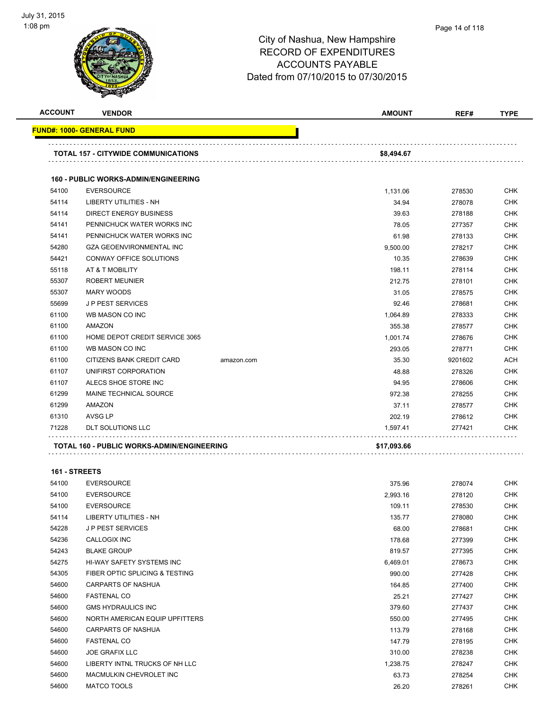

|    | Page 14 of 118 |  |
|----|----------------|--|
| re |                |  |

| <b>ACCOUNT</b> | <b>VENDOR</b>                               |            | <b>AMOUNT</b> | REF#    | <b>TYPE</b> |
|----------------|---------------------------------------------|------------|---------------|---------|-------------|
|                | FUND#: 1000- GENERAL FUND                   |            |               |         |             |
|                | <b>TOTAL 157 - CITYWIDE COMMUNICATIONS</b>  |            | \$8,494.67    |         |             |
|                | <b>160 - PUBLIC WORKS-ADMIN/ENGINEERING</b> |            |               |         |             |
| 54100          | <b>EVERSOURCE</b>                           |            | 1,131.06      | 278530  | <b>CHK</b>  |
| 54114          | LIBERTY UTILITIES - NH                      |            | 34.94         | 278078  | <b>CHK</b>  |
| 54114          | DIRECT ENERGY BUSINESS                      |            | 39.63         | 278188  | <b>CHK</b>  |
| 54141          | PENNICHUCK WATER WORKS INC                  |            | 78.05         | 277357  | CHK         |
| 54141          | PENNICHUCK WATER WORKS INC                  |            | 61.98         | 278133  | CHK         |
| 54280          | <b>GZA GEOENVIRONMENTAL INC</b>             |            | 9,500.00      | 278217  | <b>CHK</b>  |
| 54421          | CONWAY OFFICE SOLUTIONS                     |            | 10.35         | 278639  | <b>CHK</b>  |
| 55118          | AT & T MOBILITY                             |            | 198.11        | 278114  | <b>CHK</b>  |
| 55307          | <b>ROBERT MEUNIER</b>                       |            | 212.75        | 278101  | <b>CHK</b>  |
| 55307          | <b>MARY WOODS</b>                           |            | 31.05         | 278575  | CHK         |
| 55699          | <b>JP PEST SERVICES</b>                     |            | 92.46         | 278681  | CHK         |
| 61100          | WB MASON CO INC                             |            | 1,064.89      | 278333  | <b>CHK</b>  |
| 61100          | AMAZON                                      |            | 355.38        | 278577  | CHK         |
| 61100          | HOME DEPOT CREDIT SERVICE 3065              |            | 1,001.74      | 278676  | CHK         |
| 61100          | WB MASON CO INC                             |            | 293.05        | 278771  | CHK         |
| 61100          | CITIZENS BANK CREDIT CARD                   | amazon.com | 35.30         | 9201602 | ACH         |
| 61107          | UNIFIRST CORPORATION                        |            | 48.88         | 278326  | <b>CHK</b>  |
| 61107          | ALECS SHOE STORE INC                        |            | 94.95         | 278606  | <b>CHK</b>  |
| 61299          | MAINE TECHNICAL SOURCE                      |            | 972.38        | 278255  | <b>CHK</b>  |
| 61299          | AMAZON                                      |            | 37.11         | 278577  | CHK         |
| 61310          | AVSG LP                                     |            | 202.19        | 278612  | CHK         |
| 71228          | DLT SOLUTIONS LLC                           |            | 1,597.41      | 277421  | <b>CHK</b>  |
|                |                                             |            |               |         |             |
|                | TOTAL 160 - PUBLIC WORKS-ADMIN/ENGINEERING  |            | \$17,093.66   |         |             |
| 161 - STREETS  |                                             |            |               |         |             |
| 54100          | <b>EVERSOURCE</b>                           |            | 375.96        | 278074  | CHK         |
| 54100          | <b>EVERSOURCE</b>                           |            | 2,993.16      | 278120  | <b>CHK</b>  |
| 54100          | <b>EVERSOURCE</b>                           |            | 109.11        | 278530  | <b>CHK</b>  |
| 54114          | LIBERTY UTILITIES - NH                      |            | 135.77        | 278080  | <b>CHK</b>  |
| 54228          | <b>JP PEST SERVICES</b>                     |            | 68.00         | 278681  | <b>CHK</b>  |
| 54236          | CALLOGIX INC                                |            | 178.68        | 277399  | <b>CHK</b>  |
| 54243          | <b>BLAKE GROUP</b>                          |            | 819.57        | 277395  | CHK         |
| 54275          | HI-WAY SAFETY SYSTEMS INC                   |            | 6,469.01      | 278673  | CHK         |
| 54305          | FIBER OPTIC SPLICING & TESTING              |            | 990.00        | 277428  | <b>CHK</b>  |
| 54600          | CARPARTS OF NASHUA                          |            | 164.85        | 277400  | <b>CHK</b>  |
| 54600          | <b>FASTENAL CO</b>                          |            | 25.21         | 277427  | <b>CHK</b>  |
| 54600          | <b>GMS HYDRAULICS INC</b>                   |            | 379.60        | 277437  | <b>CHK</b>  |
| 54600          | NORTH AMERICAN EQUIP UPFITTERS              |            | 550.00        | 277495  | <b>CHK</b>  |
| 54600          | <b>CARPARTS OF NASHUA</b>                   |            | 113.79        | 278168  | <b>CHK</b>  |
| 54600          | <b>FASTENAL CO</b>                          |            | 147.79        | 278195  | <b>CHK</b>  |
| 54600          | <b>JOE GRAFIX LLC</b>                       |            | 310.00        | 278238  | <b>CHK</b>  |
| 54600          | LIBERTY INTNL TRUCKS OF NH LLC              |            | 1,238.75      | 278247  | CHK         |
| 54600          | MACMULKIN CHEVROLET INC                     |            | 63.73         | 278254  | CHK         |
| 54600          | MATCO TOOLS                                 |            | 26.20         | 278261  | <b>CHK</b>  |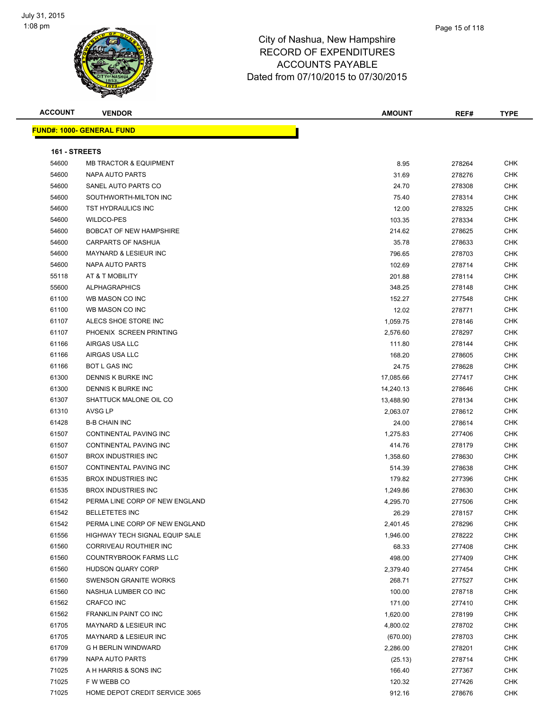

| <b>ACCOUNT</b> | <b>VENDOR</b>                     | <b>AMOUNT</b>        | REF#             | <b>TYPE</b> |
|----------------|-----------------------------------|----------------------|------------------|-------------|
|                | <u> FUND#: 1000- GENERAL FUND</u> |                      |                  |             |
|                |                                   |                      |                  |             |
| 161 - STREETS  |                                   |                      |                  |             |
| 54600          | <b>MB TRACTOR &amp; EQUIPMENT</b> | 8.95                 | 278264           | <b>CHK</b>  |
| 54600          | NAPA AUTO PARTS                   | 31.69                | 278276           | <b>CHK</b>  |
| 54600          | SANEL AUTO PARTS CO               | 24.70                | 278308           | <b>CHK</b>  |
| 54600          | SOUTHWORTH-MILTON INC             | 75.40                | 278314           | <b>CHK</b>  |
| 54600          | <b>TST HYDRAULICS INC</b>         | 12.00                | 278325           | <b>CHK</b>  |
| 54600          | WILDCO-PES                        | 103.35               | 278334           | <b>CHK</b>  |
| 54600          | <b>BOBCAT OF NEW HAMPSHIRE</b>    | 214.62               | 278625           | <b>CHK</b>  |
| 54600          | CARPARTS OF NASHUA                | 35.78                | 278633           | <b>CHK</b>  |
| 54600          | MAYNARD & LESIEUR INC             | 796.65               | 278703           | <b>CHK</b>  |
| 54600          | NAPA AUTO PARTS                   | 102.69               | 278714           | <b>CHK</b>  |
| 55118          | AT & T MOBILITY                   | 201.88               | 278114           | <b>CHK</b>  |
| 55600          | <b>ALPHAGRAPHICS</b>              | 348.25               | 278148           | <b>CHK</b>  |
| 61100          | WB MASON CO INC                   | 152.27               | 277548           | <b>CHK</b>  |
| 61100          | WB MASON CO INC                   | 12.02                | 278771           | <b>CHK</b>  |
| 61107          | ALECS SHOE STORE INC              | 1,059.75             | 278146           | <b>CHK</b>  |
| 61107          | PHOENIX SCREEN PRINTING           | 2,576.60             | 278297           | <b>CHK</b>  |
| 61166          | AIRGAS USA LLC                    | 111.80               | 278144           | <b>CHK</b>  |
| 61166          | AIRGAS USA LLC                    | 168.20               | 278605           | <b>CHK</b>  |
| 61166          | BOT L GAS INC                     | 24.75                | 278628           | <b>CHK</b>  |
| 61300          | DENNIS K BURKE INC                | 17,085.66            | 277417           | <b>CHK</b>  |
| 61300          | DENNIS K BURKE INC                | 14,240.13            | 278646           | <b>CHK</b>  |
| 61307          | SHATTUCK MALONE OIL CO            | 13,488.90            | 278134           | <b>CHK</b>  |
| 61310          | AVSG LP                           | 2,063.07             | 278612           | <b>CHK</b>  |
| 61428          | <b>B-B CHAIN INC</b>              | 24.00                | 278614           | <b>CHK</b>  |
| 61507          | CONTINENTAL PAVING INC            | 1,275.83             | 277406           | <b>CHK</b>  |
| 61507          | CONTINENTAL PAVING INC            | 414.76               | 278179           | <b>CHK</b>  |
| 61507          | <b>BROX INDUSTRIES INC</b>        | 1,358.60             | 278630           | <b>CHK</b>  |
| 61507          | CONTINENTAL PAVING INC            | 514.39               | 278638           | <b>CHK</b>  |
| 61535          | <b>BROX INDUSTRIES INC</b>        | 179.82               | 277396           | <b>CHK</b>  |
| 61535          | <b>BROX INDUSTRIES INC</b>        | 1,249.86             | 278630           | <b>CHK</b>  |
| 61542          | PERMA LINE CORP OF NEW ENGLAND    | 4,295.70             | 277506           | <b>CHK</b>  |
| 61542          | <b>BELLETETES INC</b>             |                      |                  | <b>CHK</b>  |
| 61542          | PERMA LINE CORP OF NEW ENGLAND    | 26.29<br>2,401.45    | 278157<br>278296 | <b>CHK</b>  |
| 61556          | HIGHWAY TECH SIGNAL EQUIP SALE    | 1,946.00             | 278222           | <b>CHK</b>  |
| 61560          | CORRIVEAU ROUTHIER INC            | 68.33                | 277408           | <b>CHK</b>  |
| 61560          | COUNTRYBROOK FARMS LLC            | 498.00               | 277409           | <b>CHK</b>  |
| 61560          | HUDSON QUARY CORP                 | 2,379.40             | 277454           | <b>CHK</b>  |
| 61560          | <b>SWENSON GRANITE WORKS</b>      | 268.71               | 277527           | <b>CHK</b>  |
| 61560          | NASHUA LUMBER CO INC              | 100.00               | 278718           | <b>CHK</b>  |
| 61562          | <b>CRAFCO INC</b>                 | 171.00               |                  | <b>CHK</b>  |
| 61562          | FRANKLIN PAINT CO INC             |                      | 277410           | <b>CHK</b>  |
| 61705          | MAYNARD & LESIEUR INC             | 1,620.00<br>4,800.02 | 278199<br>278702 | <b>CHK</b>  |
| 61705          | MAYNARD & LESIEUR INC             |                      |                  | <b>CHK</b>  |
| 61709          | <b>G H BERLIN WINDWARD</b>        | (670.00)<br>2,286.00 | 278703           | <b>CHK</b>  |
| 61799          | NAPA AUTO PARTS                   |                      | 278201           | <b>CHK</b>  |
| 71025          | A H HARRIS & SONS INC             | (25.13)<br>166.40    | 278714           | <b>CHK</b>  |
| 71025          | F W WEBB CO                       | 120.32               | 277367           | <b>CHK</b>  |
| 71025          | HOME DEPOT CREDIT SERVICE 3065    | 912.16               | 277426<br>278676 | <b>CHK</b>  |
|                |                                   |                      |                  |             |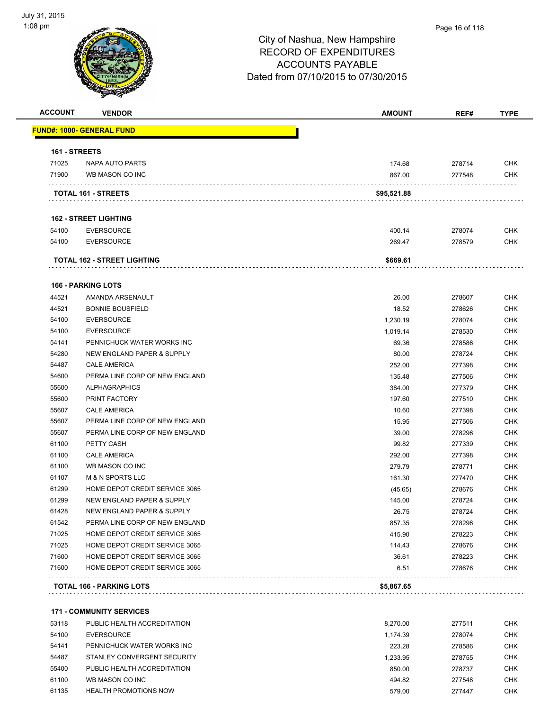#### Page 16 of 118

# City of Nashua, New Hampshire RECORD OF EXPENDITURES ACCOUNTS PAYABLE Dated from 07/10/2015 to 07/30/2015

| <b>ACCOUNT</b> | <b>VENDOR</b>                         | <b>AMOUNT</b> | REF#   | <b>TYPE</b> |
|----------------|---------------------------------------|---------------|--------|-------------|
|                | <u> FUND#: 1000- GENERAL FUND</u>     |               |        |             |
| 161 - STREETS  |                                       |               |        |             |
| 71025          | NAPA AUTO PARTS                       | 174.68        | 278714 | <b>CHK</b>  |
| 71900          | WB MASON CO INC                       | 867.00        | 277548 | <b>CHK</b>  |
|                | TOTAL 161 - STREETS                   | \$95,521.88   |        |             |
|                | <b>162 - STREET LIGHTING</b>          |               |        |             |
| 54100          | <b>EVERSOURCE</b>                     | 400.14        | 278074 | <b>CHK</b>  |
| 54100          | <b>EVERSOURCE</b>                     | 269.47        | 278579 | CHK         |
|                | TOTAL 162 - STREET LIGHTING           | \$669.61      |        |             |
|                | <b>166 - PARKING LOTS</b>             |               |        |             |
| 44521          | AMANDA ARSENAULT                      | 26.00         | 278607 | <b>CHK</b>  |
| 44521          | <b>BONNIE BOUSFIELD</b>               | 18.52         | 278626 | <b>CHK</b>  |
| 54100          | <b>EVERSOURCE</b>                     | 1,230.19      | 278074 | <b>CHK</b>  |
| 54100          | <b>EVERSOURCE</b>                     | 1,019.14      | 278530 | <b>CHK</b>  |
| 54141          | PENNICHUCK WATER WORKS INC            | 69.36         | 278586 | <b>CHK</b>  |
| 54280          | <b>NEW ENGLAND PAPER &amp; SUPPLY</b> | 80.00         | 278724 | <b>CHK</b>  |
| 54487          | <b>CALE AMERICA</b>                   | 252.00        | 277398 | <b>CHK</b>  |
| 54600          | PERMA LINE CORP OF NEW ENGLAND        | 135.48        | 277506 | <b>CHK</b>  |
| 55600          | <b>ALPHAGRAPHICS</b>                  | 384.00        | 277379 | <b>CHK</b>  |
| 55600          | PRINT FACTORY                         | 197.60        | 277510 | <b>CHK</b>  |
| 55607          | <b>CALE AMERICA</b>                   | 10.60         | 277398 | <b>CHK</b>  |
| 55607          | PERMA LINE CORP OF NEW ENGLAND        | 15.95         | 277506 | <b>CHK</b>  |
| 55607          | PERMA LINE CORP OF NEW ENGLAND        | 39.00         | 278296 | <b>CHK</b>  |
| 61100          | PETTY CASH                            | 99.82         | 277339 | <b>CHK</b>  |
| 61100          | <b>CALE AMERICA</b>                   | 292.00        | 277398 | <b>CHK</b>  |
| 61100          | WB MASON CO INC                       | 279.79        | 278771 | <b>CHK</b>  |
| 61107          | <b>M &amp; N SPORTS LLC</b>           | 161.30        | 277470 | <b>CHK</b>  |
| 61299          | HOME DEPOT CREDIT SERVICE 3065        | (45.65)       | 278676 | <b>CHK</b>  |
| 61299          | NEW ENGLAND PAPER & SUPPLY            | 145.00        | 278724 | <b>CHK</b>  |
| 61428          | NEW ENGLAND PAPER & SUPPLY            | 26.75         | 278724 | <b>CHK</b>  |
| 61542          | PERMA LINE CORP OF NEW ENGLAND        | 857.35        | 278296 | <b>CHK</b>  |
| 71025          | HOME DEPOT CREDIT SERVICE 3065        | 415.90        | 278223 | <b>CHK</b>  |
| 71025          | HOME DEPOT CREDIT SERVICE 3065        | 114.43        | 278676 | <b>CHK</b>  |
| 71600          | HOME DEPOT CREDIT SERVICE 3065        | 36.61         | 278223 | <b>CHK</b>  |
| 71600          | HOME DEPOT CREDIT SERVICE 3065        | 6.51          | 278676 | <b>CHK</b>  |
|                | TOTAL 166 - PARKING LOTS              | \$5,867.65    |        |             |
|                |                                       |               |        |             |
|                | <b>171 - COMMUNITY SERVICES</b>       |               |        |             |
| 53118          | PUBLIC HEALTH ACCREDITATION           | 8,270.00      | 277511 | <b>CHK</b>  |
| 54100          | <b>EVERSOURCE</b>                     | 1,174.39      | 278074 | <b>CHK</b>  |
| 54141          | PENNICHUCK WATER WORKS INC            | 223.28        | 278586 | <b>CHK</b>  |
| 54487          | STANLEY CONVERGENT SECURITY           | 1,233.95      | 278755 | <b>CHK</b>  |
| 55400          | PUBLIC HEALTH ACCREDITATION           | 850.00        | 278737 | <b>CHK</b>  |
| 61100          | WB MASON CO INC                       | 494.82        | 277548 | <b>CHK</b>  |

61135 HEALTH PROMOTIONS NOW **EXECUTE 10** CHK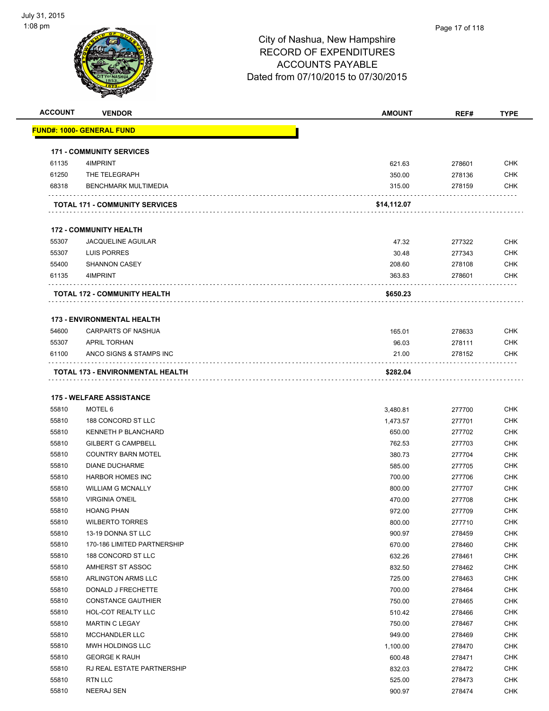

| <b>ACCOUNT</b> | <b>VENDOR</b>                                    | <b>AMOUNT</b>      | REF#             | <b>TYPE</b>              |
|----------------|--------------------------------------------------|--------------------|------------------|--------------------------|
|                | <u> FUND#: 1000- GENERAL FUND</u>                |                    |                  |                          |
|                | <b>171 - COMMUNITY SERVICES</b>                  |                    |                  |                          |
| 61135          | 4IMPRINT                                         | 621.63             | 278601           | <b>CHK</b>               |
| 61250          | THE TELEGRAPH                                    | 350.00             | 278136           | <b>CHK</b>               |
| 68318          | <b>BENCHMARK MULTIMEDIA</b>                      | 315.00             | 278159           | <b>CHK</b>               |
|                | <b>TOTAL 171 - COMMUNITY SERVICES</b>            | \$14,112.07        |                  |                          |
|                | <b>172 - COMMUNITY HEALTH</b>                    |                    |                  |                          |
| 55307          | <b>JACQUELINE AGUILAR</b>                        | 47.32              | 277322           | <b>CHK</b>               |
| 55307          | LUIS PORRES                                      | 30.48              | 277343           | CHK                      |
| 55400          | <b>SHANNON CASEY</b>                             | 208.60             | 278108           | <b>CHK</b>               |
| 61135          | 4IMPRINT                                         | 363.83             | 278601           | <b>CHK</b>               |
|                | <b>TOTAL 172 - COMMUNITY HEALTH</b>              | \$650.23           |                  |                          |
|                | <b>173 - ENVIRONMENTAL HEALTH</b>                |                    |                  |                          |
| 54600          | CARPARTS OF NASHUA                               | 165.01             | 278633           | <b>CHK</b>               |
| 55307          | <b>APRIL TORHAN</b>                              | 96.03              | 278111           | <b>CHK</b>               |
| 61100          | ANCO SIGNS & STAMPS INC                          | 21.00              | 278152           | CHK                      |
|                | .<br>TOTAL 173 - ENVIRONMENTAL HEALTH            | \$282.04           |                  |                          |
|                |                                                  |                    |                  |                          |
| 55810          | <b>175 - WELFARE ASSISTANCE</b><br>MOTEL 6       |                    |                  | <b>CHK</b>               |
|                |                                                  | 3,480.81           | 277700           |                          |
| 55810<br>55810 | 188 CONCORD ST LLC<br><b>KENNETH P BLANCHARD</b> | 1,473.57<br>650.00 | 277701           | <b>CHK</b><br><b>CHK</b> |
| 55810          | <b>GILBERT G CAMPBELL</b>                        | 762.53             | 277702<br>277703 | <b>CHK</b>               |
| 55810          | <b>COUNTRY BARN MOTEL</b>                        | 380.73             |                  | <b>CHK</b>               |
| 55810          | <b>DIANE DUCHARME</b>                            | 585.00             | 277704<br>277705 | <b>CHK</b>               |
| 55810          | <b>HARBOR HOMES INC</b>                          | 700.00             | 277706           | <b>CHK</b>               |
| 55810          | <b>WILLIAM G MCNALLY</b>                         | 800.00             | 277707           | <b>CHK</b>               |
| 55810          | <b>VIRGINIA O'NEIL</b>                           | 470.00             | 277708           | <b>CHK</b>               |
| 55810          | <b>HOANG PHAN</b>                                | 972.00             | 277709           | <b>CHK</b>               |
| 55810          | <b>WILBERTO TORRES</b>                           | 800.00             | 277710           | <b>CHK</b>               |
| 55810          | 13-19 DONNA ST LLC                               | 900.97             | 278459           | <b>CHK</b>               |
| 55810          | 170-186 LIMITED PARTNERSHIP                      | 670.00             | 278460           | <b>CHK</b>               |
| 55810          | 188 CONCORD ST LLC                               | 632.26             | 278461           | <b>CHK</b>               |
| 55810          | AMHERST ST ASSOC                                 | 832.50             | 278462           | <b>CHK</b>               |
| 55810          | ARLINGTON ARMS LLC                               | 725.00             | 278463           | <b>CHK</b>               |
| 55810          | DONALD J FRECHETTE                               | 700.00             | 278464           | <b>CHK</b>               |
| 55810          | <b>CONSTANCE GAUTHIER</b>                        | 750.00             | 278465           | <b>CHK</b>               |
| 55810          | HOL-COT REALTY LLC                               | 510.42             | 278466           | <b>CHK</b>               |
| 55810          | <b>MARTIN C LEGAY</b>                            | 750.00             | 278467           | <b>CHK</b>               |
| 55810          | MCCHANDLER LLC                                   | 949.00             | 278469           | <b>CHK</b>               |
| 55810          | MWH HOLDINGS LLC                                 | 1,100.00           | 278470           | <b>CHK</b>               |
| 55810          | <b>GEORGE K RAUH</b>                             | 600.48             | 278471           | <b>CHK</b>               |
| 55810          | RJ REAL ESTATE PARTNERSHIP                       | 832.03             | 278472           | <b>CHK</b>               |
| 55810          | <b>RTN LLC</b>                                   | 525.00             | 278473           | <b>CHK</b>               |
|                |                                                  |                    |                  | <b>CHK</b>               |
| 55810          | <b>NEERAJ SEN</b>                                | 900.97             | 278474           |                          |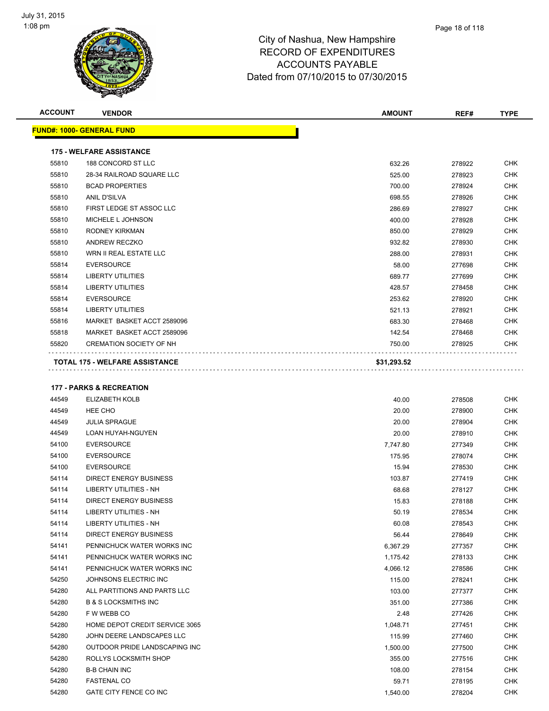

| <b>ACCOUNT</b> | <b>VENDOR</b>                         | <b>AMOUNT</b> | REF#   | <b>TYPE</b> |
|----------------|---------------------------------------|---------------|--------|-------------|
|                | <b>FUND#: 1000- GENERAL FUND</b>      |               |        |             |
|                | <b>175 - WELFARE ASSISTANCE</b>       |               |        |             |
| 55810          | 188 CONCORD ST LLC                    | 632.26        | 278922 | <b>CHK</b>  |
| 55810          | 28-34 RAILROAD SQUARE LLC             | 525.00        | 278923 | <b>CHK</b>  |
| 55810          | <b>BCAD PROPERTIES</b>                | 700.00        | 278924 | <b>CHK</b>  |
| 55810          | <b>ANIL D'SILVA</b>                   | 698.55        | 278926 | <b>CHK</b>  |
| 55810          | FIRST LEDGE ST ASSOC LLC              | 286.69        | 278927 | <b>CHK</b>  |
| 55810          | MICHELE L JOHNSON                     | 400.00        | 278928 | <b>CHK</b>  |
| 55810          | <b>RODNEY KIRKMAN</b>                 | 850.00        | 278929 | <b>CHK</b>  |
| 55810          | ANDREW RECZKO                         | 932.82        | 278930 | <b>CHK</b>  |
| 55810          | WRN II REAL ESTATE LLC                | 288.00        | 278931 | <b>CHK</b>  |
| 55814          | <b>EVERSOURCE</b>                     | 58.00         | 277698 | <b>CHK</b>  |
| 55814          | <b>LIBERTY UTILITIES</b>              | 689.77        | 277699 | <b>CHK</b>  |
| 55814          | <b>LIBERTY UTILITIES</b>              | 428.57        | 278458 | <b>CHK</b>  |
| 55814          | <b>EVERSOURCE</b>                     | 253.62        | 278920 | <b>CHK</b>  |
| 55814          | <b>LIBERTY UTILITIES</b>              | 521.13        | 278921 | <b>CHK</b>  |
| 55816          | MARKET BASKET ACCT 2589096            | 683.30        | 278468 | <b>CHK</b>  |
| 55818          | MARKET BASKET ACCT 2589096            | 142.54        | 278468 | <b>CHK</b>  |
| 55820          | <b>CREMATION SOCIETY OF NH</b>        | 750.00        | 278925 | <b>CHK</b>  |
|                | <b>TOTAL 175 - WELFARE ASSISTANCE</b> | \$31,293.52   |        |             |

#### **177 - PARKS & RECREATION**

| 44549 | ELIZABETH KOLB                  | 40.00    | 278508 | <b>CHK</b> |
|-------|---------------------------------|----------|--------|------------|
| 44549 | HEE CHO                         | 20.00    | 278900 | <b>CHK</b> |
| 44549 | <b>JULIA SPRAGUE</b>            | 20.00    | 278904 | <b>CHK</b> |
| 44549 | <b>LOAN HUYAH-NGUYEN</b>        | 20.00    | 278910 | <b>CHK</b> |
| 54100 | <b>EVERSOURCE</b>               | 7,747.80 | 277349 | <b>CHK</b> |
| 54100 | <b>EVERSOURCE</b>               | 175.95   | 278074 | <b>CHK</b> |
| 54100 | <b>EVERSOURCE</b>               | 15.94    | 278530 | <b>CHK</b> |
| 54114 | <b>DIRECT ENERGY BUSINESS</b>   | 103.87   | 277419 | <b>CHK</b> |
| 54114 | <b>LIBERTY UTILITIES - NH</b>   | 68.68    | 278127 | <b>CHK</b> |
| 54114 | <b>DIRECT ENERGY BUSINESS</b>   | 15.83    | 278188 | <b>CHK</b> |
| 54114 | <b>LIBERTY UTILITIES - NH</b>   | 50.19    | 278534 | <b>CHK</b> |
| 54114 | <b>LIBERTY UTILITIES - NH</b>   | 60.08    | 278543 | <b>CHK</b> |
| 54114 | <b>DIRECT ENERGY BUSINESS</b>   | 56.44    | 278649 | <b>CHK</b> |
| 54141 | PENNICHUCK WATER WORKS INC      | 6,367.29 | 277357 | <b>CHK</b> |
| 54141 | PENNICHUCK WATER WORKS INC      | 1,175.42 | 278133 | <b>CHK</b> |
| 54141 | PENNICHUCK WATER WORKS INC      | 4,066.12 | 278586 | <b>CHK</b> |
| 54250 | JOHNSONS ELECTRIC INC           | 115.00   | 278241 | <b>CHK</b> |
| 54280 | ALL PARTITIONS AND PARTS LLC    | 103.00   | 277377 | <b>CHK</b> |
| 54280 | <b>B &amp; S LOCKSMITHS INC</b> | 351.00   | 277386 | <b>CHK</b> |
| 54280 | F W WEBB CO                     | 2.48     | 277426 | <b>CHK</b> |
| 54280 | HOME DEPOT CREDIT SERVICE 3065  | 1,048.71 | 277451 | <b>CHK</b> |
| 54280 | JOHN DEERE LANDSCAPES LLC       | 115.99   | 277460 | <b>CHK</b> |
| 54280 | OUTDOOR PRIDE LANDSCAPING INC   | 1,500.00 | 277500 | <b>CHK</b> |
| 54280 | ROLLYS LOCKSMITH SHOP           | 355.00   | 277516 | <b>CHK</b> |
| 54280 | <b>B-B CHAIN INC</b>            | 108.00   | 278154 | <b>CHK</b> |
| 54280 | <b>FASTENAL CO</b>              | 59.71    | 278195 | <b>CHK</b> |
| 54280 | GATE CITY FENCE CO INC          | 1,540.00 | 278204 | <b>CHK</b> |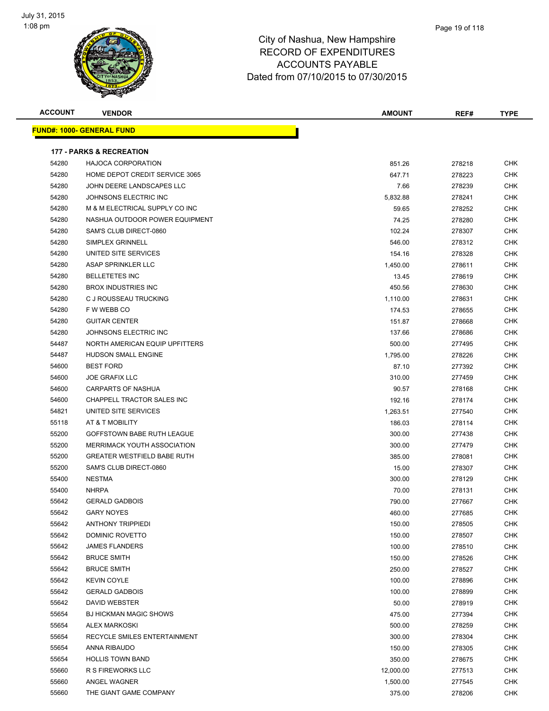

| <b>ACCOUNT</b> | <b>VENDOR</b>                       | <b>AMOUNT</b> | REF#   | <b>TYPE</b> |
|----------------|-------------------------------------|---------------|--------|-------------|
|                | <u> FUND#: 1000- GENERAL FUND</u>   |               |        |             |
|                | <b>177 - PARKS &amp; RECREATION</b> |               |        |             |
| 54280          | <b>HAJOCA CORPORATION</b>           | 851.26        | 278218 | <b>CHK</b>  |
| 54280          | HOME DEPOT CREDIT SERVICE 3065      | 647.71        | 278223 | <b>CHK</b>  |
| 54280          | JOHN DEERE LANDSCAPES LLC           | 7.66          | 278239 | <b>CHK</b>  |
| 54280          | JOHNSONS ELECTRIC INC               | 5,832.88      | 278241 | <b>CHK</b>  |
| 54280          | M & M ELECTRICAL SUPPLY CO INC      | 59.65         | 278252 | <b>CHK</b>  |
| 54280          | NASHUA OUTDOOR POWER EQUIPMENT      | 74.25         | 278280 | <b>CHK</b>  |
| 54280          | SAM'S CLUB DIRECT-0860              | 102.24        | 278307 | CHK         |
| 54280          | SIMPLEX GRINNELL                    | 546.00        | 278312 | <b>CHK</b>  |
| 54280          | UNITED SITE SERVICES                | 154.16        | 278328 | <b>CHK</b>  |
| 54280          | ASAP SPRINKLER LLC                  | 1,450.00      | 278611 | <b>CHK</b>  |
| 54280          | <b>BELLETETES INC</b>               | 13.45         | 278619 | <b>CHK</b>  |
| 54280          | <b>BROX INDUSTRIES INC</b>          | 450.56        | 278630 | <b>CHK</b>  |
| 54280          | C J ROUSSEAU TRUCKING               | 1,110.00      | 278631 | <b>CHK</b>  |
| 54280          | F W WEBB CO                         | 174.53        | 278655 | <b>CHK</b>  |
| 54280          | <b>GUITAR CENTER</b>                | 151.87        | 278668 | <b>CHK</b>  |
| 54280          | JOHNSONS ELECTRIC INC               | 137.66        | 278686 | <b>CHK</b>  |
| 54487          | NORTH AMERICAN EQUIP UPFITTERS      | 500.00        | 277495 | <b>CHK</b>  |
| 54487          | <b>HUDSON SMALL ENGINE</b>          | 1,795.00      | 278226 | CHK         |
| 54600          | <b>BEST FORD</b>                    | 87.10         | 277392 | CHK         |
| 54600          | <b>JOE GRAFIX LLC</b>               | 310.00        | 277459 | CHK         |
| 54600          | <b>CARPARTS OF NASHUA</b>           | 90.57         | 278168 | <b>CHK</b>  |
| 54600          | CHAPPELL TRACTOR SALES INC          | 192.16        | 278174 | <b>CHK</b>  |
| 54821          | UNITED SITE SERVICES                | 1,263.51      | 277540 | <b>CHK</b>  |
| 55118          | AT & T MOBILITY                     | 186.03        | 278114 | <b>CHK</b>  |
| 55200          | GOFFSTOWN BABE RUTH LEAGUE          | 300.00        | 277438 | <b>CHK</b>  |
| 55200          | MERRIMACK YOUTH ASSOCIATION         | 300.00        | 277479 | <b>CHK</b>  |
| 55200          | <b>GREATER WESTFIELD BABE RUTH</b>  | 385.00        | 278081 | <b>CHK</b>  |
| 55200          | SAM'S CLUB DIRECT-0860              | 15.00         | 278307 | <b>CHK</b>  |
| 55400          | <b>NESTMA</b>                       | 300.00        | 278129 | <b>CHK</b>  |
| 55400          | <b>NHRPA</b>                        | 70.00         | 278131 | CHK         |
| 55642          | <b>GERALD GADBOIS</b>               | 790.00        | 277667 | <b>CHK</b>  |
| 55642          | <b>GARY NOYES</b>                   | 460.00        | 277685 | <b>CHK</b>  |
| 55642          | <b>ANTHONY TRIPPIEDI</b>            | 150.00        | 278505 | CHK         |
| 55642          | DOMINIC ROVETTO                     | 150.00        | 278507 | <b>CHK</b>  |
| 55642          | <b>JAMES FLANDERS</b>               | 100.00        | 278510 | <b>CHK</b>  |
| 55642          | <b>BRUCE SMITH</b>                  | 150.00        | 278526 | <b>CHK</b>  |
| 55642          | <b>BRUCE SMITH</b>                  | 250.00        | 278527 | <b>CHK</b>  |
| 55642          | <b>KEVIN COYLE</b>                  | 100.00        | 278896 | <b>CHK</b>  |
| 55642          | <b>GERALD GADBOIS</b>               | 100.00        | 278899 | <b>CHK</b>  |
| 55642          | DAVID WEBSTER                       | 50.00         | 278919 | <b>CHK</b>  |
| 55654          | <b>BJ HICKMAN MAGIC SHOWS</b>       | 475.00        | 277394 | <b>CHK</b>  |
| 55654          | <b>ALEX MARKOSKI</b>                | 500.00        | 278259 | <b>CHK</b>  |
| 55654          | RECYCLE SMILES ENTERTAINMENT        | 300.00        | 278304 | <b>CHK</b>  |
| 55654          | ANNA RIBAUDO                        | 150.00        | 278305 | <b>CHK</b>  |
| 55654          | <b>HOLLIS TOWN BAND</b>             | 350.00        | 278675 | <b>CHK</b>  |
| 55660          | R S FIREWORKS LLC                   | 12,000.00     | 277513 | <b>CHK</b>  |
| 55660          | ANGEL WAGNER                        | 1,500.00      | 277545 | <b>CHK</b>  |
| 55660          | THE GIANT GAME COMPANY              | 375.00        | 278206 | <b>CHK</b>  |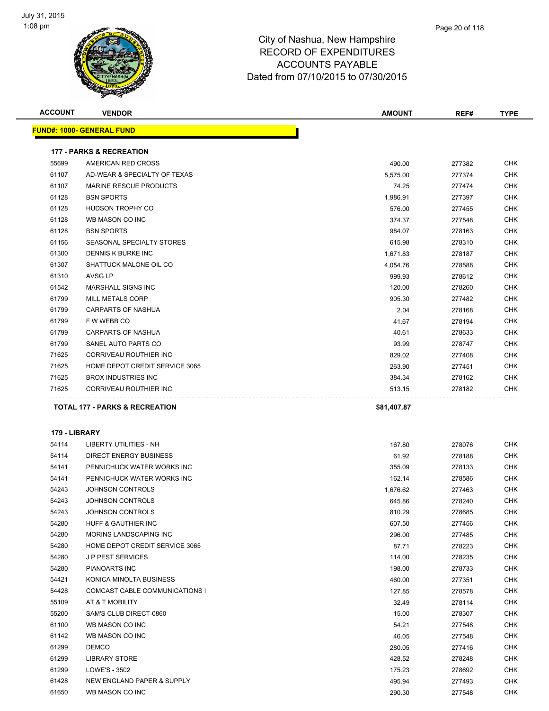

| <b>ACCOUNT</b> | <b>VENDOR</b>                       | <b>AMOUNT</b> | REF#   | <b>TYPE</b> |
|----------------|-------------------------------------|---------------|--------|-------------|
|                | <u> FUND#: 1000- GENERAL FUND</u>   |               |        |             |
|                | <b>177 - PARKS &amp; RECREATION</b> |               |        |             |
| 55699          | AMERICAN RED CROSS                  | 490.00        | 277382 | CHK         |
| 61107          | AD-WEAR & SPECIALTY OF TEXAS        | 5,575.00      | 277374 | <b>CHK</b>  |
| 61107          | MARINE RESCUE PRODUCTS              | 74.25         | 277474 | <b>CHK</b>  |
| 61128          | <b>BSN SPORTS</b>                   | 1,986.91      | 277397 | CHK         |
| 61128          | HUDSON TROPHY CO                    | 576.00        | 277455 | <b>CHK</b>  |
| 61128          | WB MASON CO INC                     | 374.37        | 277548 | <b>CHK</b>  |
| 61128          | <b>BSN SPORTS</b>                   | 984.07        | 278163 | CHK         |
| 61156          | SEASONAL SPECIALTY STORES           | 615.98        | 278310 | <b>CHK</b>  |
| 61300          | DENNIS K BURKE INC                  | 1,671.83      | 278187 | CHK         |
| 61307          | SHATTUCK MALONE OIL CO              | 4,054.76      | 278588 | CHK         |
| 61310          | AVSG LP                             | 999.93        | 278612 | CHK         |
| 61542          | <b>MARSHALL SIGNS INC</b>           | 120.00        | 278260 | <b>CHK</b>  |
| 61799          | <b>MILL METALS CORP</b>             | 905.30        | 277482 | CHK         |
| 61799          | <b>CARPARTS OF NASHUA</b>           | 2.04          | 278168 | <b>CHK</b>  |
| 61799          | F W WEBB CO                         | 41.67         | 278194 | <b>CHK</b>  |
| 61799          | <b>CARPARTS OF NASHUA</b>           | 40.61         | 278633 | CHK         |
| 61799          | SANEL AUTO PARTS CO                 | 93.99         | 278747 | <b>CHK</b>  |
| 71625          | CORRIVEAU ROUTHIER INC              | 829.02        | 277408 | CHK         |
| 71625          | HOME DEPOT CREDIT SERVICE 3065      | 263.90        | 277451 | CHK         |
| 71625          | <b>BROX INDUSTRIES INC</b>          | 384.34        | 278162 | CHK         |
| 71625          | CORRIVEAU ROUTHIER INC              | 513.15        | 278182 | <b>CHK</b>  |
|                |                                     |               |        |             |
|                | TOTAL 177 - PARKS & RECREATION      | \$81,407.87   |        |             |
|                |                                     |               |        |             |
| 179 - LIBRARY  |                                     |               |        |             |
| 54114          | LIBERTY UTILITIES - NH              | 167.80        | 278076 | <b>CHK</b>  |
| 54114          | <b>DIRECT ENERGY BUSINESS</b>       | 61.92         | 278188 | CHK         |
| 54141          | PENNICHUCK WATER WORKS INC          | 355.09        | 278133 | <b>CHK</b>  |
| 54141          | PENNICHUCK WATER WORKS INC          | 162.14        | 278586 | <b>CHK</b>  |
| 54243          | <b>JOHNSON CONTROLS</b>             | 1,676.62      | 277463 | CHK         |
| 54243          | <b>JOHNSON CONTROLS</b>             | 645.86        | 278240 | CHK         |
| 54243          | JOHNSON CONTROLS                    | 810.29        | 278685 | <b>CHK</b>  |
| 54280          | HUFF & GAUTHIER INC                 | 607.50        | 277456 | CHK         |
| 54280          | MORINS LANDSCAPING INC              | 296.00        | 277485 | CHK         |
| 54280          | HOME DEPOT CREDIT SERVICE 3065      | 87.71         | 278223 | CHK         |
| 54280          | <b>JP PEST SERVICES</b>             | 114.00        | 278235 | CHK         |
| 54280          | PIANOARTS INC                       | 198.00        | 278733 | <b>CHK</b>  |
| 54421          | KONICA MINOLTA BUSINESS             | 460.00        | 277351 | CHK         |
| 54428          | COMCAST CABLE COMMUNICATIONS I      | 127.85        | 278578 | <b>CHK</b>  |
| 55109          | AT & T MOBILITY                     | 32.49         | 278114 | <b>CHK</b>  |
| 55200          | SAM'S CLUB DIRECT-0860              | 15.00         | 278307 | <b>CHK</b>  |
| 61100          | WB MASON CO INC                     | 54.21         | 277548 | <b>CHK</b>  |
| 61142          | WB MASON CO INC                     | 46.05         | 277548 | <b>CHK</b>  |
| 61299          | <b>DEMCO</b>                        | 280.05        | 277416 | <b>CHK</b>  |
| 61299          | <b>LIBRARY STORE</b>                | 428.52        | 278248 | CHK         |
| 61299          | LOWE'S - 3502                       | 175.23        | 278692 | CHK         |
| 61428          | NEW ENGLAND PAPER & SUPPLY          | 495.94        | 277493 | CHK         |
| 61650          | WB MASON CO INC                     | 290.30        | 277548 | <b>CHK</b>  |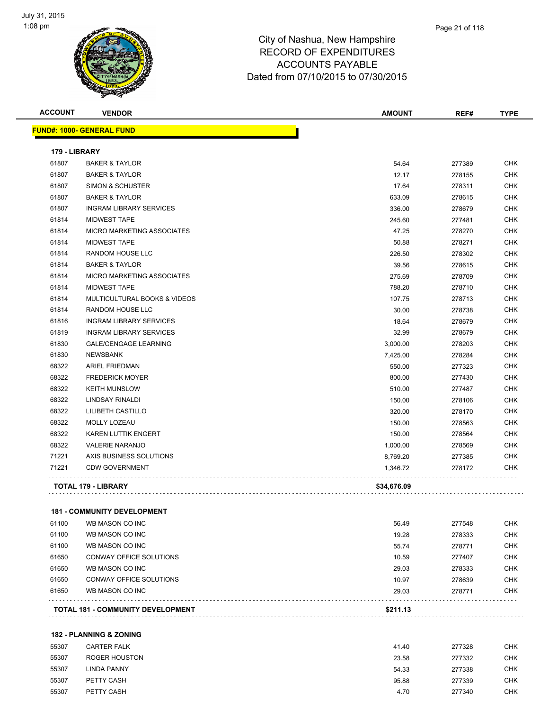

|               |                                   |             | REF#   | <b>TYPE</b> |
|---------------|-----------------------------------|-------------|--------|-------------|
|               | FUND#: 1000- GENERAL FUND         |             |        |             |
| 179 - LIBRARY |                                   |             |        |             |
| 61807         | <b>BAKER &amp; TAYLOR</b>         | 54.64       | 277389 | <b>CHK</b>  |
| 61807         | <b>BAKER &amp; TAYLOR</b>         | 12.17       | 278155 | <b>CHK</b>  |
| 61807         | <b>SIMON &amp; SCHUSTER</b>       | 17.64       | 278311 | <b>CHK</b>  |
| 61807         | <b>BAKER &amp; TAYLOR</b>         | 633.09      | 278615 | <b>CHK</b>  |
| 61807         | <b>INGRAM LIBRARY SERVICES</b>    | 336.00      | 278679 | <b>CHK</b>  |
| 61814         | <b>MIDWEST TAPE</b>               | 245.60      | 277481 | <b>CHK</b>  |
| 61814         | MICRO MARKETING ASSOCIATES        | 47.25       | 278270 | <b>CHK</b>  |
| 61814         | <b>MIDWEST TAPE</b>               | 50.88       | 278271 | <b>CHK</b>  |
| 61814         | RANDOM HOUSE LLC                  | 226.50      | 278302 | <b>CHK</b>  |
| 61814         | <b>BAKER &amp; TAYLOR</b>         | 39.56       | 278615 | <b>CHK</b>  |
| 61814         | <b>MICRO MARKETING ASSOCIATES</b> | 275.69      | 278709 | <b>CHK</b>  |
| 61814         | <b>MIDWEST TAPE</b>               | 788.20      | 278710 | <b>CHK</b>  |
| 61814         | MULTICULTURAL BOOKS & VIDEOS      | 107.75      | 278713 | <b>CHK</b>  |
| 61814         | RANDOM HOUSE LLC                  | 30.00       | 278738 | <b>CHK</b>  |
| 61816         | <b>INGRAM LIBRARY SERVICES</b>    | 18.64       | 278679 | <b>CHK</b>  |
| 61819         | <b>INGRAM LIBRARY SERVICES</b>    | 32.99       | 278679 | <b>CHK</b>  |
| 61830         | <b>GALE/CENGAGE LEARNING</b>      | 3,000.00    | 278203 | <b>CHK</b>  |
| 61830         | <b>NEWSBANK</b>                   | 7,425.00    | 278284 | <b>CHK</b>  |
| 68322         | <b>ARIEL FRIEDMAN</b>             | 550.00      | 277323 | <b>CHK</b>  |
| 68322         | <b>FREDERICK MOYER</b>            | 800.00      | 277430 | <b>CHK</b>  |
| 68322         | <b>KEITH MUNSLOW</b>              | 510.00      | 277487 | <b>CHK</b>  |
| 68322         | LINDSAY RINALDI                   | 150.00      | 278106 | <b>CHK</b>  |
| 68322         | LILIBETH CASTILLO                 | 320.00      | 278170 | <b>CHK</b>  |
| 68322         | MOLLY LOZEAU                      | 150.00      | 278563 | <b>CHK</b>  |
| 68322         | KAREN LUTTIK ENGERT               | 150.00      | 278564 | <b>CHK</b>  |
| 68322         | <b>VALERIE NARANJO</b>            | 1,000.00    | 278569 | <b>CHK</b>  |
| 71221         | AXIS BUSINESS SOLUTIONS           | 8,769.20    | 277385 | <b>CHK</b>  |
| 71221         | <b>CDW GOVERNMENT</b>             | 1,346.72    | 278172 | <b>CHK</b>  |
|               | <b>TOTAL 179 - LIBRARY</b>        | \$34,676.09 |        |             |

#### **181 - COMMUNITY DEVELOPMENT**

|       | <b>TOTAL 181 - COMMUNITY DEVELOPMENT</b> | \$211.13 |        |            |
|-------|------------------------------------------|----------|--------|------------|
| 61650 | WB MASON CO INC                          | 29.03    | 278771 | <b>CHK</b> |
| 61650 | <b>CONWAY OFFICE SOLUTIONS</b>           | 10.97    | 278639 | <b>CHK</b> |
| 61650 | WB MASON CO INC                          | 29.03    | 278333 | <b>CHK</b> |
| 61650 | <b>CONWAY OFFICE SOLUTIONS</b>           | 10.59    | 277407 | <b>CHK</b> |
| 61100 | WB MASON CO INC                          | 55.74    | 278771 | <b>CHK</b> |
| 61100 | WB MASON CO INC                          | 19.28    | 278333 | <b>CHK</b> |
| 61100 | WB MASON CO INC                          | 56.49    | 277548 | <b>CHK</b> |

#### **182 - PLANNING & ZONING**

| 55307 | <b>CARTER FALK</b> | 41.40 | 277328 | <b>CHK</b> |
|-------|--------------------|-------|--------|------------|
| 55307 | ROGER HOUSTON      | 23.58 | 277332 | CHK        |
| 55307 | LINDA PANNY        | 54.33 | 277338 | <b>CHK</b> |
| 55307 | PETTY CASH         | 95.88 | 277339 | <b>CHK</b> |
| 55307 | PETTY CASH         | 4.70  | 277340 | <b>CHK</b> |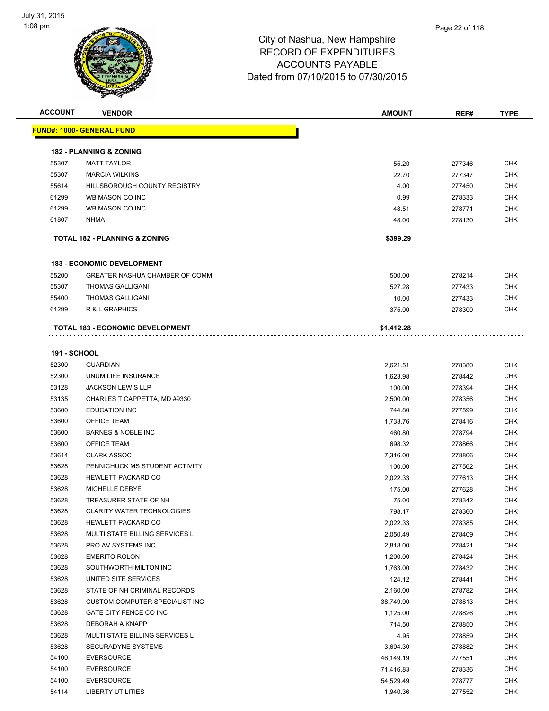

| <b>ACCOUNT</b>      | <b>VENDOR</b>                           | <b>AMOUNT</b> | REF#   | <b>TYPE</b> |
|---------------------|-----------------------------------------|---------------|--------|-------------|
|                     | <u> FUND#: 1000- GENERAL FUND</u>       |               |        |             |
|                     | <b>182 - PLANNING &amp; ZONING</b>      |               |        |             |
| 55307               | <b>MATT TAYLOR</b>                      | 55.20         | 277346 | <b>CHK</b>  |
| 55307               | <b>MARCIA WILKINS</b>                   | 22.70         | 277347 | <b>CHK</b>  |
| 55614               | HILLSBOROUGH COUNTY REGISTRY            | 4.00          | 277450 | <b>CHK</b>  |
| 61299               | WB MASON CO INC                         | 0.99          | 278333 | <b>CHK</b>  |
| 61299               | WB MASON CO INC                         | 48.51         | 278771 | <b>CHK</b>  |
| 61807               | <b>NHMA</b>                             | 48.00         | 278130 | <b>CHK</b>  |
|                     | TOTAL 182 - PLANNING & ZONING           | \$399.29      |        |             |
|                     |                                         |               |        |             |
|                     | <b>183 - ECONOMIC DEVELOPMENT</b>       |               |        |             |
| 55200               | <b>GREATER NASHUA CHAMBER OF COMM</b>   | 500.00        | 278214 | <b>CHK</b>  |
| 55307               | <b>THOMAS GALLIGANI</b>                 | 527.28        | 277433 | <b>CHK</b>  |
| 55400               | <b>THOMAS GALLIGANI</b>                 | 10.00         | 277433 | <b>CHK</b>  |
| 61299               | R & L GRAPHICS                          | 375.00        | 278300 | <b>CHK</b>  |
|                     | <b>TOTAL 183 - ECONOMIC DEVELOPMENT</b> | \$1,412.28    |        |             |
|                     |                                         |               |        |             |
| <b>191 - SCHOOL</b> |                                         |               |        |             |
| 52300               | <b>GUARDIAN</b>                         | 2,621.51      | 278380 | <b>CHK</b>  |
| 52300               | UNUM LIFE INSURANCE                     | 1,623.98      | 278442 | <b>CHK</b>  |
| 53128               | <b>JACKSON LEWIS LLP</b>                | 100.00        | 278394 | <b>CHK</b>  |
| 53135               | CHARLES T CAPPETTA, MD #9330            | 2,500.00      | 278356 | <b>CHK</b>  |
| 53600               | <b>EDUCATION INC</b>                    | 744.80        | 277599 | <b>CHK</b>  |
| 53600               | <b>OFFICE TEAM</b>                      | 1,733.76      | 278416 | <b>CHK</b>  |
| 53600               | <b>BARNES &amp; NOBLE INC</b>           | 460.80        | 278794 | CHK         |
| 53600               | <b>OFFICE TEAM</b>                      | 698.32        | 278866 | <b>CHK</b>  |
| 53614               | <b>CLARK ASSOC</b>                      | 7,316.00      | 278806 | CHK         |
| 53628               | PENNICHUCK MS STUDENT ACTIVITY          | 100.00        | 277562 | <b>CHK</b>  |
| 53628               | <b>HEWLETT PACKARD CO</b>               | 2,022.33      | 277613 | <b>CHK</b>  |
| 53628               | MICHELLE DEBYE                          | 175.00        | 277628 | <b>CHK</b>  |
| 53628               | TREASURER STATE OF NH                   | 75.00         | 278342 | <b>CHK</b>  |
| 53628               | <b>CLARITY WATER TECHNOLOGIES</b>       | 798.17        | 278360 | <b>CHK</b>  |
| 53628               | HEWLETT PACKARD CO                      | 2,022.33      | 278385 | CHK         |
| 53628               | MULTI STATE BILLING SERVICES L          | 2,050.49      | 278409 | <b>CHK</b>  |
| 53628               | PRO AV SYSTEMS INC                      | 2,818.00      | 278421 | <b>CHK</b>  |
| 53628               | <b>EMERITO ROLON</b>                    | 1,200.00      | 278424 | <b>CHK</b>  |
| 53628               | SOUTHWORTH-MILTON INC                   | 1,763.00      | 278432 | <b>CHK</b>  |
| 53628               | UNITED SITE SERVICES                    | 124.12        | 278441 | <b>CHK</b>  |
| 53628               | STATE OF NH CRIMINAL RECORDS            | 2,160.00      | 278782 | <b>CHK</b>  |
| 53628               | CUSTOM COMPUTER SPECIALIST INC          | 38,749.90     | 278813 | <b>CHK</b>  |
| 53628               | GATE CITY FENCE CO INC                  | 1,125.00      | 278826 | <b>CHK</b>  |
| 53628               | DEBORAH A KNAPP                         | 714.50        | 278850 | <b>CHK</b>  |
| 53628               | MULTI STATE BILLING SERVICES L          | 4.95          | 278859 | <b>CHK</b>  |
| 53628               | SECURADYNE SYSTEMS                      | 3,694.30      | 278882 | <b>CHK</b>  |
| 54100               | <b>EVERSOURCE</b>                       | 46,149.19     | 277551 | <b>CHK</b>  |
| 54100               | <b>EVERSOURCE</b>                       | 71,416.83     | 278336 | CHK         |
| 54100               | <b>EVERSOURCE</b>                       | 54,529.49     | 278777 | <b>CHK</b>  |
| 54114               | <b>LIBERTY UTILITIES</b>                | 1,940.36      | 277552 | <b>CHK</b>  |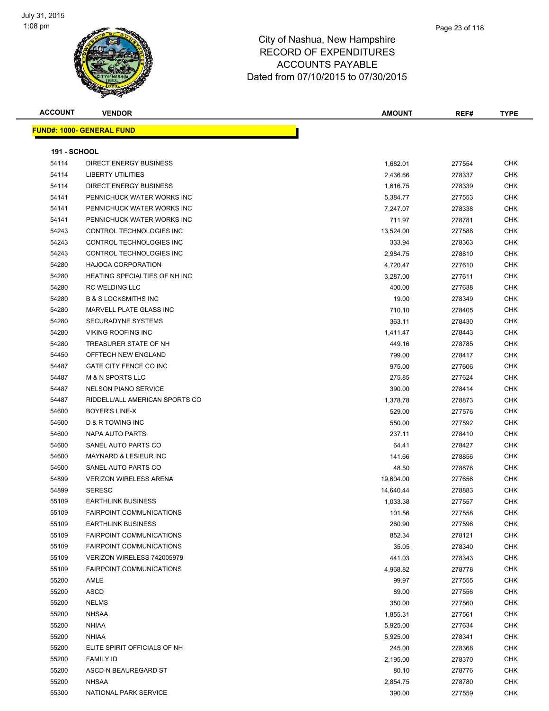

| <b>ACCOUNT</b>      | <b>VENDOR</b>                     | <b>AMOUNT</b> | REF#   | <b>TYPE</b> |
|---------------------|-----------------------------------|---------------|--------|-------------|
|                     | <u> FUND#: 1000- GENERAL FUND</u> |               |        |             |
|                     |                                   |               |        |             |
| <b>191 - SCHOOL</b> |                                   |               |        |             |
| 54114               | <b>DIRECT ENERGY BUSINESS</b>     | 1,682.01      | 277554 | CHK         |
| 54114               | LIBERTY UTILITIES                 | 2,436.66      | 278337 | CHK         |
| 54114               | DIRECT ENERGY BUSINESS            | 1,616.75      | 278339 | CHK         |
| 54141               | PENNICHUCK WATER WORKS INC        | 5,384.77      | 277553 | CHK         |
| 54141               | PENNICHUCK WATER WORKS INC        | 7,247.07      | 278338 | <b>CHK</b>  |
| 54141               | PENNICHUCK WATER WORKS INC        | 711.97        | 278781 | <b>CHK</b>  |
| 54243               | CONTROL TECHNOLOGIES INC          | 13,524.00     | 277588 | <b>CHK</b>  |
| 54243               | CONTROL TECHNOLOGIES INC          | 333.94        | 278363 | <b>CHK</b>  |
| 54243               | CONTROL TECHNOLOGIES INC          | 2,984.75      | 278810 | <b>CHK</b>  |
| 54280               | <b>HAJOCA CORPORATION</b>         | 4,720.47      | 277610 | CHK         |
| 54280               | HEATING SPECIALTIES OF NH INC     | 3,287.00      | 277611 | CHK         |
| 54280               | <b>RC WELDING LLC</b>             | 400.00        | 277638 | <b>CHK</b>  |
| 54280               | <b>B &amp; S LOCKSMITHS INC</b>   | 19.00         | 278349 | CHK         |
| 54280               | MARVELL PLATE GLASS INC           | 710.10        | 278405 | <b>CHK</b>  |
| 54280               | SECURADYNE SYSTEMS                | 363.11        | 278430 | <b>CHK</b>  |
| 54280               | <b>VIKING ROOFING INC</b>         | 1,411.47      | 278443 | CHK         |
| 54280               | TREASURER STATE OF NH             | 449.16        | 278785 | CHK         |
| 54450               | OFFTECH NEW ENGLAND               | 799.00        | 278417 | <b>CHK</b>  |
| 54487               | GATE CITY FENCE CO INC            | 975.00        | 277606 | <b>CHK</b>  |
| 54487               | M & N SPORTS LLC                  | 275.85        | 277624 | <b>CHK</b>  |
| 54487               | <b>NELSON PIANO SERVICE</b>       | 390.00        | 278414 | CHK         |
| 54487               | RIDDELL/ALL AMERICAN SPORTS CO    | 1,378.78      | 278873 | CHK         |
| 54600               | BOYER'S LINE-X                    | 529.00        | 277576 | CHK         |
| 54600               | D & R TOWING INC                  | 550.00        | 277592 | <b>CHK</b>  |
| 54600               | NAPA AUTO PARTS                   | 237.11        | 278410 | <b>CHK</b>  |
| 54600               | SANEL AUTO PARTS CO               | 64.41         | 278427 | <b>CHK</b>  |
| 54600               | <b>MAYNARD &amp; LESIEUR INC</b>  | 141.66        | 278856 | CHK         |
| 54600               | SANEL AUTO PARTS CO               | 48.50         | 278876 | <b>CHK</b>  |
| 54899               | <b>VERIZON WIRELESS ARENA</b>     | 19,604.00     | 277656 | <b>CHK</b>  |
| 54899               | <b>SERESC</b>                     | 14,640.44     | 278883 | <b>CHK</b>  |
| 55109               | <b>EARTHLINK BUSINESS</b>         | 1,033.38      | 277557 | <b>CHK</b>  |
| 55109               | <b>FAIRPOINT COMMUNICATIONS</b>   | 101.56        | 277558 | CHK         |
| 55109               | <b>EARTHLINK BUSINESS</b>         | 260.90        | 277596 | <b>CHK</b>  |
| 55109               | <b>FAIRPOINT COMMUNICATIONS</b>   | 852.34        | 278121 | <b>CHK</b>  |
| 55109               | <b>FAIRPOINT COMMUNICATIONS</b>   | 35.05         | 278340 | <b>CHK</b>  |
| 55109               | VERIZON WIRELESS 742005979        | 441.03        | 278343 | <b>CHK</b>  |
| 55109               | <b>FAIRPOINT COMMUNICATIONS</b>   | 4,968.82      | 278778 | <b>CHK</b>  |
| 55200               | AMLE                              | 99.97         | 277555 | <b>CHK</b>  |
| 55200               | <b>ASCD</b>                       | 89.00         | 277556 | <b>CHK</b>  |
| 55200               | <b>NELMS</b>                      | 350.00        | 277560 | <b>CHK</b>  |
| 55200               | <b>NHSAA</b>                      | 1,855.31      | 277561 | <b>CHK</b>  |
| 55200               | <b>NHIAA</b>                      | 5,925.00      | 277634 | <b>CHK</b>  |
| 55200               | <b>NHIAA</b>                      | 5,925.00      | 278341 | <b>CHK</b>  |
| 55200               | ELITE SPIRIT OFFICIALS OF NH      | 245.00        | 278368 | <b>CHK</b>  |
| 55200               | <b>FAMILY ID</b>                  | 2,195.00      | 278370 | <b>CHK</b>  |
| 55200               | ASCD-N BEAUREGARD ST              | 80.10         | 278776 | <b>CHK</b>  |
| 55200               | <b>NHSAA</b>                      | 2,854.75      | 278780 | <b>CHK</b>  |
| 55300               | NATIONAL PARK SERVICE             | 390.00        | 277559 | <b>CHK</b>  |
|                     |                                   |               |        |             |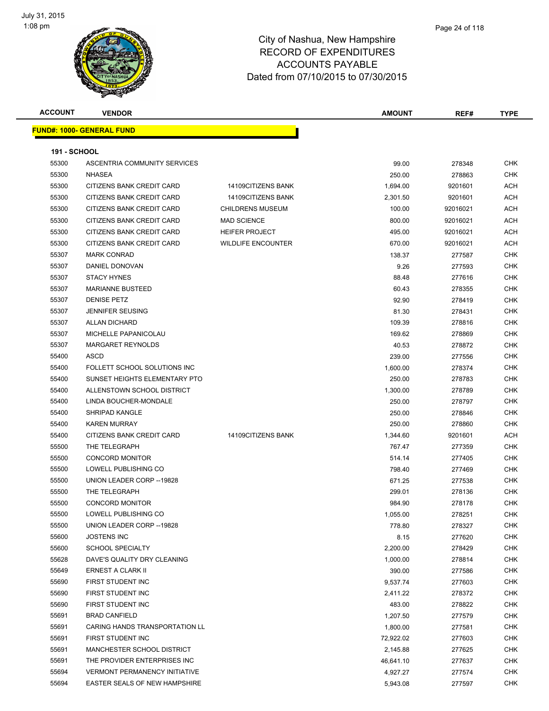

| <b>ACCOUNT</b>      | <b>VENDOR</b>                        |                           | <b>AMOUNT</b> | REF#     | <b>TYPE</b> |
|---------------------|--------------------------------------|---------------------------|---------------|----------|-------------|
|                     | <b>FUND#: 1000- GENERAL FUND</b>     |                           |               |          |             |
|                     |                                      |                           |               |          |             |
| <b>191 - SCHOOL</b> |                                      |                           |               |          |             |
| 55300               | ASCENTRIA COMMUNITY SERVICES         |                           | 99.00         | 278348   | <b>CHK</b>  |
| 55300               | <b>NHASEA</b>                        |                           | 250.00        | 278863   | <b>CHK</b>  |
| 55300               | CITIZENS BANK CREDIT CARD            | 14109CITIZENS BANK        | 1,694.00      | 9201601  | ACH         |
| 55300               | CITIZENS BANK CREDIT CARD            | 14109CITIZENS BANK        | 2,301.50      | 9201601  | <b>ACH</b>  |
| 55300               | CITIZENS BANK CREDIT CARD            | <b>CHILDRENS MUSEUM</b>   | 100.00        | 92016021 | ACH         |
| 55300               | CITIZENS BANK CREDIT CARD            | <b>MAD SCIENCE</b>        | 800.00        | 92016021 | ACH         |
| 55300               | CITIZENS BANK CREDIT CARD            | <b>HEIFER PROJECT</b>     | 495.00        | 92016021 | ACH         |
| 55300               | CITIZENS BANK CREDIT CARD            | <b>WILDLIFE ENCOUNTER</b> | 670.00        | 92016021 | ACH         |
| 55307               | <b>MARK CONRAD</b>                   |                           | 138.37        | 277587   | <b>CHK</b>  |
| 55307               | DANIEL DONOVAN                       |                           | 9.26          | 277593   | <b>CHK</b>  |
| 55307               | <b>STACY HYNES</b>                   |                           | 88.48         | 277616   | <b>CHK</b>  |
| 55307               | <b>MARIANNE BUSTEED</b>              |                           | 60.43         | 278355   | <b>CHK</b>  |
| 55307               | <b>DENISE PETZ</b>                   |                           | 92.90         | 278419   | <b>CHK</b>  |
| 55307               | <b>JENNIFER SEUSING</b>              |                           | 81.30         | 278431   | CHK         |
| 55307               | <b>ALLAN DICHARD</b>                 |                           | 109.39        | 278816   | <b>CHK</b>  |
| 55307               | MICHELLE PAPANICOLAU                 |                           | 169.62        | 278869   | CHK         |
| 55307               | MARGARET REYNOLDS                    |                           | 40.53         | 278872   | CHK         |
| 55400               | ASCD                                 |                           | 239.00        | 277556   | <b>CHK</b>  |
| 55400               | FOLLETT SCHOOL SOLUTIONS INC         |                           | 1,600.00      | 278374   | CHK         |
| 55400               | SUNSET HEIGHTS ELEMENTARY PTO        |                           | 250.00        | 278783   | <b>CHK</b>  |
| 55400               | ALLENSTOWN SCHOOL DISTRICT           |                           | 1,300.00      | 278789   | <b>CHK</b>  |
| 55400               | LINDA BOUCHER-MONDALE                |                           | 250.00        | 278797   | CHK         |
| 55400               | SHRIPAD KANGLE                       |                           | 250.00        | 278846   | <b>CHK</b>  |
| 55400               | <b>KAREN MURRAY</b>                  |                           | 250.00        | 278860   | CHK         |
| 55400               | CITIZENS BANK CREDIT CARD            | 14109CITIZENS BANK        | 1,344.60      | 9201601  | ACH         |
| 55500               | THE TELEGRAPH                        |                           | 767.47        | 277359   | <b>CHK</b>  |
| 55500               | <b>CONCORD MONITOR</b>               |                           | 514.14        | 277405   | CHK         |
| 55500               | LOWELL PUBLISHING CO                 |                           | 798.40        | 277469   | <b>CHK</b>  |
| 55500               | UNION LEADER CORP -- 19828           |                           | 671.25        | 277538   | <b>CHK</b>  |
| 55500               | THE TELEGRAPH                        |                           | 299.01        | 278136   | CHK         |
| 55500               | <b>CONCORD MONITOR</b>               |                           | 984.90        | 278178   | CHK         |
| 55500               | LOWELL PUBLISHING CO                 |                           | 1,055.00      | 278251   | <b>CHK</b>  |
| 55500               | UNION LEADER CORP -- 19828           |                           | 778.80        | 278327   | CHK         |
| 55600               | <b>JOSTENS INC</b>                   |                           | 8.15          | 277620   | <b>CHK</b>  |
| 55600               | <b>SCHOOL SPECIALTY</b>              |                           | 2,200.00      | 278429   | <b>CHK</b>  |
| 55628               | DAVE'S QUALITY DRY CLEANING          |                           | 1,000.00      | 278814   | <b>CHK</b>  |
| 55649               | ERNEST A CLARK II                    |                           | 390.00        | 277586   | <b>CHK</b>  |
| 55690               | FIRST STUDENT INC                    |                           | 9,537.74      | 277603   | CHK         |
| 55690               | FIRST STUDENT INC                    |                           | 2,411.22      | 278372   | CHK         |
| 55690               | FIRST STUDENT INC                    |                           | 483.00        | 278822   | <b>CHK</b>  |
| 55691               | <b>BRAD CANFIELD</b>                 |                           | 1,207.50      | 277579   | <b>CHK</b>  |
| 55691               | CARING HANDS TRANSPORTATION LL       |                           | 1,800.00      | 277581   | <b>CHK</b>  |
| 55691               | FIRST STUDENT INC                    |                           | 72,922.02     | 277603   | CHK         |
| 55691               | <b>MANCHESTER SCHOOL DISTRICT</b>    |                           | 2,145.88      | 277625   | <b>CHK</b>  |
| 55691               | THE PROVIDER ENTERPRISES INC         |                           | 46,641.10     | 277637   | <b>CHK</b>  |
| 55694               | <b>VERMONT PERMANENCY INITIATIVE</b> |                           | 4,927.27      | 277574   | CHK         |
| 55694               | <b>EASTER SEALS OF NEW HAMPSHIRE</b> |                           | 5,943.08      | 277597   | <b>CHK</b>  |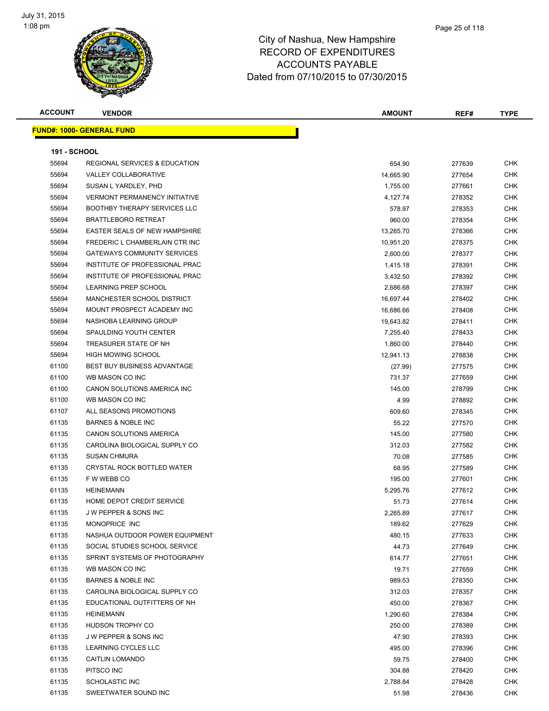

| <b>ACCOUNT</b>      | <b>VENDOR</b>                            | AMOUNT    | REF#   | <b>TYPE</b> |
|---------------------|------------------------------------------|-----------|--------|-------------|
|                     | <u> FUND#: 1000- GENERAL FUND</u>        |           |        |             |
|                     |                                          |           |        |             |
| <b>191 - SCHOOL</b> |                                          |           |        |             |
| 55694               | <b>REGIONAL SERVICES &amp; EDUCATION</b> | 654.90    | 277639 | CHK         |
| 55694               | <b>VALLEY COLLABORATIVE</b>              | 14,665.90 | 277654 | <b>CHK</b>  |
| 55694               | SUSAN L YARDLEY, PHD                     | 1,755.00  | 277661 | <b>CHK</b>  |
| 55694               | <b>VERMONT PERMANENCY INITIATIVE</b>     | 4,127.74  | 278352 | CHK         |
| 55694               | <b>BOOTHBY THERAPY SERVICES LLC</b>      | 578.97    | 278353 | <b>CHK</b>  |
| 55694               | <b>BRATTLEBORO RETREAT</b>               | 960.00    | 278354 | CHK         |
| 55694               | <b>EASTER SEALS OF NEW HAMPSHIRE</b>     | 13,265.70 | 278366 | CHK         |
| 55694               | FREDERIC L CHAMBERLAIN CTR INC           | 10,951.20 | 278375 | CHK         |
| 55694               | <b>GATEWAYS COMMUNITY SERVICES</b>       | 2,600.00  | 278377 | CHK         |
| 55694               | INSTITUTE OF PROFESSIONAL PRAC           | 1,415.18  | 278391 | <b>CHK</b>  |
| 55694               | INSTITUTE OF PROFESSIONAL PRAC           | 3,432.50  | 278392 | <b>CHK</b>  |
| 55694               | <b>LEARNING PREP SCHOOL</b>              | 2,686.68  | 278397 | CHK         |
| 55694               | MANCHESTER SCHOOL DISTRICT               | 16,697.44 | 278402 | <b>CHK</b>  |
| 55694               | MOUNT PROSPECT ACADEMY INC               | 16,686.66 | 278408 | CHK         |
| 55694               | NASHOBA LEARNING GROUP                   | 19,643.82 | 278411 | CHK         |
| 55694               | SPAULDING YOUTH CENTER                   | 7,255.40  | 278433 | <b>CHK</b>  |
| 55694               | TREASURER STATE OF NH                    | 1,860.00  | 278440 | CHK         |
| 55694               | <b>HIGH MOWING SCHOOL</b>                | 12,941.13 | 278838 | CHK         |
| 61100               | BEST BUY BUSINESS ADVANTAGE              | (27.99)   | 277575 | CHK         |
| 61100               | WB MASON CO INC                          | 731.37    | 277659 | CHK         |
| 61100               | CANON SOLUTIONS AMERICA INC              | 145.00    | 278799 | <b>CHK</b>  |
| 61100               | WB MASON CO INC                          | 4.99      | 278892 | <b>CHK</b>  |
| 61107               | ALL SEASONS PROMOTIONS                   | 609.60    | 278345 | <b>CHK</b>  |
| 61135               | <b>BARNES &amp; NOBLE INC</b>            | 55.22     | 277570 | <b>CHK</b>  |
| 61135               | CANON SOLUTIONS AMERICA                  | 145.00    | 277580 | <b>CHK</b>  |
| 61135               | CAROLINA BIOLOGICAL SUPPLY CO            | 312.03    | 277582 | CHK         |
| 61135               | <b>SUSAN CHMURA</b>                      | 70.08     | 277585 | <b>CHK</b>  |
| 61135               | <b>CRYSTAL ROCK BOTTLED WATER</b>        | 68.95     | 277589 | CHK         |
| 61135               | F W WEBB CO                              | 195.00    | 277601 | CHK         |
| 61135               | <b>HEINEMANN</b>                         | 5,295.76  | 277612 | <b>CHK</b>  |
| 61135               | HOME DEPOT CREDIT SERVICE                | 51.73     | 277614 | CHK         |
| 61135               | J W PEPPER & SONS INC                    | 2,265.89  | 277617 | CHK         |
| 61135               | MONOPRICE INC                            | 189.62    | 277629 | CHK         |
| 61135               | NASHUA OUTDOOR POWER EQUIPMENT           | 480.15    | 277633 | CHK         |
| 61135               | SOCIAL STUDIES SCHOOL SERVICE            | 44.73     | 277649 | <b>CHK</b>  |
| 61135               | SPRINT SYSTEMS OF PHOTOGRAPHY            | 614.77    | 277651 | CHK         |
| 61135               | WB MASON CO INC                          | 19.71     | 277659 | <b>CHK</b>  |
| 61135               | <b>BARNES &amp; NOBLE INC</b>            | 989.53    | 278350 | CHK         |
| 61135               | CAROLINA BIOLOGICAL SUPPLY CO            | 312.03    | 278357 | CHK         |
| 61135               | EDUCATIONAL OUTFITTERS OF NH             | 450.00    | 278367 | CHK         |
| 61135               | <b>HEINEMANN</b>                         | 1,290.60  | 278384 | CHK         |
| 61135               | HUDSON TROPHY CO                         | 250.00    | 278389 | CHK         |
| 61135               | J W PEPPER & SONS INC                    | 47.90     | 278393 | CHK         |
| 61135               | LEARNING CYCLES LLC                      | 495.00    | 278396 | CHK         |
| 61135               | <b>CAITLIN LOMANDO</b>                   | 59.75     | 278400 | CHK         |
| 61135               | PITSCO INC                               | 304.88    | 278420 | CHK         |
| 61135               | SCHOLASTIC INC                           | 2,788.84  | 278428 | CHK         |
| 61135               | SWEETWATER SOUND INC                     | 51.98     | 278436 | <b>CHK</b>  |
|                     |                                          |           |        |             |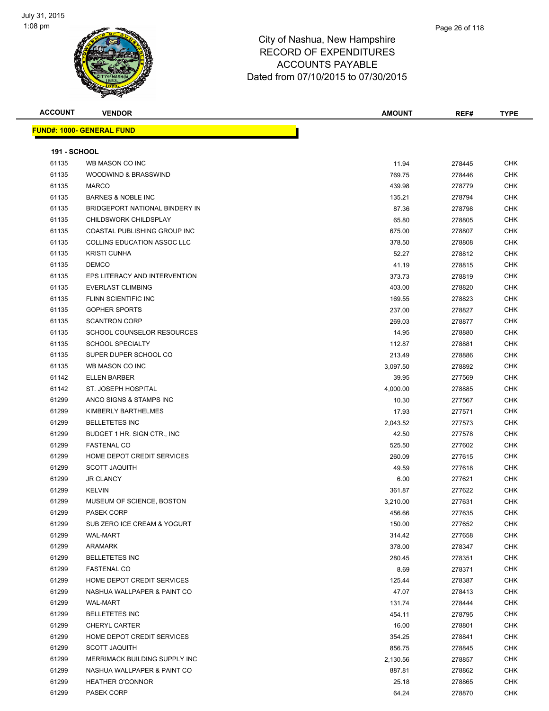

| <b>ACCOUNT</b>      | <b>VENDOR</b>                     | <b>AMOUNT</b> | REF#   | <b>TYPE</b> |
|---------------------|-----------------------------------|---------------|--------|-------------|
|                     | <b>FUND#: 1000- GENERAL FUND</b>  |               |        |             |
|                     |                                   |               |        |             |
| <b>191 - SCHOOL</b> |                                   |               |        |             |
| 61135               | WB MASON CO INC                   | 11.94         | 278445 | <b>CHK</b>  |
| 61135               | WOODWIND & BRASSWIND              | 769.75        | 278446 | <b>CHK</b>  |
| 61135               | <b>MARCO</b>                      | 439.98        | 278779 | <b>CHK</b>  |
| 61135               | <b>BARNES &amp; NOBLE INC</b>     | 135.21        | 278794 | <b>CHK</b>  |
| 61135               | BRIDGEPORT NATIONAL BINDERY IN    | 87.36         | 278798 | <b>CHK</b>  |
| 61135               | CHILDSWORK CHILDSPLAY             | 65.80         | 278805 | <b>CHK</b>  |
| 61135               | COASTAL PUBLISHING GROUP INC      | 675.00        | 278807 | <b>CHK</b>  |
| 61135               | COLLINS EDUCATION ASSOC LLC       | 378.50        | 278808 | <b>CHK</b>  |
| 61135               | <b>KRISTI CUNHA</b>               | 52.27         | 278812 | <b>CHK</b>  |
| 61135               | <b>DEMCO</b>                      | 41.19         | 278815 | <b>CHK</b>  |
| 61135               | EPS LITERACY AND INTERVENTION     | 373.73        | 278819 | <b>CHK</b>  |
| 61135               | <b>EVERLAST CLIMBING</b>          | 403.00        | 278820 | <b>CHK</b>  |
| 61135               | FLINN SCIENTIFIC INC              | 169.55        | 278823 | <b>CHK</b>  |
| 61135               | <b>GOPHER SPORTS</b>              | 237.00        | 278827 | <b>CHK</b>  |
| 61135               | <b>SCANTRON CORP</b>              | 269.03        | 278877 | <b>CHK</b>  |
| 61135               | <b>SCHOOL COUNSELOR RESOURCES</b> | 14.95         | 278880 | <b>CHK</b>  |
| 61135               | <b>SCHOOL SPECIALTY</b>           |               |        | CHK         |
| 61135               | SUPER DUPER SCHOOL CO             | 112.87        | 278881 |             |
|                     |                                   | 213.49        | 278886 | <b>CHK</b>  |
| 61135               | WB MASON CO INC                   | 3,097.50      | 278892 | <b>CHK</b>  |
| 61142               | <b>ELLEN BARBER</b>               | 39.95         | 277569 | <b>CHK</b>  |
| 61142               | ST. JOSEPH HOSPITAL               | 4,000.00      | 278885 | <b>CHK</b>  |
| 61299               | ANCO SIGNS & STAMPS INC           | 10.30         | 277567 | <b>CHK</b>  |
| 61299               | KIMBERLY BARTHELMES               | 17.93         | 277571 | <b>CHK</b>  |
| 61299               | <b>BELLETETES INC</b>             | 2,043.52      | 277573 | <b>CHK</b>  |
| 61299               | BUDGET 1 HR. SIGN CTR., INC.      | 42.50         | 277578 | <b>CHK</b>  |
| 61299               | <b>FASTENAL CO</b>                | 525.50        | 277602 | <b>CHK</b>  |
| 61299               | HOME DEPOT CREDIT SERVICES        | 260.09        | 277615 | <b>CHK</b>  |
| 61299               | <b>SCOTT JAQUITH</b>              | 49.59         | 277618 | CHK         |
| 61299               | <b>JR CLANCY</b>                  | 6.00          | 277621 | <b>CHK</b>  |
| 61299               | <b>KELVIN</b>                     | 361.87        | 277622 | <b>CHK</b>  |
| 61299               | MUSEUM OF SCIENCE, BOSTON         | 3,210.00      | 277631 | <b>CHK</b>  |
| 61299               | PASEK CORP                        | 456.66        | 277635 | <b>CHK</b>  |
| 61299               | SUB ZERO ICE CREAM & YOGURT       | 150.00        | 277652 | <b>CHK</b>  |
| 61299               | <b>WAL-MART</b>                   | 314.42        | 277658 | <b>CHK</b>  |
| 61299               | ARAMARK                           | 378.00        | 278347 | <b>CHK</b>  |
| 61299               | <b>BELLETETES INC</b>             | 280.45        | 278351 | <b>CHK</b>  |
| 61299               | <b>FASTENAL CO</b>                | 8.69          | 278371 | <b>CHK</b>  |
| 61299               | HOME DEPOT CREDIT SERVICES        | 125.44        | 278387 | <b>CHK</b>  |
| 61299               | NASHUA WALLPAPER & PAINT CO       | 47.07         | 278413 | <b>CHK</b>  |
| 61299               | <b>WAL-MART</b>                   | 131.74        | 278444 | <b>CHK</b>  |
| 61299               | <b>BELLETETES INC</b>             | 454.11        | 278795 | <b>CHK</b>  |
| 61299               | <b>CHERYL CARTER</b>              | 16.00         | 278801 | <b>CHK</b>  |
| 61299               | HOME DEPOT CREDIT SERVICES        | 354.25        | 278841 | <b>CHK</b>  |
| 61299               | <b>SCOTT JAQUITH</b>              | 856.75        | 278845 | <b>CHK</b>  |
| 61299               | MERRIMACK BUILDING SUPPLY INC     | 2,130.56      | 278857 | <b>CHK</b>  |
| 61299               | NASHUA WALLPAPER & PAINT CO       | 887.81        | 278862 | <b>CHK</b>  |
| 61299               | <b>HEATHER O'CONNOR</b>           | 25.18         | 278865 | <b>CHK</b>  |
| 61299               | PASEK CORP                        | 64.24         | 278870 | <b>CHK</b>  |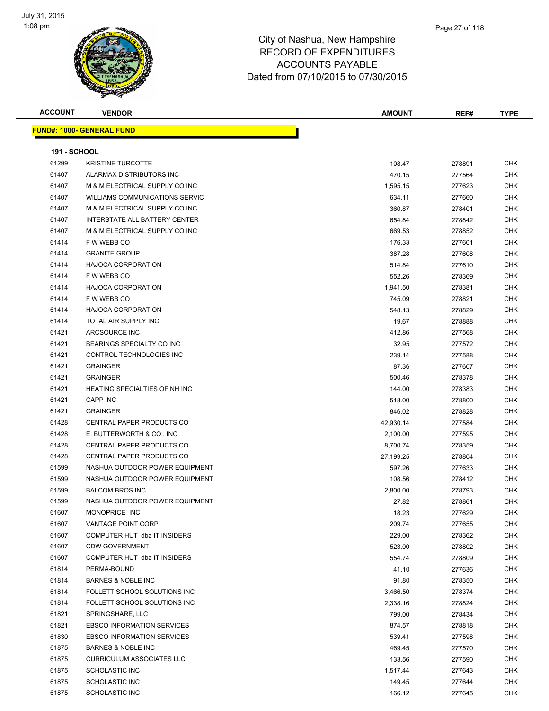

| <b>ACCOUNT</b>      | <b>VENDOR</b>                     | <b>AMOUNT</b> | REF#   | <b>TYPE</b> |
|---------------------|-----------------------------------|---------------|--------|-------------|
|                     | <b>FUND#: 1000- GENERAL FUND</b>  |               |        |             |
|                     |                                   |               |        |             |
| <b>191 - SCHOOL</b> |                                   |               |        |             |
| 61299               | <b>KRISTINE TURCOTTE</b>          | 108.47        | 278891 | <b>CHK</b>  |
| 61407               | ALARMAX DISTRIBUTORS INC          | 470.15        | 277564 | <b>CHK</b>  |
| 61407               | M & M ELECTRICAL SUPPLY CO INC    | 1,595.15      | 277623 | <b>CHK</b>  |
| 61407               | WILLIAMS COMMUNICATIONS SERVIC    | 634.11        | 277660 | <b>CHK</b>  |
| 61407               | M & M ELECTRICAL SUPPLY CO INC    | 360.87        | 278401 | <b>CHK</b>  |
| 61407               | INTERSTATE ALL BATTERY CENTER     | 654.84        | 278842 | <b>CHK</b>  |
| 61407               | M & M ELECTRICAL SUPPLY CO INC    | 669.53        | 278852 | CHK         |
| 61414               | F W WEBB CO                       | 176.33        | 277601 | CHK         |
| 61414               | <b>GRANITE GROUP</b>              | 387.28        | 277608 | <b>CHK</b>  |
| 61414               | <b>HAJOCA CORPORATION</b>         | 514.84        | 277610 | <b>CHK</b>  |
| 61414               | F W WEBB CO                       | 552.26        | 278369 | <b>CHK</b>  |
| 61414               | <b>HAJOCA CORPORATION</b>         | 1,941.50      | 278381 | CHK         |
| 61414               | F W WEBB CO                       | 745.09        | 278821 | CHK         |
| 61414               | <b>HAJOCA CORPORATION</b>         | 548.13        | 278829 | CHK         |
| 61414               | TOTAL AIR SUPPLY INC              | 19.67         | 278888 | CHK         |
| 61421               | ARCSOURCE INC                     | 412.86        | 277568 | CHK         |
| 61421               | BEARINGS SPECIALTY CO INC         | 32.95         | 277572 | <b>CHK</b>  |
| 61421               | CONTROL TECHNOLOGIES INC          | 239.14        | 277588 | CHK         |
| 61421               | <b>GRAINGER</b>                   | 87.36         | 277607 | CHK         |
| 61421               | <b>GRAINGER</b>                   | 500.46        | 278378 | <b>CHK</b>  |
| 61421               | HEATING SPECIALTIES OF NH INC     | 144.00        | 278383 | <b>CHK</b>  |
| 61421               | <b>CAPP INC</b>                   | 518.00        | 278800 | <b>CHK</b>  |
| 61421               | <b>GRAINGER</b>                   | 846.02        | 278828 | <b>CHK</b>  |
| 61428               | CENTRAL PAPER PRODUCTS CO         | 42,930.14     | 277584 | <b>CHK</b>  |
| 61428               | E. BUTTERWORTH & CO., INC.        | 2,100.00      | 277595 | <b>CHK</b>  |
| 61428               | CENTRAL PAPER PRODUCTS CO         | 8,700.74      | 278359 | CHK         |
| 61428               | CENTRAL PAPER PRODUCTS CO         | 27,199.25     | 278804 | <b>CHK</b>  |
| 61599               | NASHUA OUTDOOR POWER EQUIPMENT    | 597.26        | 277633 | <b>CHK</b>  |
| 61599               | NASHUA OUTDOOR POWER EQUIPMENT    | 108.56        | 278412 | CHK         |
| 61599               | <b>BALCOM BROS INC</b>            | 2,800.00      | 278793 | <b>CHK</b>  |
| 61599               | NASHUA OUTDOOR POWER EQUIPMENT    | 27.82         | 278861 | <b>CHK</b>  |
| 61607               | MONOPRICE INC                     | 18.23         | 277629 | CHK         |
| 61607               | VANTAGE POINT CORP                | 209.74        | 277655 | CHK         |
| 61607               | COMPUTER HUT dba IT INSIDERS      | 229.00        | 278362 | CHK         |
| 61607               | <b>CDW GOVERNMENT</b>             | 523.00        | 278802 | <b>CHK</b>  |
| 61607               | COMPUTER HUT dba IT INSIDERS      | 554.74        | 278809 | <b>CHK</b>  |
| 61814               | PERMA-BOUND                       | 41.10         | 277636 | <b>CHK</b>  |
| 61814               | <b>BARNES &amp; NOBLE INC</b>     | 91.80         | 278350 | <b>CHK</b>  |
| 61814               | FOLLETT SCHOOL SOLUTIONS INC      | 3,466.50      | 278374 | <b>CHK</b>  |
| 61814               | FOLLETT SCHOOL SOLUTIONS INC      | 2,338.16      | 278824 | <b>CHK</b>  |
| 61821               | SPRINGSHARE, LLC                  | 799.00        | 278434 | <b>CHK</b>  |
| 61821               | <b>EBSCO INFORMATION SERVICES</b> | 874.57        | 278818 | <b>CHK</b>  |
| 61830               | <b>EBSCO INFORMATION SERVICES</b> | 539.41        | 277598 | <b>CHK</b>  |
| 61875               | <b>BARNES &amp; NOBLE INC</b>     | 469.45        | 277570 | CHK         |
|                     | <b>CURRICULUM ASSOCIATES LLC</b>  |               |        |             |
| 61875               |                                   | 133.56        | 277590 | CHK         |
| 61875               | SCHOLASTIC INC                    | 1,517.44      | 277643 | <b>CHK</b>  |
| 61875               | <b>SCHOLASTIC INC</b>             | 149.45        | 277644 | CHK         |
| 61875               | <b>SCHOLASTIC INC</b>             | 166.12        | 277645 | <b>CHK</b>  |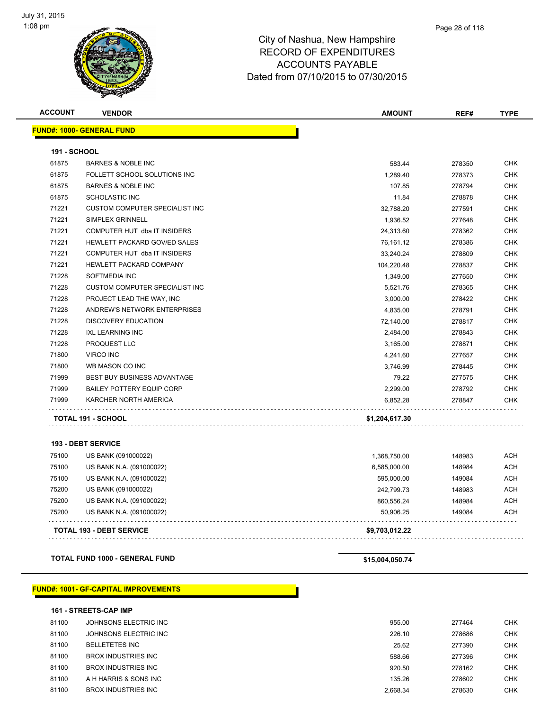

| <b>ACCOUNT</b>      | <b>VENDOR</b>                               | <b>AMOUNT</b>   | REF#   | <b>TYPE</b> |
|---------------------|---------------------------------------------|-----------------|--------|-------------|
|                     | <b>FUND#: 1000- GENERAL FUND</b>            |                 |        |             |
| <b>191 - SCHOOL</b> |                                             |                 |        |             |
| 61875               | <b>BARNES &amp; NOBLE INC</b>               | 583.44          | 278350 | <b>CHK</b>  |
| 61875               | FOLLETT SCHOOL SOLUTIONS INC                | 1,289.40        | 278373 | <b>CHK</b>  |
| 61875               | <b>BARNES &amp; NOBLE INC</b>               | 107.85          | 278794 | <b>CHK</b>  |
| 61875               | <b>SCHOLASTIC INC</b>                       | 11.84           | 278878 | <b>CHK</b>  |
| 71221               | <b>CUSTOM COMPUTER SPECIALIST INC</b>       | 32,788.20       | 277591 | <b>CHK</b>  |
| 71221               | <b>SIMPLEX GRINNELL</b>                     | 1,936.52        | 277648 | <b>CHK</b>  |
| 71221               | COMPUTER HUT dba IT INSIDERS                | 24,313.60       | 278362 | <b>CHK</b>  |
| 71221               | HEWLETT PACKARD GOV/ED SALES                | 76,161.12       | 278386 | CHK         |
| 71221               | COMPUTER HUT dba IT INSIDERS                | 33,240.24       | 278809 | <b>CHK</b>  |
| 71221               | HEWLETT PACKARD COMPANY                     | 104,220.48      | 278837 | <b>CHK</b>  |
| 71228               | SOFTMEDIA INC                               | 1,349.00        | 277650 | <b>CHK</b>  |
| 71228               | <b>CUSTOM COMPUTER SPECIALIST INC</b>       | 5,521.76        | 278365 | <b>CHK</b>  |
| 71228               | PROJECT LEAD THE WAY, INC                   | 3,000.00        | 278422 | <b>CHK</b>  |
| 71228               | ANDREW'S NETWORK ENTERPRISES                | 4,835.00        | 278791 | <b>CHK</b>  |
| 71228               | <b>DISCOVERY EDUCATION</b>                  | 72,140.00       | 278817 | <b>CHK</b>  |
| 71228               | <b>IXL LEARNING INC</b>                     | 2,484.00        | 278843 | <b>CHK</b>  |
| 71228               | PROQUEST LLC                                | 3,165.00        | 278871 | CHK         |
| 71800               | <b>VIRCO INC</b>                            | 4,241.60        | 277657 | <b>CHK</b>  |
| 71800               | WB MASON CO INC                             | 3,746.99        | 278445 | <b>CHK</b>  |
| 71999               | BEST BUY BUSINESS ADVANTAGE                 | 79.22           | 277575 | CHK         |
| 71999               | <b>BAILEY POTTERY EQUIP CORP</b>            | 2,299.00        | 278792 | <b>CHK</b>  |
| 71999               | KARCHER NORTH AMERICA                       | 6,852.28        | 278847 | <b>CHK</b>  |
|                     | TOTAL 191 - SCHOOL                          | \$1,204,617.30  |        |             |
|                     | <b>193 - DEBT SERVICE</b>                   |                 |        |             |
| 75100               | US BANK (091000022)                         | 1,368,750.00    | 148983 | <b>ACH</b>  |
| 75100               | US BANK N.A. (091000022)                    | 6,585,000.00    | 148984 | <b>ACH</b>  |
| 75100               | US BANK N.A. (091000022)                    | 595,000.00      | 149084 | ACH         |
| 75200               | US BANK (091000022)                         | 242,799.73      | 148983 | ACH         |
| 75200               | US BANK N.A. (091000022)                    | 860,556.24      | 148984 | <b>ACH</b>  |
| 75200               | US BANK N.A. (091000022)                    | 50,906.25       | 149084 | <b>ACH</b>  |
|                     | <b>TOTAL 193 - DEBT SERVICE</b>             | \$9,703,012.22  |        |             |
|                     | <b>TOTAL FUND 1000 - GENERAL FUND</b>       | \$15,004,050.74 |        |             |
|                     | <b>FUND#: 1001- GF-CAPITAL IMPROVEMENTS</b> |                 |        |             |

|       | <b>161 - STREETS-CAP IMP</b> |          |        |            |  |
|-------|------------------------------|----------|--------|------------|--|
| 81100 | JOHNSONS ELECTRIC INC        | 955.00   | 277464 | <b>CHK</b> |  |
| 81100 | JOHNSONS ELECTRIC INC        | 226.10   | 278686 | <b>CHK</b> |  |
| 81100 | <b>BELLETETES INC</b>        | 25.62    | 277390 | <b>CHK</b> |  |
| 81100 | BROX INDUSTRIES INC          | 588.66   | 277396 | <b>CHK</b> |  |
| 81100 | BROX INDUSTRIES INC          | 920.50   | 278162 | <b>CHK</b> |  |
| 81100 | A H HARRIS & SONS INC        | 135.26   | 278602 | <b>CHK</b> |  |
| 81100 | BROX INDUSTRIES INC.         | 2.668.34 | 278630 | <b>CHK</b> |  |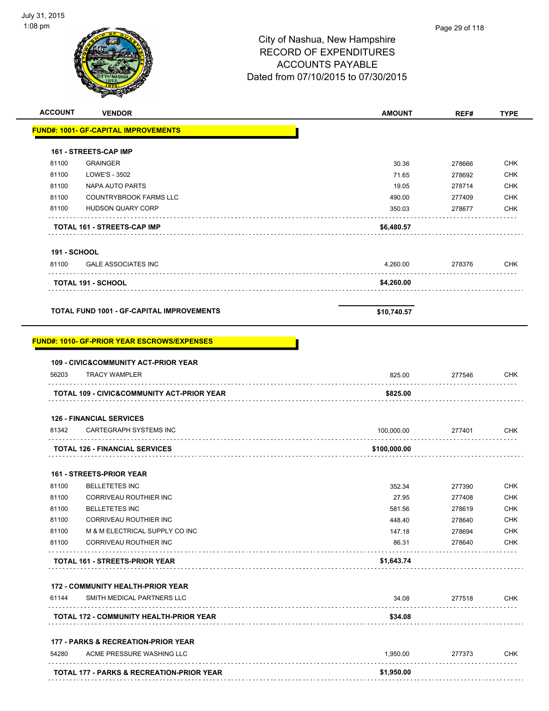| 8 pm                |                                                            | City of Nashua, New Hampshire<br><b>RECORD OF EXPENDITURES</b><br><b>ACCOUNTS PAYABLE</b><br>Dated from 07/10/2015 to 07/30/2015 | Page 29 of 118 |             |
|---------------------|------------------------------------------------------------|----------------------------------------------------------------------------------------------------------------------------------|----------------|-------------|
| <b>ACCOUNT</b>      | <b>VENDOR</b>                                              | <b>AMOUNT</b>                                                                                                                    | REF#           | <b>TYPE</b> |
|                     | FUND#: 1001- GF-CAPITAL IMPROVEMENTS                       |                                                                                                                                  |                |             |
|                     | 161 - STREETS-CAP IMP                                      |                                                                                                                                  |                |             |
| 81100               | <b>GRAINGER</b>                                            | 30.36                                                                                                                            | 278666         | <b>CHK</b>  |
| 81100               | LOWE'S - 3502                                              | 71.65                                                                                                                            | 278692         | <b>CHK</b>  |
| 81100               | NAPA AUTO PARTS                                            | 19.05                                                                                                                            | 278714         | <b>CHK</b>  |
| 81100               | <b>COUNTRYBROOK FARMS LLC</b>                              | 490.00                                                                                                                           | 277409         | CHK         |
| 81100               | <b>HUDSON QUARY CORP</b>                                   | 350.03                                                                                                                           | 278677         | <b>CHK</b>  |
|                     | TOTAL 161 - STREETS-CAP IMP                                | \$6,480.57                                                                                                                       |                |             |
| <b>191 - SCHOOL</b> |                                                            |                                                                                                                                  |                |             |
| 81100               | <b>GALE ASSOCIATES INC</b>                                 | 4,260.00                                                                                                                         | 278376         | <b>CHK</b>  |
|                     | <b>TOTAL 191 - SCHOOL</b>                                  | \$4,260.00                                                                                                                       |                |             |
|                     | <b>TOTAL FUND 1001 - GF-CAPITAL IMPROVEMENTS</b>           | \$10,740.57                                                                                                                      |                |             |
|                     | FUND#: 1010- GF-PRIOR YEAR ESCROWS/EXPENSES                |                                                                                                                                  |                |             |
|                     | <b>109 - CIVIC&amp;COMMUNITY ACT-PRIOR YEAR</b>            |                                                                                                                                  |                |             |
| 56203               | <b>TRACY WAMPLER</b>                                       | 825.00                                                                                                                           | 277546         | <b>CHK</b>  |
|                     | .<br><b>TOTAL 109 - CIVIC&amp;COMMUNITY ACT-PRIOR YEAR</b> | \$825.00                                                                                                                         |                |             |
|                     | <b>126 - FINANCIAL SERVICES</b>                            |                                                                                                                                  |                |             |
| 81342               | <b>CARTEGRAPH SYSTEMS INC</b>                              | 100,000.00                                                                                                                       | 277401         | <b>CHK</b>  |
|                     | <b>TOTAL 126 - FINANCIAL SERVICES</b>                      | \$100,000.00                                                                                                                     |                |             |
|                     | 161 - STREETS-PRIOR YEAR                                   |                                                                                                                                  |                |             |

|       | <b>TOTAL 161 - STREETS-PRIOR YEAR</b> | \$1,643.74 |        |            |
|-------|---------------------------------------|------------|--------|------------|
| 81100 | CORRIVEAU ROUTHIER INC                | 86.31      | 278640 | <b>CHK</b> |
| 81100 | M & M ELECTRICAL SUPPLY CO INC        | 147.18     | 278694 | <b>CHK</b> |
| 81100 | CORRIVEAU ROUTHIER INC                | 448.40     | 278640 | <b>CHK</b> |
| 81100 | <b>BELLETETES INC</b>                 | 581.56     | 278619 | <b>CHK</b> |
| 81100 | CORRIVEAU ROUTHIER INC                | 27.95      | 277408 | <b>CHK</b> |
| 81100 | <b>BELLETETES INC</b>                 | 352.34     | 277390 | <b>CHK</b> |

#### **172 - COMMUNITY HEALTH-PRIOR YEAR**

| 61144 | SMITH MEDICAL PARTNERS LLC                     | 34.08   | 277518 | СНК |
|-------|------------------------------------------------|---------|--------|-----|
|       | <b>TOTAL 172 - COMMUNITY HEALTH-PRIOR YEAR</b> | \$34.08 |        |     |
|       |                                                |         |        |     |

#### **177 - PARKS & RECREATION-PRIOR YEAR**

| 54280 | ACME PRESSURE WASHING LLC                            | .950.00    | 277373 | CHK |
|-------|------------------------------------------------------|------------|--------|-----|
|       | <b>TOTAL 177 - PARKS &amp; RECREATION-PRIOR YEAR</b> | \$1,950.00 |        |     |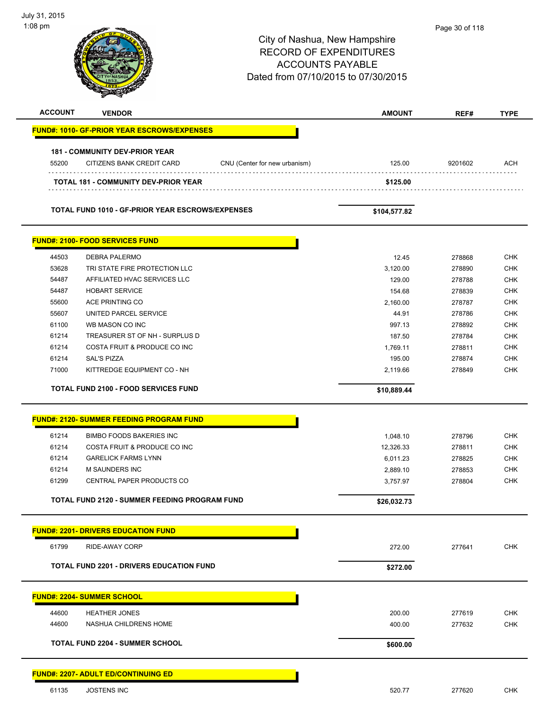| July 31, 2015<br>1:08 pm |                                                         |                                     |                  |                  |                          |
|--------------------------|---------------------------------------------------------|-------------------------------------|------------------|------------------|--------------------------|
|                          |                                                         |                                     |                  | Page 30 of 118   |                          |
|                          |                                                         | City of Nashua, New Hampshire       |                  |                  |                          |
|                          |                                                         | <b>RECORD OF EXPENDITURES</b>       |                  |                  |                          |
|                          |                                                         | <b>ACCOUNTS PAYABLE</b>             |                  |                  |                          |
|                          |                                                         | Dated from 07/10/2015 to 07/30/2015 |                  |                  |                          |
|                          |                                                         |                                     |                  |                  |                          |
| <b>ACCOUNT</b>           | <b>VENDOR</b>                                           |                                     | <b>AMOUNT</b>    | REF#             | <b>TYPE</b>              |
|                          | <b>FUND#: 1010- GF-PRIOR YEAR ESCROWS/EXPENSES</b>      |                                     |                  |                  |                          |
|                          |                                                         |                                     |                  |                  |                          |
|                          | <b>181 - COMMUNITY DEV-PRIOR YEAR</b>                   |                                     |                  |                  |                          |
| 55200                    | CITIZENS BANK CREDIT CARD                               | CNU (Center for new urbanism)       | 125.00           | 9201602          | ACH                      |
|                          | <b>TOTAL 181 - COMMUNITY DEV-PRIOR YEAR</b>             |                                     | \$125.00         |                  |                          |
|                          |                                                         |                                     |                  |                  |                          |
|                          | <b>TOTAL FUND 1010 - GF-PRIOR YEAR ESCROWS/EXPENSES</b> |                                     | \$104,577.82     |                  |                          |
|                          | <b>FUND#: 2100- FOOD SERVICES FUND</b>                  |                                     |                  |                  |                          |
|                          |                                                         |                                     |                  |                  |                          |
| 44503                    | <b>DEBRA PALERMO</b>                                    |                                     | 12.45            | 278868           | <b>CHK</b>               |
| 53628                    | TRI STATE FIRE PROTECTION LLC                           |                                     | 3,120.00         | 278890           | <b>CHK</b>               |
| 54487<br>54487           | AFFILIATED HVAC SERVICES LLC<br><b>HOBART SERVICE</b>   |                                     | 129.00<br>154.68 | 278788<br>278839 | <b>CHK</b><br><b>CHK</b> |
| 55600                    | ACE PRINTING CO                                         |                                     | 2,160.00         | 278787           | <b>CHK</b>               |
| 55607                    | UNITED PARCEL SERVICE                                   |                                     | 44.91            | 278786           | <b>CHK</b>               |
| 61100                    | WB MASON CO INC                                         |                                     | 997.13           | 278892           | <b>CHK</b>               |
| 61214                    | TREASURER ST OF NH - SURPLUS D                          |                                     | 187.50           | 278784           | <b>CHK</b>               |
| 61214                    | COSTA FRUIT & PRODUCE CO INC                            |                                     | 1,769.11         | 278811           | <b>CHK</b>               |
| 61214                    | <b>SAL'S PIZZA</b>                                      |                                     | 195.00           | 278874           | <b>CHK</b>               |
| 71000                    | KITTREDGE EQUIPMENT CO - NH                             |                                     | 2,119.66         | 278849           | <b>CHK</b>               |
|                          |                                                         |                                     |                  |                  |                          |
|                          | <b>TOTAL FUND 2100 - FOOD SERVICES FUND</b>             |                                     | \$10,889.44      |                  |                          |
|                          | <b>FUND#: 2120- SUMMER FEEDING PROGRAM FUND</b>         |                                     |                  |                  |                          |
| 61214                    | <b>BIMBO FOODS BAKERIES INC</b>                         |                                     | 1,048.10         | 278796           | <b>CHK</b>               |
| 61214                    | COSTA FRUIT & PRODUCE CO INC                            |                                     | 12,326.33        | 278811           | <b>CHK</b>               |
| 61214                    | <b>GARELICK FARMS LYNN</b>                              |                                     | 6,011.23         | 278825           | <b>CHK</b>               |
| 61214                    | M SAUNDERS INC                                          |                                     | 2,889.10         | 278853           | <b>CHK</b>               |
| 61299                    | CENTRAL PAPER PRODUCTS CO                               |                                     | 3,757.97         | 278804           | <b>CHK</b>               |
|                          |                                                         |                                     |                  |                  |                          |
|                          | <b>TOTAL FUND 2120 - SUMMER FEEDING PROGRAM FUND</b>    |                                     | \$26,032.73      |                  |                          |
|                          | <b>FUND#: 2201- DRIVERS EDUCATION FUND</b>              |                                     |                  |                  |                          |
| 61799                    | RIDE-AWAY CORP                                          |                                     | 272.00           | 277641           | <b>CHK</b>               |
|                          | <b>TOTAL FUND 2201 - DRIVERS EDUCATION FUND</b>         |                                     | \$272.00         |                  |                          |
|                          |                                                         |                                     |                  |                  |                          |
|                          | <b>FUND#: 2204- SUMMER SCHOOL</b>                       |                                     |                  |                  |                          |
| 44600                    | <b>HEATHER JONES</b>                                    |                                     | 200.00           | 277619           | <b>CHK</b>               |
| 44600                    | NASHUA CHILDRENS HOME                                   |                                     | 400.00           | 277632           | <b>CHK</b>               |
|                          | <b>TOTAL FUND 2204 - SUMMER SCHOOL</b>                  |                                     | \$600.00         |                  |                          |
|                          |                                                         |                                     |                  |                  |                          |
|                          | <b>FUND#: 2207- ADULT ED/CONTINUING ED</b>              |                                     |                  |                  |                          |
| 61135                    | <b>JOSTENS INC</b>                                      |                                     | 520.77           | 277620           | <b>CHK</b>               |

 $\overline{\phantom{a}}$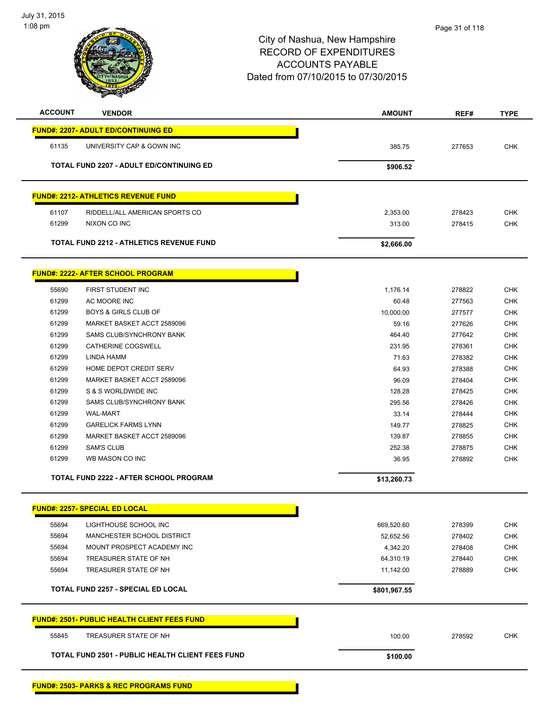

| <b>FUND#: 2207- ADULT ED/CONTINUING ED</b><br>UNIVERSITY CAP & GOWN INC<br><b>TOTAL FUND 2207 - ADULT ED/CONTINUING ED</b><br><b>FUND#: 2212- ATHLETICS REVENUE FUND</b><br>RIDDELL/ALL AMERICAN SPORTS CO<br>NIXON CO INC | 385.75<br>\$906.52<br>2,353.00<br>313.00 | 277653                                            | <b>CHK</b> |
|----------------------------------------------------------------------------------------------------------------------------------------------------------------------------------------------------------------------------|------------------------------------------|---------------------------------------------------|------------|
|                                                                                                                                                                                                                            |                                          |                                                   |            |
|                                                                                                                                                                                                                            |                                          |                                                   |            |
|                                                                                                                                                                                                                            |                                          |                                                   |            |
|                                                                                                                                                                                                                            |                                          |                                                   |            |
|                                                                                                                                                                                                                            |                                          |                                                   |            |
|                                                                                                                                                                                                                            |                                          | 278423                                            | <b>CHK</b> |
|                                                                                                                                                                                                                            |                                          | 278415                                            | <b>CHK</b> |
| TOTAL FUND 2212 - ATHLETICS REVENUE FUND                                                                                                                                                                                   | \$2,666.00                               |                                                   |            |
| <b>FUND#: 2222- AFTER SCHOOL PROGRAM</b>                                                                                                                                                                                   |                                          |                                                   |            |
| FIRST STUDENT INC                                                                                                                                                                                                          | 1,176.14                                 | 278822                                            | <b>CHK</b> |
| AC MOORE INC                                                                                                                                                                                                               | 60.48                                    | 277563                                            | <b>CHK</b> |
| <b>BOYS &amp; GIRLS CLUB OF</b>                                                                                                                                                                                            | 10,000.00                                | 277577                                            | <b>CHK</b> |
| MARKET BASKET ACCT 2589096                                                                                                                                                                                                 | 59.16                                    | 277626                                            | <b>CHK</b> |
| <b>SAMS CLUB/SYNCHRONY BANK</b>                                                                                                                                                                                            | 464.40                                   | 277642                                            | <b>CHK</b> |
| CATHERINE COGSWELL                                                                                                                                                                                                         | 231.95                                   | 278361                                            | <b>CHK</b> |
| LINDA HAMM                                                                                                                                                                                                                 | 71.63                                    | 278382                                            | <b>CHK</b> |
| HOME DEPOT CREDIT SERV                                                                                                                                                                                                     | 64.93                                    | 278388                                            | <b>CHK</b> |
| MARKET BASKET ACCT 2589096                                                                                                                                                                                                 | 96.09                                    | 278404                                            | <b>CHK</b> |
| S & S WORLDWIDE INC                                                                                                                                                                                                        | 128.28                                   | 278425                                            | <b>CHK</b> |
| SAMS CLUB/SYNCHRONY BANK                                                                                                                                                                                                   | 295.56                                   | 278426                                            | <b>CHK</b> |
| <b>WAL-MART</b>                                                                                                                                                                                                            | 33.14                                    | 278444                                            | <b>CHK</b> |
| <b>GARELICK FARMS LYNN</b>                                                                                                                                                                                                 | 149.77                                   | 278825                                            | <b>CHK</b> |
| MARKET BASKET ACCT 2589096                                                                                                                                                                                                 | 139.87                                   | 278855                                            | <b>CHK</b> |
| <b>SAM'S CLUB</b>                                                                                                                                                                                                          | 252.38                                   | 278875                                            | <b>CHK</b> |
| WB MASON CO INC                                                                                                                                                                                                            | 36.95                                    | 278892                                            | <b>CHK</b> |
| <b>TOTAL FUND 2222 - AFTER SCHOOL PROGRAM</b>                                                                                                                                                                              | \$13,260.73                              |                                                   |            |
| <u> FUND#: 2257- SPECIAL ED LOCAL</u>                                                                                                                                                                                      |                                          |                                                   |            |
| LIGHTHOUSE SCHOOL INC                                                                                                                                                                                                      | 669,520.60                               | 278399                                            | <b>CHK</b> |
| MANCHESTER SCHOOL DISTRICT                                                                                                                                                                                                 | 52,652.56                                | 278402                                            | <b>CHK</b> |
| MOUNT PROSPECT ACADEMY INC                                                                                                                                                                                                 | 4,342.20                                 | 278408                                            | <b>CHK</b> |
| TREASURER STATE OF NH                                                                                                                                                                                                      | 64,310.19                                | 278440                                            | <b>CHK</b> |
| TREASURER STATE OF NH                                                                                                                                                                                                      | 11,142.00                                | 278889                                            | <b>CHK</b> |
| <b>TOTAL FUND 2257 - SPECIAL ED LOCAL</b>                                                                                                                                                                                  | \$801,967.55                             |                                                   |            |
| <b>FUND#: 2501- PUBLIC HEALTH CLIENT FEES FUND</b>                                                                                                                                                                         |                                          |                                                   |            |
| TREASURER STATE OF NH                                                                                                                                                                                                      | 100.00                                   | 278592                                            | CHK        |
| <b>TOTAL FUND 2501 - PUBLIC HEALTH CLIENT FEES FUND</b>                                                                                                                                                                    | \$100.00                                 |                                                   |            |
|                                                                                                                                                                                                                            |                                          | <b>FUND#: 2503- PARKS &amp; REC PROGRAMS FUND</b> |            |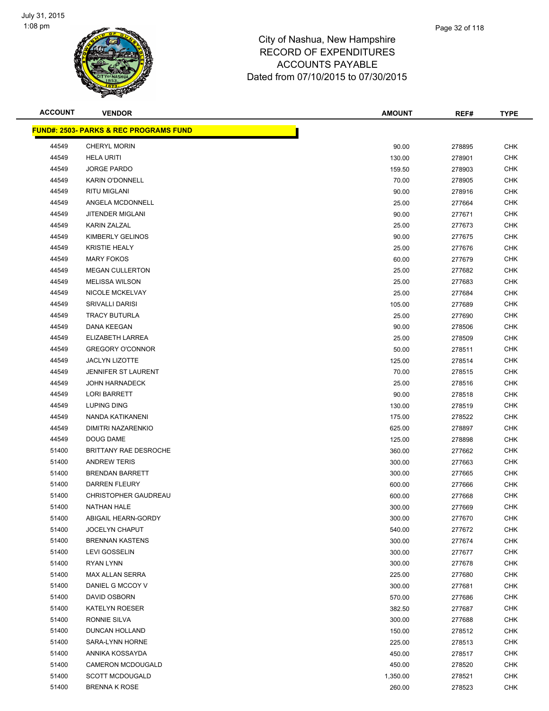

| <b>ACCOUNT</b> | <b>VENDOR</b>                                     | <b>AMOUNT</b> | REF#   | <b>TYPE</b> |
|----------------|---------------------------------------------------|---------------|--------|-------------|
|                | <b>FUND#: 2503- PARKS &amp; REC PROGRAMS FUND</b> |               |        |             |
| 44549          | <b>CHERYL MORIN</b>                               | 90.00         | 278895 | <b>CHK</b>  |
| 44549          | <b>HELA URITI</b>                                 | 130.00        | 278901 | <b>CHK</b>  |
| 44549          | <b>JORGE PARDO</b>                                | 159.50        | 278903 | <b>CHK</b>  |
| 44549          | <b>KARIN O'DONNELL</b>                            | 70.00         | 278905 | <b>CHK</b>  |
| 44549          | <b>RITU MIGLANI</b>                               | 90.00         | 278916 | <b>CHK</b>  |
| 44549          | ANGELA MCDONNELL                                  | 25.00         | 277664 | <b>CHK</b>  |
| 44549          | JITENDER MIGLANI                                  | 90.00         | 277671 | CHK         |
| 44549          | <b>KARIN ZALZAL</b>                               | 25.00         | 277673 | <b>CHK</b>  |
| 44549          | KIMBERLY GELINOS                                  | 90.00         | 277675 | CHK         |
| 44549          | <b>KRISTIE HEALY</b>                              | 25.00         | 277676 | CHK         |
| 44549          | <b>MARY FOKOS</b>                                 | 60.00         | 277679 | <b>CHK</b>  |
| 44549          | <b>MEGAN CULLERTON</b>                            | 25.00         | 277682 | <b>CHK</b>  |
| 44549          | <b>MELISSA WILSON</b>                             | 25.00         | 277683 | CHK         |
| 44549          | <b>NICOLE MCKELVAY</b>                            | 25.00         | 277684 | <b>CHK</b>  |
| 44549          | <b>SRIVALLI DARISI</b>                            | 105.00        | 277689 | <b>CHK</b>  |
| 44549          | <b>TRACY BUTURLA</b>                              | 25.00         | 277690 | <b>CHK</b>  |
| 44549          | <b>DANA KEEGAN</b>                                | 90.00         | 278506 | <b>CHK</b>  |
| 44549          | <b>ELIZABETH LARREA</b>                           | 25.00         | 278509 | <b>CHK</b>  |
| 44549          | <b>GREGORY O'CONNOR</b>                           | 50.00         | 278511 | <b>CHK</b>  |
| 44549          | <b>JACLYN LIZOTTE</b>                             | 125.00        | 278514 | <b>CHK</b>  |
| 44549          | JENNIFER ST LAURENT                               | 70.00         | 278515 | CHK         |
| 44549          | <b>JOHN HARNADECK</b>                             | 25.00         | 278516 | <b>CHK</b>  |
| 44549          | <b>LORI BARRETT</b>                               | 90.00         | 278518 | CHK         |
| 44549          | LUPING DING                                       | 130.00        | 278519 | <b>CHK</b>  |
| 44549          | NANDA KATIKANENI                                  | 175.00        | 278522 | <b>CHK</b>  |
| 44549          | DIMITRI NAZARENKIO                                | 625.00        | 278897 | <b>CHK</b>  |
| 44549          | DOUG DAME                                         | 125.00        | 278898 | <b>CHK</b>  |
| 51400          | BRITTANY RAE DESROCHE                             | 360.00        | 277662 | <b>CHK</b>  |
| 51400          | <b>ANDREW TERIS</b>                               | 300.00        | 277663 | CHK         |
| 51400          | <b>BRENDAN BARRETT</b>                            | 300.00        | 277665 | <b>CHK</b>  |
| 51400          | <b>DARREN FLEURY</b>                              | 600.00        | 277666 | CHK         |
| 51400          | <b>CHRISTOPHER GAUDREAU</b>                       | 600.00        | 277668 | <b>CHK</b>  |
| 51400          | <b>NATHAN HALE</b>                                | 300.00        | 277669 | <b>CHK</b>  |
| 51400          | ABIGAIL HEARN-GORDY                               | 300.00        | 277670 | <b>CHK</b>  |
| 51400          | <b>JOCELYN CHAPUT</b>                             | 540.00        | 277672 | <b>CHK</b>  |
| 51400          | <b>BRENNAN KASTENS</b>                            | 300.00        | 277674 | <b>CHK</b>  |
| 51400          | <b>LEVI GOSSELIN</b>                              | 300.00        | 277677 | <b>CHK</b>  |
| 51400          | RYAN LYNN                                         | 300.00        | 277678 | <b>CHK</b>  |
| 51400          | <b>MAX ALLAN SERRA</b>                            | 225.00        | 277680 | <b>CHK</b>  |
| 51400          | DANIEL G MCCOY V                                  | 300.00        | 277681 | <b>CHK</b>  |
| 51400          | DAVID OSBORN                                      | 570.00        | 277686 | <b>CHK</b>  |
| 51400          | <b>KATELYN ROESER</b>                             | 382.50        | 277687 | <b>CHK</b>  |
| 51400          | RONNIE SILVA                                      | 300.00        | 277688 | <b>CHK</b>  |
| 51400          | DUNCAN HOLLAND                                    | 150.00        | 278512 | CHK         |
| 51400          | SARA-LYNN HORNE                                   | 225.00        | 278513 | CHK         |
| 51400          | ANNIKA KOSSAYDA                                   | 450.00        | 278517 | CHK         |
| 51400          | CAMERON MCDOUGALD                                 | 450.00        | 278520 | <b>CHK</b>  |
| 51400          | <b>SCOTT MCDOUGALD</b>                            | 1,350.00      | 278521 | <b>CHK</b>  |
| 51400          | <b>BRENNA K ROSE</b>                              | 260.00        | 278523 | <b>CHK</b>  |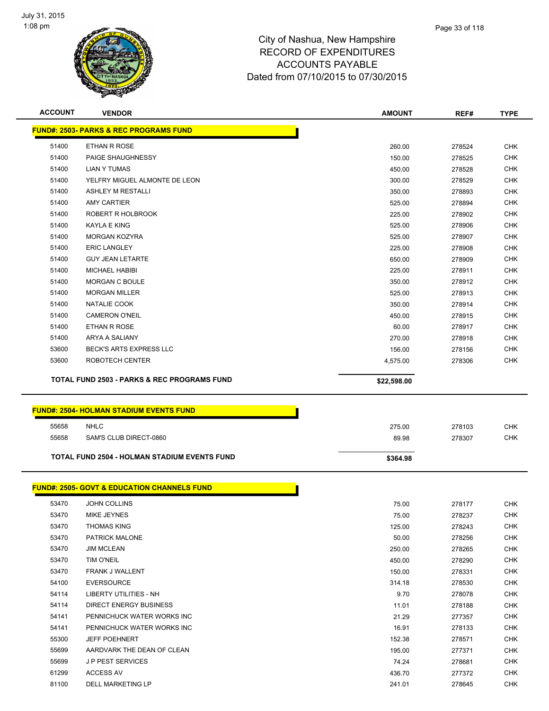

| <b>ACCOUNT</b> | <b>VENDOR</b>                                          | <b>AMOUNT</b> | REF#   | <b>TYPE</b> |
|----------------|--------------------------------------------------------|---------------|--------|-------------|
|                | <b>FUND#: 2503- PARKS &amp; REC PROGRAMS FUND</b>      |               |        |             |
| 51400          | ETHAN R ROSE                                           | 260.00        | 278524 | <b>CHK</b>  |
| 51400          | PAIGE SHAUGHNESSY                                      | 150.00        | 278525 | <b>CHK</b>  |
| 51400          | <b>LIAN Y TUMAS</b>                                    | 450.00        | 278528 | <b>CHK</b>  |
| 51400          | YELFRY MIGUEL ALMONTE DE LEON                          | 300.00        | 278529 | <b>CHK</b>  |
| 51400          | ASHLEY M RESTALLI                                      | 350.00        | 278893 | <b>CHK</b>  |
| 51400          | <b>AMY CARTIER</b>                                     | 525.00        | 278894 | <b>CHK</b>  |
| 51400          | ROBERT R HOLBROOK                                      | 225.00        | 278902 | CHK         |
| 51400          | KAYLA E KING                                           | 525.00        | 278906 | <b>CHK</b>  |
| 51400          | <b>MORGAN KOZYRA</b>                                   | 525.00        | 278907 | <b>CHK</b>  |
| 51400          | <b>ERIC LANGLEY</b>                                    | 225.00        | 278908 | <b>CHK</b>  |
| 51400          | <b>GUY JEAN LETARTE</b>                                | 650.00        | 278909 | <b>CHK</b>  |
| 51400          | <b>MICHAEL HABIBI</b>                                  | 225.00        | 278911 | <b>CHK</b>  |
| 51400          | <b>MORGAN C BOULE</b>                                  | 350.00        | 278912 | <b>CHK</b>  |
| 51400          | <b>MORGAN MILLER</b>                                   | 525.00        | 278913 | <b>CHK</b>  |
| 51400          | NATALIE COOK                                           | 350.00        | 278914 | <b>CHK</b>  |
| 51400          | <b>CAMERON O'NEIL</b>                                  | 450.00        | 278915 | <b>CHK</b>  |
| 51400          | ETHAN R ROSE                                           | 60.00         | 278917 | <b>CHK</b>  |
| 51400          | ARYA A SALIANY                                         | 270.00        | 278918 | <b>CHK</b>  |
| 53600          | BECK'S ARTS EXPRESS LLC                                | 156.00        | 278156 | <b>CHK</b>  |
| 53600          | ROBOTECH CENTER                                        | 4,575.00      | 278306 | <b>CHK</b>  |
|                | <b>TOTAL FUND 2503 - PARKS &amp; REC PROGRAMS FUND</b> | \$22,598.00   |        |             |
|                | <b>FUND#: 2504- HOLMAN STADIUM EVENTS FUND</b>         |               |        |             |
| 55658          | <b>NHLC</b>                                            | 275.00        | 278103 | <b>CHK</b>  |
| 55658          | SAM'S CLUB DIRECT-0860                                 | 89.98         | 278307 | <b>CHK</b>  |
|                | <b>TOTAL FUND 2504 - HOLMAN STADIUM EVENTS FUND</b>    | \$364.98      |        |             |
|                | <b>FUND#: 2505- GOVT &amp; EDUCATION CHANNELS FUND</b> |               |        |             |
| 53470          | <b>JOHN COLLINS</b>                                    | 75.00         | 278177 | CHK         |
| 53470          | MIKE JEYNES                                            | 75.00         | 278237 | <b>CHK</b>  |
| 53470          | <b>THOMAS KING</b>                                     | 125.00        | 278243 | <b>CHK</b>  |
| 53470          | PATRICK MALONE                                         | 50.00         | 278256 | <b>CHK</b>  |
| 53470          | <b>JIM MCLEAN</b>                                      | 250.00        | 278265 | <b>CHK</b>  |
| 53470          | TIM O'NEIL                                             | 450.00        | 278290 | <b>CHK</b>  |
| 53470          | FRANK J WALLENT                                        | 150.00        | 278331 | <b>CHK</b>  |
| 54100          | <b>EVERSOURCE</b>                                      | 314.18        | 278530 | <b>CHK</b>  |
| 54114          | LIBERTY UTILITIES - NH                                 | 9.70          | 278078 | CHK         |
| 54114          | DIRECT ENERGY BUSINESS                                 | 11.01         | 278188 | <b>CHK</b>  |
| 54141          | PENNICHUCK WATER WORKS INC                             | 21.29         | 277357 | CHK         |
| 54141          | PENNICHUCK WATER WORKS INC                             | 16.91         | 278133 | CHK         |
| 55300          | <b>JEFF POEHNERT</b>                                   | 152.38        | 278571 | <b>CHK</b>  |
| 55699          | AARDVARK THE DEAN OF CLEAN                             | 195.00        | 277371 | <b>CHK</b>  |

 J P PEST SERVICES 74.24 278681 CHK ACCESS AV 436.70 277372 CHK DELL MARKETING LP 241.01 278645 CHK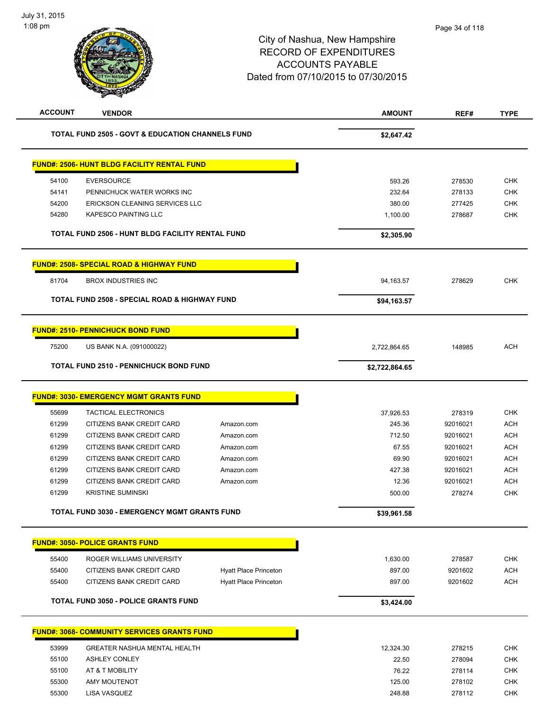| <b>ACCOUNT</b> | <b>VENDOR</b>                                               |                              | <b>AMOUNT</b>  | REF#     | <b>TYPE</b> |
|----------------|-------------------------------------------------------------|------------------------------|----------------|----------|-------------|
|                | <b>TOTAL FUND 2505 - GOVT &amp; EDUCATION CHANNELS FUND</b> |                              | \$2,647.42     |          |             |
|                | <u> FUND#: 2506- HUNT BLDG FACILITY RENTAL FUND</u>         |                              |                |          |             |
| 54100          | <b>EVERSOURCE</b>                                           |                              | 593.26         | 278530   | <b>CHK</b>  |
| 54141          | PENNICHUCK WATER WORKS INC                                  |                              | 232.64         | 278133   | <b>CHK</b>  |
| 54200          | ERICKSON CLEANING SERVICES LLC                              |                              | 380.00         | 277425   | <b>CHK</b>  |
| 54280          | <b>KAPESCO PAINTING LLC</b>                                 |                              | 1,100.00       | 278687   | <b>CHK</b>  |
|                | <b>TOTAL FUND 2506 - HUNT BLDG FACILITY RENTAL FUND</b>     |                              | \$2,305.90     |          |             |
|                | <u> FUND#: 2508- SPECIAL ROAD &amp; HIGHWAY FUND</u>        |                              |                |          |             |
| 81704          | <b>BROX INDUSTRIES INC</b>                                  |                              | 94,163.57      | 278629   | <b>CHK</b>  |
|                | <b>TOTAL FUND 2508 - SPECIAL ROAD &amp; HIGHWAY FUND</b>    |                              | \$94,163.57    |          |             |
|                | <b>FUND#: 2510- PENNICHUCK BOND FUND</b>                    |                              |                |          |             |
| 75200          | US BANK N.A. (091000022)                                    |                              | 2,722,864.65   | 148985   | <b>ACH</b>  |
|                | <b>TOTAL FUND 2510 - PENNICHUCK BOND FUND</b>               |                              | \$2,722,864.65 |          |             |
|                | <b>FUND#: 3030- EMERGENCY MGMT GRANTS FUND</b>              |                              |                |          |             |
| 55699          | <b>TACTICAL ELECTRONICS</b>                                 |                              | 37,926.53      | 278319   | <b>CHK</b>  |
| 61299          | CITIZENS BANK CREDIT CARD                                   | Amazon.com                   | 245.36         | 92016021 | <b>ACH</b>  |
| 61299          | CITIZENS BANK CREDIT CARD                                   | Amazon.com                   | 712.50         | 92016021 | <b>ACH</b>  |
| 61299          | CITIZENS BANK CREDIT CARD                                   | Amazon.com                   | 67.55          | 92016021 | <b>ACH</b>  |
| 61299          | CITIZENS BANK CREDIT CARD                                   | Amazon.com                   | 69.90          | 92016021 | <b>ACH</b>  |
| 61299          | CITIZENS BANK CREDIT CARD                                   | Amazon.com                   | 427.38         | 92016021 | ACH         |
| 61299          | CITIZENS BANK CREDIT CARD                                   | Amazon.com                   | 12.36          | 92016021 | <b>ACH</b>  |
| 61299          | <b>KRISTINE SUMINSKI</b>                                    |                              | 500.00         | 278274   | <b>CHK</b>  |
|                | TOTAL FUND 3030 - EMERGENCY MGMT GRANTS FUND                |                              | \$39,961.58    |          |             |
|                | <u> FUND#: 3050- POLICE GRANTS FUND</u>                     |                              |                |          |             |
| 55400          | ROGER WILLIAMS UNIVERSITY                                   |                              | 1,630.00       | 278587   | <b>CHK</b>  |
| 55400          | <b>CITIZENS BANK CREDIT CARD</b>                            | <b>Hyatt Place Princeton</b> | 897.00         | 9201602  | <b>ACH</b>  |
| 55400          | CITIZENS BANK CREDIT CARD                                   | <b>Hyatt Place Princeton</b> | 897.00         | 9201602  | ACH         |
|                | <b>TOTAL FUND 3050 - POLICE GRANTS FUND</b>                 |                              | \$3,424.00     |          |             |
|                | <b>FUND#: 3068- COMMUNITY SERVICES GRANTS FUND</b>          |                              |                |          |             |
|                |                                                             |                              |                |          |             |
| 53999          | <b>GREATER NASHUA MENTAL HEALTH</b>                         |                              | 12,324.30      | 278215   | <b>CHK</b>  |
| 55100          | <b>ASHLEY CONLEY</b>                                        |                              | 22.50          | 278094   | <b>CHK</b>  |
| 55100          | AT & T MOBILITY                                             |                              | 76.22          | 278114   | <b>CHK</b>  |
| 55300          | AMY MOUTENOT                                                |                              | 125.00         | 278102   | <b>CHK</b>  |
| 55300          | LISA VASQUEZ                                                |                              | 248.88         | 278112   | <b>CHK</b>  |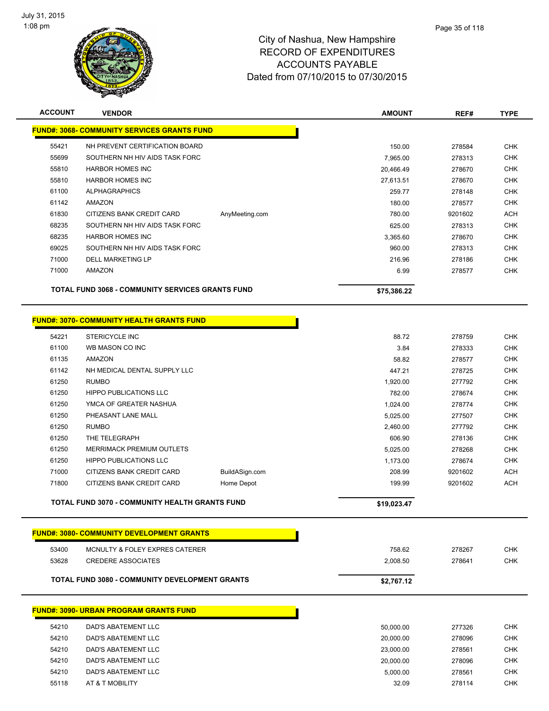

| <b>ACCOUNT</b> | <b>VENDOR</b>                                           |                | <b>AMOUNT</b> | REF#    | <b>TYPE</b> |
|----------------|---------------------------------------------------------|----------------|---------------|---------|-------------|
|                | <b>FUND#: 3068- COMMUNITY SERVICES GRANTS FUND</b>      |                |               |         |             |
| 55421          | NH PREVENT CERTIFICATION BOARD                          |                | 150.00        | 278584  | <b>CHK</b>  |
| 55699          | SOUTHERN NH HIV AIDS TASK FORC                          |                | 7,965.00      | 278313  | <b>CHK</b>  |
| 55810          | <b>HARBOR HOMES INC</b>                                 |                | 20,466.49     | 278670  | <b>CHK</b>  |
| 55810          | <b>HARBOR HOMES INC</b>                                 |                | 27,613.51     | 278670  | <b>CHK</b>  |
| 61100          | <b>ALPHAGRAPHICS</b>                                    |                | 259.77        | 278148  | <b>CHK</b>  |
| 61142          | AMAZON                                                  |                | 180.00        | 278577  | <b>CHK</b>  |
| 61830          | CITIZENS BANK CREDIT CARD                               | AnyMeeting.com | 780.00        | 9201602 | <b>ACH</b>  |
| 68235          | SOUTHERN NH HIV AIDS TASK FORC                          |                | 625.00        | 278313  | <b>CHK</b>  |
| 68235          | <b>HARBOR HOMES INC</b>                                 |                | 3,365.60      | 278670  | <b>CHK</b>  |
| 69025          | SOUTHERN NH HIV AIDS TASK FORC                          |                | 960.00        | 278313  | <b>CHK</b>  |
| 71000          | <b>DELL MARKETING LP</b>                                |                | 216.96        | 278186  | <b>CHK</b>  |
| 71000          | <b>AMAZON</b>                                           |                | 6.99          | 278577  | <b>CHK</b>  |
|                | <b>TOTAL FUND 3068 - COMMUNITY SERVICES GRANTS FUND</b> |                | \$75,386.22   |         |             |
|                | <b>FUND#: 3070- COMMUNITY HEALTH GRANTS FUND</b>        |                |               |         |             |
| 54221          | <b>STERICYCLE INC</b>                                   |                | 88.72         | 278759  | <b>CHK</b>  |
| 61100          | WB MASON CO INC                                         |                | 3.84          | 278333  | <b>CHK</b>  |
| 61135          | AMAZON                                                  |                | 58.82         | 278577  | <b>CHK</b>  |
| 61142          | NH MEDICAL DENTAL SUPPLY LLC                            |                | 447.21        | 278725  | <b>CHK</b>  |
| 61250          | <b>RUMBO</b>                                            |                | 1.920.00      | 277792  | <b>CHK</b>  |

|       | TOTAL FUND 3070 - COMMUNITY HEALTH GRANTS FUND |                | \$19.023.47 |         |            |
|-------|------------------------------------------------|----------------|-------------|---------|------------|
| 71800 | CITIZENS BANK CREDIT CARD                      | Home Depot     | 199.99      | 9201602 | <b>ACH</b> |
| 71000 | CITIZENS BANK CREDIT CARD                      | BuildASign.com | 208.99      | 9201602 | <b>ACH</b> |
| 61250 | <b>HIPPO PUBLICATIONS LLC</b>                  |                | 1.173.00    | 278674  | <b>CHK</b> |
| 61250 | <b>MERRIMACK PREMIUM OUTLETS</b>               |                | 5.025.00    | 278268  | <b>CHK</b> |
| 61250 | THE TELEGRAPH                                  |                | 606.90      | 278136  | <b>CHK</b> |
| 61250 | <b>RUMBO</b>                                   |                | 2.460.00    | 277792  | <b>CHK</b> |
| 61250 | PHEASANT LANE MALL                             |                | 5.025.00    | 277507  | <b>CHK</b> |
| 61250 | YMCA OF GREATER NASHUA                         |                | 1.024.00    | 278774  | <b>CHK</b> |
| 61250 | <b>HIPPO PUBLICATIONS LLC</b>                  |                | 782.00      | 278674  | <b>CHK</b> |
|       |                                                |                |             |         |            |

|       | <b>FUND#: 3080- COMMUNITY DEVELOPMENT GRANTS</b>      |            |        |     |
|-------|-------------------------------------------------------|------------|--------|-----|
| 53400 | MCNULTY & FOLEY EXPRES CATERER                        | 758.62     | 278267 | CHK |
| 53628 | CREDERE ASSOCIATES                                    | 2.008.50   | 278641 | СНК |
|       | <b>TOTAL FUND 3080 - COMMUNITY DEVELOPMENT GRANTS</b> | \$2,767.12 |        |     |

|       | <b>FUND#: 3090- URBAN PROGRAM GRANTS FUND</b> |           |        |
|-------|-----------------------------------------------|-----------|--------|
| 54210 | DAD'S ABATEMENT LLC                           | 50.000.00 | 277326 |
| 54210 | DAD'S ABATEMENT LLC                           | 20,000.00 | 278096 |
| 54210 | DAD'S ABATEMENT LLC                           | 23,000.00 | 278561 |
| 54210 | DAD'S ABATEMENT LLC                           | 20,000.00 | 278096 |
| 54210 | DAD'S ABATEMENT LLC                           | 5.000.00  | 278561 |
| 55118 | AT & T MOBILITY                               | 32.09     | 278114 |
|       |                                               |           |        |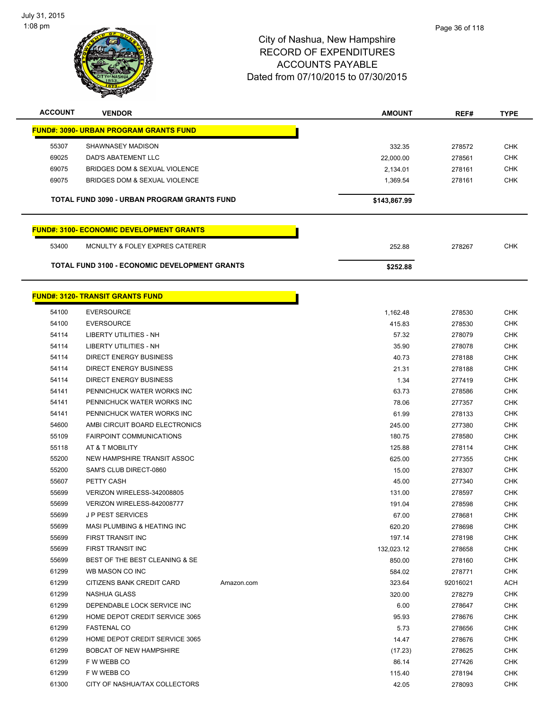

| <b>ACCOUNT</b>                                       | <b>VENDOR</b>                                   |              | <b>AMOUNT</b> | REF#     | <b>TYPE</b> |
|------------------------------------------------------|-------------------------------------------------|--------------|---------------|----------|-------------|
|                                                      | <b>FUND#: 3090- URBAN PROGRAM GRANTS FUND</b>   |              |               |          |             |
| 55307                                                | SHAWNASEY MADISON                               |              | 332.35        | 278572   | <b>CHK</b>  |
| 69025                                                | <b>DAD'S ABATEMENT LLC</b>                      |              | 22,000.00     | 278561   | <b>CHK</b>  |
| 69075                                                | BRIDGES DOM & SEXUAL VIOLENCE                   |              | 2,134.01      | 278161   | <b>CHK</b>  |
| 69075                                                | BRIDGES DOM & SEXUAL VIOLENCE                   |              | 1,369.54      | 278161   | <b>CHK</b>  |
|                                                      |                                                 |              |               |          |             |
|                                                      | TOTAL FUND 3090 - URBAN PROGRAM GRANTS FUND     | \$143,867.99 |               |          |             |
|                                                      | <b>FUND#: 3100- ECONOMIC DEVELOPMENT GRANTS</b> |              |               |          |             |
| 53400                                                | MCNULTY & FOLEY EXPRES CATERER                  |              | 252.88        | 278267   | <b>CHK</b>  |
| <b>TOTAL FUND 3100 - ECONOMIC DEVELOPMENT GRANTS</b> |                                                 |              |               |          |             |
|                                                      |                                                 |              | \$252.88      |          |             |
|                                                      | <b>FUND#: 3120- TRANSIT GRANTS FUND</b>         |              |               |          |             |
| 54100                                                | <b>EVERSOURCE</b>                               |              | 1,162.48      | 278530   | <b>CHK</b>  |
| 54100                                                | <b>EVERSOURCE</b>                               |              | 415.83        | 278530   | <b>CHK</b>  |
| 54114                                                | LIBERTY UTILITIES - NH                          |              | 57.32         | 278079   | <b>CHK</b>  |
| 54114                                                | LIBERTY UTILITIES - NH                          |              | 35.90         | 278078   | <b>CHK</b>  |
| 54114                                                | <b>DIRECT ENERGY BUSINESS</b>                   |              | 40.73         | 278188   | <b>CHK</b>  |
| 54114                                                | <b>DIRECT ENERGY BUSINESS</b>                   |              | 21.31         | 278188   | <b>CHK</b>  |
| 54114                                                | <b>DIRECT ENERGY BUSINESS</b>                   |              | 1.34          | 277419   | <b>CHK</b>  |
| 54141                                                | PENNICHUCK WATER WORKS INC                      |              | 63.73         | 278586   | <b>CHK</b>  |
| 54141                                                | PENNICHUCK WATER WORKS INC                      |              | 78.06         | 277357   | <b>CHK</b>  |
| 54141                                                | PENNICHUCK WATER WORKS INC                      |              | 61.99         | 278133   | <b>CHK</b>  |
| 54600                                                | AMBI CIRCUIT BOARD ELECTRONICS                  |              | 245.00        | 277380   | <b>CHK</b>  |
| 55109                                                | <b>FAIRPOINT COMMUNICATIONS</b>                 |              | 180.75        | 278580   | <b>CHK</b>  |
| 55118                                                | AT & T MOBILITY                                 |              | 125.88        | 278114   | <b>CHK</b>  |
| 55200                                                | NEW HAMPSHIRE TRANSIT ASSOC                     |              | 625.00        | 277355   | <b>CHK</b>  |
| 55200                                                | SAM'S CLUB DIRECT-0860                          |              | 15.00         | 278307   | <b>CHK</b>  |
| 55607                                                | PETTY CASH                                      |              | 45.00         | 277340   | <b>CHK</b>  |
| 55699                                                | VERIZON WIRELESS-342008805                      |              | 131.00        | 278597   | <b>CHK</b>  |
| 55699                                                | VERIZON WIRELESS-842008777                      |              | 191.04        | 278598   | <b>CHK</b>  |
| 55699                                                | J P PEST SERVICES                               |              | 67.00         | 278681   | <b>CHK</b>  |
| 55699                                                | MASI PLUMBING & HEATING INC                     |              | 620.20        | 278698   | <b>CHK</b>  |
| 55699                                                | FIRST TRANSIT INC                               |              | 197.14        | 278198   | <b>CHK</b>  |
| 55699                                                | FIRST TRANSIT INC                               |              |               |          | <b>CHK</b>  |
|                                                      | BEST OF THE BEST CLEANING & SE                  |              | 132,023.12    | 278658   | <b>CHK</b>  |
| 55699                                                | WB MASON CO INC                                 |              | 850.00        | 278160   |             |
| 61299                                                | CITIZENS BANK CREDIT CARD                       |              | 584.02        | 278771   | <b>CHK</b>  |
| 61299                                                |                                                 | Amazon.com   | 323.64        | 92016021 | <b>ACH</b>  |
| 61299                                                | NASHUA GLASS                                    |              | 320.00        | 278279   | <b>CHK</b>  |
| 61299                                                | DEPENDABLE LOCK SERVICE INC                     |              | 6.00          | 278647   | <b>CHK</b>  |
| 61299                                                | HOME DEPOT CREDIT SERVICE 3065                  |              | 95.93         | 278676   | <b>CHK</b>  |
| 61299                                                | <b>FASTENAL CO</b>                              |              | 5.73          | 278656   | <b>CHK</b>  |
| 61299                                                | HOME DEPOT CREDIT SERVICE 3065                  |              | 14.47         | 278676   | <b>CHK</b>  |
| 61299                                                | BOBCAT OF NEW HAMPSHIRE                         |              | (17.23)       | 278625   | CHK         |
| 61299                                                | F W WEBB CO                                     |              | 86.14         | 277426   | <b>CHK</b>  |
| 61299                                                | F W WEBB CO                                     |              | 115.40        | 278194   | <b>CHK</b>  |
| 61300                                                | CITY OF NASHUA/TAX COLLECTORS                   |              | 42.05         | 278093   | CHK         |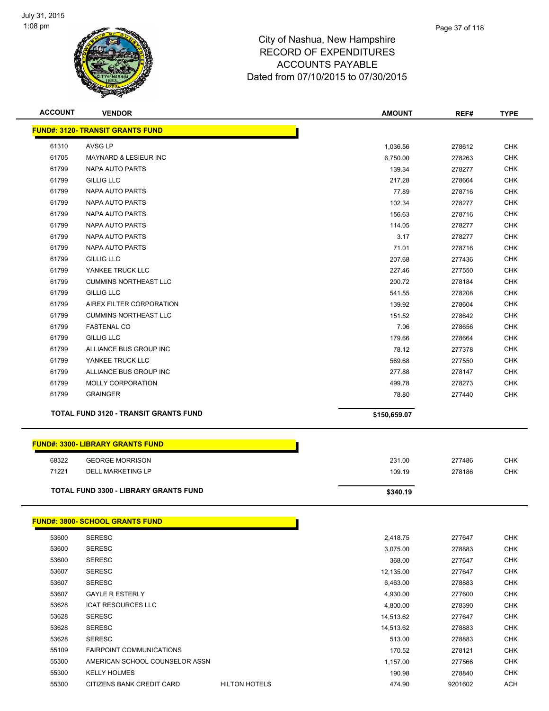

| <b>ACCOUNT</b> | <b>VENDOR</b>                                | <b>AMOUNT</b> | REF#             | <b>TYPE</b> |
|----------------|----------------------------------------------|---------------|------------------|-------------|
|                | <b>FUND#: 3120- TRANSIT GRANTS FUND</b>      |               |                  |             |
| 61310          | <b>AVSG LP</b>                               | 1,036.56      | 278612           | <b>CHK</b>  |
| 61705          | <b>MAYNARD &amp; LESIEUR INC</b>             | 6,750.00      | 278263           | <b>CHK</b>  |
| 61799          | NAPA AUTO PARTS                              | 139.34        | 278277           | <b>CHK</b>  |
| 61799          | <b>GILLIG LLC</b>                            | 217.28        | 278664           | <b>CHK</b>  |
| 61799          | NAPA AUTO PARTS                              | 77.89         | 278716           | <b>CHK</b>  |
| 61799          | NAPA AUTO PARTS                              | 102.34        | 278277           | <b>CHK</b>  |
| 61799          | NAPA AUTO PARTS                              | 156.63        | 278716           | <b>CHK</b>  |
| 61799          | NAPA AUTO PARTS                              | 114.05        | 278277           | <b>CHK</b>  |
| 61799          | NAPA AUTO PARTS                              | 3.17          | 278277           | <b>CHK</b>  |
| 61799          | NAPA AUTO PARTS                              | 71.01         | 278716           | <b>CHK</b>  |
| 61799          | <b>GILLIG LLC</b>                            | 207.68        | 277436           | <b>CHK</b>  |
| 61799          | YANKEE TRUCK LLC                             | 227.46        | 277550           | <b>CHK</b>  |
| 61799          | <b>CUMMINS NORTHEAST LLC</b>                 | 200.72        | 278184           | <b>CHK</b>  |
| 61799          | <b>GILLIG LLC</b>                            | 541.55        | 278208           | <b>CHK</b>  |
| 61799          | AIREX FILTER CORPORATION                     | 139.92        | 278604           | <b>CHK</b>  |
| 61799          | <b>CUMMINS NORTHEAST LLC</b>                 | 151.52        | 278642           | <b>CHK</b>  |
| 61799          | <b>FASTENAL CO</b>                           | 7.06          | 278656           | <b>CHK</b>  |
| 61799          | <b>GILLIG LLC</b>                            | 179.66        | 278664           | <b>CHK</b>  |
| 61799          | ALLIANCE BUS GROUP INC                       | 78.12         | 277378           | <b>CHK</b>  |
| 61799          | YANKEE TRUCK LLC                             | 569.68        | 277550           | <b>CHK</b>  |
| 61799          | ALLIANCE BUS GROUP INC                       | 277.88        | 278147           | <b>CHK</b>  |
| 61799          | MOLLY CORPORATION                            | 499.78        |                  | <b>CHK</b>  |
| 61799          | <b>GRAINGER</b>                              | 78.80         | 278273<br>277440 | <b>CHK</b>  |
|                |                                              |               |                  |             |
|                |                                              |               |                  |             |
|                | <b>TOTAL FUND 3120 - TRANSIT GRANTS FUND</b> | \$150,659.07  |                  |             |
|                |                                              |               |                  |             |
|                | <b>FUND#: 3300- LIBRARY GRANTS FUND</b>      |               |                  |             |
| 68322          | <b>GEORGE MORRISON</b>                       | 231.00        | 277486           | <b>CHK</b>  |
| 71221          | DELL MARKETING LP                            | 109.19        | 278186           | <b>CHK</b>  |
|                | <b>TOTAL FUND 3300 - LIBRARY GRANTS FUND</b> | \$340.19      |                  |             |
|                |                                              |               |                  |             |
|                | <b>FUND#: 3800- SCHOOL GRANTS FUND</b>       |               |                  |             |
| 53600          | <b>SERESC</b>                                | 2,418.75      | 277647           | <b>CHK</b>  |
| 53600          | <b>SERESC</b>                                | 3,075.00      | 278883           | <b>CHK</b>  |
| 53600          | <b>SERESC</b>                                | 368.00        | 277647           | <b>CHK</b>  |
| 53607          | <b>SERESC</b>                                | 12,135.00     | 277647           | <b>CHK</b>  |
| 53607          | <b>SERESC</b>                                | 6,463.00      | 278883           | <b>CHK</b>  |
| 53607          | <b>GAYLE R ESTERLY</b>                       | 4,930.00      | 277600           | <b>CHK</b>  |
| 53628          | <b>ICAT RESOURCES LLC</b>                    | 4,800.00      | 278390           | <b>CHK</b>  |
| 53628          | <b>SERESC</b>                                | 14,513.62     | 277647           | <b>CHK</b>  |
| 53628          | <b>SERESC</b>                                | 14,513.62     | 278883           | <b>CHK</b>  |
| 53628          | <b>SERESC</b>                                | 513.00        | 278883           | <b>CHK</b>  |
| 55109          | <b>FAIRPOINT COMMUNICATIONS</b>              | 170.52        | 278121           | <b>CHK</b>  |
| 55300          | AMERICAN SCHOOL COUNSELOR ASSN               | 1,157.00      | 277566           | <b>CHK</b>  |
| 55300          | <b>KELLY HOLMES</b>                          | 190.98        | 278840           | <b>CHK</b>  |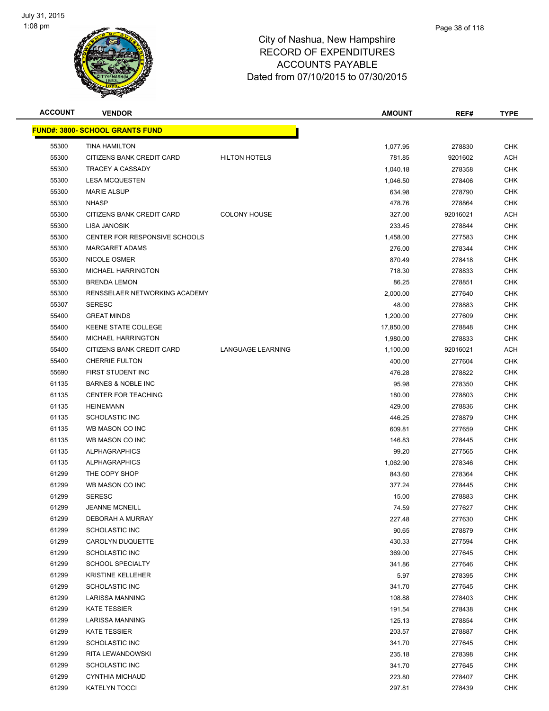

| <b>ACCOUNT</b> | <b>VENDOR</b>                          |                          | <b>AMOUNT</b> | REF#     | TYPE       |
|----------------|----------------------------------------|--------------------------|---------------|----------|------------|
|                | <b>FUND#: 3800- SCHOOL GRANTS FUND</b> |                          |               |          |            |
| 55300          | <b>TINA HAMILTON</b>                   |                          | 1,077.95      | 278830   | <b>CHK</b> |
| 55300          | CITIZENS BANK CREDIT CARD              | <b>HILTON HOTELS</b>     | 781.85        | 9201602  | <b>ACH</b> |
| 55300          | TRACEY A CASSADY                       |                          | 1,040.18      | 278358   | <b>CHK</b> |
| 55300          | <b>LESA MCQUESTEN</b>                  |                          | 1,046.50      | 278406   | <b>CHK</b> |
| 55300          | <b>MARIE ALSUP</b>                     |                          | 634.98        | 278790   | CHK        |
| 55300          | <b>NHASP</b>                           |                          | 478.76        | 278864   | <b>CHK</b> |
| 55300          | CITIZENS BANK CREDIT CARD              | <b>COLONY HOUSE</b>      | 327.00        | 92016021 | <b>ACH</b> |
| 55300          | LISA JANOSIK                           |                          | 233.45        | 278844   | CHK        |
| 55300          | <b>CENTER FOR RESPONSIVE SCHOOLS</b>   |                          | 1,458.00      | 277583   | CHK        |
| 55300          | <b>MARGARET ADAMS</b>                  |                          | 276.00        | 278344   | CHK        |
| 55300          | NICOLE OSMER                           |                          | 870.49        | 278418   | CHK        |
| 55300          | <b>MICHAEL HARRINGTON</b>              |                          | 718.30        | 278833   | <b>CHK</b> |
| 55300          | <b>BRENDA LEMON</b>                    |                          | 86.25         | 278851   | CHK        |
| 55300          | RENSSELAER NETWORKING ACADEMY          |                          | 2,000.00      | 277640   | <b>CHK</b> |
| 55307          | <b>SERESC</b>                          |                          | 48.00         | 278883   | CHK        |
| 55400          | <b>GREAT MINDS</b>                     |                          | 1,200.00      | 277609   | <b>CHK</b> |
| 55400          | <b>KEENE STATE COLLEGE</b>             |                          | 17,850.00     | 278848   | <b>CHK</b> |
| 55400          | MICHAEL HARRINGTON                     |                          | 1,980.00      | 278833   | CHK        |
| 55400          | CITIZENS BANK CREDIT CARD              | <b>LANGUAGE LEARNING</b> | 1,100.00      | 92016021 | ACH        |
| 55400          | <b>CHERRIE FULTON</b>                  |                          | 400.00        | 277604   | <b>CHK</b> |
| 55690          | FIRST STUDENT INC                      |                          | 476.28        | 278822   | CHK        |
| 61135          | <b>BARNES &amp; NOBLE INC</b>          |                          | 95.98         | 278350   | <b>CHK</b> |
| 61135          | <b>CENTER FOR TEACHING</b>             |                          | 180.00        | 278803   | <b>CHK</b> |
| 61135          | <b>HEINEMANN</b>                       |                          | 429.00        | 278836   | CHK        |
| 61135          | <b>SCHOLASTIC INC</b>                  |                          | 446.25        | 278879   | <b>CHK</b> |
| 61135          | WB MASON CO INC                        |                          | 609.81        | 277659   | CHK        |
| 61135          | WB MASON CO INC                        |                          | 146.83        | 278445   | CHK        |
| 61135          | <b>ALPHAGRAPHICS</b>                   |                          | 99.20         | 277565   | CHK        |
| 61135          | <b>ALPHAGRAPHICS</b>                   |                          | 1,062.90      | 278346   | <b>CHK</b> |
| 61299          | THE COPY SHOP                          |                          | 843.60        | 278364   | <b>CHK</b> |
| 61299          | WB MASON CO INC                        |                          | 377.24        | 278445   | <b>CHK</b> |
| 61299          | <b>SERESC</b>                          |                          | 15.00         | 278883   | <b>CHK</b> |
| 61299          | <b>JEANNE MCNEILL</b>                  |                          | 74.59         | 277627   | <b>CHK</b> |
| 61299          | DEBORAH A MURRAY                       |                          | 227.48        | 277630   | <b>CHK</b> |
| 61299          | <b>SCHOLASTIC INC</b>                  |                          | 90.65         | 278879   | <b>CHK</b> |
| 61299          | CAROLYN DUQUETTE                       |                          | 430.33        | 277594   | <b>CHK</b> |
| 61299          | <b>SCHOLASTIC INC</b>                  |                          | 369.00        | 277645   | <b>CHK</b> |
| 61299          | <b>SCHOOL SPECIALTY</b>                |                          | 341.86        | 277646   | <b>CHK</b> |
| 61299          | <b>KRISTINE KELLEHER</b>               |                          | 5.97          | 278395   | CHK        |
| 61299          | <b>SCHOLASTIC INC</b>                  |                          | 341.70        | 277645   | <b>CHK</b> |
| 61299          | <b>LARISSA MANNING</b>                 |                          | 108.88        | 278403   | CHK        |
| 61299          | <b>KATE TESSIER</b>                    |                          | 191.54        | 278438   | CHK        |
| 61299          | LARISSA MANNING                        |                          | 125.13        | 278854   | CHK        |
| 61299          | <b>KATE TESSIER</b>                    |                          | 203.57        | 278887   | <b>CHK</b> |
| 61299          | <b>SCHOLASTIC INC</b>                  |                          | 341.70        | 277645   | CHK        |
| 61299          | RITA LEWANDOWSKI                       |                          | 235.18        | 278398   | CHK        |
| 61299          | <b>SCHOLASTIC INC</b>                  |                          | 341.70        | 277645   | CHK        |
| 61299          | <b>CYNTHIA MICHAUD</b>                 |                          | 223.80        | 278407   | CHK        |
| 61299          | <b>KATELYN TOCCI</b>                   |                          | 297.81        | 278439   | <b>CHK</b> |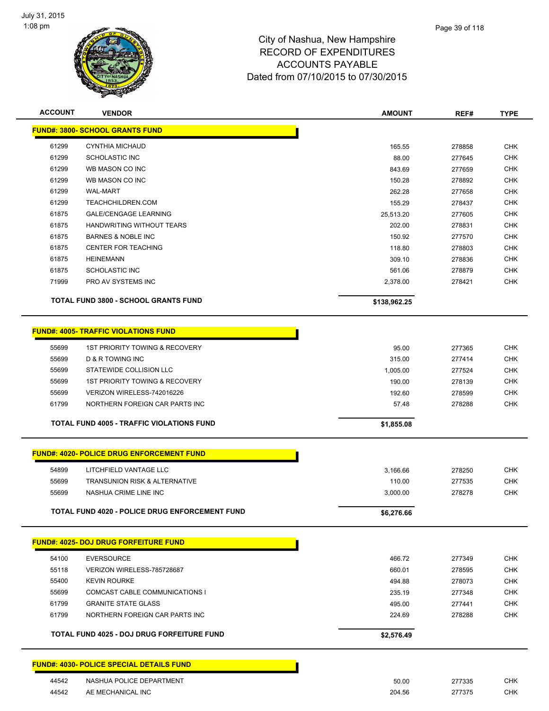

| <b>ACCOUNT</b> | <b>VENDOR</b>                                    | <b>AMOUNT</b> | REF#   | <b>TYPE</b> |
|----------------|--------------------------------------------------|---------------|--------|-------------|
|                | <b>FUND#: 3800- SCHOOL GRANTS FUND</b>           |               |        |             |
| 61299          | CYNTHIA MICHAUD                                  | 165.55        | 278858 | <b>CHK</b>  |
| 61299          | <b>SCHOLASTIC INC</b>                            | 88.00         | 277645 | <b>CHK</b>  |
| 61299          | WB MASON CO INC                                  | 843.69        | 277659 | <b>CHK</b>  |
| 61299          | WB MASON CO INC                                  | 150.28        | 278892 | <b>CHK</b>  |
| 61299          | <b>WAL-MART</b>                                  | 262.28        | 277658 | <b>CHK</b>  |
| 61299          | TEACHCHILDREN.COM                                | 155.29        | 278437 | CHK         |
| 61875          | <b>GALE/CENGAGE LEARNING</b>                     | 25,513.20     | 277605 | <b>CHK</b>  |
| 61875          | HANDWRITING WITHOUT TEARS                        | 202.00        | 278831 | <b>CHK</b>  |
| 61875          | <b>BARNES &amp; NOBLE INC</b>                    | 150.92        | 277570 | <b>CHK</b>  |
| 61875          | <b>CENTER FOR TEACHING</b>                       | 118.80        | 278803 | <b>CHK</b>  |
| 61875          | <b>HEINEMANN</b>                                 | 309.10        | 278836 | <b>CHK</b>  |
| 61875          | <b>SCHOLASTIC INC</b>                            | 561.06        | 278879 | <b>CHK</b>  |
| 71999          | PRO AV SYSTEMS INC                               | 2,378.00      | 278421 | <b>CHK</b>  |
|                | <b>TOTAL FUND 3800 - SCHOOL GRANTS FUND</b>      | \$138,962.25  |        |             |
|                | <b>FUND#: 4005- TRAFFIC VIOLATIONS FUND</b>      |               |        |             |
|                |                                                  |               |        |             |
| 55699          | <b>1ST PRIORITY TOWING &amp; RECOVERY</b>        | 95.00         | 277365 | <b>CHK</b>  |
| 55699          | D & R TOWING INC                                 | 315.00        | 277414 | <b>CHK</b>  |
| 55699          | STATEWIDE COLLISION LLC                          | 1,005.00      | 277524 | <b>CHK</b>  |
| 55699          | <b>1ST PRIORITY TOWING &amp; RECOVERY</b>        | 190.00        | 278139 | <b>CHK</b>  |
| 55699          | VERIZON WIRELESS-742016226                       | 192.60        | 278599 | <b>CHK</b>  |
| 61799          | NORTHERN FOREIGN CAR PARTS INC                   | 57.48         | 278288 | <b>CHK</b>  |
|                | TOTAL FUND 4005 - TRAFFIC VIOLATIONS FUND        | \$1,855.08    |        |             |
|                | <b>FUND#: 4020- POLICE DRUG ENFORCEMENT FUND</b> |               |        |             |
| 54899          | LITCHFIELD VANTAGE LLC                           | 3,166.66      | 278250 | <b>CHK</b>  |
| 55699          | <b>TRANSUNION RISK &amp; ALTERNATIVE</b>         | 110.00        | 277535 | <b>CHK</b>  |
| 55699          | NASHUA CRIME LINE INC                            | 3,000.00      | 278278 | <b>CHK</b>  |
|                |                                                  |               |        |             |
|                | TOTAL FUND 4020 - POLICE DRUG ENFORCEMENT FUND   | \$6,276.66    |        |             |
|                | <b>FUND#: 4025- DOJ DRUG FORFEITURE FUND</b>     |               |        |             |
| 54100          | <b>EVERSOURCE</b>                                | 466.72        | 277349 | <b>CHK</b>  |
| 55118          | VERIZON WIRELESS-785728687                       | 660.01        | 278595 | <b>CHK</b>  |
| 55400          | <b>KEVIN ROURKE</b>                              | 494.88        | 278073 | <b>CHK</b>  |
| 55699          | COMCAST CABLE COMMUNICATIONS I                   | 235.19        | 277348 | <b>CHK</b>  |
| 61799          | <b>GRANITE STATE GLASS</b>                       | 495.00        | 277441 | <b>CHK</b>  |
| 61799          | NORTHERN FOREIGN CAR PARTS INC                   | 224.69        | 278288 | <b>CHK</b>  |
|                | TOTAL FUND 4025 - DOJ DRUG FORFEITURE FUND       | \$2,576.49    |        |             |
|                | <b>FUND#: 4030- POLICE SPECIAL DETAILS FUND</b>  |               |        |             |
| 44542          | NASHUA POLICE DEPARTMENT                         | 50.00         | 277335 | <b>CHK</b>  |
| 44542          | AE MECHANICAL INC                                | 204.56        | 277375 | <b>CHK</b>  |
|                |                                                  |               |        |             |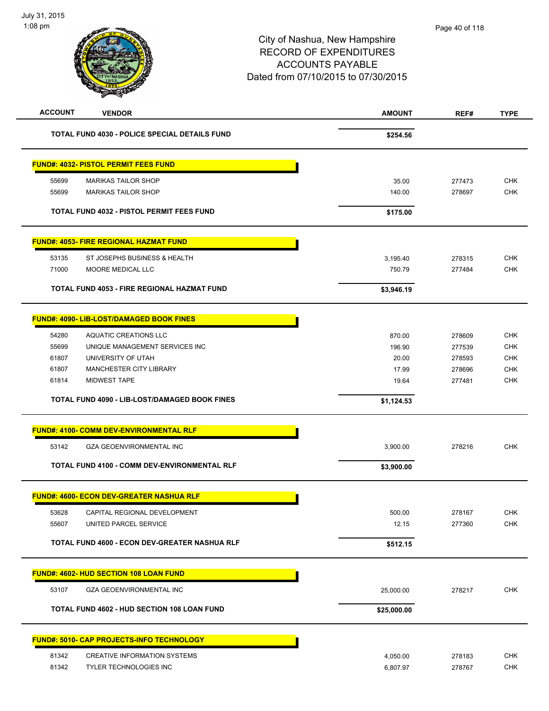| <b>ACCOUNT</b> | <b>VENDOR</b>                                      | <b>AMOUNT</b> | REF#   | <b>TYPE</b> |
|----------------|----------------------------------------------------|---------------|--------|-------------|
|                | TOTAL FUND 4030 - POLICE SPECIAL DETAILS FUND      | \$254.56      |        |             |
|                | <b>FUND#: 4032- PISTOL PERMIT FEES FUND</b>        |               |        |             |
| 55699          | <b>MARIKAS TAILOR SHOP</b>                         | 35.00         | 277473 | <b>CHK</b>  |
| 55699          | <b>MARIKAS TAILOR SHOP</b>                         | 140.00        | 278697 | <b>CHK</b>  |
|                | TOTAL FUND 4032 - PISTOL PERMIT FEES FUND          | \$175.00      |        |             |
|                | <b>FUND#: 4053- FIRE REGIONAL HAZMAT FUND</b>      |               |        |             |
| 53135          | ST JOSEPHS BUSINESS & HEALTH                       | 3,195.40      | 278315 | <b>CHK</b>  |
| 71000          | MOORE MEDICAL LLC                                  | 750.79        | 277484 | <b>CHK</b>  |
|                | TOTAL FUND 4053 - FIRE REGIONAL HAZMAT FUND        | \$3,946.19    |        |             |
|                | <b>FUND#: 4090- LIB-LOST/DAMAGED BOOK FINES</b>    |               |        |             |
| 54280          | <b>AQUATIC CREATIONS LLC</b>                       | 870.00        | 278609 | <b>CHK</b>  |
| 55699          | UNIQUE MANAGEMENT SERVICES INC                     | 196.90        | 277539 | <b>CHK</b>  |
| 61807          | UNIVERSITY OF UTAH                                 | 20.00         | 278593 | <b>CHK</b>  |
| 61807          | MANCHESTER CITY LIBRARY                            | 17.99         | 278696 | <b>CHK</b>  |
| 61814          | <b>MIDWEST TAPE</b>                                | 19.64         | 277481 | <b>CHK</b>  |
|                | TOTAL FUND 4090 - LIB-LOST/DAMAGED BOOK FINES      | \$1,124.53    |        |             |
|                | <b>FUND#: 4100- COMM DEV-ENVIRONMENTAL RLF</b>     |               |        |             |
| 53142          | <b>GZA GEOENVIRONMENTAL INC</b>                    | 3,900.00      | 278216 | <b>CHK</b>  |
|                | TOTAL FUND 4100 - COMM DEV-ENVIRONMENTAL RLF       | \$3,900.00    |        |             |
|                | <b>FUND#: 4600- ECON DEV-GREATER NASHUA RLF</b>    |               |        |             |
| 53628          | CAPITAL REGIONAL DEVELOPMENT                       | 500.00        | 278167 | <b>CHK</b>  |
| 55607          | UNITED PARCEL SERVICE                              | 12.15         | 277360 | CHK         |
|                | TOTAL FUND 4600 - ECON DEV-GREATER NASHUA RLF      | \$512.15      |        |             |
|                | FUND#: 4602- HUD SECTION 108 LOAN FUND             |               |        |             |
| 53107          | <b>GZA GEOENVIRONMENTAL INC</b>                    | 25,000.00     | 278217 | <b>CHK</b>  |
|                | <b>TOTAL FUND 4602 - HUD SECTION 108 LOAN FUND</b> | \$25,000.00   |        |             |
|                | FUND#: 5010- CAP PROJECTS-INFO TECHNOLOGY          |               |        |             |
| 81342          | CREATIVE INFORMATION SYSTEMS                       | 4,050.00      | 278183 | <b>CHK</b>  |
| 81342          | TYLER TECHNOLOGIES INC                             | 6,807.97      | 278767 | <b>CHK</b>  |
|                |                                                    |               |        |             |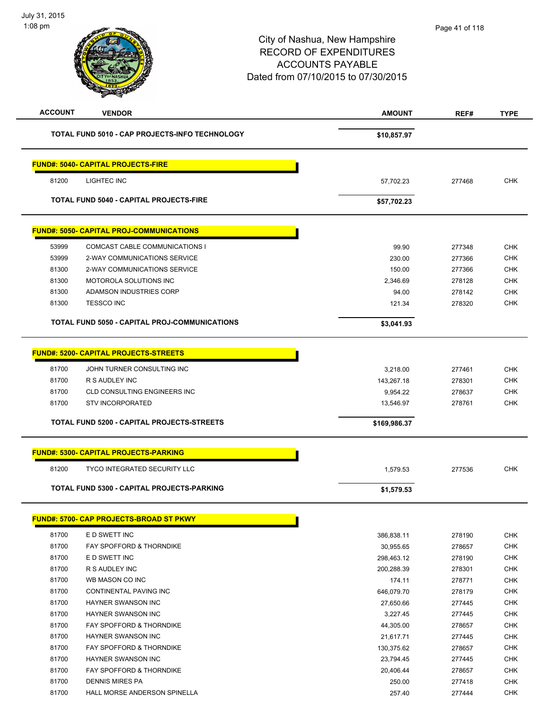| <b>ACCOUNT</b> | <b>VENDOR</b>                                   | <b>AMOUNT</b> | REF#   | <b>TYPE</b> |
|----------------|-------------------------------------------------|---------------|--------|-------------|
|                | TOTAL FUND 5010 - CAP PROJECTS-INFO TECHNOLOGY  | \$10,857.97   |        |             |
|                | <b>FUND#: 5040- CAPITAL PROJECTS-FIRE</b>       |               |        |             |
| 81200          | LIGHTEC INC                                     | 57,702.23     | 277468 | <b>CHK</b>  |
|                | <b>TOTAL FUND 5040 - CAPITAL PROJECTS-FIRE</b>  | \$57,702.23   |        |             |
|                | <b>FUND#: 5050- CAPITAL PROJ-COMMUNICATIONS</b> |               |        |             |
| 53999          | COMCAST CABLE COMMUNICATIONS I                  | 99.90         | 277348 | <b>CHK</b>  |
| 53999          | 2-WAY COMMUNICATIONS SERVICE                    | 230.00        | 277366 | <b>CHK</b>  |
| 81300          | 2-WAY COMMUNICATIONS SERVICE                    | 150.00        | 277366 | <b>CHK</b>  |
| 81300          | MOTOROLA SOLUTIONS INC                          | 2,346.69      | 278128 | <b>CHK</b>  |
| 81300          | ADAMSON INDUSTRIES CORP                         | 94.00         | 278142 | <b>CHK</b>  |
| 81300          | <b>TESSCO INC</b>                               | 121.34        | 278320 | <b>CHK</b>  |
|                | TOTAL FUND 5050 - CAPITAL PROJ-COMMUNICATIONS   | \$3,041.93    |        |             |
|                | <b>FUND#: 5200- CAPITAL PROJECTS-STREETS</b>    |               |        |             |
|                |                                                 |               |        |             |
| 81700          | JOHN TURNER CONSULTING INC                      | 3,218.00      | 277461 | <b>CHK</b>  |
| 81700          | R S AUDLEY INC                                  | 143,267.18    | 278301 | <b>CHK</b>  |
| 81700          | <b>CLD CONSULTING ENGINEERS INC</b>             | 9,954.22      | 278637 | <b>CHK</b>  |
| 81700          | <b>STV INCORPORATED</b>                         | 13,546.97     | 278761 | CHK         |
|                | TOTAL FUND 5200 - CAPITAL PROJECTS-STREETS      | \$169,986.37  |        |             |
|                | <b>FUND#: 5300- CAPITAL PROJECTS-PARKING</b>    |               |        |             |
| 81200          | <b>TYCO INTEGRATED SECURITY LLC</b>             | 1,579.53      | 277536 | <b>CHK</b>  |
|                | TOTAL FUND 5300 - CAPITAL PROJECTS-PARKING      | \$1,579.53    |        |             |
|                |                                                 |               |        |             |
|                | <b>FUND#: 5700- CAP PROJECTS-BROAD ST PKWY</b>  |               |        |             |
| 81700          | E D SWETT INC                                   | 386,838.11    | 278190 | <b>CHK</b>  |
| 81700          | FAY SPOFFORD & THORNDIKE                        | 30,955.65     | 278657 | <b>CHK</b>  |
| 81700          | E D SWETT INC                                   | 298,463.12    | 278190 | CHK         |
| 81700          | R S AUDLEY INC                                  | 200,288.39    | 278301 | <b>CHK</b>  |
| 81700          | WB MASON CO INC                                 | 174.11        | 278771 | <b>CHK</b>  |
| 81700          | CONTINENTAL PAVING INC                          | 646,079.70    | 278179 | <b>CHK</b>  |
| 81700          | HAYNER SWANSON INC                              | 27,650.66     | 277445 | <b>CHK</b>  |
| 81700          | <b>HAYNER SWANSON INC</b>                       | 3,227.45      | 277445 | <b>CHK</b>  |
| 81700          | FAY SPOFFORD & THORNDIKE                        | 44,305.00     | 278657 | <b>CHK</b>  |
| 81700          | HAYNER SWANSON INC                              | 21,617.71     | 277445 | <b>CHK</b>  |
| 81700          | FAY SPOFFORD & THORNDIKE                        | 130,375.62    | 278657 | <b>CHK</b>  |
| 81700          | HAYNER SWANSON INC                              | 23,794.45     | 277445 | <b>CHK</b>  |
| 81700          | FAY SPOFFORD & THORNDIKE                        | 20,406.44     | 278657 | <b>CHK</b>  |
| 81700          | <b>DENNIS MIRES PA</b>                          | 250.00        | 277418 | CHK         |
| 81700          | HALL MORSE ANDERSON SPINELLA                    | 257.40        | 277444 | <b>CHK</b>  |
|                |                                                 |               |        |             |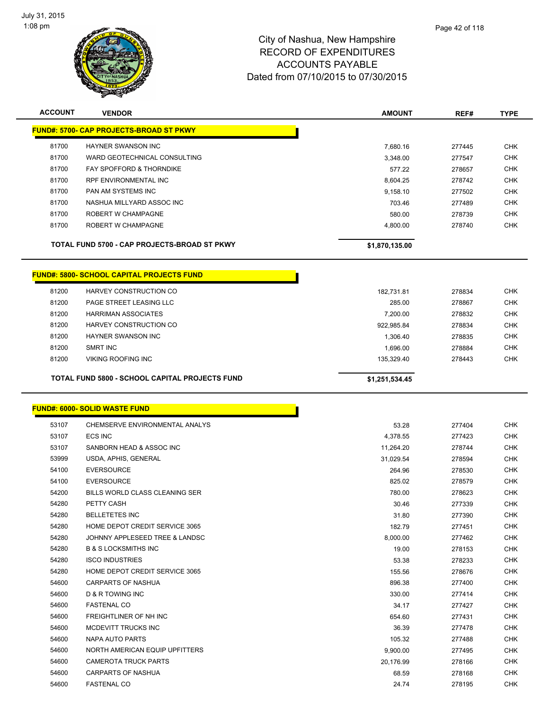

| <b>ACCOUNT</b> | <b>VENDOR</b>                                         | <b>AMOUNT</b>  | REF#   | <b>TYPE</b> |  |
|----------------|-------------------------------------------------------|----------------|--------|-------------|--|
|                | <b>FUND#: 5700- CAP PROJECTS-BROAD ST PKWY</b>        |                |        |             |  |
|                |                                                       |                |        |             |  |
| 81700          | <b>HAYNER SWANSON INC</b>                             | 7,680.16       | 277445 | <b>CHK</b>  |  |
| 81700          | WARD GEOTECHNICAL CONSULTING                          | 3,348.00       | 277547 | <b>CHK</b>  |  |
| 81700          | FAY SPOFFORD & THORNDIKE                              | 577.22         | 278657 | <b>CHK</b>  |  |
| 81700          | RPF ENVIRONMENTAL INC                                 | 8,604.25       | 278742 | <b>CHK</b>  |  |
| 81700          | PAN AM SYSTEMS INC                                    | 9,158.10       | 277502 | <b>CHK</b>  |  |
| 81700          | NASHUA MILLYARD ASSOC INC                             | 703.46         | 277489 | <b>CHK</b>  |  |
| 81700          | ROBERT W CHAMPAGNE                                    | 580.00         | 278739 | <b>CHK</b>  |  |
| 81700          | ROBERT W CHAMPAGNE                                    | 4,800.00       | 278740 | <b>CHK</b>  |  |
|                | TOTAL FUND 5700 - CAP PROJECTS-BROAD ST PKWY          | \$1,870,135.00 |        |             |  |
|                | <b>FUND#: 5800- SCHOOL CAPITAL PROJECTS FUND</b>      |                |        |             |  |
| 81200          | HARVEY CONSTRUCTION CO                                | 182,731.81     | 278834 | <b>CHK</b>  |  |
| 81200          | PAGE STREET LEASING LLC                               | 285.00         | 278867 | <b>CHK</b>  |  |
| 81200          | <b>HARRIMAN ASSOCIATES</b>                            | 7,200.00       | 278832 | <b>CHK</b>  |  |
| 81200          | HARVEY CONSTRUCTION CO                                | 922,985.84     | 278834 | <b>CHK</b>  |  |
| 81200          | HAYNER SWANSON INC                                    | 1,306.40       | 278835 | <b>CHK</b>  |  |
| 81200          | <b>SMRT INC</b>                                       | 1,696.00       | 278884 | <b>CHK</b>  |  |
| 81200          | <b>VIKING ROOFING INC</b>                             | 135,329.40     | 278443 | <b>CHK</b>  |  |
|                |                                                       |                |        |             |  |
|                | <b>TOTAL FUND 5800 - SCHOOL CAPITAL PROJECTS FUND</b> | \$1,251,534.45 |        |             |  |
|                | <u> FUND#: 6000- SOLID WASTE FUND</u>                 |                |        |             |  |
| 53107          | CHEMSERVE ENVIRONMENTAL ANALYS                        | 53.28          | 277404 | <b>CHK</b>  |  |
| 53107          | <b>ECS INC</b>                                        | 4,378.55       | 277423 | <b>CHK</b>  |  |
| 53107          | SANBORN HEAD & ASSOC INC                              | 11,264.20      | 278744 | <b>CHK</b>  |  |
| 53999          | USDA, APHIS, GENERAL                                  | 31,029.54      | 278594 | <b>CHK</b>  |  |
| 54100          | <b>EVERSOURCE</b>                                     | 264.96         | 278530 | <b>CHK</b>  |  |
| 54100          | <b>EVERSOURCE</b>                                     | 825.02         | 278579 | <b>CHK</b>  |  |
| 54200          | BILLS WORLD CLASS CLEANING SER                        | 780.00         | 278623 | <b>CHK</b>  |  |
| 54280          | PETTY CASH                                            | 30.46          | 277339 | <b>CHK</b>  |  |
| 54280          | <b>BELLETETES INC</b>                                 | 31.80          | 277390 | <b>CHK</b>  |  |
| 54280          | HOME DEPOT CREDIT SERVICE 3065                        | 182.79         | 277451 | <b>CHK</b>  |  |
| 54280          | JOHNNY APPLESEED TREE & LANDSC                        | 8,000.00       | 277462 | <b>CHK</b>  |  |
| 54280          | <b>B &amp; S LOCKSMITHS INC</b>                       | 19.00          | 278153 | <b>CHK</b>  |  |
| 54280          | <b>ISCO INDUSTRIES</b>                                | 53.38          | 278233 | <b>CHK</b>  |  |
| 54280          | HOME DEPOT CREDIT SERVICE 3065                        | 155.56         | 278676 | <b>CHK</b>  |  |
| 54600          | CARPARTS OF NASHUA                                    | 896.38         | 277400 | <b>CHK</b>  |  |
| 54600          | <b>D &amp; R TOWING INC</b>                           | 330.00         | 277414 | <b>CHK</b>  |  |
| 54600          | <b>FASTENAL CO</b>                                    | 34.17          | 277427 | <b>CHK</b>  |  |
| 54600          | FREIGHTLINER OF NH INC                                | 654.60         | 277431 | <b>CHK</b>  |  |
| 54600          | MCDEVITT TRUCKS INC                                   | 36.39          | 277478 | <b>CHK</b>  |  |
| 54600          | NAPA AUTO PARTS                                       | 105.32         | 277488 | <b>CHK</b>  |  |
| 54600          | NORTH AMERICAN EQUIP UPFITTERS                        | 9,900.00       | 277495 | <b>CHK</b>  |  |
| 54600          | <b>CAMEROTA TRUCK PARTS</b>                           | 20,176.99      | 278166 | <b>CHK</b>  |  |
| 54600          | CARPARTS OF NASHUA                                    | 68.59          | 278168 | <b>CHK</b>  |  |
| 54600          | <b>FASTENAL CO</b>                                    | 24.74          | 278195 | <b>CHK</b>  |  |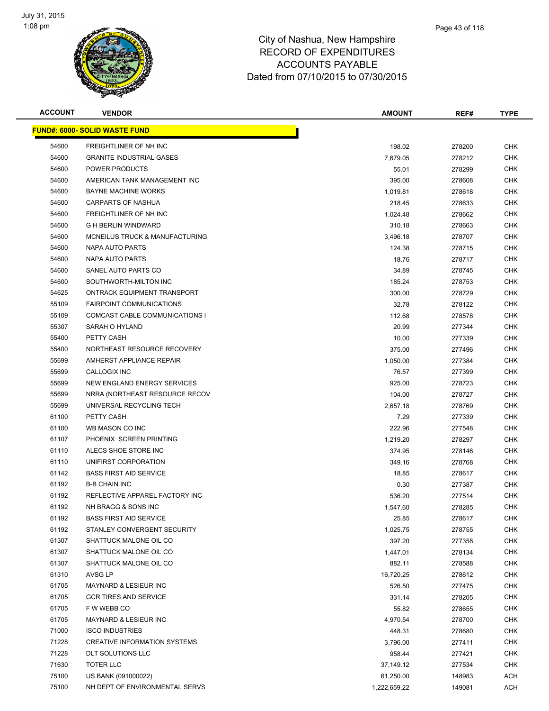

| <b>ACCOUNT</b> | <b>VENDOR</b>                         | <b>AMOUNT</b> | REF#   | TYPE       |
|----------------|---------------------------------------|---------------|--------|------------|
|                | <u> FUND#: 6000- SOLID WASTE FUND</u> |               |        |            |
| 54600          | FREIGHTLINER OF NH INC                | 198.02        | 278200 | <b>CHK</b> |
| 54600          | <b>GRANITE INDUSTRIAL GASES</b>       | 7,679.05      | 278212 | <b>CHK</b> |
| 54600          | POWER PRODUCTS                        | 55.01         | 278299 | <b>CHK</b> |
| 54600          | AMERICAN TANK MANAGEMENT INC          | 395.00        | 278608 | <b>CHK</b> |
| 54600          | <b>BAYNE MACHINE WORKS</b>            | 1,019.81      | 278618 | <b>CHK</b> |
| 54600          | CARPARTS OF NASHUA                    | 218.45        | 278633 | <b>CHK</b> |
| 54600          | FREIGHTLINER OF NH INC                | 1,024.48      | 278662 | <b>CHK</b> |
| 54600          | <b>G H BERLIN WINDWARD</b>            | 310.18        | 278663 | <b>CHK</b> |
| 54600          | MCNEILUS TRUCK & MANUFACTURING        | 3,496.18      | 278707 | <b>CHK</b> |
| 54600          | NAPA AUTO PARTS                       | 124.38        | 278715 | CHK        |
| 54600          | NAPA AUTO PARTS                       | 18.76         | 278717 | <b>CHK</b> |
| 54600          | SANEL AUTO PARTS CO                   | 34.89         | 278745 | CHK        |
| 54600          | SOUTHWORTH-MILTON INC                 | 185.24        | 278753 | <b>CHK</b> |
| 54625          | ONTRACK EQUIPMENT TRANSPORT           | 300.00        | 278729 | <b>CHK</b> |
| 55109          | <b>FAIRPOINT COMMUNICATIONS</b>       | 32.78         | 278122 | <b>CHK</b> |
| 55109          | COMCAST CABLE COMMUNICATIONS I        | 112.68        | 278578 | <b>CHK</b> |
| 55307          | SARAH O HYLAND                        | 20.99         | 277344 | <b>CHK</b> |
| 55400          | PETTY CASH                            | 10.00         | 277339 | <b>CHK</b> |
| 55400          | NORTHEAST RESOURCE RECOVERY           | 375.00        | 277496 | <b>CHK</b> |
| 55699          | AMHERST APPLIANCE REPAIR              | 1,050.00      | 277384 | <b>CHK</b> |
| 55699          | <b>CALLOGIX INC</b>                   | 76.57         | 277399 | <b>CHK</b> |
| 55699          | NEW ENGLAND ENERGY SERVICES           | 925.00        | 278723 | <b>CHK</b> |
| 55699          | NRRA (NORTHEAST RESOURCE RECOV        | 104.00        | 278727 | <b>CHK</b> |
| 55699          | UNIVERSAL RECYCLING TECH              | 2,657.18      | 278769 | <b>CHK</b> |
| 61100          | PETTY CASH                            | 7.29          | 277339 | <b>CHK</b> |
| 61100          | WB MASON CO INC                       | 222.96        | 277548 | <b>CHK</b> |
| 61107          | PHOENIX SCREEN PRINTING               | 1,219.20      | 278297 | <b>CHK</b> |
| 61110          | ALECS SHOE STORE INC                  | 374.95        | 278146 | <b>CHK</b> |
| 61110          | UNIFIRST CORPORATION                  | 349.16        | 278768 | <b>CHK</b> |
| 61142          | <b>BASS FIRST AID SERVICE</b>         | 18.85         | 278617 | <b>CHK</b> |
| 61192          | <b>B-B CHAIN INC</b>                  | 0.30          | 277387 | CHK        |
| 61192          | REFLECTIVE APPAREL FACTORY INC        | 536.20        | 277514 | <b>CHK</b> |
| 61192          | NH BRAGG & SONS INC                   | 1.547.60      | 278285 | <b>CHK</b> |
| 61192          | <b>BASS FIRST AID SERVICE</b>         | 25.85         | 278617 | <b>CHK</b> |
| 61192          | STANLEY CONVERGENT SECURITY           | 1,025.75      | 278755 | <b>CHK</b> |
| 61307          | SHATTUCK MALONE OIL CO                | 397.20        | 277358 | <b>CHK</b> |
| 61307          | SHATTUCK MALONE OIL CO                | 1,447.01      | 278134 | <b>CHK</b> |
| 61307          | SHATTUCK MALONE OIL CO                | 882.11        | 278588 | <b>CHK</b> |
| 61310          | AVSG LP                               | 16,720.25     | 278612 | <b>CHK</b> |
| 61705          | MAYNARD & LESIEUR INC                 | 526.50        | 277475 | <b>CHK</b> |
| 61705          | <b>GCR TIRES AND SERVICE</b>          | 331.14        | 278205 | <b>CHK</b> |
| 61705          | F W WEBB CO                           | 55.82         | 278655 | <b>CHK</b> |
| 61705          | MAYNARD & LESIEUR INC                 | 4,970.54      | 278700 | <b>CHK</b> |
| 71000          | <b>ISCO INDUSTRIES</b>                | 448.31        | 278680 | <b>CHK</b> |
| 71228          | <b>CREATIVE INFORMATION SYSTEMS</b>   | 3,796.00      | 277411 | <b>CHK</b> |
| 71228          | <b>DLT SOLUTIONS LLC</b>              | 958.44        | 277421 | <b>CHK</b> |
| 71630          | <b>TOTER LLC</b>                      | 37,149.12     | 277534 | <b>CHK</b> |
| 75100          | US BANK (091000022)                   | 61,250.00     | 148983 | <b>ACH</b> |
| 75100          | NH DEPT OF ENVIRONMENTAL SERVS        | 1,222,659.22  | 149081 | <b>ACH</b> |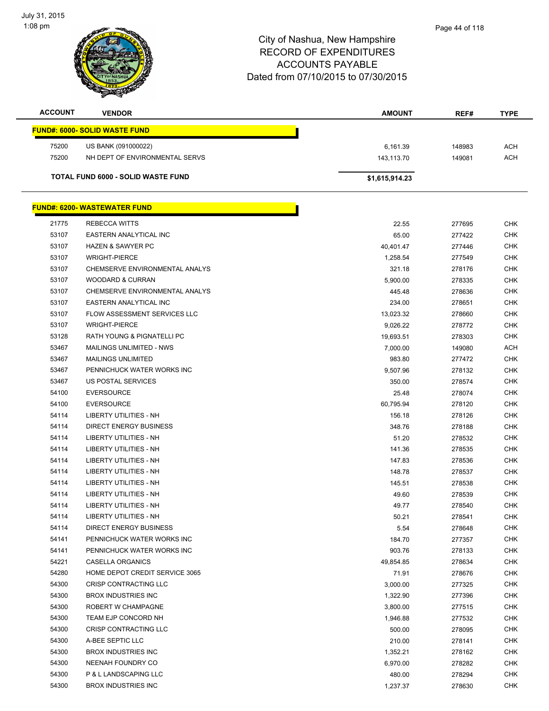

| <b>ACCOUNT</b> | <b>VENDOR</b>                        | <b>AMOUNT</b>  | REF#   | <b>TYPE</b> |
|----------------|--------------------------------------|----------------|--------|-------------|
|                | <b>FUND#: 6000- SOLID WASTE FUND</b> |                |        |             |
| 75200          | US BANK (091000022)                  | 6,161.39       | 148983 | ACH         |
| 75200          | NH DEPT OF ENVIRONMENTAL SERVS       | 143,113.70     | 149081 | ACH         |
|                | TOTAL FUND 6000 - SOLID WASTE FUND   | \$1,615,914.23 |        |             |
|                |                                      |                |        |             |
|                | <b>FUND#: 6200- WASTEWATER FUND</b>  |                |        |             |
| 21775          | <b>REBECCA WITTS</b>                 | 22.55          | 277695 | <b>CHK</b>  |
| 53107          | EASTERN ANALYTICAL INC               | 65.00          | 277422 | <b>CHK</b>  |
| 53107          | <b>HAZEN &amp; SAWYER PC</b>         | 40,401.47      | 277446 | <b>CHK</b>  |
| 53107          | <b>WRIGHT-PIERCE</b>                 | 1,258.54       | 277549 | <b>CHK</b>  |
| 53107          | CHEMSERVE ENVIRONMENTAL ANALYS       | 321.18         | 278176 | <b>CHK</b>  |
| 53107          | <b>WOODARD &amp; CURRAN</b>          | 5,900.00       | 278335 | <b>CHK</b>  |
| 53107          | CHEMSERVE ENVIRONMENTAL ANALYS       | 445.48         | 278636 | <b>CHK</b>  |
| 53107          | EASTERN ANALYTICAL INC               | 234.00         | 278651 | <b>CHK</b>  |
| 53107          | FLOW ASSESSMENT SERVICES LLC         | 13,023.32      | 278660 | <b>CHK</b>  |
| 53107          | <b>WRIGHT-PIERCE</b>                 | 9,026.22       | 278772 | <b>CHK</b>  |
| 53128          | RATH YOUNG & PIGNATELLI PC           | 19,693.51      | 278303 | <b>CHK</b>  |
| 53467          | MAILINGS UNLIMITED - NWS             | 7,000.00       | 149080 | <b>ACH</b>  |
| 53467          | <b>MAILINGS UNLIMITED</b>            | 983.80         | 277472 | <b>CHK</b>  |
| 53467          | PENNICHUCK WATER WORKS INC           | 9,507.96       | 278132 | <b>CHK</b>  |
| 53467          | US POSTAL SERVICES                   | 350.00         | 278574 | <b>CHK</b>  |
| 54100          | <b>EVERSOURCE</b>                    | 25.48          | 278074 | <b>CHK</b>  |
| 54100          | <b>EVERSOURCE</b>                    | 60,795.94      | 278120 | <b>CHK</b>  |
| 54114          | LIBERTY UTILITIES - NH               | 156.18         | 278126 | <b>CHK</b>  |
| 54114          | DIRECT ENERGY BUSINESS               | 348.76         | 278188 | <b>CHK</b>  |
| 54114          | LIBERTY UTILITIES - NH               | 51.20          | 278532 | <b>CHK</b>  |
| 54114          | <b>LIBERTY UTILITIES - NH</b>        | 141.36         | 278535 | <b>CHK</b>  |
| 54114          | <b>LIBERTY UTILITIES - NH</b>        | 147.83         | 278536 | <b>CHK</b>  |
| 54114          | LIBERTY UTILITIES - NH               | 148.78         | 278537 | <b>CHK</b>  |
| 54114          | LIBERTY UTILITIES - NH               | 145.51         | 278538 | <b>CHK</b>  |
| 54114          | LIBERTY UTILITIES - NH               | 49.60          | 278539 | <b>CHK</b>  |
| 54114          | <b>LIBERTY UTILITIES - NH</b>        | 49.77          | 278540 | <b>CHK</b>  |
| 54114          | LIBERTY UTILITIES - NH               | 50.21          | 278541 | <b>CHK</b>  |
| 54114          | <b>DIRECT ENERGY BUSINESS</b>        | 5.54           | 278648 | <b>CHK</b>  |
| 54141          | PENNICHUCK WATER WORKS INC           | 184.70         | 277357 | <b>CHK</b>  |
| 54141          | PENNICHUCK WATER WORKS INC           | 903.76         | 278133 | <b>CHK</b>  |
| 54221          | <b>CASELLA ORGANICS</b>              | 49,854.85      | 278634 | <b>CHK</b>  |
| 54280          | HOME DEPOT CREDIT SERVICE 3065       | 71.91          | 278676 | <b>CHK</b>  |
| 54300          | CRISP CONTRACTING LLC                | 3,000.00       | 277325 | <b>CHK</b>  |
| 54300          | <b>BROX INDUSTRIES INC</b>           | 1,322.90       | 277396 | <b>CHK</b>  |
| 54300          | ROBERT W CHAMPAGNE                   | 3,800.00       | 277515 | <b>CHK</b>  |
| 54300          | TEAM EJP CONCORD NH                  | 1,946.88       | 277532 | <b>CHK</b>  |
| 54300          | CRISP CONTRACTING LLC                | 500.00         | 278095 | <b>CHK</b>  |
| 54300          | A-BEE SEPTIC LLC                     | 210.00         | 278141 | <b>CHK</b>  |
| 54300          | <b>BROX INDUSTRIES INC</b>           | 1,352.21       | 278162 | <b>CHK</b>  |
| 54300          | NEENAH FOUNDRY CO                    | 6,970.00       | 278282 | <b>CHK</b>  |
| 54300          | P & L LANDSCAPING LLC                | 480.00         | 278294 | <b>CHK</b>  |
| 54300          | <b>BROX INDUSTRIES INC</b>           | 1,237.37       | 278630 | <b>CHK</b>  |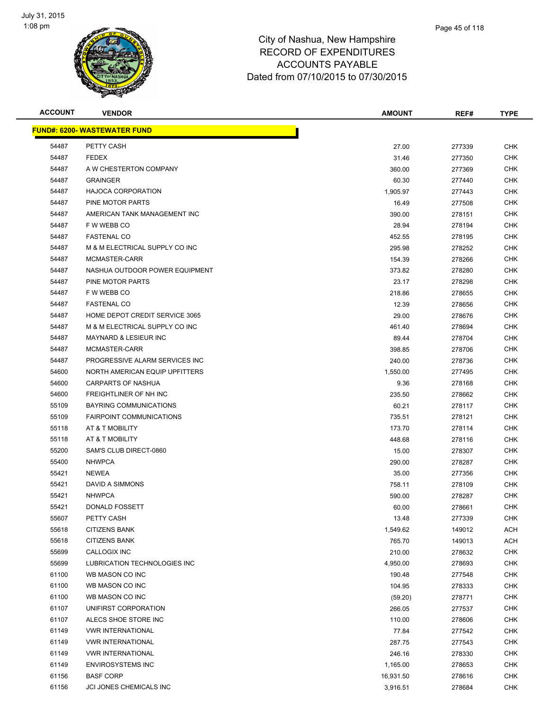

**FUND#: 6200- WASTEWATER FUND**

| ACCOUNT | <b>VENDOR</b>                       | <b>AMOUNT</b> | REF#   | <b>TYPE</b> |
|---------|-------------------------------------|---------------|--------|-------------|
|         | <u> IND#: 6200- WASTEWATER FUND</u> |               |        |             |
| 54487   | PETTY CASH                          | 27.00         | 277339 | <b>CHK</b>  |
| 54487   | <b>FEDEX</b>                        | 31.46         | 277350 | <b>CHK</b>  |
| 54487   | A W CHESTERTON COMPANY              | 360.00        | 277369 | <b>CHK</b>  |
| 54487   | <b>GRAINGER</b>                     | 60.30         | 277440 | <b>CHK</b>  |
| 54487   | <b>HAJOCA CORPORATION</b>           | 1,905.97      | 277443 | <b>CHK</b>  |
| 54487   | PINE MOTOR PARTS                    | 16.49         | 277508 | <b>CHK</b>  |
| 54487   | AMERICAN TANK MANAGEMENT INC        | 390.00        | 278151 | <b>CHK</b>  |
| 54487   | F W WEBB CO                         | 28.94         | 278194 | <b>CHK</b>  |
| 54487   | <b>FASTENAL CO</b>                  | 452.55        | 278195 | <b>CHK</b>  |
| 54487   | M & M ELECTRICAL SUPPLY CO INC      | 295.98        | 278252 | <b>CHK</b>  |
| 54487   | MCMASTER-CARR                       | 154.39        | 278266 | <b>CHK</b>  |
| 54487   | NASHUA OUTDOOR POWER EQUIPMENT      | 373.82        | 278280 | <b>CHK</b>  |
| 54487   | PINE MOTOR PARTS                    | 23.17         | 278298 | <b>CHK</b>  |
| 54487   | F W WEBB CO                         | 218.86        | 278655 | <b>CHK</b>  |
| 54487   | <b>FASTENAL CO</b>                  | 12.39         | 278656 | <b>CHK</b>  |
| 54487   | HOME DEPOT CREDIT SERVICE 3065      | 29.00         | 278676 | <b>CHK</b>  |
| 54487   | M & M ELECTRICAL SUPPLY CO INC      | 461.40        | 278694 | <b>CHK</b>  |
| 54487   | <b>MAYNARD &amp; LESIEUR INC</b>    | 89.44         | 278704 | <b>CHK</b>  |
| 54487   | MCMASTER-CARR                       | 398.85        | 278706 | <b>CHK</b>  |
| 54487   | PROGRESSIVE ALARM SERVICES INC      | 240.00        | 278736 | <b>CHK</b>  |
| 54600   | NORTH AMERICAN EQUIP UPFITTERS      | 1,550.00      | 277495 | <b>CHK</b>  |
| 54600   | <b>CARPARTS OF NASHUA</b>           | 9.36          | 278168 | <b>CHK</b>  |
| 54600   | FREIGHTLINER OF NH INC              | 235.50        | 278662 | <b>CHK</b>  |
| 55109   | BAYRING COMMUNICATIONS              | 60.21         | 278117 | <b>CHK</b>  |
| 55109   | <b>FAIRPOINT COMMUNICATIONS</b>     | 735.51        | 278121 | <b>CHK</b>  |
| 55118   | AT & T MOBILITY                     | 173.70        | 278114 | <b>CHK</b>  |
| 55118   | AT & T MOBILITY                     | 448.68        | 278116 | <b>CHK</b>  |
| 55200   | SAM'S CLUB DIRECT-0860              | 15.00         | 278307 | <b>CHK</b>  |
| 55400   | <b>NHWPCA</b>                       | 290.00        | 278287 | <b>CHK</b>  |
| 55421   | <b>NEWEA</b>                        | 35.00         | 277356 | <b>CHK</b>  |

| 54487 | M & M ELECTRICAL SUPPLY CO INC  | 461.40    | 278694 | CHK        |
|-------|---------------------------------|-----------|--------|------------|
| 54487 | MAYNARD & LESIEUR INC           | 89.44     | 278704 | <b>CHK</b> |
| 54487 | MCMASTER-CARR                   | 398.85    | 278706 | <b>CHK</b> |
| 54487 | PROGRESSIVE ALARM SERVICES INC  | 240.00    | 278736 | <b>CHK</b> |
| 54600 | NORTH AMERICAN EQUIP UPFITTERS  | 1,550.00  | 277495 | <b>CHK</b> |
| 54600 | CARPARTS OF NASHUA              | 9.36      | 278168 | CHK        |
| 54600 | FREIGHTLINER OF NH INC          | 235.50    | 278662 | <b>CHK</b> |
| 55109 | BAYRING COMMUNICATIONS          | 60.21     | 278117 | <b>CHK</b> |
| 55109 | <b>FAIRPOINT COMMUNICATIONS</b> | 735.51    | 278121 | <b>CHK</b> |
| 55118 | AT & T MOBILITY                 | 173.70    | 278114 | <b>CHK</b> |
| 55118 | AT & T MOBILITY                 | 448.68    | 278116 | <b>CHK</b> |
| 55200 | SAM'S CLUB DIRECT-0860          | 15.00     | 278307 | <b>CHK</b> |
| 55400 | <b>NHWPCA</b>                   | 290.00    | 278287 | <b>CHK</b> |
| 55421 | <b>NEWEA</b>                    | 35.00     | 277356 | <b>CHK</b> |
| 55421 | DAVID A SIMMONS                 | 758.11    | 278109 | <b>CHK</b> |
| 55421 | <b>NHWPCA</b>                   | 590.00    | 278287 | <b>CHK</b> |
| 55421 | DONALD FOSSETT                  | 60.00     | 278661 | <b>CHK</b> |
| 55607 | PETTY CASH                      | 13.48     | 277339 | <b>CHK</b> |
| 55618 | <b>CITIZENS BANK</b>            | 1,549.62  | 149012 | <b>ACH</b> |
| 55618 | <b>CITIZENS BANK</b>            | 765.70    | 149013 | ACH        |
| 55699 | CALLOGIX INC                    | 210.00    | 278632 | <b>CHK</b> |
| 55699 | LUBRICATION TECHNOLOGIES INC    | 4,950.00  | 278693 | <b>CHK</b> |
| 61100 | WB MASON CO INC                 | 190.48    | 277548 | <b>CHK</b> |
| 61100 | WB MASON CO INC                 | 104.95    | 278333 | <b>CHK</b> |
| 61100 | WB MASON CO INC                 | (59.20)   | 278771 | <b>CHK</b> |
| 61107 | UNIFIRST CORPORATION            | 266.05    | 277537 | <b>CHK</b> |
| 61107 | ALECS SHOE STORE INC            | 110.00    | 278606 | CHK        |
| 61149 | <b>VWR INTERNATIONAL</b>        | 77.84     | 277542 | <b>CHK</b> |
| 61149 | <b>VWR INTERNATIONAL</b>        | 287.75    | 277543 | <b>CHK</b> |
| 61149 | <b>VWR INTERNATIONAL</b>        | 246.16    | 278330 | <b>CHK</b> |
| 61149 | <b>ENVIROSYSTEMS INC</b>        | 1,165.00  | 278653 | <b>CHK</b> |
| 61156 | <b>BASF CORP</b>                | 16,931.50 | 278616 | <b>CHK</b> |
| 61156 | JCI JONES CHEMICALS INC         | 3,916.51  | 278684 | <b>CHK</b> |
|       |                                 |           |        |            |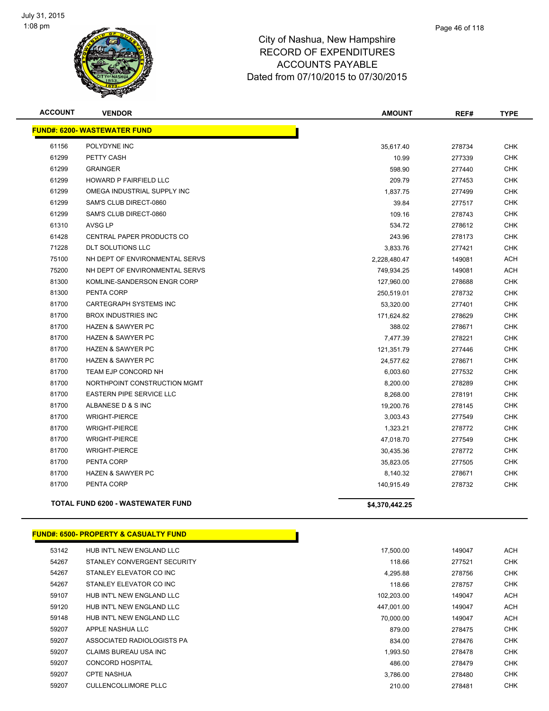

| <b>ACCOUNT</b> | <b>VENDOR</b>                            | <b>AMOUNT</b>  | REF#   | <b>TYPE</b> |
|----------------|------------------------------------------|----------------|--------|-------------|
|                | <b>FUND#: 6200- WASTEWATER FUND</b>      |                |        |             |
| 61156          | POLYDYNE INC                             | 35,617.40      | 278734 | <b>CHK</b>  |
| 61299          | PETTY CASH                               | 10.99          | 277339 | <b>CHK</b>  |
| 61299          | <b>GRAINGER</b>                          | 598.90         | 277440 | <b>CHK</b>  |
| 61299          | HOWARD P FAIRFIELD LLC                   | 209.79         | 277453 | <b>CHK</b>  |
| 61299          | OMEGA INDUSTRIAL SUPPLY INC              | 1,837.75       | 277499 | <b>CHK</b>  |
| 61299          | SAM'S CLUB DIRECT-0860                   | 39.84          | 277517 | <b>CHK</b>  |
| 61299          | SAM'S CLUB DIRECT-0860                   | 109.16         | 278743 | <b>CHK</b>  |
| 61310          | AVSG LP                                  | 534.72         | 278612 | <b>CHK</b>  |
| 61428          | CENTRAL PAPER PRODUCTS CO                | 243.96         | 278173 | <b>CHK</b>  |
| 71228          | <b>DLT SOLUTIONS LLC</b>                 | 3,833.76       | 277421 | <b>CHK</b>  |
| 75100          | NH DEPT OF ENVIRONMENTAL SERVS           | 2,228,480.47   | 149081 | <b>ACH</b>  |
| 75200          | NH DEPT OF ENVIRONMENTAL SERVS           | 749,934.25     | 149081 | ACH         |
| 81300          | KOMLINE-SANDERSON ENGR CORP              | 127,960.00     | 278688 | CHK         |
| 81300          | PENTA CORP                               | 250,519.01     | 278732 | <b>CHK</b>  |
| 81700          | <b>CARTEGRAPH SYSTEMS INC</b>            | 53,320.00      | 277401 | <b>CHK</b>  |
| 81700          | <b>BROX INDUSTRIES INC</b>               | 171,624.82     | 278629 | <b>CHK</b>  |
| 81700          | <b>HAZEN &amp; SAWYER PC</b>             | 388.02         | 278671 | <b>CHK</b>  |
| 81700          | <b>HAZEN &amp; SAWYER PC</b>             | 7,477.39       | 278221 | <b>CHK</b>  |
| 81700          | <b>HAZEN &amp; SAWYER PC</b>             | 121,351.79     | 277446 | <b>CHK</b>  |
| 81700          | <b>HAZEN &amp; SAWYER PC</b>             | 24,577.62      | 278671 | <b>CHK</b>  |
| 81700          | TEAM EJP CONCORD NH                      | 6,003.60       | 277532 | <b>CHK</b>  |
| 81700          | NORTHPOINT CONSTRUCTION MGMT             | 8,200.00       | 278289 | <b>CHK</b>  |
| 81700          | <b>EASTERN PIPE SERVICE LLC</b>          | 8,268.00       | 278191 | <b>CHK</b>  |
| 81700          | ALBANESE D & S INC                       | 19,200.76      | 278145 | <b>CHK</b>  |
| 81700          | <b>WRIGHT-PIERCE</b>                     | 3,003.43       | 277549 | CHK         |
| 81700          | <b>WRIGHT-PIERCE</b>                     | 1,323.21       | 278772 | <b>CHK</b>  |
| 81700          | <b>WRIGHT-PIERCE</b>                     | 47,018.70      | 277549 | <b>CHK</b>  |
| 81700          | <b>WRIGHT-PIERCE</b>                     | 30,435.36      | 278772 | <b>CHK</b>  |
| 81700          | PENTA CORP                               | 35,823.05      | 277505 | <b>CHK</b>  |
| 81700          | <b>HAZEN &amp; SAWYER PC</b>             | 8,140.32       | 278671 | <b>CHK</b>  |
| 81700          | PENTA CORP                               | 140,915.49     | 278732 | <b>CHK</b>  |
|                | <b>TOTAL FUND 6200 - WASTEWATER FUND</b> | \$4,370,442.25 |        |             |

#### **FUND#: 6500- PROPERTY & CASUALTY FUND**

| 53142 | HUB INT'L NEW ENGLAND LLC   | 17,500.00  | 149047 | <b>ACH</b> |
|-------|-----------------------------|------------|--------|------------|
| 54267 | STANLEY CONVERGENT SECURITY | 118.66     | 277521 | <b>CHK</b> |
| 54267 | STANLEY ELEVATOR CO INC     | 4,295.88   | 278756 | <b>CHK</b> |
| 54267 | STANLEY ELEVATOR CO INC     | 118.66     | 278757 | CHK        |
| 59107 | HUB INT'L NEW ENGLAND LLC   | 102.203.00 | 149047 | <b>ACH</b> |
| 59120 | HUB INT'L NEW ENGLAND LLC   | 447.001.00 | 149047 | <b>ACH</b> |
| 59148 | HUB INT'L NEW ENGLAND LLC   | 70.000.00  | 149047 | <b>ACH</b> |
| 59207 | APPLE NASHUA LLC            | 879.00     | 278475 | CHK        |
| 59207 | ASSOCIATED RADIOLOGISTS PA  | 834.00     | 278476 | CHK        |
| 59207 | CLAIMS BUREAU USA INC       | 1.993.50   | 278478 | CHK        |
| 59207 | <b>CONCORD HOSPITAL</b>     | 486.00     | 278479 | CHK        |
| 59207 | <b>CPTE NASHUA</b>          | 3.786.00   | 278480 | CHK        |
| 59207 | CULLENCOLLIMORE PLLC        | 210.00     | 278481 | CHK        |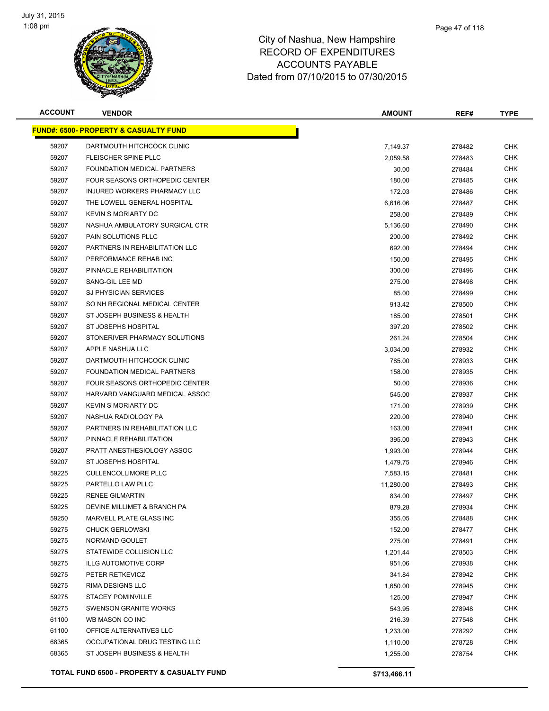

| <b>ACCOUNT</b> | <b>VENDOR</b>                                    | <b>AMOUNT</b> | REF#   | <b>TYPE</b> |
|----------------|--------------------------------------------------|---------------|--------|-------------|
|                | <b>FUND#: 6500- PROPERTY &amp; CASUALTY FUND</b> |               |        |             |
| 59207          | DARTMOUTH HITCHCOCK CLINIC                       | 7,149.37      | 278482 | <b>CHK</b>  |
| 59207          | <b>FLEISCHER SPINE PLLC</b>                      | 2,059.58      | 278483 | <b>CHK</b>  |
| 59207          | FOUNDATION MEDICAL PARTNERS                      | 30.00         | 278484 | CHK         |
| 59207          | FOUR SEASONS ORTHOPEDIC CENTER                   | 180.00        | 278485 | <b>CHK</b>  |
| 59207          | INJURED WORKERS PHARMACY LLC                     | 172.03        | 278486 | CHK         |
| 59207          | THE LOWELL GENERAL HOSPITAL                      | 6,616.06      | 278487 | <b>CHK</b>  |
| 59207          | <b>KEVIN S MORIARTY DC</b>                       | 258.00        | 278489 | <b>CHK</b>  |
| 59207          | NASHUA AMBULATORY SURGICAL CTR                   | 5,136.60      | 278490 | <b>CHK</b>  |
| 59207          | <b>PAIN SOLUTIONS PLLC</b>                       | 200.00        | 278492 | <b>CHK</b>  |
| 59207          | PARTNERS IN REHABILITATION LLC                   | 692.00        | 278494 | CHK         |
| 59207          | PERFORMANCE REHAB INC                            | 150.00        | 278495 | CHK         |
| 59207          | PINNACLE REHABILITATION                          | 300.00        | 278496 | CHK         |
| 59207          | SANG-GIL LEE MD                                  | 275.00        | 278498 | CHK         |
| 59207          | <b>SJ PHYSICIAN SERVICES</b>                     | 85.00         | 278499 | CHK         |
| 59207          | SO NH REGIONAL MEDICAL CENTER                    | 913.42        | 278500 | <b>CHK</b>  |
| 59207          | ST JOSEPH BUSINESS & HEALTH                      | 185.00        | 278501 | <b>CHK</b>  |
| 59207          | ST JOSEPHS HOSPITAL                              | 397.20        | 278502 | <b>CHK</b>  |
| 59207          | STONERIVER PHARMACY SOLUTIONS                    | 261.24        | 278504 | <b>CHK</b>  |
| 59207          | APPLE NASHUA LLC                                 | 3,034.00      | 278932 | <b>CHK</b>  |
| 59207          | DARTMOUTH HITCHCOCK CLINIC                       | 785.00        | 278933 | <b>CHK</b>  |
| 59207          | FOUNDATION MEDICAL PARTNERS                      | 158.00        | 278935 | <b>CHK</b>  |
| 59207          | FOUR SEASONS ORTHOPEDIC CENTER                   | 50.00         | 278936 | <b>CHK</b>  |
| 59207          | HARVARD VANGUARD MEDICAL ASSOC                   | 545.00        | 278937 | <b>CHK</b>  |
| 59207          | <b>KEVIN S MORIARTY DC</b>                       | 171.00        | 278939 | <b>CHK</b>  |
| 59207          | NASHUA RADIOLOGY PA                              | 220.00        | 278940 | CHK         |
| 59207          | PARTNERS IN REHABILITATION LLC                   | 163.00        | 278941 | <b>CHK</b>  |
| 59207          | PINNACLE REHABILITATION                          | 395.00        | 278943 | <b>CHK</b>  |
| 59207          | PRATT ANESTHESIOLOGY ASSOC                       | 1,993.00      | 278944 | <b>CHK</b>  |
| 59207          | ST JOSEPHS HOSPITAL                              | 1,479.75      | 278946 | <b>CHK</b>  |
| 59225          | <b>CULLENCOLLIMORE PLLC</b>                      | 7,583.15      | 278481 | CHK         |
| 59225          | PARTELLO LAW PLLC                                | 11,280.00     | 278493 | CHK         |
| 59225          | <b>RENEE GILMARTIN</b>                           | 834.00        | 278497 | CHK         |
| 59225          | DEVINE MILLIMET & BRANCH PA                      | 879.28        | 278934 | <b>CHK</b>  |
| 59250          | MARVELL PLATE GLASS INC                          | 355.05        | 278488 | <b>CHK</b>  |
| 59275          | <b>CHUCK GERLOWSKI</b>                           | 152.00        | 278477 | <b>CHK</b>  |
| 59275          | NORMAND GOULET                                   | 275.00        | 278491 | <b>CHK</b>  |
| 59275          | STATEWIDE COLLISION LLC                          | 1,201.44      | 278503 | <b>CHK</b>  |
| 59275          | <b>ILLG AUTOMOTIVE CORP</b>                      | 951.06        | 278938 | <b>CHK</b>  |
| 59275          | PETER RETKEVICZ                                  | 341.84        | 278942 | <b>CHK</b>  |
| 59275          | <b>RIMA DESIGNS LLC</b>                          | 1,650.00      | 278945 | <b>CHK</b>  |
| 59275          | <b>STACEY POMINVILLE</b>                         | 125.00        | 278947 | <b>CHK</b>  |
| 59275          | <b>SWENSON GRANITE WORKS</b>                     | 543.95        | 278948 | <b>CHK</b>  |
| 61100          | WB MASON CO INC                                  | 216.39        | 277548 | <b>CHK</b>  |
| 61100          | OFFICE ALTERNATIVES LLC                          | 1,233.00      | 278292 | <b>CHK</b>  |
| 68365          | OCCUPATIONAL DRUG TESTING LLC                    | 1,110.00      | 278728 | <b>CHK</b>  |
| 68365          | ST JOSEPH BUSINESS & HEALTH                      | 1,255.00      | 278754 | CHK         |
|                |                                                  |               |        |             |
|                | TOTAL FUND 6500 - PROPERTY & CASUALTY FUND       | \$713,466.11  |        |             |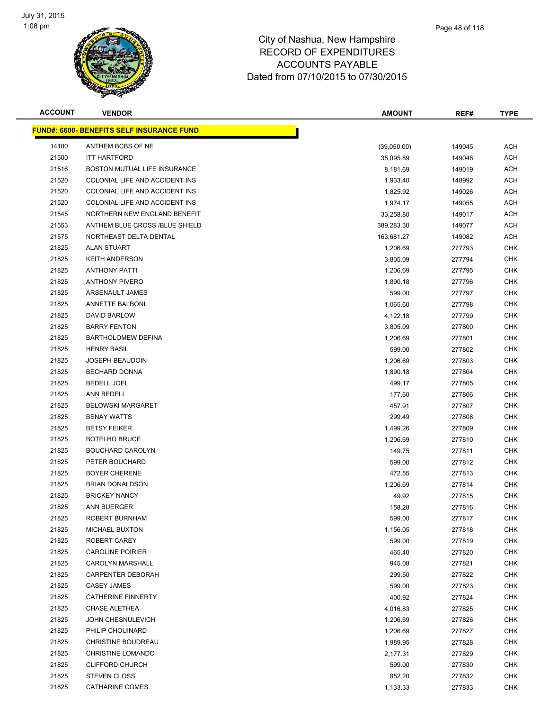

| <b>ACCOUNT</b> | <b>VENDOR</b>                                    | <b>AMOUNT</b> | REF#   | <b>TYPE</b> |
|----------------|--------------------------------------------------|---------------|--------|-------------|
|                | <u>FUND#: 6600- BENEFITS SELF INSURANCE FUND</u> |               |        |             |
| 14100          | ANTHEM BCBS OF NE                                | (39,050.00)   | 149045 | <b>ACH</b>  |
| 21500          | <b>ITT HARTFORD</b>                              | 35,095.89     | 149048 | <b>ACH</b>  |
| 21516          | BOSTON MUTUAL LIFE INSURANCE                     | 8,181.69      | 149019 | <b>ACH</b>  |
| 21520          | COLONIAL LIFE AND ACCIDENT INS                   | 1,933.40      | 148992 | ACH         |
| 21520          | COLONIAL LIFE AND ACCIDENT INS                   | 1,825.92      | 149026 | ACH         |
| 21520          | COLONIAL LIFE AND ACCIDENT INS                   | 1,974.17      | 149055 | <b>ACH</b>  |
| 21545          | NORTHERN NEW ENGLAND BENEFIT                     | 33,258.80     | 149017 | ACH         |
| 21553          | ANTHEM BLUE CROSS /BLUE SHIELD                   | 389,283.30    | 149077 | ACH         |
| 21575          | NORTHEAST DELTA DENTAL                           | 163,681.27    | 149082 | <b>ACH</b>  |
| 21825          | <b>ALAN STUART</b>                               | 1,206.69      | 277793 | <b>CHK</b>  |
| 21825          | <b>KEITH ANDERSON</b>                            | 3,805.09      | 277794 | CHK         |
| 21825          | <b>ANTHONY PATTI</b>                             | 1,206.69      | 277795 | <b>CHK</b>  |
| 21825          | <b>ANTHONY PIVERO</b>                            | 1,890.18      | 277796 | <b>CHK</b>  |
| 21825          | ARSENAULT JAMES                                  | 599.00        | 277797 | <b>CHK</b>  |
| 21825          | <b>ANNETTE BALBONI</b>                           | 1,065.60      | 277798 | <b>CHK</b>  |
| 21825          | <b>DAVID BARLOW</b>                              | 4,122.18      | 277799 | <b>CHK</b>  |
| 21825          | <b>BARRY FENTON</b>                              | 3,805.09      | 277800 | <b>CHK</b>  |
| 21825          | <b>BARTHOLOMEW DEFINA</b>                        | 1,206.69      | 277801 | <b>CHK</b>  |
| 21825          | <b>HENRY BASIL</b>                               | 599.00        | 277802 | <b>CHK</b>  |
| 21825          | <b>JOSEPH BEAUDOIN</b>                           | 1,206.69      | 277803 | <b>CHK</b>  |
| 21825          | <b>BECHARD DONNA</b>                             | 1,890.18      | 277804 | <b>CHK</b>  |
| 21825          | <b>BEDELL JOEL</b>                               | 499.17        | 277805 | CHK         |
| 21825          | ANN BEDELL                                       | 177.60        | 277806 | <b>CHK</b>  |
| 21825          | <b>BELOWSKI MARGARET</b>                         | 457.91        | 277807 | <b>CHK</b>  |
| 21825          | <b>BENAY WATTS</b>                               | 299.49        | 277808 | <b>CHK</b>  |
| 21825          | <b>BETSY FEIKER</b>                              | 1,499.26      | 277809 | <b>CHK</b>  |
| 21825          | <b>BOTELHO BRUCE</b>                             | 1,206.69      | 277810 | <b>CHK</b>  |
| 21825          | <b>BOUCHARD CAROLYN</b>                          | 149.75        | 277811 | <b>CHK</b>  |
| 21825          | PETER BOUCHARD                                   | 599.00        | 277812 | CHK         |
| 21825          | <b>BOYER CHERENE</b>                             | 472.55        | 277813 | CHK         |
| 21825          | <b>BRIAN DONALDSON</b>                           | 1,206.69      | 277814 | <b>CHK</b>  |
| 21825          | <b>BRICKEY NANCY</b>                             | 49.92         | 277815 | CHK         |
| 21825          | <b>ANN BUERGER</b>                               | 158.28        | 277816 | <b>CHK</b>  |
| 21825          | ROBERT BURNHAM                                   | 599.00        | 277817 | <b>CHK</b>  |
| 21825          | <b>MICHAEL BUXTON</b>                            | 1,156.05      | 277818 | <b>CHK</b>  |
| 21825          | ROBERT CAREY                                     | 599.00        | 277819 | <b>CHK</b>  |
| 21825          | <b>CAROLINE POIRIER</b>                          | 465.40        | 277820 | <b>CHK</b>  |
| 21825          | <b>CAROLYN MARSHALL</b>                          | 945.08        | 277821 | <b>CHK</b>  |
| 21825          | CARPENTER DEBORAH                                | 299.50        | 277822 | <b>CHK</b>  |
| 21825          | <b>CASEY JAMES</b>                               | 599.00        | 277823 | <b>CHK</b>  |
| 21825          | <b>CATHERINE FINNERTY</b>                        | 400.92        | 277824 | <b>CHK</b>  |
| 21825          | CHASE ALETHEA                                    | 4,016.83      | 277825 | <b>CHK</b>  |
| 21825          | <b>JOHN CHESNULEVICH</b>                         | 1,206.69      | 277826 | <b>CHK</b>  |
| 21825          | PHILIP CHOUINARD                                 | 1,206.69      | 277827 | <b>CHK</b>  |
| 21825          | CHRISTINE BOUDREAU                               | 1,989.95      | 277828 | CHK         |
| 21825          | <b>CHRISTINE LOMANDO</b>                         | 2,177.31      | 277829 | <b>CHK</b>  |
| 21825          | <b>CLIFFORD CHURCH</b>                           | 599.00        | 277830 | <b>CHK</b>  |
| 21825          | <b>STEVEN CLOSS</b>                              | 852.20        | 277832 | <b>CHK</b>  |
| 21825          | <b>CATHARINE COMES</b>                           | 1,133.33      | 277833 | <b>CHK</b>  |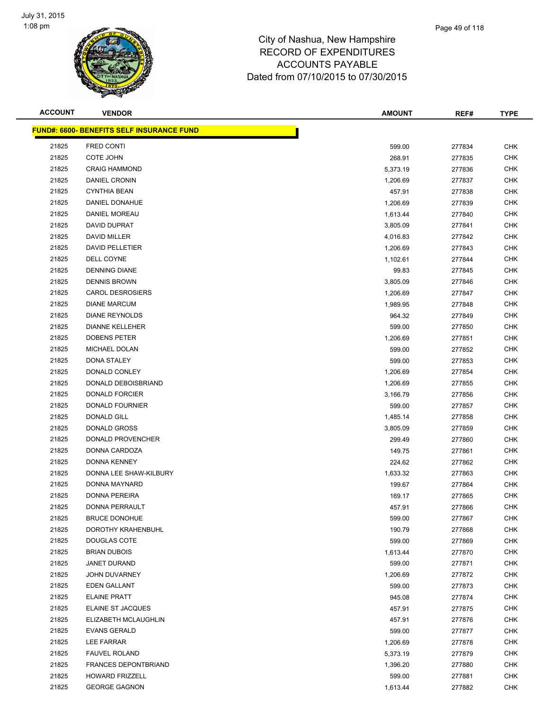

| <b>ACCOUNT</b> | <b>VENDOR</b>                                     | <b>AMOUNT</b> | REF#   | <b>TYPE</b> |
|----------------|---------------------------------------------------|---------------|--------|-------------|
|                | <u> FUND#: 6600- BENEFITS SELF INSURANCE FUND</u> |               |        |             |
| 21825          | <b>FRED CONTI</b>                                 | 599.00        | 277834 | <b>CHK</b>  |
| 21825          | COTE JOHN                                         | 268.91        | 277835 | <b>CHK</b>  |
| 21825          | <b>CRAIG HAMMOND</b>                              | 5,373.19      | 277836 | <b>CHK</b>  |
| 21825          | DANIEL CRONIN                                     | 1,206.69      | 277837 | <b>CHK</b>  |
| 21825          | <b>CYNTHIA BEAN</b>                               | 457.91        | 277838 | <b>CHK</b>  |
| 21825          | DANIEL DONAHUE                                    | 1,206.69      | 277839 | <b>CHK</b>  |
| 21825          | DANIEL MOREAU                                     | 1,613.44      | 277840 | <b>CHK</b>  |
| 21825          | <b>DAVID DUPRAT</b>                               | 3,805.09      | 277841 | <b>CHK</b>  |
| 21825          | <b>DAVID MILLER</b>                               | 4,016.83      | 277842 | <b>CHK</b>  |
| 21825          | DAVID PELLETIER                                   | 1,206.69      | 277843 | <b>CHK</b>  |
| 21825          | DELL COYNE                                        | 1,102.61      | 277844 | <b>CHK</b>  |
| 21825          | <b>DENNING DIANE</b>                              | 99.83         | 277845 | <b>CHK</b>  |
| 21825          | <b>DENNIS BROWN</b>                               | 3,805.09      | 277846 | <b>CHK</b>  |
| 21825          | <b>CAROL DESROSIERS</b>                           | 1,206.69      | 277847 | <b>CHK</b>  |
| 21825          | <b>DIANE MARCUM</b>                               | 1,989.95      | 277848 | <b>CHK</b>  |
| 21825          | <b>DIANE REYNOLDS</b>                             | 964.32        | 277849 | <b>CHK</b>  |
| 21825          | <b>DIANNE KELLEHER</b>                            | 599.00        | 277850 | <b>CHK</b>  |
| 21825          | <b>DOBENS PETER</b>                               | 1,206.69      | 277851 | <b>CHK</b>  |
| 21825          | MICHAEL DOLAN                                     | 599.00        | 277852 | <b>CHK</b>  |
| 21825          | <b>DONA STALEY</b>                                | 599.00        | 277853 | <b>CHK</b>  |
| 21825          | DONALD CONLEY                                     | 1,206.69      | 277854 | <b>CHK</b>  |
| 21825          | DONALD DEBOISBRIAND                               | 1,206.69      | 277855 | <b>CHK</b>  |
| 21825          | <b>DONALD FORCIER</b>                             | 3,166.79      | 277856 | <b>CHK</b>  |
| 21825          | DONALD FOURNIER                                   | 599.00        | 277857 | <b>CHK</b>  |
| 21825          | <b>DONALD GILL</b>                                | 1,485.14      | 277858 | <b>CHK</b>  |
| 21825          | DONALD GROSS                                      | 3,805.09      | 277859 | <b>CHK</b>  |
| 21825          | DONALD PROVENCHER                                 | 299.49        | 277860 | <b>CHK</b>  |
| 21825          | DONNA CARDOZA                                     | 149.75        | 277861 | <b>CHK</b>  |
| 21825          | DONNA KENNEY                                      | 224.62        | 277862 | <b>CHK</b>  |
| 21825          | DONNA LEE SHAW-KILBURY                            | 1,633.32      | 277863 | <b>CHK</b>  |
| 21825          | DONNA MAYNARD                                     | 199.67        | 277864 | <b>CHK</b>  |
| 21825          | DONNA PEREIRA                                     | 169.17        | 277865 | <b>CHK</b>  |
| 21825          | DONNA PERRAULT                                    | 457.91        | 277866 | <b>CHK</b>  |
| 21825          | <b>BRUCE DONOHUE</b>                              | 599.00        | 277867 | <b>CHK</b>  |
| 21825          | DOROTHY KRAHENBUHL                                | 190.79        | 277868 | <b>CHK</b>  |
| 21825          | <b>DOUGLAS COTE</b>                               | 599.00        | 277869 | <b>CHK</b>  |
| 21825          | <b>BRIAN DUBOIS</b>                               | 1,613.44      | 277870 | <b>CHK</b>  |
| 21825          | JANET DURAND                                      | 599.00        | 277871 | <b>CHK</b>  |
| 21825          | JOHN DUVARNEY                                     | 1,206.69      | 277872 | <b>CHK</b>  |
| 21825          | EDEN GALLANT                                      | 599.00        | 277873 | <b>CHK</b>  |
| 21825          | <b>ELAINE PRATT</b>                               | 945.08        | 277874 | <b>CHK</b>  |
| 21825          | <b>ELAINE ST JACQUES</b>                          | 457.91        | 277875 | <b>CHK</b>  |
| 21825          | ELIZABETH MCLAUGHLIN                              | 457.91        | 277876 | <b>CHK</b>  |
| 21825          | <b>EVANS GERALD</b>                               | 599.00        | 277877 | <b>CHK</b>  |
| 21825          | LEE FARRAR                                        | 1,206.69      | 277878 | <b>CHK</b>  |
| 21825          | <b>FAUVEL ROLAND</b>                              | 5,373.19      | 277879 | CHK         |
| 21825          | <b>FRANCES DEPONTBRIAND</b>                       | 1,396.20      | 277880 | <b>CHK</b>  |
| 21825          | <b>HOWARD FRIZZELL</b>                            | 599.00        | 277881 | <b>CHK</b>  |
| 21825          | <b>GEORGE GAGNON</b>                              | 1,613.44      | 277882 | <b>CHK</b>  |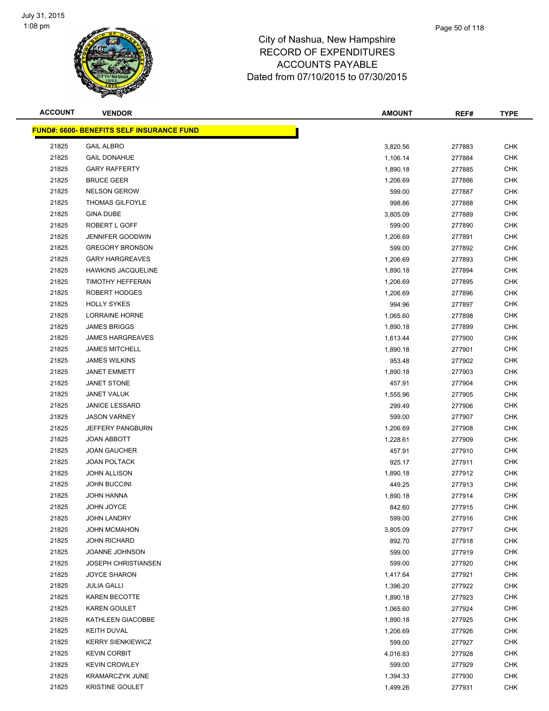

| <b>ACCOUNT</b> | <b>VENDOR</b>                                    | <b>AMOUNT</b> | REF#   | <b>TYPE</b> |
|----------------|--------------------------------------------------|---------------|--------|-------------|
|                | <b>FUND#: 6600- BENEFITS SELF INSURANCE FUND</b> |               |        |             |
| 21825          | <b>GAIL ALBRO</b>                                | 3,820.56      | 277883 | <b>CHK</b>  |
| 21825          | <b>GAIL DONAHUE</b>                              | 1,106.14      | 277884 | <b>CHK</b>  |
| 21825          | <b>GARY RAFFERTY</b>                             | 1,890.18      | 277885 | <b>CHK</b>  |
| 21825          | <b>BRUCE GEER</b>                                | 1,206.69      | 277886 | <b>CHK</b>  |
| 21825          | <b>NELSON GEROW</b>                              | 599.00        | 277887 | <b>CHK</b>  |
| 21825          | <b>THOMAS GILFOYLE</b>                           | 998.86        | 277888 | <b>CHK</b>  |
| 21825          | <b>GINA DUBE</b>                                 | 3,805.09      | 277889 | <b>CHK</b>  |
| 21825          | ROBERT L GOFF                                    | 599.00        | 277890 | <b>CHK</b>  |
| 21825          | <b>JENNIFER GOODWIN</b>                          | 1,206.69      | 277891 | <b>CHK</b>  |
| 21825          | <b>GREGORY BRONSON</b>                           | 599.00        | 277892 | CHK         |
| 21825          | <b>GARY HARGREAVES</b>                           | 1,206.69      | 277893 | <b>CHK</b>  |
| 21825          | <b>HAWKINS JACQUELINE</b>                        | 1,890.18      | 277894 | <b>CHK</b>  |
| 21825          | <b>TIMOTHY HEFFERAN</b>                          | 1,206.69      | 277895 | <b>CHK</b>  |
| 21825          | ROBERT HODGES                                    | 1,206.69      | 277896 | <b>CHK</b>  |
| 21825          | <b>HOLLY SYKES</b>                               | 994.96        | 277897 | <b>CHK</b>  |
| 21825          | <b>LORRAINE HORNE</b>                            | 1,065.60      | 277898 | <b>CHK</b>  |
| 21825          | <b>JAMES BRIGGS</b>                              | 1,890.18      | 277899 | <b>CHK</b>  |
| 21825          | <b>JAMES HARGREAVES</b>                          | 1,613.44      | 277900 | <b>CHK</b>  |
| 21825          | <b>JAMES MITCHELL</b>                            | 1,890.18      | 277901 | <b>CHK</b>  |
| 21825          | <b>JAMES WILKINS</b>                             | 953.48        | 277902 | <b>CHK</b>  |
| 21825          | <b>JANET EMMETT</b>                              | 1,890.18      | 277903 | <b>CHK</b>  |
| 21825          | <b>JANET STONE</b>                               | 457.91        | 277904 | <b>CHK</b>  |
| 21825          | <b>JANET VALUK</b>                               | 1,555.96      | 277905 | CHK         |
| 21825          | <b>JANICE LESSARD</b>                            | 299.49        | 277906 | <b>CHK</b>  |
| 21825          | <b>JASON VARNEY</b>                              | 599.00        | 277907 | <b>CHK</b>  |
| 21825          | JEFFERY PANGBURN                                 | 1,206.69      | 277908 | <b>CHK</b>  |
| 21825          | JOAN ABBOTT                                      | 1,228.61      | 277909 | <b>CHK</b>  |
| 21825          | <b>JOAN GAUCHER</b>                              | 457.91        | 277910 | <b>CHK</b>  |
| 21825          | <b>JOAN POLTACK</b>                              | 925.17        | 277911 | <b>CHK</b>  |
| 21825          | <b>JOHN ALLISON</b>                              | 1,890.18      | 277912 | <b>CHK</b>  |
| 21825          | <b>JOHN BUCCINI</b>                              | 449.25        | 277913 | <b>CHK</b>  |
| 21825          | <b>JOHN HANNA</b>                                | 1,890.18      | 277914 | <b>CHK</b>  |
| 21825          | <b>JOHN JOYCE</b>                                | 842.60        | 277915 | <b>CHK</b>  |
| 21825          | <b>JOHN LANDRY</b>                               | 599.00        | 277916 | <b>CHK</b>  |
| 21825          | <b>JOHN MCMAHON</b>                              | 3,805.09      | 277917 | <b>CHK</b>  |
| 21825          | <b>JOHN RICHARD</b>                              | 892.70        | 277918 | <b>CHK</b>  |
| 21825          | JOANNE JOHNSON                                   | 599.00        | 277919 | <b>CHK</b>  |
| 21825          | <b>JOSEPH CHRISTIANSEN</b>                       | 599.00        | 277920 | <b>CHK</b>  |
| 21825          | <b>JOYCE SHARON</b>                              | 1,417.64      | 277921 | <b>CHK</b>  |
| 21825          | <b>JULIA GALLI</b>                               | 1,396.20      | 277922 | CHK         |
| 21825          | <b>KAREN BECOTTE</b>                             | 1,890.18      | 277923 | <b>CHK</b>  |
| 21825          | KAREN GOULET                                     | 1,065.60      | 277924 | <b>CHK</b>  |
| 21825          | KATHLEEN GIACOBBE                                | 1,890.18      | 277925 | <b>CHK</b>  |
| 21825          | <b>KEITH DUVAL</b>                               | 1,206.69      | 277926 | <b>CHK</b>  |
| 21825          | <b>KERRY SIENKIEWICZ</b>                         | 599.00        | 277927 | CHK         |
| 21825          | <b>KEVIN CORBIT</b>                              | 4,016.83      | 277928 | CHK         |
| 21825          | <b>KEVIN CROWLEY</b>                             | 599.00        | 277929 | <b>CHK</b>  |
| 21825          | <b>KRAMARCZYK JUNE</b>                           | 1,394.33      | 277930 | <b>CHK</b>  |
| 21825          | KRISTINE GOULET                                  | 1,499.26      | 277931 | <b>CHK</b>  |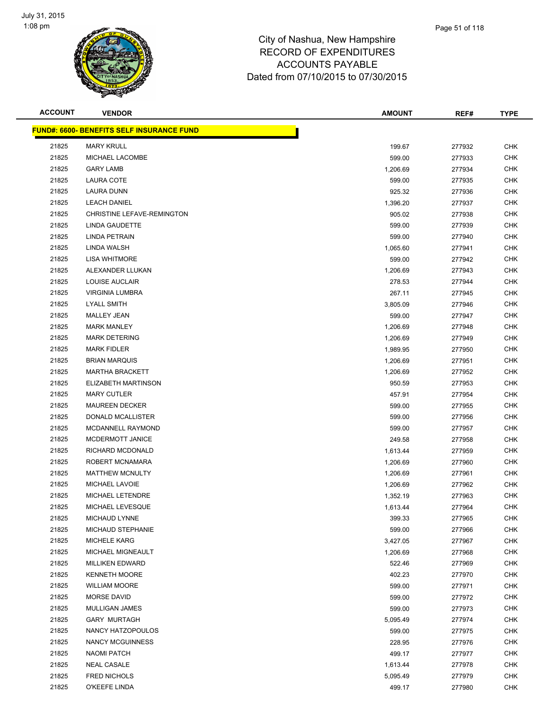

| <b>ACCOUNT</b> | <b>VENDOR</b>                             | <b>AMOUNT</b> | REF#   | <b>TYPE</b> |
|----------------|-------------------------------------------|---------------|--------|-------------|
|                | FUND#: 6600- BENEFITS SELF INSURANCE FUND |               |        |             |
| 21825          | <b>MARY KRULL</b>                         | 199.67        | 277932 | <b>CHK</b>  |
| 21825          | MICHAEL LACOMBE                           | 599.00        | 277933 | <b>CHK</b>  |
| 21825          | <b>GARY LAMB</b>                          | 1,206.69      | 277934 | <b>CHK</b>  |
| 21825          | LAURA COTE                                | 599.00        | 277935 | <b>CHK</b>  |
| 21825          | LAURA DUNN                                | 925.32        | 277936 | <b>CHK</b>  |
| 21825          | <b>LEACH DANIEL</b>                       | 1,396.20      | 277937 | <b>CHK</b>  |
| 21825          | CHRISTINE LEFAVE-REMINGTON                | 905.02        | 277938 | <b>CHK</b>  |
| 21825          | LINDA GAUDETTE                            | 599.00        | 277939 | <b>CHK</b>  |
| 21825          | <b>LINDA PETRAIN</b>                      | 599.00        | 277940 | <b>CHK</b>  |
| 21825          | LINDA WALSH                               | 1,065.60      | 277941 | CHK         |
| 21825          | <b>LISA WHITMORE</b>                      | 599.00        | 277942 | CHK         |
| 21825          | ALEXANDER LLUKAN                          | 1,206.69      | 277943 | <b>CHK</b>  |
| 21825          | LOUISE AUCLAIR                            | 278.53        | 277944 | <b>CHK</b>  |
| 21825          | <b>VIRGINIA LUMBRA</b>                    | 267.11        | 277945 | <b>CHK</b>  |
| 21825          | <b>LYALL SMITH</b>                        | 3,805.09      | 277946 | <b>CHK</b>  |
| 21825          | <b>MALLEY JEAN</b>                        | 599.00        | 277947 | <b>CHK</b>  |
| 21825          | <b>MARK MANLEY</b>                        | 1,206.69      | 277948 | <b>CHK</b>  |
| 21825          | <b>MARK DETERING</b>                      | 1,206.69      | 277949 | <b>CHK</b>  |
| 21825          | <b>MARK FIDLER</b>                        | 1,989.95      | 277950 | <b>CHK</b>  |
| 21825          | <b>BRIAN MARQUIS</b>                      | 1,206.69      | 277951 | <b>CHK</b>  |
| 21825          | <b>MARTHA BRACKETT</b>                    | 1,206.69      | 277952 | <b>CHK</b>  |
| 21825          | ELIZABETH MARTINSON                       | 950.59        | 277953 | <b>CHK</b>  |
| 21825          | <b>MARY CUTLER</b>                        | 457.91        | 277954 | <b>CHK</b>  |
| 21825          | <b>MAUREEN DECKER</b>                     | 599.00        | 277955 | <b>CHK</b>  |
| 21825          | DONALD MCALLISTER                         | 599.00        | 277956 | <b>CHK</b>  |
| 21825          | MCDANNELL RAYMOND                         | 599.00        | 277957 | <b>CHK</b>  |
| 21825          | MCDERMOTT JANICE                          | 249.58        | 277958 | <b>CHK</b>  |
| 21825          | RICHARD MCDONALD                          | 1,613.44      | 277959 | <b>CHK</b>  |
| 21825          | ROBERT MCNAMARA                           | 1,206.69      | 277960 | <b>CHK</b>  |
| 21825          | <b>MATTHEW MCNULTY</b>                    | 1,206.69      | 277961 | <b>CHK</b>  |
| 21825          | MICHAEL LAVOIE                            | 1,206.69      | 277962 | <b>CHK</b>  |
| 21825          | MICHAEL LETENDRE                          | 1,352.19      | 277963 | <b>CHK</b>  |
| 21825          | MICHAEL LEVESQUE                          | 1,613.44      | 277964 | <b>CHK</b>  |
| 21825          | MICHAUD LYNNE                             | 399.33        | 277965 | <b>CHK</b>  |
| 21825          | MICHAUD STEPHANIE                         | 599.00        | 277966 | <b>CHK</b>  |
| 21825          | <b>MICHELE KARG</b>                       | 3,427.05      | 277967 | <b>CHK</b>  |
| 21825          | MICHAEL MIGNEAULT                         | 1,206.69      | 277968 | <b>CHK</b>  |
| 21825          | <b>MILLIKEN EDWARD</b>                    | 522.46        | 277969 | <b>CHK</b>  |
| 21825          | <b>KENNETH MOORE</b>                      | 402.23        | 277970 | <b>CHK</b>  |
| 21825          | <b>WILLIAM MOORE</b>                      | 599.00        | 277971 | <b>CHK</b>  |
| 21825          | <b>MORSE DAVID</b>                        | 599.00        | 277972 | <b>CHK</b>  |
| 21825          | MULLIGAN JAMES                            | 599.00        | 277973 | <b>CHK</b>  |
| 21825          | <b>GARY MURTAGH</b>                       | 5,095.49      | 277974 | <b>CHK</b>  |
| 21825          | NANCY HATZOPOULOS                         | 599.00        | 277975 | <b>CHK</b>  |
| 21825          | NANCY MCGUINNESS                          | 228.95        | 277976 | CHK         |
| 21825          | <b>NAOMI PATCH</b>                        | 499.17        | 277977 | CHK         |
| 21825          | <b>NEAL CASALE</b>                        | 1,613.44      | 277978 | <b>CHK</b>  |
| 21825          | <b>FRED NICHOLS</b>                       | 5,095.49      | 277979 | <b>CHK</b>  |
| 21825          | O'KEEFE LINDA                             | 499.17        | 277980 | <b>CHK</b>  |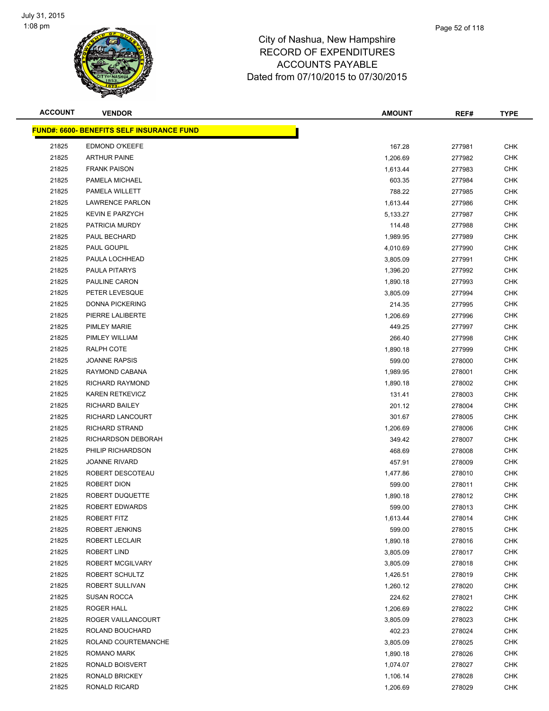

| <b>ACCOUNT</b> | <b>VENDOR</b>                                    | <b>AMOUNT</b> | REF#   | <b>TYPE</b> |
|----------------|--------------------------------------------------|---------------|--------|-------------|
|                | <u>FUND#: 6600- BENEFITS SELF INSURANCE FUND</u> |               |        |             |
| 21825          | <b>EDMOND O'KEEFE</b>                            | 167.28        | 277981 | <b>CHK</b>  |
| 21825          | <b>ARTHUR PAINE</b>                              | 1,206.69      | 277982 | <b>CHK</b>  |
| 21825          | <b>FRANK PAISON</b>                              | 1,613.44      | 277983 | <b>CHK</b>  |
| 21825          | PAMELA MICHAEL                                   | 603.35        | 277984 | <b>CHK</b>  |
| 21825          | PAMELA WILLETT                                   | 788.22        | 277985 | CHK         |
| 21825          | <b>LAWRENCE PARLON</b>                           | 1,613.44      | 277986 | <b>CHK</b>  |
| 21825          | <b>KEVIN E PARZYCH</b>                           | 5,133.27      | 277987 | <b>CHK</b>  |
| 21825          | PATRICIA MURDY                                   | 114.48        | 277988 | <b>CHK</b>  |
| 21825          | PAUL BECHARD                                     | 1,989.95      | 277989 | <b>CHK</b>  |
| 21825          | PAUL GOUPIL                                      | 4,010.69      | 277990 | CHK         |
| 21825          | PAULA LOCHHEAD                                   | 3,805.09      | 277991 | <b>CHK</b>  |
| 21825          | PAULA PITARYS                                    | 1,396.20      | 277992 | CHK         |
| 21825          | PAULINE CARON                                    | 1,890.18      | 277993 | CHK         |
| 21825          | PETER LEVESQUE                                   | 3,805.09      | 277994 | CHK         |
| 21825          | <b>DONNA PICKERING</b>                           | 214.35        | 277995 | <b>CHK</b>  |
| 21825          | PIERRE LALIBERTE                                 | 1,206.69      | 277996 | <b>CHK</b>  |
| 21825          | <b>PIMLEY MARIE</b>                              | 449.25        | 277997 | <b>CHK</b>  |
| 21825          | PIMLEY WILLIAM                                   | 266.40        | 277998 | <b>CHK</b>  |
| 21825          | RALPH COTE                                       | 1,890.18      | 277999 | <b>CHK</b>  |
| 21825          | <b>JOANNE RAPSIS</b>                             | 599.00        | 278000 | <b>CHK</b>  |
| 21825          | RAYMOND CABANA                                   | 1,989.95      | 278001 | <b>CHK</b>  |
| 21825          | RICHARD RAYMOND                                  | 1,890.18      | 278002 | <b>CHK</b>  |
| 21825          | <b>KAREN RETKEVICZ</b>                           | 131.41        | 278003 | CHK         |
| 21825          | <b>RICHARD BAILEY</b>                            | 201.12        | 278004 | CHK         |
| 21825          | RICHARD LANCOURT                                 | 301.67        | 278005 | CHK         |
| 21825          | <b>RICHARD STRAND</b>                            | 1,206.69      | 278006 | <b>CHK</b>  |
| 21825          | RICHARDSON DEBORAH                               | 349.42        | 278007 | CHK         |
| 21825          | PHILIP RICHARDSON                                | 468.69        | 278008 | <b>CHK</b>  |
| 21825          | <b>JOANNE RIVARD</b>                             | 457.91        | 278009 | <b>CHK</b>  |
| 21825          | ROBERT DESCOTEAU                                 | 1,477.86      | 278010 | CHK         |
| 21825          | ROBERT DION                                      | 599.00        | 278011 | CHK         |
| 21825          | ROBERT DUQUETTE                                  | 1,890.18      | 278012 | CHK         |
| 21825          | <b>ROBERT EDWARDS</b>                            | 599.00        | 278013 | <b>CHK</b>  |
| 21825          | ROBERT FITZ                                      | 1,613.44      | 278014 | <b>CHK</b>  |
| 21825          | ROBERT JENKINS                                   | 599.00        | 278015 | CHK         |
| 21825          | ROBERT LECLAIR                                   | 1,890.18      | 278016 | <b>CHK</b>  |
| 21825          | ROBERT LIND                                      | 3,805.09      | 278017 | <b>CHK</b>  |
| 21825          | ROBERT MCGILVARY                                 | 3,805.09      | 278018 | <b>CHK</b>  |
| 21825          | ROBERT SCHULTZ                                   | 1,426.51      | 278019 | <b>CHK</b>  |
| 21825          | ROBERT SULLIVAN                                  | 1,260.12      | 278020 | CHK         |
| 21825          | <b>SUSAN ROCCA</b>                               | 224.62        | 278021 | <b>CHK</b>  |
| 21825          | ROGER HALL                                       | 1,206.69      | 278022 | <b>CHK</b>  |
| 21825          | ROGER VAILLANCOURT                               | 3,805.09      | 278023 | CHK         |
| 21825          | ROLAND BOUCHARD                                  | 402.23        | 278024 | <b>CHK</b>  |
| 21825          | ROLAND COURTEMANCHE                              | 3,805.09      | 278025 | CHK         |
| 21825          | ROMANO MARK                                      | 1,890.18      | 278026 | CHK         |
| 21825          | RONALD BOISVERT                                  | 1,074.07      | 278027 | <b>CHK</b>  |
| 21825          | RONALD BRICKEY                                   | 1,106.14      | 278028 | <b>CHK</b>  |
| 21825          | RONALD RICARD                                    | 1,206.69      | 278029 | <b>CHK</b>  |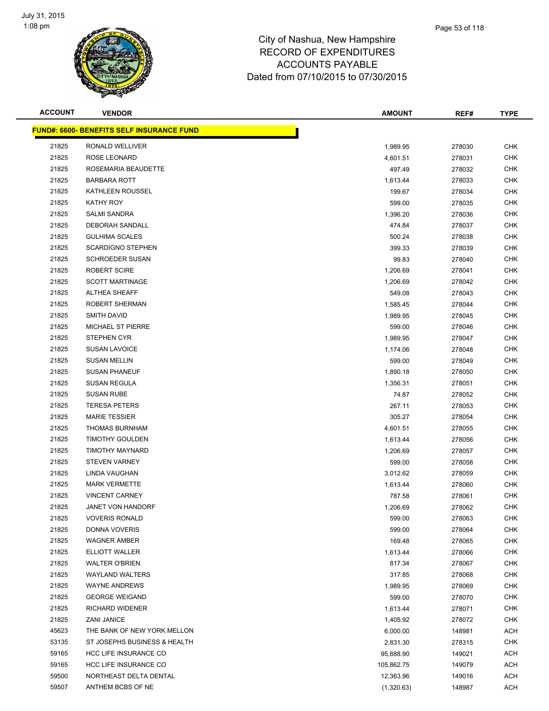

| <b>ACCOUNT</b> | <b>VENDOR</b>                                     | <b>AMOUNT</b> | REF#   | <b>TYPE</b> |
|----------------|---------------------------------------------------|---------------|--------|-------------|
|                | <u> FUND#: 6600- BENEFITS SELF INSURANCE FUND</u> |               |        |             |
| 21825          | RONALD WELLIVER                                   | 1,989.95      | 278030 | <b>CHK</b>  |
| 21825          | ROSE LEONARD                                      | 4,601.51      | 278031 | <b>CHK</b>  |
| 21825          | ROSEMARIA BEAUDETTE                               | 497.49        | 278032 | <b>CHK</b>  |
| 21825          | <b>BARBARA ROTT</b>                               | 1,613.44      | 278033 | <b>CHK</b>  |
| 21825          | KATHLEEN ROUSSEL                                  | 199.67        | 278034 | <b>CHK</b>  |
| 21825          | KATHY ROY                                         | 599.00        | 278035 | <b>CHK</b>  |
| 21825          | <b>SALMI SANDRA</b>                               | 1,396.20      | 278036 | <b>CHK</b>  |
| 21825          | DEBORAH SANDALL                                   | 474.84        | 278037 | <b>CHK</b>  |
| 21825          | <b>GULHIMA SCALES</b>                             | 500.24        | 278038 | <b>CHK</b>  |
| 21825          | <b>SCARDIGNO STEPHEN</b>                          | 399.33        | 278039 | CHK         |
| 21825          | <b>SCHROEDER SUSAN</b>                            | 99.83         | 278040 | CHK         |
| 21825          | <b>ROBERT SCIRE</b>                               | 1,206.69      | 278041 | <b>CHK</b>  |
| 21825          | <b>SCOTT MARTINAGE</b>                            | 1,206.69      | 278042 | CHK         |
| 21825          | <b>ALTHEA SHEAFF</b>                              | 549.08        | 278043 | CHK         |
| 21825          | ROBERT SHERMAN                                    | 1,585.45      | 278044 | <b>CHK</b>  |
| 21825          | SMITH DAVID                                       | 1,989.95      | 278045 | CHK         |
| 21825          | <b>MICHAEL ST PIERRE</b>                          | 599.00        | 278046 | <b>CHK</b>  |
| 21825          | <b>STEPHEN CYR</b>                                | 1,989.95      | 278047 | <b>CHK</b>  |
| 21825          | <b>SUSAN LAVOICE</b>                              | 1,174.06      | 278048 | <b>CHK</b>  |
| 21825          | <b>SUSAN MELLIN</b>                               | 599.00        | 278049 | <b>CHK</b>  |
| 21825          | <b>SUSAN PHANEUF</b>                              | 1,890.18      | 278050 | CHK         |
| 21825          | <b>SUSAN REGULA</b>                               | 1,356.31      | 278051 | CHK         |
| 21825          | <b>SUSAN RUBE</b>                                 | 74.87         | 278052 | <b>CHK</b>  |
| 21825          | <b>TERESA PETERS</b>                              | 267.11        | 278053 | CHK         |
| 21825          | <b>MARIE TESSIER</b>                              | 305.27        | 278054 | <b>CHK</b>  |
| 21825          | <b>THOMAS BURNHAM</b>                             | 4,601.51      | 278055 | <b>CHK</b>  |
| 21825          | <b>TIMOTHY GOULDEN</b>                            | 1,613.44      | 278056 | CHK         |
| 21825          | TIMOTHY MAYNARD                                   | 1,206.69      | 278057 | <b>CHK</b>  |
| 21825          | <b>STEVEN VARNEY</b>                              | 599.00        | 278058 | <b>CHK</b>  |
| 21825          | LINDA VAUGHAN                                     | 3,012.62      | 278059 | CHK         |
| 21825          | <b>MARK VERMETTE</b>                              | 1,613.44      | 278060 | CHK         |
| 21825          | <b>VINCENT CARNEY</b>                             | 787.58        | 278061 | CHK         |
| 21825          | <b>JANET VON HANDORF</b>                          | 1,206.69      | 278062 | <b>CHK</b>  |
| 21825          | <b>VOVERIS RONALD</b>                             | 599.00        | 278063 | <b>CHK</b>  |
| 21825          | DONNA VOVERIS                                     | 599.00        | 278064 | <b>CHK</b>  |
| 21825          | <b>WAGNER AMBER</b>                               | 169.48        | 278065 | <b>CHK</b>  |
| 21825          | ELLIOTT WALLER                                    | 1,613.44      | 278066 | <b>CHK</b>  |
| 21825          | <b>WALTER O'BRIEN</b>                             | 817.34        | 278067 | <b>CHK</b>  |
| 21825          | <b>WAYLAND WALTERS</b>                            | 317.85        | 278068 | <b>CHK</b>  |
| 21825          | <b>WAYNE ANDREWS</b>                              | 1,989.95      | 278069 | <b>CHK</b>  |
| 21825          | <b>GEORGE WEIGAND</b>                             | 599.00        | 278070 | <b>CHK</b>  |
| 21825          | RICHARD WIDENER                                   | 1,613.44      | 278071 | <b>CHK</b>  |
| 21825          | <b>ZANI JANICE</b>                                | 1,405.92      | 278072 | CHK         |
| 45623          | THE BANK OF NEW YORK MELLON                       | 6,000.00      | 148981 | ACH         |
| 53135          | ST JOSEPHS BUSINESS & HEALTH                      | 2,831.30      | 278315 | CHK         |
| 59165          | HCC LIFE INSURANCE CO                             | 95,888.90     | 149021 | ACH         |
| 59165          | HCC LIFE INSURANCE CO                             | 105,862.75    | 149079 | ACH         |
| 59500          | NORTHEAST DELTA DENTAL                            | 12,363.96     | 149016 | ACH         |
| 59507          | ANTHEM BCBS OF NE                                 | (1,320.63)    | 148987 | ACH         |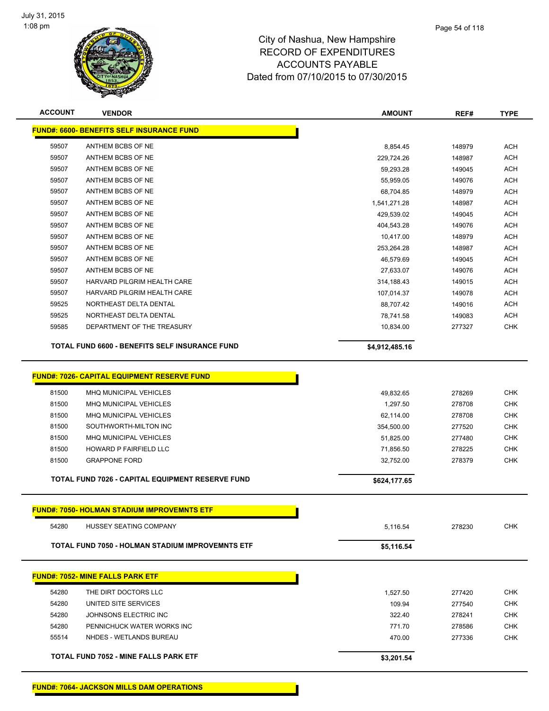

| <b>ACCOUNT</b> | <b>VENDOR</b>                                           | <b>AMOUNT</b>  | REF#   | <b>TYPE</b> |
|----------------|---------------------------------------------------------|----------------|--------|-------------|
|                | <b>FUND#: 6600- BENEFITS SELF INSURANCE FUND</b>        |                |        |             |
| 59507          | ANTHEM BCBS OF NE                                       | 8,854.45       | 148979 | <b>ACH</b>  |
| 59507          | ANTHEM BCBS OF NE                                       | 229,724.26     | 148987 | <b>ACH</b>  |
| 59507          | ANTHEM BCBS OF NE                                       | 59,293.28      | 149045 | <b>ACH</b>  |
| 59507          | ANTHEM BCBS OF NE                                       | 55,959.05      | 149076 | <b>ACH</b>  |
| 59507          | ANTHEM BCBS OF NE                                       | 68,704.85      | 148979 | <b>ACH</b>  |
| 59507          | ANTHEM BCBS OF NE                                       | 1,541,271.28   | 148987 | <b>ACH</b>  |
| 59507          | ANTHEM BCBS OF NE                                       | 429,539.02     | 149045 | <b>ACH</b>  |
| 59507          | ANTHEM BCBS OF NE                                       | 404,543.28     | 149076 | <b>ACH</b>  |
| 59507          | ANTHEM BCBS OF NE                                       | 10,417.00      | 148979 | <b>ACH</b>  |
| 59507          | ANTHEM BCBS OF NE                                       | 253,264.28     | 148987 | <b>ACH</b>  |
| 59507          | ANTHEM BCBS OF NE                                       | 46,579.69      | 149045 | ACH         |
| 59507          | ANTHEM BCBS OF NE                                       | 27,633.07      | 149076 | ACH         |
| 59507          | HARVARD PILGRIM HEALTH CARE                             | 314,188.43     | 149015 | ACH         |
| 59507          | HARVARD PILGRIM HEALTH CARE                             | 107,014.37     | 149078 | ACH         |
| 59525          | NORTHEAST DELTA DENTAL                                  | 88,707.42      | 149016 | <b>ACH</b>  |
| 59525          | NORTHEAST DELTA DENTAL                                  | 78,741.58      | 149083 | <b>ACH</b>  |
| 59585          | DEPARTMENT OF THE TREASURY                              | 10,834.00      | 277327 | <b>CHK</b>  |
|                | TOTAL FUND 6600 - BENEFITS SELF INSURANCE FUND          | \$4,912,485.16 |        |             |
|                |                                                         |                |        |             |
|                | <b>FUND#: 7026- CAPITAL EQUIPMENT RESERVE FUND</b>      |                |        |             |
| 81500          | MHQ MUNICIPAL VEHICLES                                  | 49,832.65      | 278269 | <b>CHK</b>  |
| 81500          | MHQ MUNICIPAL VEHICLES                                  | 1,297.50       | 278708 | <b>CHK</b>  |
| 81500          | MHQ MUNICIPAL VEHICLES                                  | 62,114.00      | 278708 | <b>CHK</b>  |
| 81500          | SOUTHWORTH-MILTON INC                                   | 354,500.00     | 277520 | <b>CHK</b>  |
| 81500          | <b>MHQ MUNICIPAL VEHICLES</b>                           | 51,825.00      | 277480 | <b>CHK</b>  |
| 81500          | HOWARD P FAIRFIELD LLC                                  | 71,856.50      | 278225 | <b>CHK</b>  |
| 81500          | <b>GRAPPONE FORD</b>                                    | 32,752.00      | 278379 | <b>CHK</b>  |
|                | TOTAL FUND 7026 - CAPITAL EQUIPMENT RESERVE FUND        | \$624,177.65   |        |             |
|                | <u>FUND#: 7050- HOLMAN STADIUM IMPROVEMNTS ETF</u>      |                |        |             |
| 54280          | HUSSEY SEATING COMPANY                                  | 5,116.54       | 278230 | <b>CHK</b>  |
|                | <b>TOTAL FUND 7050 - HOLMAN STADIUM IMPROVEMNTS ETF</b> | \$5,116.54     |        |             |
|                |                                                         |                |        |             |
|                | <b>FUND#: 7052- MINE FALLS PARK ETF</b>                 |                |        |             |
| 54280          | THE DIRT DOCTORS LLC                                    | 1,527.50       | 277420 | <b>CHK</b>  |
| 54280          | UNITED SITE SERVICES                                    | 109.94         | 277540 | <b>CHK</b>  |
| 54280          | JOHNSONS ELECTRIC INC                                   | 322.40         | 278241 | <b>CHK</b>  |
| 54280          | PENNICHUCK WATER WORKS INC                              | 771.70         | 278586 | <b>CHK</b>  |
| 55514          | NHDES - WETLANDS BUREAU                                 | 470.00         | 277336 | <b>CHK</b>  |
|                | TOTAL FUND 7052 - MINE FALLS PARK ETF                   | \$3,201.54     |        |             |
|                |                                                         |                |        |             |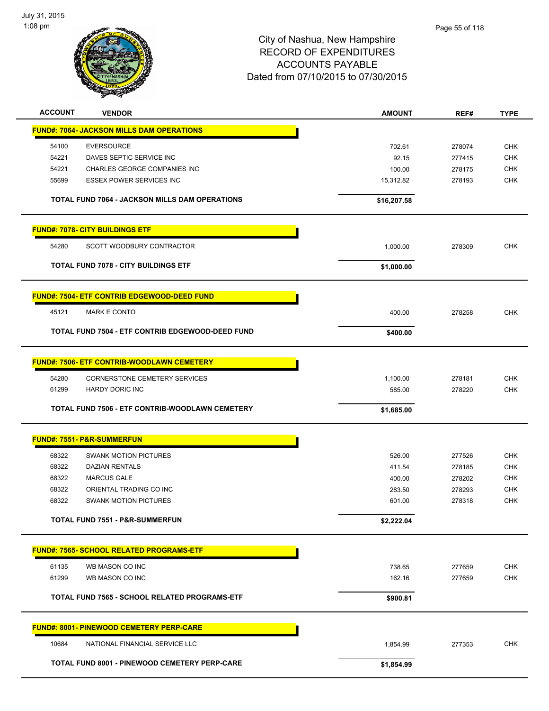

| <b>ACCOUNT</b> | <b>VENDOR</b>                                     | <b>AMOUNT</b> | REF#   | <b>TYPE</b> |
|----------------|---------------------------------------------------|---------------|--------|-------------|
|                | <b>FUND#: 7064- JACKSON MILLS DAM OPERATIONS</b>  |               |        |             |
| 54100          | <b>EVERSOURCE</b>                                 | 702.61        | 278074 | <b>CHK</b>  |
| 54221          | DAVES SEPTIC SERVICE INC                          | 92.15         | 277415 | <b>CHK</b>  |
| 54221          | CHARLES GEORGE COMPANIES INC                      | 100.00        | 278175 | <b>CHK</b>  |
| 55699          | <b>ESSEX POWER SERVICES INC</b>                   | 15,312.82     | 278193 | <b>CHK</b>  |
|                |                                                   |               |        |             |
|                | TOTAL FUND 7064 - JACKSON MILLS DAM OPERATIONS    | \$16,207.58   |        |             |
|                | <b>FUND#: 7078- CITY BUILDINGS ETF</b>            |               |        |             |
| 54280          | SCOTT WOODBURY CONTRACTOR                         | 1,000.00      | 278309 | <b>CHK</b>  |
|                | <b>TOTAL FUND 7078 - CITY BUILDINGS ETF</b>       | \$1,000.00    |        |             |
|                |                                                   |               |        |             |
|                | FUND#: 7504- ETF CONTRIB EDGEWOOD-DEED FUND       |               |        |             |
| 45121          | <b>MARK E CONTO</b>                               | 400.00        | 278258 | <b>CHK</b>  |
|                | TOTAL FUND 7504 - ETF CONTRIB EDGEWOOD-DEED FUND  | \$400.00      |        |             |
|                | <b>FUND#: 7506- ETF CONTRIB-WOODLAWN CEMETERY</b> |               |        |             |
|                |                                                   |               |        |             |
| 54280          | CORNERSTONE CEMETERY SERVICES                     | 1,100.00      | 278181 | <b>CHK</b>  |
| 61299          | <b>HARDY DORIC INC</b>                            | 585.00        | 278220 | <b>CHK</b>  |
|                | TOTAL FUND 7506 - ETF CONTRIB-WOODLAWN CEMETERY   | \$1,685.00    |        |             |
|                | <b>FUND#: 7551- P&amp;R-SUMMERFUN</b>             |               |        |             |
| 68322          | <b>SWANK MOTION PICTURES</b>                      | 526.00        | 277526 | <b>CHK</b>  |
| 68322          | <b>DAZIAN RENTALS</b>                             | 411.54        | 278185 | <b>CHK</b>  |
| 68322          | <b>MARCUS GALE</b>                                | 400.00        | 278202 | <b>CHK</b>  |
| 68322          | ORIENTAL TRADING CO INC                           | 283.50        | 278293 | <b>CHK</b>  |
| 68322          | <b>SWANK MOTION PICTURES</b>                      | 601.00        | 278318 | <b>CHK</b>  |
|                |                                                   |               |        |             |
|                | TOTAL FUND 7551 - P&R-SUMMERFUN                   | \$2,222.04    |        |             |
|                | <b>FUND#: 7565- SCHOOL RELATED PROGRAMS-ETF</b>   |               |        |             |
| 61135          | WB MASON CO INC                                   | 738.65        | 277659 | <b>CHK</b>  |
| 61299          | WB MASON CO INC                                   | 162.16        | 277659 | <b>CHK</b>  |
|                |                                                   |               |        |             |
|                | TOTAL FUND 7565 - SCHOOL RELATED PROGRAMS-ETF     | \$900.81      |        |             |
|                | <b>FUND#: 8001- PINEWOOD CEMETERY PERP-CARE</b>   |               |        |             |
| 10684          | NATIONAL FINANCIAL SERVICE LLC                    | 1,854.99      | 277353 | <b>CHK</b>  |
|                | TOTAL FUND 8001 - PINEWOOD CEMETERY PERP-CARE     | \$1,854.99    |        |             |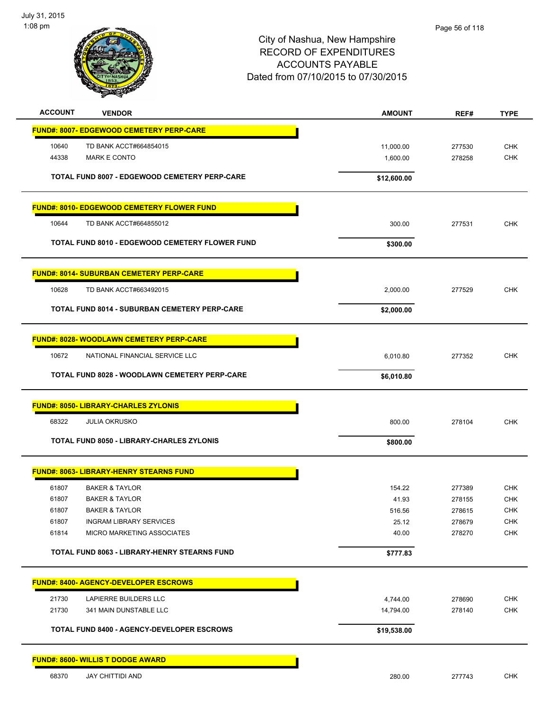

| <b>ACCOUNT</b><br><b>VENDOR</b>                        | <b>AMOUNT</b> | REF#   | <b>TYPE</b> |
|--------------------------------------------------------|---------------|--------|-------------|
| <b>FUND#: 8007- EDGEWOOD CEMETERY PERP-CARE</b>        |               |        |             |
| 10640<br>TD BANK ACCT#664854015                        | 11,000.00     | 277530 | <b>CHK</b>  |
| 44338<br><b>MARK E CONTO</b>                           | 1,600.00      | 278258 | <b>CHK</b>  |
|                                                        |               |        |             |
| TOTAL FUND 8007 - EDGEWOOD CEMETERY PERP-CARE          | \$12,600.00   |        |             |
| <b>FUND#: 8010- EDGEWOOD CEMETERY FLOWER FUND</b>      |               |        |             |
| 10644<br>TD BANK ACCT#664855012                        | 300.00        | 277531 | <b>CHK</b>  |
| <b>TOTAL FUND 8010 - EDGEWOOD CEMETERY FLOWER FUND</b> | \$300.00      |        |             |
| <b>FUND#: 8014- SUBURBAN CEMETERY PERP-CARE</b>        |               |        |             |
| 10628<br>TD BANK ACCT#663492015                        | 2,000.00      | 277529 | <b>CHK</b>  |
| <b>TOTAL FUND 8014 - SUBURBAN CEMETERY PERP-CARE</b>   | \$2,000.00    |        |             |
|                                                        |               |        |             |
| <b>FUND#: 8028- WOODLAWN CEMETERY PERP-CARE</b>        |               |        |             |
| 10672<br>NATIONAL FINANCIAL SERVICE LLC                | 6,010.80      | 277352 | <b>CHK</b>  |
| TOTAL FUND 8028 - WOODLAWN CEMETERY PERP-CARE          | \$6,010.80    |        |             |
| <b>FUND#: 8050- LIBRARY-CHARLES ZYLONIS</b>            |               |        |             |
| 68322<br><b>JULIA OKRUSKO</b>                          | 800.00        | 278104 | <b>CHK</b>  |
| TOTAL FUND 8050 - LIBRARY-CHARLES ZYLONIS              | \$800.00      |        |             |
| <b>FUND#: 8063- LIBRARY-HENRY STEARNS FUND</b>         |               |        |             |
| 61807<br><b>BAKER &amp; TAYLOR</b>                     | 154.22        | 277389 | <b>CHK</b>  |
| 61807<br><b>BAKER &amp; TAYLOR</b>                     | 41.93         | 278155 | <b>CHK</b>  |
| <b>BAKER &amp; TAYLOR</b><br>61807                     | 516.56        | 278615 | <b>CHK</b>  |
| 61807<br><b>INGRAM LIBRARY SERVICES</b>                | 25.12         | 278679 | CHK         |
| 61814<br>MICRO MARKETING ASSOCIATES                    | 40.00         | 278270 | <b>CHK</b>  |
| TOTAL FUND 8063 - LIBRARY-HENRY STEARNS FUND           | \$777.83      |        |             |
| <b>FUND#: 8400- AGENCY-DEVELOPER ESCROWS</b>           |               |        |             |
| 21730<br>LAPIERRE BUILDERS LLC                         | 4,744.00      | 278690 | CHK         |
| 21730<br>341 MAIN DUNSTABLE LLC                        | 14,794.00     | 278140 | CHK         |
| <b>TOTAL FUND 8400 - AGENCY-DEVELOPER ESCROWS</b>      | \$19,538.00   |        |             |
|                                                        |               |        |             |
| <b>FUND#: 8600- WILLIS T DODGE AWARD</b>               |               |        |             |
| 68370<br><b>JAY CHITTIDI AND</b>                       | 280.00        | 277743 | <b>CHK</b>  |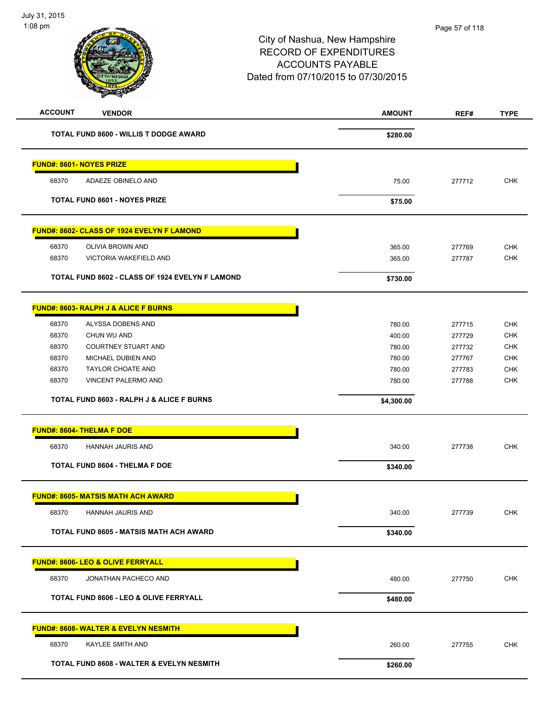| <b>ACCOUNT</b>                  | <b>VENDOR</b>                                        | <b>AMOUNT</b> | REF#   | <b>TYPE</b> |
|---------------------------------|------------------------------------------------------|---------------|--------|-------------|
|                                 | TOTAL FUND 8600 - WILLIS T DODGE AWARD               | \$280.00      |        |             |
| <b>FUND#: 8601- NOYES PRIZE</b> |                                                      |               |        |             |
| 68370                           | ADAEZE OBINELO AND                                   | 75.00         | 277712 | <b>CHK</b>  |
|                                 | <b>TOTAL FUND 8601 - NOYES PRIZE</b>                 | \$75.00       |        |             |
|                                 | FUND#: 8602- CLASS OF 1924 EVELYN F LAMOND           |               |        |             |
| 68370                           | OLIVIA BROWN AND                                     | 365.00        | 277769 | <b>CHK</b>  |
| 68370                           | VICTORIA WAKEFIELD AND                               | 365.00        | 277787 | <b>CHK</b>  |
|                                 | TOTAL FUND 8602 - CLASS OF 1924 EVELYN F LAMOND      | \$730.00      |        |             |
|                                 | <b>FUND#: 8603- RALPH J &amp; ALICE F BURNS</b>      |               |        |             |
| 68370                           | ALYSSA DOBENS AND                                    | 780.00        | 277715 | <b>CHK</b>  |
| 68370                           | CHUN WU AND                                          | 400.00        | 277729 | <b>CHK</b>  |
| 68370                           | <b>COURTNEY STUART AND</b>                           | 780.00        | 277732 | <b>CHK</b>  |
| 68370                           | MICHAEL DUBIEN AND                                   | 780.00        | 277767 | <b>CHK</b>  |
| 68370                           | <b>TAYLOR CHOATE AND</b>                             | 780.00        | 277783 | <b>CHK</b>  |
| 68370                           | VINCENT PALERMO AND                                  | 780.00        | 277788 | <b>CHK</b>  |
|                                 | <b>TOTAL FUND 8603 - RALPH J &amp; ALICE F BURNS</b> | \$4,300.00    |        |             |
|                                 | FUND#: 8604- THELMA F DOE                            |               |        |             |
| 68370                           | HANNAH JAURIS AND                                    | 340.00        | 277738 | <b>CHK</b>  |
|                                 | <b>TOTAL FUND 8604 - THELMA F DOE</b>                | \$340.00      |        |             |
|                                 | <b>FUND#: 8605- MATSIS MATH ACH AWARD</b>            |               |        |             |
| 68370                           | HANNAH JAURIS AND                                    | 340.00        | 277739 | CHK         |
|                                 | <b>TOTAL FUND 8605 - MATSIS MATH ACH AWARD</b>       | \$340.00      |        |             |
|                                 | <b>FUND#: 8606- LEO &amp; OLIVE FERRYALL</b>         |               |        |             |
| 68370                           | JONATHAN PACHECO AND                                 | 480.00        | 277750 | <b>CHK</b>  |
|                                 | <b>TOTAL FUND 8606 - LEO &amp; OLIVE FERRYALL</b>    | \$480.00      |        |             |
|                                 | <b>FUND#: 8608- WALTER &amp; EVELYN NESMITH</b>      |               |        |             |
| 68370                           | KAYLEE SMITH AND                                     | 260.00        | 277755 | <b>CHK</b>  |
|                                 | TOTAL FUND 8608 - WALTER & EVELYN NESMITH            | \$260.00      |        |             |
|                                 |                                                      |               |        |             |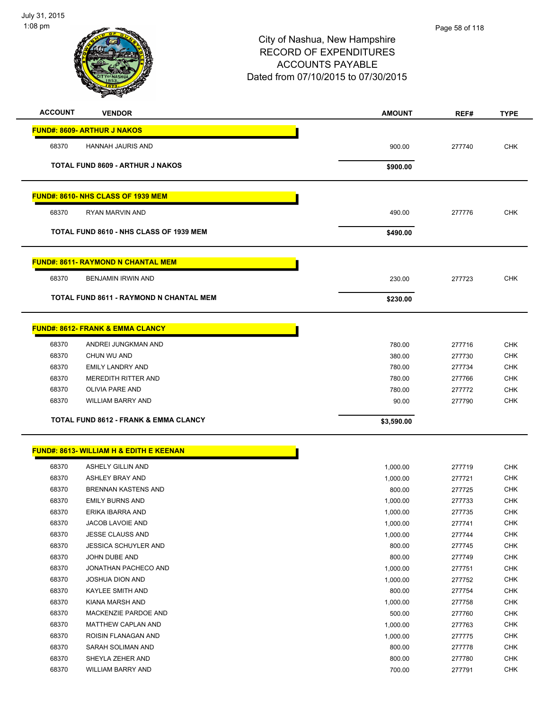

| <b>ACCOUNT</b> | <b>VENDOR</b>                                      | <b>AMOUNT</b>    | REF#             | <b>TYPE</b>              |
|----------------|----------------------------------------------------|------------------|------------------|--------------------------|
|                | <b>FUND#: 8609- ARTHUR J NAKOS</b>                 |                  |                  |                          |
|                |                                                    |                  |                  |                          |
| 68370          | HANNAH JAURIS AND                                  | 900.00           | 277740           | <b>CHK</b>               |
|                | <b>TOTAL FUND 8609 - ARTHUR J NAKOS</b>            | \$900.00         |                  |                          |
|                |                                                    |                  |                  |                          |
|                |                                                    |                  |                  |                          |
|                | <b>FUND#: 8610- NHS CLASS OF 1939 MEM</b>          |                  |                  |                          |
| 68370          | <b>RYAN MARVIN AND</b>                             | 490.00           | 277776           | <b>CHK</b>               |
|                | TOTAL FUND 8610 - NHS CLASS OF 1939 MEM            | \$490.00         |                  |                          |
|                |                                                    |                  |                  |                          |
|                |                                                    |                  |                  |                          |
|                | <b>FUND#: 8611- RAYMOND N CHANTAL MEM</b>          |                  |                  |                          |
| 68370          | <b>BENJAMIN IRWIN AND</b>                          | 230.00           | 277723           | <b>CHK</b>               |
|                | TOTAL FUND 8611 - RAYMOND N CHANTAL MEM            | \$230.00         |                  |                          |
|                |                                                    |                  |                  |                          |
|                |                                                    |                  |                  |                          |
|                | <b>FUND#: 8612- FRANK &amp; EMMA CLANCY</b>        |                  |                  |                          |
| 68370          | ANDREI JUNGKMAN AND                                | 780.00           | 277716           | <b>CHK</b>               |
| 68370          | CHUN WU AND                                        | 380.00           | 277730           | <b>CHK</b>               |
| 68370          | <b>EMILY LANDRY AND</b>                            | 780.00           | 277734           | <b>CHK</b>               |
| 68370          | <b>MEREDITH RITTER AND</b>                         | 780.00           | 277766           | <b>CHK</b>               |
| 68370          | OLIVIA PARE AND                                    | 780.00           | 277772           | <b>CHK</b>               |
| 68370          | <b>WILLIAM BARRY AND</b>                           | 90.00            | 277790           | <b>CHK</b>               |
|                | <b>TOTAL FUND 8612 - FRANK &amp; EMMA CLANCY</b>   | \$3,590.00       |                  |                          |
|                |                                                    |                  |                  |                          |
|                |                                                    |                  |                  |                          |
|                | <b>FUND#: 8613- WILLIAM H &amp; EDITH E KEENAN</b> |                  |                  |                          |
| 68370          | <b>ASHELY GILLIN AND</b>                           | 1,000.00         | 277719           | <b>CHK</b>               |
| 68370          | ASHLEY BRAY AND                                    | 1,000.00         | 277721           | <b>CHK</b>               |
| 68370          | <b>BRENNAN KASTENS AND</b>                         | 800.00           | 277725           | <b>CHK</b>               |
| 68370          | <b>EMILY BURNS AND</b>                             | 1,000.00         | 277733           | <b>CHK</b>               |
| 68370          | ERIKA IBARRA AND                                   | 1,000.00         | 277735           | <b>CHK</b>               |
| 68370          | JACOB LAVOIE AND                                   | 1,000.00         | 277741           | <b>CHK</b>               |
| 68370          | JESSE CLAUSS AND                                   | 1,000.00         | 277744           | <b>CHK</b>               |
| 68370          | <b>JESSICA SCHUYLER AND</b>                        | 800.00           | 277745           | <b>CHK</b>               |
| 68370          | JOHN DUBE AND                                      | 800.00           | 277749           | <b>CHK</b>               |
| 68370          | JONATHAN PACHECO AND                               | 1,000.00         | 277751           | <b>CHK</b>               |
| 68370          | JOSHUA DION AND                                    | 1,000.00         | 277752           | <b>CHK</b>               |
| 68370          | KAYLEE SMITH AND                                   | 800.00           | 277754           | <b>CHK</b>               |
| 68370          | KIANA MARSH AND                                    | 1,000.00         | 277758           | <b>CHK</b>               |
| 68370          | MACKENZIE PARDOE AND                               | 500.00           | 277760           | <b>CHK</b>               |
| 68370          | <b>MATTHEW CAPLAN AND</b>                          | 1,000.00         | 277763           | <b>CHK</b>               |
| 68370          | ROISIN FLANAGAN AND                                | 1,000.00         | 277775           | <b>CHK</b>               |
| 68370          | SARAH SOLIMAN AND                                  | 800.00           | 277778           | <b>CHK</b>               |
|                |                                                    |                  |                  |                          |
|                |                                                    |                  |                  |                          |
| 68370<br>68370 | SHEYLA ZEHER AND<br>WILLIAM BARRY AND              | 800.00<br>700.00 | 277780<br>277791 | <b>CHK</b><br><b>CHK</b> |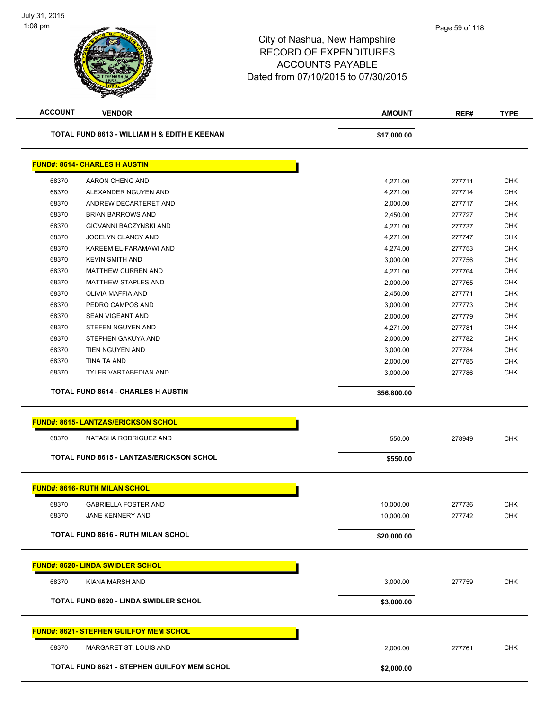

| <b>ACCOUNT</b> | <b>VENDOR</b>                                   | <b>AMOUNT</b> | REF#   | <b>TYPE</b>              |
|----------------|-------------------------------------------------|---------------|--------|--------------------------|
|                | TOTAL FUND 8613 - WILLIAM H & EDITH E KEENAN    | \$17,000.00   |        |                          |
|                | <b>FUND#: 8614- CHARLES H AUSTIN</b>            |               |        |                          |
| 68370          | AARON CHENG AND                                 | 4,271.00      | 277711 | <b>CHK</b>               |
| 68370          | ALEXANDER NGUYEN AND                            | 4,271.00      | 277714 | <b>CHK</b>               |
| 68370          | ANDREW DECARTERET AND                           | 2,000.00      | 277717 | <b>CHK</b>               |
| 68370          | <b>BRIAN BARROWS AND</b>                        | 2,450.00      | 277727 | <b>CHK</b>               |
| 68370          | GIOVANNI BACZYNSKI AND                          | 4,271.00      | 277737 | <b>CHK</b>               |
| 68370          | JOCELYN CLANCY AND                              | 4,271.00      | 277747 | <b>CHK</b>               |
| 68370          | KAREEM EL-FARAMAWI AND                          | 4,274.00      | 277753 | <b>CHK</b>               |
| 68370          | <b>KEVIN SMITH AND</b>                          | 3,000.00      | 277756 | <b>CHK</b>               |
| 68370          | <b>MATTHEW CURREN AND</b>                       | 4,271.00      | 277764 | <b>CHK</b>               |
| 68370          | <b>MATTHEW STAPLES AND</b>                      | 2,000.00      | 277765 | <b>CHK</b>               |
| 68370          | OLIVIA MAFFIA AND                               | 2,450.00      | 277771 | <b>CHK</b>               |
| 68370          | PEDRO CAMPOS AND                                | 3,000.00      | 277773 | <b>CHK</b>               |
| 68370          | <b>SEAN VIGEANT AND</b>                         | 2,000.00      | 277779 | <b>CHK</b>               |
| 68370          | <b>STEFEN NGUYEN AND</b>                        | 4,271.00      | 277781 | <b>CHK</b>               |
| 68370          | STEPHEN GAKUYA AND                              | 2,000.00      | 277782 | <b>CHK</b>               |
| 68370          | TIEN NGUYEN AND                                 | 3,000.00      | 277784 | <b>CHK</b>               |
| 68370          | <b>TINA TA AND</b>                              | 2,000.00      | 277785 | <b>CHK</b>               |
| 68370          | <b>TYLER VARTABEDIAN AND</b>                    | 3,000.00      | 277786 | <b>CHK</b>               |
|                | <b>TOTAL FUND 8614 - CHARLES H AUSTIN</b>       | \$56,800.00   |        |                          |
|                | <b>FUND#: 8615- LANTZAS/ERICKSON SCHOL</b>      |               |        |                          |
| 68370          | NATASHA RODRIGUEZ AND                           | 550.00        | 278949 | <b>CHK</b>               |
|                | TOTAL FUND 8615 - LANTZAS/ERICKSON SCHOL        | \$550.00      |        |                          |
|                | <b>FUND#: 8616- RUTH MILAN SCHOL</b>            |               |        |                          |
|                |                                                 |               |        |                          |
| 68370<br>68370 | <b>GABRIELLA FOSTER AND</b><br>JANE KENNERY AND | 10,000.00     | 277736 | <b>CHK</b><br><b>CHK</b> |
|                |                                                 | 10,000.00     | 277742 |                          |
|                | <b>TOTAL FUND 8616 - RUTH MILAN SCHOL</b>       | \$20,000.00   |        |                          |
|                | <b>FUND#: 8620- LINDA SWIDLER SCHOL</b>         |               |        |                          |
| 68370          | KIANA MARSH AND                                 | 3,000.00      | 277759 | <b>CHK</b>               |
|                | <b>TOTAL FUND 8620 - LINDA SWIDLER SCHOL</b>    | \$3,000.00    |        |                          |
|                | <b>FUND#: 8621- STEPHEN GUILFOY MEM SCHOL</b>   |               |        |                          |
| 68370          | MARGARET ST. LOUIS AND                          | 2,000.00      | 277761 | <b>CHK</b>               |
|                | TOTAL FUND 8621 - STEPHEN GUILFOY MEM SCHOL     | \$2,000.00    |        |                          |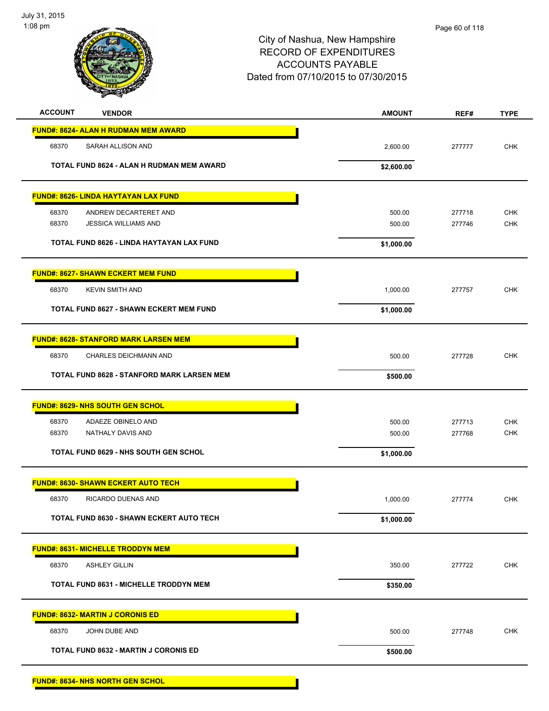

**FUND#: 8634- NHS NORTH GEN SCHOL**

| <b>ACCOUNT</b><br><b>VENDOR</b>                   | <b>AMOUNT</b> | REF#   | <b>TYPE</b> |
|---------------------------------------------------|---------------|--------|-------------|
| <b>FUND#: 8624- ALAN H RUDMAN MEM AWARD</b>       |               |        |             |
| 68370<br>SARAH ALLISON AND                        | 2,600.00      | 277777 | <b>CHK</b>  |
| TOTAL FUND 8624 - ALAN H RUDMAN MEM AWARD         | \$2,600.00    |        |             |
| <b>FUND#: 8626- LINDA HAYTAYAN LAX FUND</b>       |               |        |             |
| 68370<br>ANDREW DECARTERET AND                    | 500.00        | 277718 | <b>CHK</b>  |
| 68370<br><b>JESSICA WILLIAMS AND</b>              | 500.00        | 277746 | <b>CHK</b>  |
| TOTAL FUND 8626 - LINDA HAYTAYAN LAX FUND         | \$1,000.00    |        |             |
| <b>FUND#: 8627- SHAWN ECKERT MEM FUND</b>         |               |        |             |
| <b>KEVIN SMITH AND</b><br>68370                   | 1,000.00      | 277757 | <b>CHK</b>  |
| <b>TOTAL FUND 8627 - SHAWN ECKERT MEM FUND</b>    | \$1,000.00    |        |             |
| <b>FUND#: 8628- STANFORD MARK LARSEN MEM</b>      |               |        |             |
| 68370<br>CHARLES DEICHMANN AND                    | 500.00        | 277728 | <b>CHK</b>  |
| <b>TOTAL FUND 8628 - STANFORD MARK LARSEN MEM</b> | \$500.00      |        |             |
| <b>FUND#: 8629- NHS SOUTH GEN SCHOL</b>           |               |        |             |
| 68370<br>ADAEZE OBINELO AND                       | 500.00        | 277713 | <b>CHK</b>  |
| 68370<br>NATHALY DAVIS AND                        | 500.00        | 277768 | <b>CHK</b>  |
| <b>TOTAL FUND 8629 - NHS SOUTH GEN SCHOL</b>      | \$1,000.00    |        |             |
| <b>FUND#: 8630- SHAWN ECKERT AUTO TECH</b>        |               |        |             |
| 68370<br>RICARDO DUENAS AND                       | 1,000.00      | 277774 | <b>CHK</b>  |
| <b>TOTAL FUND 8630 - SHAWN ECKERT AUTO TECH</b>   | \$1,000.00    |        |             |
| <b>FUND#: 8631- MICHELLE TRODDYN MEM</b>          |               |        |             |
| 68370<br><b>ASHLEY GILLIN</b>                     | 350.00        | 277722 | CHK         |
| <b>TOTAL FUND 8631 - MICHELLE TRODDYN MEM</b>     | \$350.00      |        |             |
| <b>FUND#: 8632- MARTIN J CORONIS ED</b>           |               |        |             |
| 68370<br>JOHN DUBE AND                            | 500.00        | 277748 | CHK         |
| <b>TOTAL FUND 8632 - MARTIN J CORONIS ED</b>      | \$500.00      |        |             |
|                                                   |               |        |             |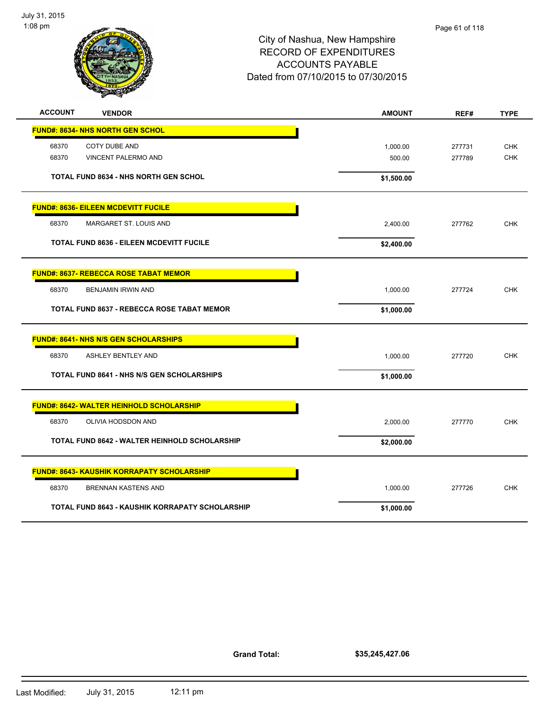

| <b>ACCOUNT</b> | <b>VENDOR</b>                                          | <b>AMOUNT</b> | REF#   | <b>TYPE</b> |
|----------------|--------------------------------------------------------|---------------|--------|-------------|
|                | <b>FUND#: 8634- NHS NORTH GEN SCHOL</b>                |               |        |             |
| 68370          | <b>COTY DUBE AND</b>                                   | 1,000.00      | 277731 | <b>CHK</b>  |
| 68370          | VINCENT PALERMO AND                                    | 500.00        | 277789 | <b>CHK</b>  |
|                |                                                        |               |        |             |
|                | <b>TOTAL FUND 8634 - NHS NORTH GEN SCHOL</b>           | \$1,500.00    |        |             |
|                | <b>FUND#: 8636- EILEEN MCDEVITT FUCILE</b>             |               |        |             |
| 68370          | MARGARET ST. LOUIS AND                                 | 2,400.00      | 277762 | <b>CHK</b>  |
|                | <b>TOTAL FUND 8636 - EILEEN MCDEVITT FUCILE</b>        | \$2,400.00    |        |             |
|                | <b>FUND#: 8637- REBECCA ROSE TABAT MEMOR</b>           |               |        |             |
|                |                                                        |               |        |             |
| 68370          | <b>BENJAMIN IRWIN AND</b>                              | 1,000.00      | 277724 | <b>CHK</b>  |
|                | <b>TOTAL FUND 8637 - REBECCA ROSE TABAT MEMOR</b>      | \$1,000.00    |        |             |
|                | <b>FUND#: 8641- NHS N/S GEN SCHOLARSHIPS</b>           |               |        |             |
| 68370          | <b>ASHLEY BENTLEY AND</b>                              | 1,000.00      | 277720 | <b>CHK</b>  |
|                | <b>TOTAL FUND 8641 - NHS N/S GEN SCHOLARSHIPS</b>      | \$1,000.00    |        |             |
|                | FUND#: 8642- WALTER HEINHOLD SCHOLARSHIP               |               |        |             |
|                |                                                        |               |        |             |
| 68370          | OLIVIA HODSDON AND                                     | 2,000.00      | 277770 | <b>CHK</b>  |
|                | <b>TOTAL FUND 8642 - WALTER HEINHOLD SCHOLARSHIP</b>   | \$2,000.00    |        |             |
|                | <b>FUND#: 8643- KAUSHIK KORRAPATY SCHOLARSHIP</b>      |               |        |             |
| 68370          | <b>BRENNAN KASTENS AND</b>                             | 1,000.00      | 277726 | <b>CHK</b>  |
|                | <b>TOTAL FUND 8643 - KAUSHIK KORRAPATY SCHOLARSHIP</b> | \$1,000.00    |        |             |
|                |                                                        |               |        |             |

**\$35,245,427.06**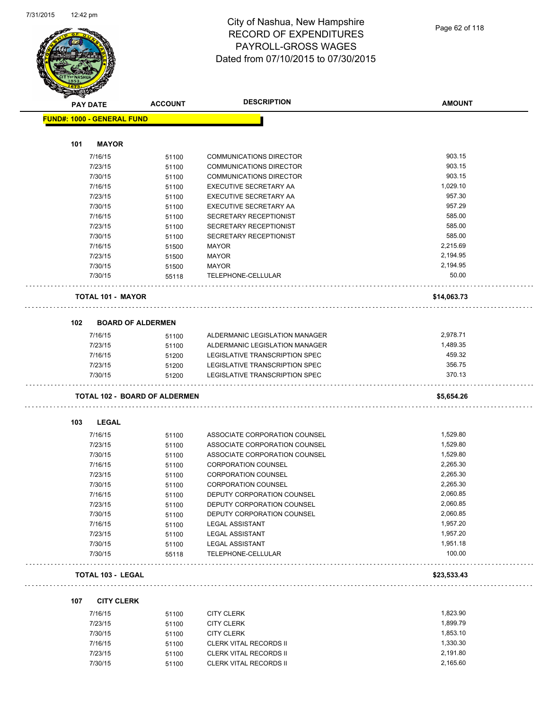

|     | <b>PAY DATE</b>                   | <b>ACCOUNT</b>                       | <b>DESCRIPTION</b>             | <b>AMOUNT</b> |
|-----|-----------------------------------|--------------------------------------|--------------------------------|---------------|
|     | <b>FUND#: 1000 - GENERAL FUND</b> |                                      |                                |               |
| 101 | <b>MAYOR</b>                      |                                      |                                |               |
|     | 7/16/15                           | 51100                                | <b>COMMUNICATIONS DIRECTOR</b> | 903.15        |
|     | 7/23/15                           | 51100                                | <b>COMMUNICATIONS DIRECTOR</b> | 903.15        |
|     | 7/30/15                           | 51100                                | <b>COMMUNICATIONS DIRECTOR</b> | 903.15        |
|     | 7/16/15                           | 51100                                | EXECUTIVE SECRETARY AA         | 1,029.10      |
|     | 7/23/15                           | 51100                                | EXECUTIVE SECRETARY AA         | 957.30        |
|     | 7/30/15                           | 51100                                | EXECUTIVE SECRETARY AA         | 957.29        |
|     | 7/16/15                           | 51100                                | SECRETARY RECEPTIONIST         | 585.00        |
|     | 7/23/15                           | 51100                                | SECRETARY RECEPTIONIST         | 585.00        |
|     | 7/30/15                           | 51100                                | SECRETARY RECEPTIONIST         | 585.00        |
|     | 7/16/15                           | 51500                                | <b>MAYOR</b>                   | 2,215.69      |
|     | 7/23/15                           | 51500                                | <b>MAYOR</b>                   | 2,194.95      |
|     | 7/30/15                           | 51500                                | MAYOR                          | 2,194.95      |
|     | 7/30/15                           | 55118                                | TELEPHONE-CELLULAR             | 50.00         |
|     | <b>TOTAL 101 - MAYOR</b>          |                                      |                                | \$14,063.73   |
| 102 |                                   | <b>BOARD OF ALDERMEN</b>             |                                |               |
|     | 7/16/15                           | 51100                                | ALDERMANIC LEGISLATION MANAGER | 2,978.71      |
|     | 7/23/15                           | 51100                                | ALDERMANIC LEGISLATION MANAGER | 1,489.35      |
|     | 7/16/15                           | 51200                                | LEGISLATIVE TRANSCRIPTION SPEC | 459.32        |
|     | 7/23/15                           | 51200                                | LEGISLATIVE TRANSCRIPTION SPEC | 356.75        |
|     | 7/30/15                           | 51200                                | LEGISLATIVE TRANSCRIPTION SPEC | 370.13        |
|     |                                   | <b>TOTAL 102 - BOARD OF ALDERMEN</b> |                                | \$5,654.26    |
| 103 | LEGAL                             |                                      |                                |               |
|     | 7/16/15                           | 51100                                | ASSOCIATE CORPORATION COUNSEL  | 1,529.80      |
|     | 7/23/15                           | 51100                                | ASSOCIATE CORPORATION COUNSEL  | 1,529.80      |
|     | 7/30/15                           | 51100                                | ASSOCIATE CORPORATION COUNSEL  | 1,529.80      |
|     | 7/16/15                           | 51100                                | <b>CORPORATION COUNSEL</b>     | 2,265.30      |
|     | 7/23/15                           | 51100                                | <b>CORPORATION COUNSEL</b>     | 2,265.30      |
|     | 7/30/15                           | 51100                                | <b>CORPORATION COUNSEL</b>     | 2,265.30      |
|     | 7/16/15                           | 51100                                | DEPUTY CORPORATION COUNSEL     | 2,060.85      |
|     | 7/23/15                           | 51100                                | DEPUTY CORPORATION COUNSEL     | 2,060.85      |
|     | 7/30/15                           | 51100                                | DEPUTY CORPORATION COUNSEL     | 2,060.85      |
|     | 7/16/15                           | 51100                                | <b>LEGAL ASSISTANT</b>         | 1,957.20      |
|     | 7/23/15                           | 51100                                | <b>LEGAL ASSISTANT</b>         | 1,957.20      |
|     | 7/30/15                           | 51100                                | <b>LEGAL ASSISTANT</b>         | 1,951.18      |
|     | 7/30/15                           | 55118                                | TELEPHONE-CELLULAR             | 100.00        |
|     | <b>TOTAL 103 - LEGAL</b>          |                                      |                                | \$23,533.43   |
| 107 | <b>CITY CLERK</b>                 |                                      |                                |               |
|     | 7/16/15                           | 51100                                | <b>CITY CLERK</b>              | 1,823.90      |
|     | 7/23/15                           | 51100                                | <b>CITY CLERK</b>              | 1,899.79      |
|     | 7/30/15                           | 51100                                | <b>CITY CLERK</b>              | 1,853.10      |

7/16/15 51100 CLERK VITAL RECORDS II 330.30 7/23/15 51100 CLERK VITAL RECORDS II 2,191.80 7/30/15 51100 CLERK VITAL RECORDS II 2,165.60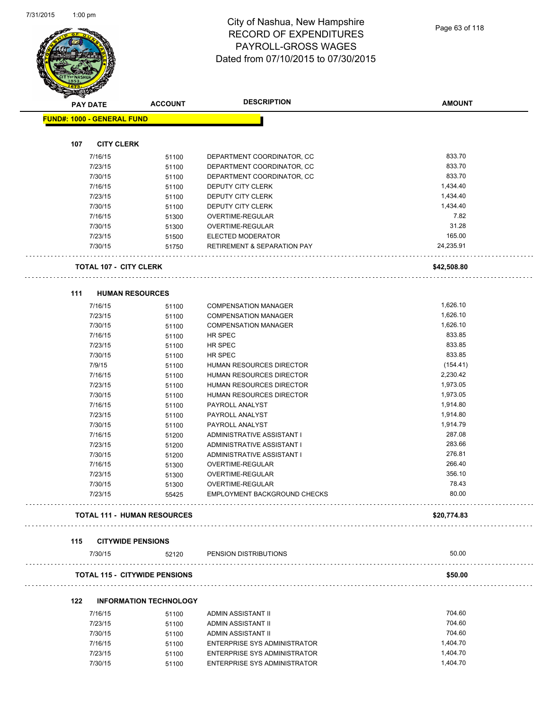$\overline{\phantom{a}}$ 



#### City of Nashua, New Hampshire RECORD OF EXPENDITURES PAYROLL-GROSS WAGES Dated from 07/10/2015 to 07/30/2015

| <b>PAY DATE</b>                   | <b>ACCOUNT</b>                       | <b>DESCRIPTION</b>                          | <b>AMOUNT</b> |
|-----------------------------------|--------------------------------------|---------------------------------------------|---------------|
| <b>FUND#: 1000 - GENERAL FUND</b> |                                      |                                             |               |
|                                   |                                      |                                             |               |
| 107<br><b>CITY CLERK</b>          |                                      |                                             |               |
| 7/16/15                           | 51100                                | DEPARTMENT COORDINATOR, CC                  | 833.70        |
| 7/23/15                           | 51100                                | DEPARTMENT COORDINATOR, CC                  | 833.70        |
| 7/30/15                           | 51100                                | DEPARTMENT COORDINATOR, CC                  | 833.70        |
| 7/16/15                           | 51100                                | DEPUTY CITY CLERK                           | 1,434.40      |
| 7/23/15                           | 51100                                | DEPUTY CITY CLERK                           | 1,434.40      |
| 7/30/15                           | 51100                                | DEPUTY CITY CLERK                           | 1,434.40      |
| 7/16/15                           | 51300                                | OVERTIME-REGULAR                            | 7.82          |
| 7/30/15                           | 51300                                | OVERTIME-REGULAR                            | 31.28         |
| 7/23/15                           | 51500                                | ELECTED MODERATOR                           | 165.00        |
| 7/30/15                           | 51750                                | <b>RETIREMENT &amp; SEPARATION PAY</b><br>. | 24,235.91     |
| <b>TOTAL 107 - CITY CLERK</b>     |                                      |                                             | \$42,508.80   |
| 111                               | <b>HUMAN RESOURCES</b>               |                                             |               |
| 7/16/15                           | 51100                                | <b>COMPENSATION MANAGER</b>                 | 1,626.10      |
| 7/23/15                           | 51100                                | <b>COMPENSATION MANAGER</b>                 | 1,626.10      |
| 7/30/15                           | 51100                                | <b>COMPENSATION MANAGER</b>                 | 1,626.10      |
| 7/16/15                           | 51100                                | <b>HR SPEC</b>                              | 833.85        |
| 7/23/15                           | 51100                                | HR SPEC                                     | 833.85        |
| 7/30/15                           | 51100                                | <b>HR SPEC</b>                              | 833.85        |
| 7/9/15                            | 51100                                | HUMAN RESOURCES DIRECTOR                    | (154.41)      |
| 7/16/15                           | 51100                                | HUMAN RESOURCES DIRECTOR                    | 2,230.42      |
| 7/23/15                           | 51100                                | HUMAN RESOURCES DIRECTOR                    | 1,973.05      |
| 7/30/15                           | 51100                                | HUMAN RESOURCES DIRECTOR                    | 1,973.05      |
| 7/16/15                           | 51100                                | PAYROLL ANALYST                             | 1,914.80      |
| 7/23/15                           | 51100                                | PAYROLL ANALYST                             | 1,914.80      |
| 7/30/15                           | 51100                                | PAYROLL ANALYST                             | 1,914.79      |
| 7/16/15                           | 51200                                | ADMINISTRATIVE ASSISTANT I                  | 287.08        |
| 7/23/15                           | 51200                                | ADMINISTRATIVE ASSISTANT I                  | 283.66        |
| 7/30/15                           | 51200                                | ADMINISTRATIVE ASSISTANT I                  | 276.81        |
| 7/16/15                           | 51300                                | OVERTIME-REGULAR                            | 266.40        |
| 7/23/15                           | 51300                                | OVERTIME-REGULAR                            | 356.10        |
| 7/30/15                           | 51300                                | OVERTIME-REGULAR                            | 78.43         |
| 7/23/15                           | 55425                                | <b>EMPLOYMENT BACKGROUND CHECKS</b>         | 80.00         |
|                                   | <b>TOTAL 111 - HUMAN RESOURCES</b>   |                                             | \$20,774.83   |
| 115                               | <b>CITYWIDE PENSIONS</b>             |                                             |               |
| 7/30/15                           | 52120                                | PENSION DISTRIBUTIONS                       | 50.00         |
|                                   | <b>TOTAL 115 - CITYWIDE PENSIONS</b> |                                             | \$50.00       |
| 122                               | <b>INFORMATION TECHNOLOGY</b>        |                                             |               |
| 7/16/15                           | 51100                                | ADMIN ASSISTANT II                          | 704.60        |
| 7/23/15                           | 51100                                | ADMIN ASSISTANT II                          | 704.60        |
| 7/30/15                           | 51100                                | ADMIN ASSISTANT II                          | 704.60        |
| 7/16/15                           | 51100                                | ENTERPRISE SYS ADMINISTRATOR                | 1,404.70      |
| 7/23/15                           | 51100                                | ENTERPRISE SYS ADMINISTRATOR                | 1,404.70      |

7/30/15 51100 ENTERPRISE SYS ADMINISTRATOR 1,404.70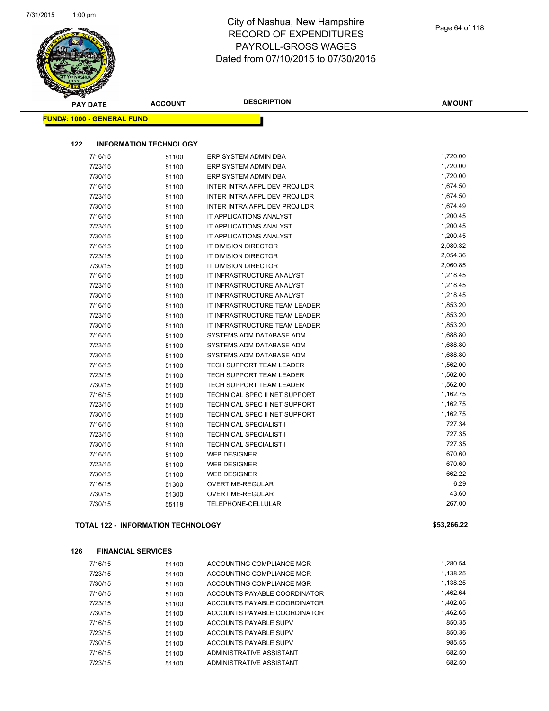$\overline{\phantom{a}}$ 

| <b>PAY DATE</b>                   | <b>ACCOUNT</b>                            | <b>DESCRIPTION</b>            | <b>AMOUNT</b> |
|-----------------------------------|-------------------------------------------|-------------------------------|---------------|
| <b>FUND#: 1000 - GENERAL FUND</b> |                                           |                               |               |
|                                   |                                           |                               |               |
| 122                               | <b>INFORMATION TECHNOLOGY</b>             |                               |               |
| 7/16/15                           | 51100                                     | ERP SYSTEM ADMIN DBA          | 1,720.00      |
| 7/23/15                           | 51100                                     | ERP SYSTEM ADMIN DBA          | 1,720.00      |
| 7/30/15                           | 51100                                     | ERP SYSTEM ADMIN DBA          | 1,720.00      |
| 7/16/15                           | 51100                                     | INTER INTRA APPL DEV PROJ LDR | 1,674.50      |
| 7/23/15                           | 51100                                     | INTER INTRA APPL DEV PROJ LDR | 1,674.50      |
| 7/30/15                           | 51100                                     | INTER INTRA APPL DEV PROJ LDR | 1,674.49      |
| 7/16/15                           | 51100                                     | IT APPLICATIONS ANALYST       | 1,200.45      |
| 7/23/15                           | 51100                                     | IT APPLICATIONS ANALYST       | 1,200.45      |
| 7/30/15                           | 51100                                     | IT APPLICATIONS ANALYST       | 1,200.45      |
| 7/16/15                           | 51100                                     | IT DIVISION DIRECTOR          | 2,080.32      |
| 7/23/15                           | 51100                                     | IT DIVISION DIRECTOR          | 2,054.36      |
| 7/30/15                           | 51100                                     | IT DIVISION DIRECTOR          | 2,060.85      |
| 7/16/15                           | 51100                                     | IT INFRASTRUCTURE ANALYST     | 1,218.45      |
| 7/23/15                           | 51100                                     | IT INFRASTRUCTURE ANALYST     | 1,218.45      |
| 7/30/15                           | 51100                                     | IT INFRASTRUCTURE ANALYST     | 1,218.45      |
| 7/16/15                           | 51100                                     | IT INFRASTRUCTURE TEAM LEADER | 1,853.20      |
| 7/23/15                           | 51100                                     | IT INFRASTRUCTURE TEAM LEADER | 1,853.20      |
| 7/30/15                           | 51100                                     | IT INFRASTRUCTURE TEAM LEADER | 1,853.20      |
| 7/16/15                           | 51100                                     | SYSTEMS ADM DATABASE ADM      | 1,688.80      |
| 7/23/15                           | 51100                                     | SYSTEMS ADM DATABASE ADM      | 1,688.80      |
| 7/30/15                           | 51100                                     | SYSTEMS ADM DATABASE ADM      | 1,688.80      |
| 7/16/15                           | 51100                                     | TECH SUPPORT TEAM LEADER      | 1,562.00      |
| 7/23/15                           | 51100                                     | TECH SUPPORT TEAM LEADER      | 1,562.00      |
| 7/30/15                           | 51100                                     | TECH SUPPORT TEAM LEADER      | 1,562.00      |
| 7/16/15                           | 51100                                     | TECHNICAL SPEC II NET SUPPORT | 1,162.75      |
| 7/23/15                           | 51100                                     | TECHNICAL SPEC II NET SUPPORT | 1,162.75      |
| 7/30/15                           | 51100                                     | TECHNICAL SPEC II NET SUPPORT | 1,162.75      |
| 7/16/15                           | 51100                                     | <b>TECHNICAL SPECIALIST I</b> | 727.34        |
| 7/23/15                           | 51100                                     | <b>TECHNICAL SPECIALIST I</b> | 727.35        |
| 7/30/15                           | 51100                                     | <b>TECHNICAL SPECIALIST I</b> | 727.35        |
| 7/16/15                           | 51100                                     | <b>WEB DESIGNER</b>           | 670.60        |
| 7/23/15                           | 51100                                     | <b>WEB DESIGNER</b>           | 670.60        |
| 7/30/15                           | 51100                                     | <b>WEB DESIGNER</b>           | 662.22        |
| 7/16/15                           | 51300                                     | OVERTIME-REGULAR              | 6.29          |
| 7/30/15                           | 51300                                     | OVERTIME-REGULAR              | 43.60         |
| 7/30/15                           | 55118                                     | TELEPHONE-CELLULAR            | 267.00        |
|                                   | <b>TOTAL 122 - INFORMATION TECHNOLOGY</b> |                               | \$53,266.22   |
| 126                               | <b>FINANCIAL SERVICES</b>                 |                               |               |
| 7/16/15                           | 51100                                     | ACCOUNTING COMPLIANCE MGR     | 1,280.54      |
| 7/23/15                           | 51100                                     | ACCOUNTING COMPLIANCE MGR     | 1,138.25      |
| 7/30/15                           | 51100                                     | ACCOUNTING COMPLIANCE MGR     | 1,138.25      |
| 7/16/15                           | 51100                                     | ACCOUNTS PAYABLE COORDINATOR  | 1,462.64      |
| 7/23/15                           | 51100                                     | ACCOUNTS PAYABLE COORDINATOR  | 1,462.65      |
| 7/30/15                           | 51100                                     | ACCOUNTS PAYABLE COORDINATOR  | 1,462.65      |
| 7/16/15                           | 51100                                     | ACCOUNTS PAYABLE SUPV         | 850.35        |
| 7/23/15                           | 51100                                     | ACCOUNTS PAYABLE SUPV         | 850.36        |
| 7/30/15                           | 51100                                     | ACCOUNTS PAYABLE SUPV         | 985.55        |
| 7/16/15                           | 51100                                     | ADMINISTRATIVE ASSISTANT I    | 682.50        |
|                                   |                                           |                               |               |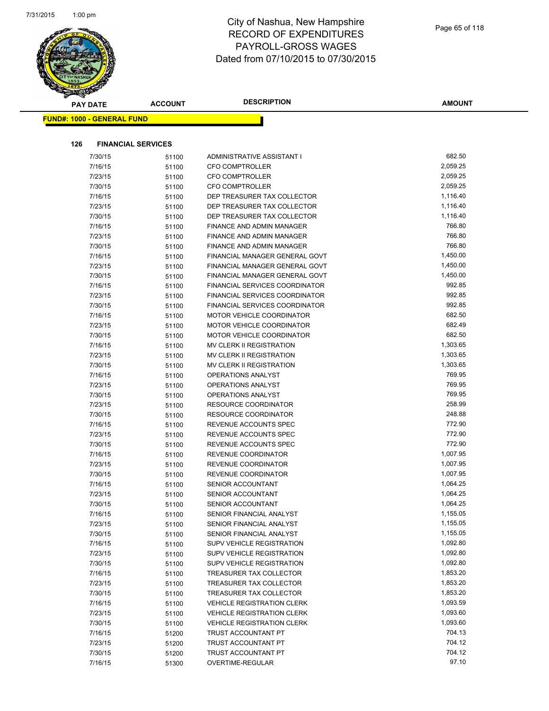

| <b>PAY DATE</b>                   | <b>ACCOUNT</b> | <b>DESCRIPTION</b>                | <b>AMOUNT</b> |  |
|-----------------------------------|----------------|-----------------------------------|---------------|--|
| <b>FUND#: 1000 - GENERAL FUND</b> |                |                                   |               |  |
|                                   |                |                                   |               |  |
|                                   |                |                                   |               |  |
| 126<br><b>FINANCIAL SERVICES</b>  |                |                                   |               |  |
| 7/30/15                           | 51100          | ADMINISTRATIVE ASSISTANT I        | 682.50        |  |
| 7/16/15                           | 51100          | <b>CFO COMPTROLLER</b>            | 2,059.25      |  |
| 7/23/15                           | 51100          | <b>CFO COMPTROLLER</b>            | 2,059.25      |  |
| 7/30/15                           | 51100          | <b>CFO COMPTROLLER</b>            | 2,059.25      |  |
| 7/16/15                           | 51100          | DEP TREASURER TAX COLLECTOR       | 1,116.40      |  |
| 7/23/15                           | 51100          | DEP TREASURER TAX COLLECTOR       | 1,116.40      |  |
| 7/30/15                           | 51100          | DEP TREASURER TAX COLLECTOR       | 1,116.40      |  |
| 7/16/15                           | 51100          | FINANCE AND ADMIN MANAGER         | 766.80        |  |
| 7/23/15                           | 51100          | FINANCE AND ADMIN MANAGER         | 766.80        |  |
| 7/30/15                           | 51100          | FINANCE AND ADMIN MANAGER         | 766.80        |  |
| 7/16/15                           | 51100          | FINANCIAL MANAGER GENERAL GOVT    | 1,450.00      |  |
| 7/23/15                           | 51100          | FINANCIAL MANAGER GENERAL GOVT    | 1,450.00      |  |
| 7/30/15                           | 51100          | FINANCIAL MANAGER GENERAL GOVT    | 1,450.00      |  |
| 7/16/15                           | 51100          | FINANCIAL SERVICES COORDINATOR    | 992.85        |  |
| 7/23/15                           | 51100          | FINANCIAL SERVICES COORDINATOR    | 992.85        |  |
| 7/30/15                           | 51100          | FINANCIAL SERVICES COORDINATOR    | 992.85        |  |
| 7/16/15                           | 51100          | <b>MOTOR VEHICLE COORDINATOR</b>  | 682.50        |  |
| 7/23/15                           | 51100          | <b>MOTOR VEHICLE COORDINATOR</b>  | 682.49        |  |
| 7/30/15                           | 51100          | <b>MOTOR VEHICLE COORDINATOR</b>  | 682.50        |  |
| 7/16/15                           | 51100          | MV CLERK II REGISTRATION          | 1,303.65      |  |
| 7/23/15                           | 51100          | MV CLERK II REGISTRATION          | 1,303.65      |  |
| 7/30/15                           | 51100          | MV CLERK II REGISTRATION          | 1,303.65      |  |
| 7/16/15                           | 51100          | OPERATIONS ANALYST                | 769.95        |  |
| 7/23/15                           | 51100          | OPERATIONS ANALYST                | 769.95        |  |
| 7/30/15                           | 51100          | OPERATIONS ANALYST                | 769.95        |  |
| 7/23/15                           | 51100          | <b>RESOURCE COORDINATOR</b>       | 258.99        |  |
| 7/30/15                           | 51100          | RESOURCE COORDINATOR              | 248.88        |  |
| 7/16/15                           | 51100          | REVENUE ACCOUNTS SPEC             | 772.90        |  |
| 7/23/15                           | 51100          | REVENUE ACCOUNTS SPEC             | 772.90        |  |
| 7/30/15                           | 51100          | REVENUE ACCOUNTS SPEC             | 772.90        |  |
| 7/16/15                           | 51100          | <b>REVENUE COORDINATOR</b>        | 1,007.95      |  |
| 7/23/15                           | 51100          | REVENUE COORDINATOR               | 1,007.95      |  |
| 7/30/15                           | 51100          | REVENUE COORDINATOR               | 1,007.95      |  |
| 7/16/15                           | 51100          | SENIOR ACCOUNTANT                 | 1,064.25      |  |
| 7/23/15                           | 51100          | SENIOR ACCOUNTANT                 | 1,064.25      |  |
| 7/30/15                           | 51100          | SENIOR ACCOUNTANT                 | 1,064.25      |  |
| 7/16/15                           | 51100          | SENIOR FINANCIAL ANALYST          | 1,155.05      |  |
| 7/23/15                           | 51100          | SENIOR FINANCIAL ANALYST          | 1,155.05      |  |
| 7/30/15                           | 51100          | SENIOR FINANCIAL ANALYST          | 1,155.05      |  |
| 7/16/15                           | 51100          | SUPV VEHICLE REGISTRATION         | 1,092.80      |  |
| 7/23/15                           | 51100          | <b>SUPV VEHICLE REGISTRATION</b>  | 1,092.80      |  |
| 7/30/15                           | 51100          | <b>SUPV VEHICLE REGISTRATION</b>  | 1,092.80      |  |
| 7/16/15                           | 51100          | TREASURER TAX COLLECTOR           | 1,853.20      |  |
| 7/23/15                           | 51100          | TREASURER TAX COLLECTOR           | 1,853.20      |  |
| 7/30/15                           | 51100          | TREASURER TAX COLLECTOR           | 1,853.20      |  |
| 7/16/15                           | 51100          | <b>VEHICLE REGISTRATION CLERK</b> | 1,093.59      |  |
| 7/23/15                           | 51100          | <b>VEHICLE REGISTRATION CLERK</b> | 1,093.60      |  |
| 7/30/15                           | 51100          | <b>VEHICLE REGISTRATION CLERK</b> | 1,093.60      |  |
| 7/16/15                           | 51200          | TRUST ACCOUNTANT PT               | 704.13        |  |
| 7/23/15                           | 51200          | TRUST ACCOUNTANT PT               | 704.12        |  |
| 7/30/15                           | 51200          | TRUST ACCOUNTANT PT               | 704.12        |  |
| 7/16/15                           | 51300          | OVERTIME-REGULAR                  | 97.10         |  |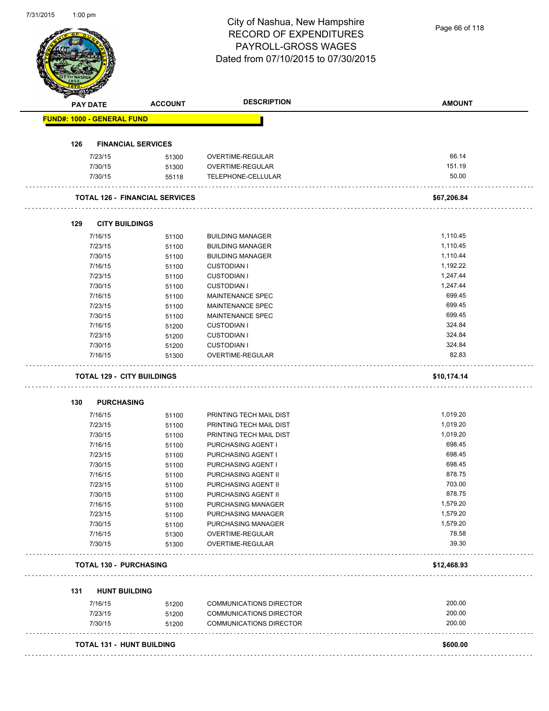| 1131/ZU15                         | 1:00 pm         |                                       | City of Nashua, New Hampshire<br><b>RECORD OF EXPENDITURES</b><br>PAYROLL-GROSS WAGES | Page 66 of 118 |
|-----------------------------------|-----------------|---------------------------------------|---------------------------------------------------------------------------------------|----------------|
|                                   |                 |                                       | Dated from 07/10/2015 to 07/30/2015                                                   |                |
|                                   | <b>PAY DATE</b> | <b>ACCOUNT</b>                        | <b>DESCRIPTION</b>                                                                    | <b>AMOUNT</b>  |
| <b>FUND#: 1000 - GENERAL FUND</b> |                 |                                       |                                                                                       |                |
| 126                               |                 | <b>FINANCIAL SERVICES</b>             |                                                                                       |                |
|                                   | 7/23/15         | 51300                                 | OVERTIME-REGULAR                                                                      | 66.14          |
|                                   | 7/30/15         | 51300                                 | OVERTIME-REGULAR                                                                      | 151.19         |
|                                   | 7/30/15         | 55118                                 | TELEPHONE-CELLULAR                                                                    | 50.00          |
|                                   |                 | <b>TOTAL 126 - FINANCIAL SERVICES</b> |                                                                                       | \$67,206.84    |
| 129                               |                 | <b>CITY BUILDINGS</b>                 |                                                                                       |                |
|                                   | 7/16/15         | 51100                                 | <b>BUILDING MANAGER</b>                                                               | 1,110.45       |
|                                   | 7/23/15         | 51100                                 | <b>BUILDING MANAGER</b>                                                               | 1,110.45       |
|                                   | 7/30/15         | 51100                                 | <b>BUILDING MANAGER</b>                                                               | 1,110.44       |
|                                   | 7/16/15         | 51100                                 | <b>CUSTODIAN I</b>                                                                    | 1,192.22       |
|                                   | 7/23/15         | 51100                                 | <b>CUSTODIAN I</b>                                                                    | 1,247.44       |
|                                   | 7/30/15         | 51100                                 | <b>CUSTODIAN I</b>                                                                    | 1,247.44       |
|                                   | 7/16/15         | 51100                                 | MAINTENANCE SPEC                                                                      | 699.45         |
|                                   | 7/23/15         | 51100                                 | MAINTENANCE SPEC                                                                      | 699.45         |
|                                   | 7/30/15         | 51100                                 | MAINTENANCE SPEC                                                                      | 699.45         |
|                                   | 7/16/15         | 51200                                 | <b>CUSTODIAN I</b>                                                                    | 324.84         |
|                                   | 7/23/15         | 51200                                 | <b>CUSTODIAN I</b>                                                                    | 324.84         |
|                                   | 7/30/15         | 51200                                 | <b>CUSTODIAN I</b>                                                                    | 324.84         |
|                                   | 7/16/15         | 51300                                 | OVERTIME-REGULAR                                                                      | 82.83          |
|                                   |                 | <b>TOTAL 129 - CITY BUILDINGS</b>     |                                                                                       | \$10,174.14    |
| 130                               |                 | <b>PURCHASING</b>                     |                                                                                       |                |
|                                   | 7/16/15         | 51100                                 | PRINTING TECH MAIL DIST                                                               | 1,019.20       |
|                                   | 7/23/15         | 51100                                 | PRINTING TECH MAIL DIST                                                               | 1,019.20       |
|                                   | 7/30/15         | 51100                                 | PRINTING TECH MAIL DIST                                                               | 1,019.20       |
|                                   | 7/16/15         | 51100                                 | PURCHASING AGENT I                                                                    | 698.45         |
|                                   | 7/23/15         | 51100                                 | PURCHASING AGENT I                                                                    | 698.45         |
|                                   | 7/30/15         | 51100                                 | PURCHASING AGENT I                                                                    | 698.45         |
|                                   | 7/16/15         | 51100                                 | PURCHASING AGENT II                                                                   | 878.75         |
|                                   | 7/23/15         | 51100                                 | PURCHASING AGENT II                                                                   | 703.00         |
|                                   | 7/30/15         | 51100                                 | PURCHASING AGENT II                                                                   | 878.75         |
|                                   | 7/16/15         | 51100                                 | PURCHASING MANAGER                                                                    | 1,579.20       |
|                                   | 7/23/15         | 51100                                 | PURCHASING MANAGER                                                                    | 1,579.20       |
|                                   | 7/30/15         | 51100                                 | PURCHASING MANAGER                                                                    | 1,579.20       |
|                                   | 7/16/15         | 51300                                 | OVERTIME-REGULAR                                                                      | 78.58          |
|                                   | 7/30/15         | 51300                                 | OVERTIME-REGULAR                                                                      | 39.30          |
|                                   |                 | <b>TOTAL 130 - PURCHASING</b>         |                                                                                       | \$12,468.93    |
| 131                               |                 | <b>HUNT BUILDING</b>                  |                                                                                       |                |
|                                   | 7/16/15         | 51200                                 | <b>COMMUNICATIONS DIRECTOR</b>                                                        | 200.00         |
|                                   | 7/23/15         | 51200                                 | <b>COMMUNICATIONS DIRECTOR</b>                                                        | 200.00         |
|                                   | 7/30/15         | 51200                                 | <b>COMMUNICATIONS DIRECTOR</b>                                                        | 200.00         |
|                                   |                 |                                       |                                                                                       |                |
|                                   |                 | <b>TOTAL 131 - HUNT BUILDING</b>      |                                                                                       | \$600.00       |

7/31/2015 1:00 pm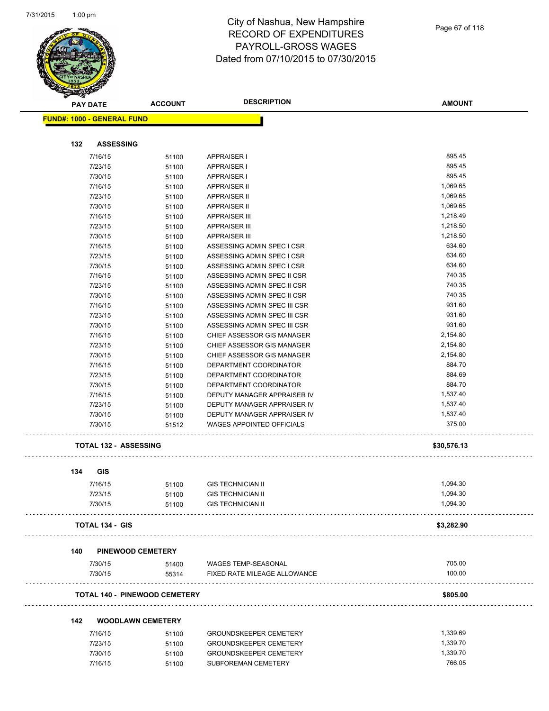

| Page 67 of 118 |  |  |  |
|----------------|--|--|--|
|----------------|--|--|--|

|     |                  | <b>ACCOUNT</b>                                                                                                                                                                                                                                                                                                                                                                                                                                                                                                           |                                                                                                                                                                                                                                                                                                                                                                                               | <b>AMOUNT</b>                                                                                                                                                                                                                                                                                                                                                                                                                                                                                                                                                                                                                                                                                                                                                                                                              |
|-----|------------------|--------------------------------------------------------------------------------------------------------------------------------------------------------------------------------------------------------------------------------------------------------------------------------------------------------------------------------------------------------------------------------------------------------------------------------------------------------------------------------------------------------------------------|-----------------------------------------------------------------------------------------------------------------------------------------------------------------------------------------------------------------------------------------------------------------------------------------------------------------------------------------------------------------------------------------------|----------------------------------------------------------------------------------------------------------------------------------------------------------------------------------------------------------------------------------------------------------------------------------------------------------------------------------------------------------------------------------------------------------------------------------------------------------------------------------------------------------------------------------------------------------------------------------------------------------------------------------------------------------------------------------------------------------------------------------------------------------------------------------------------------------------------------|
|     |                  |                                                                                                                                                                                                                                                                                                                                                                                                                                                                                                                          |                                                                                                                                                                                                                                                                                                                                                                                               |                                                                                                                                                                                                                                                                                                                                                                                                                                                                                                                                                                                                                                                                                                                                                                                                                            |
|     |                  |                                                                                                                                                                                                                                                                                                                                                                                                                                                                                                                          |                                                                                                                                                                                                                                                                                                                                                                                               |                                                                                                                                                                                                                                                                                                                                                                                                                                                                                                                                                                                                                                                                                                                                                                                                                            |
| 132 | <b>ASSESSING</b> |                                                                                                                                                                                                                                                                                                                                                                                                                                                                                                                          |                                                                                                                                                                                                                                                                                                                                                                                               |                                                                                                                                                                                                                                                                                                                                                                                                                                                                                                                                                                                                                                                                                                                                                                                                                            |
|     |                  |                                                                                                                                                                                                                                                                                                                                                                                                                                                                                                                          | <b>APPRAISER I</b>                                                                                                                                                                                                                                                                                                                                                                            | 895.45                                                                                                                                                                                                                                                                                                                                                                                                                                                                                                                                                                                                                                                                                                                                                                                                                     |
|     |                  |                                                                                                                                                                                                                                                                                                                                                                                                                                                                                                                          | <b>APPRAISER I</b>                                                                                                                                                                                                                                                                                                                                                                            | 895.45                                                                                                                                                                                                                                                                                                                                                                                                                                                                                                                                                                                                                                                                                                                                                                                                                     |
|     |                  |                                                                                                                                                                                                                                                                                                                                                                                                                                                                                                                          |                                                                                                                                                                                                                                                                                                                                                                                               | 895.45                                                                                                                                                                                                                                                                                                                                                                                                                                                                                                                                                                                                                                                                                                                                                                                                                     |
|     |                  |                                                                                                                                                                                                                                                                                                                                                                                                                                                                                                                          |                                                                                                                                                                                                                                                                                                                                                                                               | 1,069.65                                                                                                                                                                                                                                                                                                                                                                                                                                                                                                                                                                                                                                                                                                                                                                                                                   |
|     |                  |                                                                                                                                                                                                                                                                                                                                                                                                                                                                                                                          | <b>APPRAISER II</b>                                                                                                                                                                                                                                                                                                                                                                           | 1,069.65                                                                                                                                                                                                                                                                                                                                                                                                                                                                                                                                                                                                                                                                                                                                                                                                                   |
|     |                  |                                                                                                                                                                                                                                                                                                                                                                                                                                                                                                                          | <b>APPRAISER II</b>                                                                                                                                                                                                                                                                                                                                                                           | 1,069.65                                                                                                                                                                                                                                                                                                                                                                                                                                                                                                                                                                                                                                                                                                                                                                                                                   |
|     |                  |                                                                                                                                                                                                                                                                                                                                                                                                                                                                                                                          | <b>APPRAISER III</b>                                                                                                                                                                                                                                                                                                                                                                          | 1,218.49                                                                                                                                                                                                                                                                                                                                                                                                                                                                                                                                                                                                                                                                                                                                                                                                                   |
|     |                  | 51100                                                                                                                                                                                                                                                                                                                                                                                                                                                                                                                    | <b>APPRAISER III</b>                                                                                                                                                                                                                                                                                                                                                                          | 1,218.50                                                                                                                                                                                                                                                                                                                                                                                                                                                                                                                                                                                                                                                                                                                                                                                                                   |
|     |                  |                                                                                                                                                                                                                                                                                                                                                                                                                                                                                                                          | <b>APPRAISER III</b>                                                                                                                                                                                                                                                                                                                                                                          | 1,218.50                                                                                                                                                                                                                                                                                                                                                                                                                                                                                                                                                                                                                                                                                                                                                                                                                   |
|     |                  |                                                                                                                                                                                                                                                                                                                                                                                                                                                                                                                          | ASSESSING ADMIN SPEC I CSR                                                                                                                                                                                                                                                                                                                                                                    | 634.60                                                                                                                                                                                                                                                                                                                                                                                                                                                                                                                                                                                                                                                                                                                                                                                                                     |
|     |                  |                                                                                                                                                                                                                                                                                                                                                                                                                                                                                                                          |                                                                                                                                                                                                                                                                                                                                                                                               | 634.60                                                                                                                                                                                                                                                                                                                                                                                                                                                                                                                                                                                                                                                                                                                                                                                                                     |
|     |                  |                                                                                                                                                                                                                                                                                                                                                                                                                                                                                                                          | ASSESSING ADMIN SPEC I CSR                                                                                                                                                                                                                                                                                                                                                                    | 634.60                                                                                                                                                                                                                                                                                                                                                                                                                                                                                                                                                                                                                                                                                                                                                                                                                     |
|     |                  |                                                                                                                                                                                                                                                                                                                                                                                                                                                                                                                          | ASSESSING ADMIN SPEC II CSR                                                                                                                                                                                                                                                                                                                                                                   | 740.35                                                                                                                                                                                                                                                                                                                                                                                                                                                                                                                                                                                                                                                                                                                                                                                                                     |
|     |                  |                                                                                                                                                                                                                                                                                                                                                                                                                                                                                                                          |                                                                                                                                                                                                                                                                                                                                                                                               | 740.35                                                                                                                                                                                                                                                                                                                                                                                                                                                                                                                                                                                                                                                                                                                                                                                                                     |
|     |                  |                                                                                                                                                                                                                                                                                                                                                                                                                                                                                                                          |                                                                                                                                                                                                                                                                                                                                                                                               | 740.35                                                                                                                                                                                                                                                                                                                                                                                                                                                                                                                                                                                                                                                                                                                                                                                                                     |
|     |                  |                                                                                                                                                                                                                                                                                                                                                                                                                                                                                                                          |                                                                                                                                                                                                                                                                                                                                                                                               | 931.60                                                                                                                                                                                                                                                                                                                                                                                                                                                                                                                                                                                                                                                                                                                                                                                                                     |
|     |                  |                                                                                                                                                                                                                                                                                                                                                                                                                                                                                                                          |                                                                                                                                                                                                                                                                                                                                                                                               | 931.60                                                                                                                                                                                                                                                                                                                                                                                                                                                                                                                                                                                                                                                                                                                                                                                                                     |
|     |                  |                                                                                                                                                                                                                                                                                                                                                                                                                                                                                                                          |                                                                                                                                                                                                                                                                                                                                                                                               | 931.60                                                                                                                                                                                                                                                                                                                                                                                                                                                                                                                                                                                                                                                                                                                                                                                                                     |
|     |                  |                                                                                                                                                                                                                                                                                                                                                                                                                                                                                                                          |                                                                                                                                                                                                                                                                                                                                                                                               | 2,154.80                                                                                                                                                                                                                                                                                                                                                                                                                                                                                                                                                                                                                                                                                                                                                                                                                   |
|     |                  |                                                                                                                                                                                                                                                                                                                                                                                                                                                                                                                          |                                                                                                                                                                                                                                                                                                                                                                                               | 2,154.80                                                                                                                                                                                                                                                                                                                                                                                                                                                                                                                                                                                                                                                                                                                                                                                                                   |
|     |                  |                                                                                                                                                                                                                                                                                                                                                                                                                                                                                                                          |                                                                                                                                                                                                                                                                                                                                                                                               | 2,154.80                                                                                                                                                                                                                                                                                                                                                                                                                                                                                                                                                                                                                                                                                                                                                                                                                   |
|     |                  |                                                                                                                                                                                                                                                                                                                                                                                                                                                                                                                          |                                                                                                                                                                                                                                                                                                                                                                                               | 884.70                                                                                                                                                                                                                                                                                                                                                                                                                                                                                                                                                                                                                                                                                                                                                                                                                     |
|     |                  |                                                                                                                                                                                                                                                                                                                                                                                                                                                                                                                          |                                                                                                                                                                                                                                                                                                                                                                                               | 884.69                                                                                                                                                                                                                                                                                                                                                                                                                                                                                                                                                                                                                                                                                                                                                                                                                     |
|     |                  |                                                                                                                                                                                                                                                                                                                                                                                                                                                                                                                          |                                                                                                                                                                                                                                                                                                                                                                                               | 884.70                                                                                                                                                                                                                                                                                                                                                                                                                                                                                                                                                                                                                                                                                                                                                                                                                     |
|     |                  |                                                                                                                                                                                                                                                                                                                                                                                                                                                                                                                          |                                                                                                                                                                                                                                                                                                                                                                                               | 1,537.40                                                                                                                                                                                                                                                                                                                                                                                                                                                                                                                                                                                                                                                                                                                                                                                                                   |
|     |                  |                                                                                                                                                                                                                                                                                                                                                                                                                                                                                                                          |                                                                                                                                                                                                                                                                                                                                                                                               | 1,537.40                                                                                                                                                                                                                                                                                                                                                                                                                                                                                                                                                                                                                                                                                                                                                                                                                   |
|     |                  |                                                                                                                                                                                                                                                                                                                                                                                                                                                                                                                          |                                                                                                                                                                                                                                                                                                                                                                                               | 1,537.40                                                                                                                                                                                                                                                                                                                                                                                                                                                                                                                                                                                                                                                                                                                                                                                                                   |
|     |                  |                                                                                                                                                                                                                                                                                                                                                                                                                                                                                                                          | <b>WAGES APPOINTED OFFICIALS</b>                                                                                                                                                                                                                                                                                                                                                              | 375.00                                                                                                                                                                                                                                                                                                                                                                                                                                                                                                                                                                                                                                                                                                                                                                                                                     |
|     |                  |                                                                                                                                                                                                                                                                                                                                                                                                                                                                                                                          |                                                                                                                                                                                                                                                                                                                                                                                               |                                                                                                                                                                                                                                                                                                                                                                                                                                                                                                                                                                                                                                                                                                                                                                                                                            |
|     |                  |                                                                                                                                                                                                                                                                                                                                                                                                                                                                                                                          |                                                                                                                                                                                                                                                                                                                                                                                               | \$30,576.13                                                                                                                                                                                                                                                                                                                                                                                                                                                                                                                                                                                                                                                                                                                                                                                                                |
| 134 | <b>GIS</b>       |                                                                                                                                                                                                                                                                                                                                                                                                                                                                                                                          |                                                                                                                                                                                                                                                                                                                                                                                               |                                                                                                                                                                                                                                                                                                                                                                                                                                                                                                                                                                                                                                                                                                                                                                                                                            |
|     |                  |                                                                                                                                                                                                                                                                                                                                                                                                                                                                                                                          |                                                                                                                                                                                                                                                                                                                                                                                               | 1,094.30                                                                                                                                                                                                                                                                                                                                                                                                                                                                                                                                                                                                                                                                                                                                                                                                                   |
|     |                  |                                                                                                                                                                                                                                                                                                                                                                                                                                                                                                                          |                                                                                                                                                                                                                                                                                                                                                                                               | 1,094.30                                                                                                                                                                                                                                                                                                                                                                                                                                                                                                                                                                                                                                                                                                                                                                                                                   |
|     |                  | 51100                                                                                                                                                                                                                                                                                                                                                                                                                                                                                                                    | <b>GIS TECHNICIAN II</b>                                                                                                                                                                                                                                                                                                                                                                      | 1,094.30                                                                                                                                                                                                                                                                                                                                                                                                                                                                                                                                                                                                                                                                                                                                                                                                                   |
|     |                  |                                                                                                                                                                                                                                                                                                                                                                                                                                                                                                                          |                                                                                                                                                                                                                                                                                                                                                                                               | \$3,282.90                                                                                                                                                                                                                                                                                                                                                                                                                                                                                                                                                                                                                                                                                                                                                                                                                 |
|     |                  |                                                                                                                                                                                                                                                                                                                                                                                                                                                                                                                          |                                                                                                                                                                                                                                                                                                                                                                                               |                                                                                                                                                                                                                                                                                                                                                                                                                                                                                                                                                                                                                                                                                                                                                                                                                            |
| 140 |                  |                                                                                                                                                                                                                                                                                                                                                                                                                                                                                                                          |                                                                                                                                                                                                                                                                                                                                                                                               |                                                                                                                                                                                                                                                                                                                                                                                                                                                                                                                                                                                                                                                                                                                                                                                                                            |
|     |                  | 51400                                                                                                                                                                                                                                                                                                                                                                                                                                                                                                                    |                                                                                                                                                                                                                                                                                                                                                                                               | 705.00                                                                                                                                                                                                                                                                                                                                                                                                                                                                                                                                                                                                                                                                                                                                                                                                                     |
|     |                  |                                                                                                                                                                                                                                                                                                                                                                                                                                                                                                                          |                                                                                                                                                                                                                                                                                                                                                                                               | 100.00                                                                                                                                                                                                                                                                                                                                                                                                                                                                                                                                                                                                                                                                                                                                                                                                                     |
|     |                  |                                                                                                                                                                                                                                                                                                                                                                                                                                                                                                                          |                                                                                                                                                                                                                                                                                                                                                                                               | \$805.00                                                                                                                                                                                                                                                                                                                                                                                                                                                                                                                                                                                                                                                                                                                                                                                                                   |
| 142 |                  |                                                                                                                                                                                                                                                                                                                                                                                                                                                                                                                          |                                                                                                                                                                                                                                                                                                                                                                                               |                                                                                                                                                                                                                                                                                                                                                                                                                                                                                                                                                                                                                                                                                                                                                                                                                            |
|     |                  |                                                                                                                                                                                                                                                                                                                                                                                                                                                                                                                          |                                                                                                                                                                                                                                                                                                                                                                                               | 1,339.69                                                                                                                                                                                                                                                                                                                                                                                                                                                                                                                                                                                                                                                                                                                                                                                                                   |
|     |                  |                                                                                                                                                                                                                                                                                                                                                                                                                                                                                                                          |                                                                                                                                                                                                                                                                                                                                                                                               | 1,339.70                                                                                                                                                                                                                                                                                                                                                                                                                                                                                                                                                                                                                                                                                                                                                                                                                   |
|     |                  |                                                                                                                                                                                                                                                                                                                                                                                                                                                                                                                          |                                                                                                                                                                                                                                                                                                                                                                                               | 1,339.70                                                                                                                                                                                                                                                                                                                                                                                                                                                                                                                                                                                                                                                                                                                                                                                                                   |
|     |                  |                                                                                                                                                                                                                                                                                                                                                                                                                                                                                                                          |                                                                                                                                                                                                                                                                                                                                                                                               | 766.05                                                                                                                                                                                                                                                                                                                                                                                                                                                                                                                                                                                                                                                                                                                                                                                                                     |
|     |                  | <b>STATE OF</b><br><b>PAY DATE</b><br><b>FUND#: 1000 - GENERAL FUND</b><br>7/16/15<br>7/23/15<br>7/30/15<br>7/16/15<br>7/23/15<br>7/30/15<br>7/16/15<br>7/23/15<br>7/30/15<br>7/16/15<br>7/23/15<br>7/30/15<br>7/16/15<br>7/23/15<br>7/30/15<br>7/16/15<br>7/23/15<br>7/30/15<br>7/16/15<br>7/23/15<br>7/30/15<br>7/16/15<br>7/23/15<br>7/30/15<br>7/16/15<br>7/23/15<br>7/30/15<br>7/30/15<br>7/16/15<br>7/23/15<br>7/30/15<br><b>TOTAL 134 - GIS</b><br>7/30/15<br>7/30/15<br>7/16/15<br>7/23/15<br>7/30/15<br>7/16/15 | 51100<br>51100<br>51100<br>51100<br>51100<br>51100<br>51100<br>51100<br>51100<br>51100<br>51100<br>51100<br>51100<br>51100<br>51100<br>51100<br>51100<br>51100<br>51100<br>51100<br>51100<br>51100<br>51100<br>51100<br>51100<br>51100<br>51512<br><b>TOTAL 132 - ASSESSING</b><br>51100<br><b>PINEWOOD CEMETERY</b><br>55314<br><b>WOODLAWN CEMETERY</b><br>51100<br>51100<br>51100<br>51100 | <b>DESCRIPTION</b><br><b>APPRAISER I</b><br><b>APPRAISER II</b><br>ASSESSING ADMIN SPEC I CSR<br>ASSESSING ADMIN SPEC II CSR<br>ASSESSING ADMIN SPEC II CSR<br>ASSESSING ADMIN SPEC III CSR<br>ASSESSING ADMIN SPEC III CSR<br>ASSESSING ADMIN SPEC III CSR<br>CHIEF ASSESSOR GIS MANAGER<br>CHIEF ASSESSOR GIS MANAGER<br>CHIEF ASSESSOR GIS MANAGER<br>DEPARTMENT COORDINATOR<br>DEPARTMENT COORDINATOR<br>DEPARTMENT COORDINATOR<br>DEPUTY MANAGER APPRAISER IV<br>DEPUTY MANAGER APPRAISER IV<br>DEPUTY MANAGER APPRAISER IV<br><b>GIS TECHNICIAN II</b><br><b>GIS TECHNICIAN II</b><br>51100<br>WAGES TEMP-SEASONAL<br>FIXED RATE MILEAGE ALLOWANCE<br><b>TOTAL 140 - PINEWOOD CEMETERY</b><br><b>GROUNDSKEEPER CEMETERY</b><br><b>GROUNDSKEEPER CEMETERY</b><br><b>GROUNDSKEEPER CEMETERY</b><br>SUBFOREMAN CEMETERY |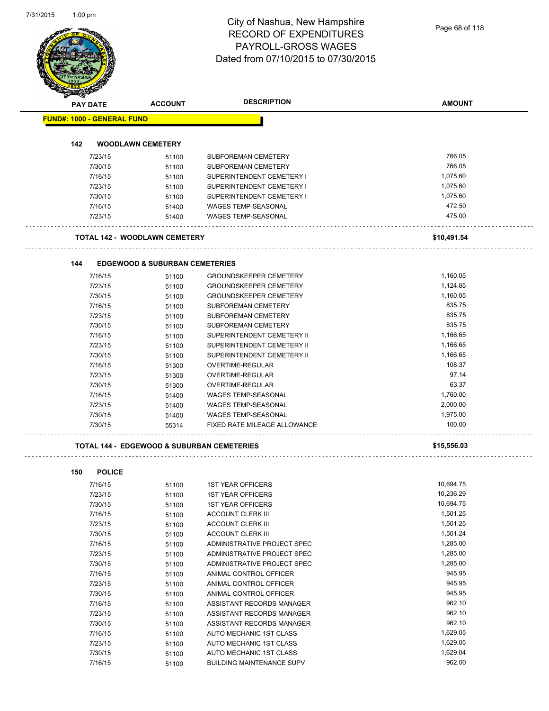# City of Nashua, New Hampshire RECORD OF EXPENDITURES PAYROLL-GROSS WAGES

|                                   |                                                       | <b>RECORD OF EXPENDITURES</b><br>PAYROLL-GROSS WAGES | Page 68 of 118 |
|-----------------------------------|-------------------------------------------------------|------------------------------------------------------|----------------|
|                                   |                                                       |                                                      |                |
|                                   |                                                       | Dated from 07/10/2015 to 07/30/2015                  |                |
|                                   |                                                       |                                                      |                |
|                                   |                                                       |                                                      |                |
|                                   |                                                       |                                                      |                |
| <b>PAY DATE</b>                   | <b>ACCOUNT</b>                                        | <b>DESCRIPTION</b>                                   | <b>AMOUNT</b>  |
| <b>FUND#: 1000 - GENERAL FUND</b> |                                                       |                                                      |                |
|                                   |                                                       |                                                      |                |
| 142                               | <b>WOODLAWN CEMETERY</b>                              |                                                      | 766.05         |
| 7/23/15<br>7/30/15                | 51100                                                 | SUBFOREMAN CEMETERY                                  | 766.05         |
|                                   | 51100                                                 | SUBFOREMAN CEMETERY                                  | 1,075.60       |
| 7/16/15                           | 51100                                                 | SUPERINTENDENT CEMETERY I                            | 1,075.60       |
| 7/23/15                           | 51100                                                 | SUPERINTENDENT CEMETERY I                            |                |
| 7/30/15                           | 51100                                                 | SUPERINTENDENT CEMETERY I                            | 1,075.60       |
| 7/16/15                           | 51400                                                 | WAGES TEMP-SEASONAL                                  | 472.50         |
| 7/23/15                           | 51400                                                 | <b>WAGES TEMP-SEASONAL</b>                           | 475.00         |
|                                   | <b>TOTAL 142 - WOODLAWN CEMETERY</b>                  |                                                      | \$10,491.54    |
|                                   |                                                       |                                                      |                |
| 144                               | <b>EDGEWOOD &amp; SUBURBAN CEMETERIES</b>             |                                                      |                |
| 7/16/15                           | 51100                                                 | <b>GROUNDSKEEPER CEMETERY</b>                        | 1,160.05       |
| 7/23/15                           | 51100                                                 | <b>GROUNDSKEEPER CEMETERY</b>                        | 1,124.85       |
| 7/30/15                           | 51100                                                 | <b>GROUNDSKEEPER CEMETERY</b>                        | 1,160.05       |
| 7/16/15                           | 51100                                                 | SUBFOREMAN CEMETERY                                  | 835.75         |
| 7/23/15                           | 51100                                                 | <b>SUBFOREMAN CEMETERY</b>                           | 835.75         |
| 7/30/15                           | 51100                                                 | SUBFOREMAN CEMETERY                                  | 835.75         |
| 7/16/15                           | 51100                                                 | SUPERINTENDENT CEMETERY II                           | 1,166.65       |
| 7/23/15                           | 51100                                                 | SUPERINTENDENT CEMETERY II                           | 1,166.65       |
| 7/30/15                           | 51100                                                 | SUPERINTENDENT CEMETERY II                           | 1,166.65       |
| 7/16/15                           | 51300                                                 | OVERTIME-REGULAR                                     | 108.37         |
| 7/23/15                           | 51300                                                 | OVERTIME-REGULAR                                     | 97.14          |
| 7/30/15                           | 51300                                                 | OVERTIME-REGULAR                                     | 63.37          |
| 7/16/15                           | 51400                                                 | <b>WAGES TEMP-SEASONAL</b>                           | 1,760.00       |
| 7/23/15                           | 51400                                                 | <b>WAGES TEMP-SEASONAL</b>                           | 2,000.00       |
| 7/30/15                           | 51400                                                 | <b>WAGES TEMP-SEASONAL</b>                           | 1,975.00       |
| 7/30/15                           | 55314                                                 | FIXED RATE MILEAGE ALLOWANCE                         | 100.00         |
|                                   | <b>TOTAL 144 - EDGEWOOD &amp; SUBURBAN CEMETERIES</b> |                                                      |                |
|                                   |                                                       |                                                      | \$15,556.03    |
| <b>POLICE</b><br>150              |                                                       |                                                      |                |
| 7/16/15                           | 51100                                                 | <b>1ST YEAR OFFICERS</b>                             | 10,694.75      |
| 7/23/15                           | 51100                                                 | <b>1ST YEAR OFFICERS</b>                             | 10,236.29      |
| 7/30/15                           | 51100                                                 | <b>1ST YEAR OFFICERS</b>                             | 10,694.75      |
| 7/16/15                           | 51100                                                 | <b>ACCOUNT CLERK III</b>                             | 1,501.25       |
| 7/23/15                           | 51100                                                 | <b>ACCOUNT CLERK III</b>                             | 1,501.25       |
| 7/30/15                           | 51100                                                 | <b>ACCOUNT CLERK III</b>                             | 1,501.24       |
| 7/16/15                           | 51100                                                 | ADMINISTRATIVE PROJECT SPEC                          | 1,285.00       |
| 7/23/15                           | 51100                                                 | ADMINISTRATIVE PROJECT SPEC                          | 1,285.00       |
| 7/30/15                           | 51100                                                 | ADMINISTRATIVE PROJECT SPEC                          | 1,285.00       |
| 7/16/15                           | 51100                                                 | ANIMAL CONTROL OFFICER                               | 945.95         |
| 7/23/15                           | 51100                                                 | ANIMAL CONTROL OFFICER                               | 945.95         |
| 7/30/15                           | 51100                                                 | ANIMAL CONTROL OFFICER                               | 945.95         |
| 7/16/15                           | 51100                                                 | ASSISTANT RECORDS MANAGER                            | 962.10         |
| 7/23/15                           | 51100                                                 | ASSISTANT RECORDS MANAGER                            | 962.10         |
| 7/30/15                           | 51100                                                 | ASSISTANT RECORDS MANAGER                            | 962.10         |
| 7/16/15                           | 51100                                                 | AUTO MECHANIC 1ST CLASS                              | 1,629.05       |
|                                   |                                                       | AUTO MECHANIC 1ST CLASS                              | 1,629.05       |
| 7/23/15                           | 51100                                                 |                                                      |                |
| 7/30/15                           | 51100                                                 | AUTO MECHANIC 1ST CLASS                              | 1,629.04       |
| 7/16/15                           | 51100                                                 | <b>BUILDING MAINTENANCE SUPV</b>                     | 962.00         |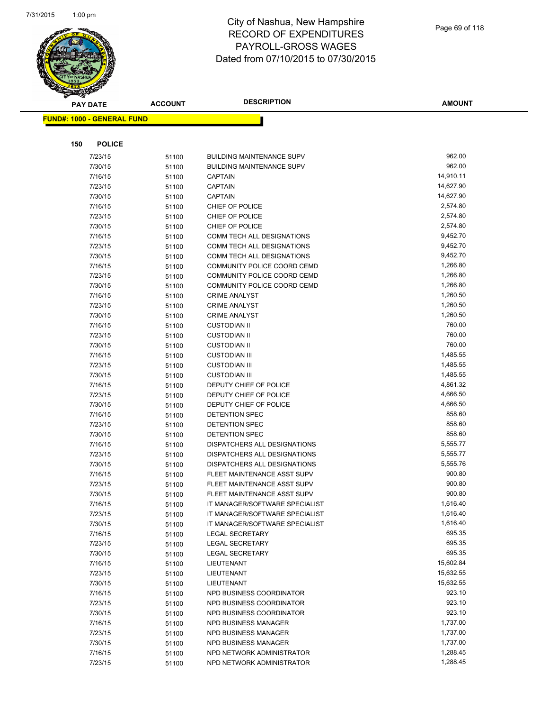

|     | <b>PAY DATE</b>                    | <b>ACCOUNT</b> | <b>DESCRIPTION</b>                                         | <b>AMOUNT</b>        |
|-----|------------------------------------|----------------|------------------------------------------------------------|----------------------|
|     | <u> FUND#: 1000 - GENERAL FUND</u> |                |                                                            |                      |
|     |                                    |                |                                                            |                      |
|     |                                    |                |                                                            |                      |
| 150 | <b>POLICE</b>                      |                |                                                            |                      |
|     | 7/23/15                            | 51100          | <b>BUILDING MAINTENANCE SUPV</b>                           | 962.00               |
|     | 7/30/15                            | 51100          | <b>BUILDING MAINTENANCE SUPV</b>                           | 962.00               |
|     | 7/16/15                            | 51100          | <b>CAPTAIN</b>                                             | 14,910.11            |
|     | 7/23/15                            | 51100          | <b>CAPTAIN</b>                                             | 14,627.90            |
|     | 7/30/15                            | 51100          | <b>CAPTAIN</b>                                             | 14,627.90            |
|     | 7/16/15                            | 51100          | CHIEF OF POLICE                                            | 2,574.80             |
|     | 7/23/15                            | 51100          | CHIEF OF POLICE                                            | 2,574.80             |
|     | 7/30/15                            | 51100          | CHIEF OF POLICE                                            | 2,574.80             |
|     | 7/16/15                            | 51100          | COMM TECH ALL DESIGNATIONS                                 | 9,452.70             |
|     | 7/23/15                            | 51100          | COMM TECH ALL DESIGNATIONS                                 | 9,452.70             |
|     | 7/30/15                            | 51100          | COMM TECH ALL DESIGNATIONS                                 | 9,452.70<br>1,266.80 |
|     | 7/16/15<br>7/23/15                 | 51100          | COMMUNITY POLICE COORD CEMD<br>COMMUNITY POLICE COORD CEMD | 1,266.80             |
|     | 7/30/15                            | 51100          | COMMUNITY POLICE COORD CEMD                                | 1,266.80             |
|     | 7/16/15                            | 51100          | <b>CRIME ANALYST</b>                                       | 1,260.50             |
|     | 7/23/15                            | 51100<br>51100 | <b>CRIME ANALYST</b>                                       | 1,260.50             |
|     | 7/30/15                            | 51100          | <b>CRIME ANALYST</b>                                       | 1,260.50             |
|     | 7/16/15                            | 51100          | <b>CUSTODIAN II</b>                                        | 760.00               |
|     | 7/23/15                            | 51100          | <b>CUSTODIAN II</b>                                        | 760.00               |
|     | 7/30/15                            | 51100          | <b>CUSTODIAN II</b>                                        | 760.00               |
|     | 7/16/15                            | 51100          | <b>CUSTODIAN III</b>                                       | 1,485.55             |
|     | 7/23/15                            | 51100          | <b>CUSTODIAN III</b>                                       | 1,485.55             |
|     | 7/30/15                            | 51100          | <b>CUSTODIAN III</b>                                       | 1,485.55             |
|     | 7/16/15                            | 51100          | DEPUTY CHIEF OF POLICE                                     | 4,861.32             |
|     | 7/23/15                            | 51100          | DEPUTY CHIEF OF POLICE                                     | 4,666.50             |
|     | 7/30/15                            | 51100          | DEPUTY CHIEF OF POLICE                                     | 4,666.50             |
|     | 7/16/15                            | 51100          | DETENTION SPEC                                             | 858.60               |
|     | 7/23/15                            | 51100          | DETENTION SPEC                                             | 858.60               |
|     | 7/30/15                            | 51100          | DETENTION SPEC                                             | 858.60               |
|     | 7/16/15                            | 51100          | DISPATCHERS ALL DESIGNATIONS                               | 5,555.77             |
|     | 7/23/15                            | 51100          | DISPATCHERS ALL DESIGNATIONS                               | 5,555.77             |
|     | 7/30/15                            | 51100          | DISPATCHERS ALL DESIGNATIONS                               | 5,555.76             |
|     | 7/16/15                            | 51100          | FLEET MAINTENANCE ASST SUPV                                | 900.80               |
|     | 7/23/15                            | 51100          | FLEET MAINTENANCE ASST SUPV                                | 900.80               |
|     | 7/30/15                            | 51100          | FLEET MAINTENANCE ASST SUPV                                | 900.80               |
|     | 7/16/15                            | 51100          | IT MANAGER/SOFTWARE SPECIALIST                             | 1,616.40             |
|     | 7/23/15                            | 51100          | IT MANAGER/SOFTWARE SPECIALIST                             | 1,616.40             |
|     | 7/30/15                            | 51100          | IT MANAGER/SOFTWARE SPECIALIST                             | 1,616.40             |
|     | 7/16/15                            | 51100          | <b>LEGAL SECRETARY</b>                                     | 695.35               |
|     | 7/23/15                            | 51100          | <b>LEGAL SECRETARY</b>                                     | 695.35               |
|     | 7/30/15                            | 51100          | <b>LEGAL SECRETARY</b>                                     | 695.35               |
|     | 7/16/15                            | 51100          | LIEUTENANT                                                 | 15,602.84            |
|     | 7/23/15                            | 51100          | LIEUTENANT                                                 | 15,632.55            |
|     | 7/30/15                            | 51100          | LIEUTENANT                                                 | 15,632.55            |
|     | 7/16/15                            | 51100          | NPD BUSINESS COORDINATOR                                   | 923.10               |
|     | 7/23/15                            | 51100          | NPD BUSINESS COORDINATOR                                   | 923.10               |
|     | 7/30/15                            | 51100          | NPD BUSINESS COORDINATOR                                   | 923.10               |
|     | 7/16/15                            | 51100          | <b>NPD BUSINESS MANAGER</b>                                | 1,737.00             |
|     | 7/23/15                            | 51100          | <b>NPD BUSINESS MANAGER</b>                                | 1,737.00             |
|     | 7/30/15                            | 51100          | NPD BUSINESS MANAGER                                       | 1,737.00             |
|     | 7/16/15                            | 51100          | NPD NETWORK ADMINISTRATOR                                  | 1,288.45             |
|     | 7/23/15                            | 51100          | NPD NETWORK ADMINISTRATOR                                  | 1,288.45             |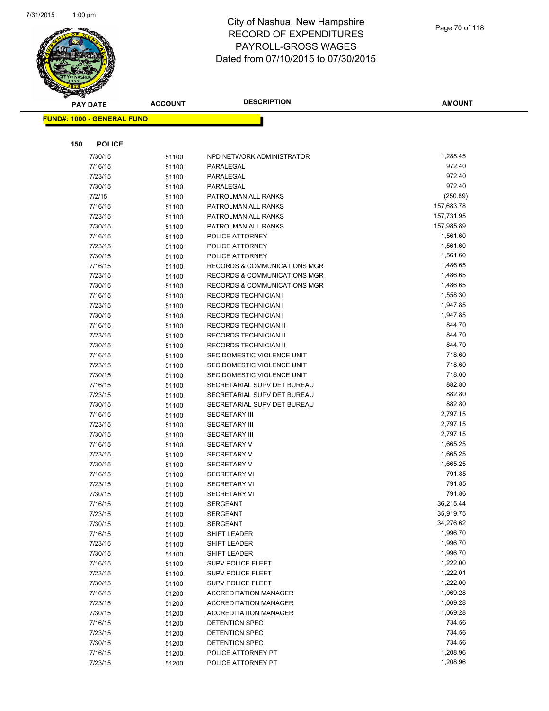

| <b>PAY DATE</b>                   | <b>ACCOUNT</b> | <b>DESCRIPTION</b>                             | <b>AMOUNT</b>        |
|-----------------------------------|----------------|------------------------------------------------|----------------------|
| <b>FUND#: 1000 - GENERAL FUND</b> |                |                                                |                      |
|                                   |                |                                                |                      |
|                                   |                |                                                |                      |
| <b>POLICE</b><br>150              |                |                                                |                      |
| 7/30/15                           | 51100          | NPD NETWORK ADMINISTRATOR                      | 1,288.45             |
| 7/16/15                           | 51100          | PARALEGAL                                      | 972.40               |
| 7/23/15                           | 51100          | PARALEGAL                                      | 972.40               |
| 7/30/15                           | 51100          | PARALEGAL                                      | 972.40               |
| 7/2/15                            | 51100          | PATROLMAN ALL RANKS                            | (250.89)             |
| 7/16/15                           | 51100          | PATROLMAN ALL RANKS                            | 157,683.78           |
| 7/23/15                           | 51100          | PATROLMAN ALL RANKS                            | 157,731.95           |
| 7/30/15                           | 51100          | PATROLMAN ALL RANKS                            | 157,985.89           |
| 7/16/15                           | 51100          | POLICE ATTORNEY                                | 1,561.60             |
| 7/23/15                           | 51100          | POLICE ATTORNEY                                | 1,561.60             |
| 7/30/15                           | 51100          | POLICE ATTORNEY                                | 1,561.60             |
| 7/16/15                           | 51100          | <b>RECORDS &amp; COMMUNICATIONS MGR</b>        | 1,486.65             |
| 7/23/15                           | 51100          | RECORDS & COMMUNICATIONS MGR                   | 1,486.65             |
| 7/30/15                           | 51100          | <b>RECORDS &amp; COMMUNICATIONS MGR</b>        | 1,486.65             |
| 7/16/15                           | 51100          | <b>RECORDS TECHNICIAN I</b>                    | 1,558.30             |
| 7/23/15                           | 51100          | <b>RECORDS TECHNICIAN I</b>                    | 1,947.85<br>1,947.85 |
| 7/30/15                           | 51100          | <b>RECORDS TECHNICIAN I</b>                    | 844.70               |
| 7/16/15                           | 51100          | RECORDS TECHNICIAN II                          | 844.70               |
| 7/23/15                           | 51100          | RECORDS TECHNICIAN II<br>RECORDS TECHNICIAN II | 844.70               |
| 7/30/15<br>7/16/15                | 51100          | SEC DOMESTIC VIOLENCE UNIT                     | 718.60               |
| 7/23/15                           | 51100<br>51100 | SEC DOMESTIC VIOLENCE UNIT                     | 718.60               |
| 7/30/15                           | 51100          | SEC DOMESTIC VIOLENCE UNIT                     | 718.60               |
| 7/16/15                           | 51100          | SECRETARIAL SUPV DET BUREAU                    | 882.80               |
| 7/23/15                           | 51100          | SECRETARIAL SUPV DET BUREAU                    | 882.80               |
| 7/30/15                           | 51100          | SECRETARIAL SUPV DET BUREAU                    | 882.80               |
| 7/16/15                           | 51100          | <b>SECRETARY III</b>                           | 2,797.15             |
| 7/23/15                           | 51100          | <b>SECRETARY III</b>                           | 2,797.15             |
| 7/30/15                           | 51100          | <b>SECRETARY III</b>                           | 2,797.15             |
| 7/16/15                           | 51100          | <b>SECRETARY V</b>                             | 1,665.25             |
| 7/23/15                           | 51100          | <b>SECRETARY V</b>                             | 1,665.25             |
| 7/30/15                           | 51100          | <b>SECRETARY V</b>                             | 1,665.25             |
| 7/16/15                           | 51100          | <b>SECRETARY VI</b>                            | 791.85               |
| 7/23/15                           | 51100          | <b>SECRETARY VI</b>                            | 791.85               |
| 7/30/15                           | 51100          | <b>SECRETARY VI</b>                            | 791.86               |
| 7/16/15                           | 51100          | <b>SERGEANT</b>                                | 36,215.44            |
| 7/23/15                           | 51100          | SERGEANT                                       | 35,919.75            |
| 7/30/15                           | 51100          | <b>SERGEANT</b>                                | 34,276.62            |
| 7/16/15                           | 51100          | SHIFT LEADER                                   | 1,996.70             |
| 7/23/15                           | 51100          | SHIFT LEADER                                   | 1,996.70             |
| 7/30/15                           | 51100          | SHIFT LEADER                                   | 1,996.70             |
| 7/16/15                           | 51100          | <b>SUPV POLICE FLEET</b>                       | 1,222.00             |
| 7/23/15                           | 51100          | <b>SUPV POLICE FLEET</b>                       | 1,222.01             |
| 7/30/15                           | 51100          | SUPV POLICE FLEET                              | 1,222.00             |
| 7/16/15                           | 51200          | <b>ACCREDITATION MANAGER</b>                   | 1,069.28             |
| 7/23/15                           | 51200          | <b>ACCREDITATION MANAGER</b>                   | 1,069.28             |
| 7/30/15                           | 51200          | <b>ACCREDITATION MANAGER</b>                   | 1,069.28             |
| 7/16/15                           | 51200          | DETENTION SPEC                                 | 734.56               |
| 7/23/15                           | 51200          | DETENTION SPEC                                 | 734.56               |
| 7/30/15                           | 51200          | DETENTION SPEC                                 | 734.56               |
| 7/16/15                           | 51200          | POLICE ATTORNEY PT                             | 1,208.96             |
| 7/23/15                           | 51200          | POLICE ATTORNEY PT                             | 1,208.96             |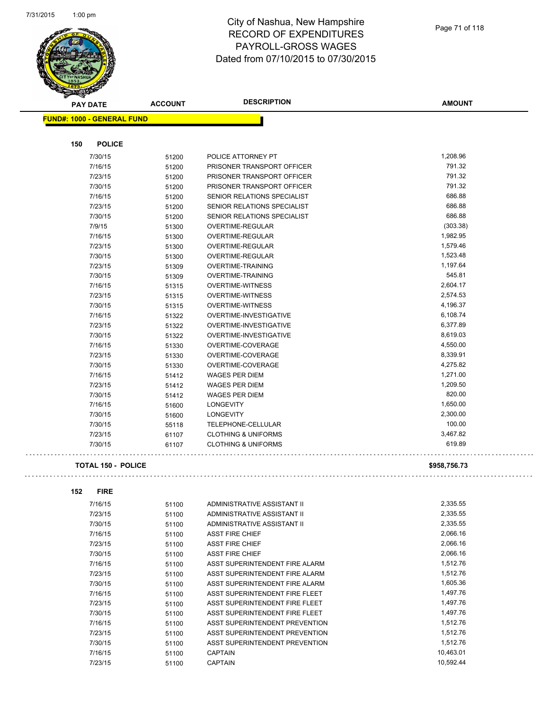

| <b>PAY DATE</b>                   | <b>ACCOUNT</b> | <b>DESCRIPTION</b>             | <b>AMOUNT</b> |
|-----------------------------------|----------------|--------------------------------|---------------|
| <b>FUND#: 1000 - GENERAL FUND</b> |                |                                |               |
|                                   |                |                                |               |
| <b>POLICE</b><br>150              |                |                                |               |
| 7/30/15                           | 51200          | POLICE ATTORNEY PT             | 1,208.96      |
| 7/16/15                           | 51200          | PRISONER TRANSPORT OFFICER     | 791.32        |
| 7/23/15                           | 51200          | PRISONER TRANSPORT OFFICER     | 791.32        |
| 7/30/15                           | 51200          | PRISONER TRANSPORT OFFICER     | 791.32        |
| 7/16/15                           | 51200          | SENIOR RELATIONS SPECIALIST    | 686.88        |
| 7/23/15                           | 51200          | SENIOR RELATIONS SPECIALIST    | 686.88        |
| 7/30/15                           | 51200          | SENIOR RELATIONS SPECIALIST    | 686.88        |
| 7/9/15                            | 51300          | <b>OVERTIME-REGULAR</b>        | (303.38)      |
| 7/16/15                           | 51300          | <b>OVERTIME-REGULAR</b>        | 1,982.95      |
| 7/23/15                           | 51300          | OVERTIME-REGULAR               | 1,579.46      |
| 7/30/15                           | 51300          | OVERTIME-REGULAR               | 1,523.48      |
| 7/23/15                           | 51309          | <b>OVERTIME-TRAINING</b>       | 1,197.64      |
| 7/30/15                           | 51309          | <b>OVERTIME-TRAINING</b>       | 545.81        |
| 7/16/15                           | 51315          | <b>OVERTIME-WITNESS</b>        | 2,604.17      |
| 7/23/15                           | 51315          | <b>OVERTIME-WITNESS</b>        | 2,574.53      |
| 7/30/15                           | 51315          | <b>OVERTIME-WITNESS</b>        | 4,196.37      |
| 7/16/15                           | 51322          | OVERTIME-INVESTIGATIVE         | 6,108.74      |
| 7/23/15                           | 51322          | OVERTIME-INVESTIGATIVE         | 6,377.89      |
| 7/30/15                           | 51322          | OVERTIME-INVESTIGATIVE         | 8,619.03      |
| 7/16/15                           | 51330          | OVERTIME-COVERAGE              | 4,550.00      |
| 7/23/15                           | 51330          | OVERTIME-COVERAGE              | 8,339.91      |
| 7/30/15                           | 51330          | OVERTIME-COVERAGE              | 4,275.82      |
| 7/16/15                           | 51412          | <b>WAGES PER DIEM</b>          | 1,271.00      |
| 7/23/15                           | 51412          | <b>WAGES PER DIEM</b>          | 1,209.50      |
| 7/30/15                           | 51412          | <b>WAGES PER DIEM</b>          | 820.00        |
| 7/16/15                           | 51600          | <b>LONGEVITY</b>               | 1,650.00      |
| 7/30/15                           | 51600          | <b>LONGEVITY</b>               | 2,300.00      |
| 7/30/15                           | 55118          | <b>TELEPHONE-CELLULAR</b>      | 100.00        |
| 7/23/15                           | 61107          | <b>CLOTHING &amp; UNIFORMS</b> | 3,467.82      |
| 7/30/15                           | 61107          | <b>CLOTHING &amp; UNIFORMS</b> | 619.89        |
| <b>TOTAL 150 - POLICE</b>         |                |                                | \$958,756.73  |

| 7/16/15 | 51100 | ADMINISTRATIVE ASSISTANT II    | 2,335.55  |
|---------|-------|--------------------------------|-----------|
| 7/23/15 | 51100 | ADMINISTRATIVE ASSISTANT II    | 2,335.55  |
| 7/30/15 | 51100 | ADMINISTRATIVE ASSISTANT II    | 2,335.55  |
| 7/16/15 | 51100 | <b>ASST FIRE CHIEF</b>         | 2,066.16  |
| 7/23/15 | 51100 | <b>ASST FIRE CHIEF</b>         | 2,066.16  |
| 7/30/15 | 51100 | <b>ASST FIRE CHIEF</b>         | 2,066.16  |
| 7/16/15 | 51100 | ASST SUPERINTENDENT FIRE ALARM | 1,512.76  |
| 7/23/15 | 51100 | ASST SUPERINTENDENT FIRE ALARM | 1,512.76  |
| 7/30/15 | 51100 | ASST SUPERINTENDENT FIRE ALARM | 1,605.36  |
| 7/16/15 | 51100 | ASST SUPERINTENDENT FIRE FLEET | 1,497.76  |
| 7/23/15 | 51100 | ASST SUPERINTENDENT FIRE FLEET | 1,497.76  |
| 7/30/15 | 51100 | ASST SUPERINTENDENT FIRE FLEET | 1,497.76  |
| 7/16/15 | 51100 | ASST SUPERINTENDENT PREVENTION | 1,512.76  |
| 7/23/15 | 51100 | ASST SUPERINTENDENT PREVENTION | 1,512.76  |
| 7/30/15 | 51100 | ASST SUPERINTENDENT PREVENTION | 1,512.76  |
| 7/16/15 | 51100 | <b>CAPTAIN</b>                 | 10,463.01 |
| 7/23/15 | 51100 | <b>CAPTAIN</b>                 | 10.592.44 |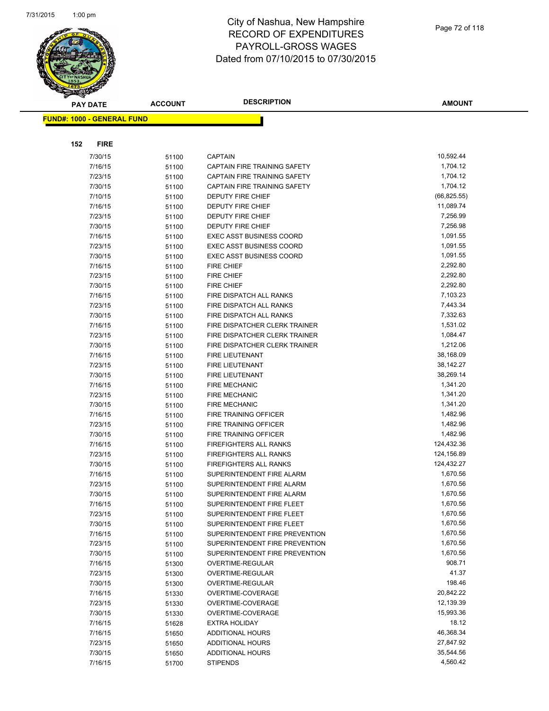

|                                   | <b>PAY DATE</b>    | <b>ACCOUNT</b> | <b>DESCRIPTION</b>                                               | <b>AMOUNT</b>             |
|-----------------------------------|--------------------|----------------|------------------------------------------------------------------|---------------------------|
| <b>FUND#: 1000 - GENERAL FUND</b> |                    |                |                                                                  |                           |
|                                   |                    |                |                                                                  |                           |
|                                   |                    |                |                                                                  |                           |
| 152                               | <b>FIRE</b>        |                |                                                                  |                           |
|                                   | 7/30/15            | 51100          | <b>CAPTAIN</b>                                                   | 10,592.44                 |
|                                   | 7/16/15            | 51100          | CAPTAIN FIRE TRAINING SAFETY                                     | 1,704.12                  |
|                                   | 7/23/15            | 51100          | CAPTAIN FIRE TRAINING SAFETY                                     | 1,704.12                  |
|                                   | 7/30/15            | 51100          | CAPTAIN FIRE TRAINING SAFETY                                     | 1,704.12                  |
|                                   | 7/10/15            | 51100          | DEPUTY FIRE CHIEF                                                | (66, 825.55)<br>11,089.74 |
|                                   | 7/16/15<br>7/23/15 | 51100          | <b>DEPUTY FIRE CHIEF</b><br>DEPUTY FIRE CHIEF                    | 7,256.99                  |
|                                   | 7/30/15            | 51100<br>51100 | <b>DEPUTY FIRE CHIEF</b>                                         | 7,256.98                  |
|                                   | 7/16/15            | 51100          | <b>EXEC ASST BUSINESS COORD</b>                                  | 1,091.55                  |
|                                   | 7/23/15            | 51100          | <b>EXEC ASST BUSINESS COORD</b>                                  | 1,091.55                  |
|                                   | 7/30/15            | 51100          | <b>EXEC ASST BUSINESS COORD</b>                                  | 1,091.55                  |
|                                   | 7/16/15            | 51100          | <b>FIRE CHIEF</b>                                                | 2,292.80                  |
|                                   | 7/23/15            | 51100          | FIRE CHIEF                                                       | 2,292.80                  |
|                                   | 7/30/15            | 51100          | <b>FIRE CHIEF</b>                                                | 2,292.80                  |
|                                   | 7/16/15            | 51100          | FIRE DISPATCH ALL RANKS                                          | 7,103.23                  |
|                                   | 7/23/15            | 51100          | FIRE DISPATCH ALL RANKS                                          | 7,443.34                  |
|                                   | 7/30/15            | 51100          | FIRE DISPATCH ALL RANKS                                          | 7,332.63                  |
|                                   | 7/16/15            | 51100          | FIRE DISPATCHER CLERK TRAINER                                    | 1,531.02                  |
|                                   | 7/23/15            | 51100          | FIRE DISPATCHER CLERK TRAINER                                    | 1,084.47                  |
|                                   | 7/30/15            | 51100          | FIRE DISPATCHER CLERK TRAINER                                    | 1,212.06                  |
|                                   | 7/16/15            | 51100          | FIRE LIEUTENANT                                                  | 38,168.09                 |
|                                   | 7/23/15            | 51100          | FIRE LIEUTENANT                                                  | 38,142.27                 |
|                                   | 7/30/15            | 51100          | FIRE LIEUTENANT                                                  | 38,269.14                 |
|                                   | 7/16/15            | 51100          | <b>FIRE MECHANIC</b>                                             | 1,341.20                  |
|                                   | 7/23/15            | 51100          | <b>FIRE MECHANIC</b>                                             | 1,341.20                  |
|                                   | 7/30/15            | 51100          | <b>FIRE MECHANIC</b>                                             | 1,341.20                  |
|                                   | 7/16/15            | 51100          | FIRE TRAINING OFFICER                                            | 1,482.96                  |
|                                   | 7/23/15            | 51100          | FIRE TRAINING OFFICER                                            | 1,482.96                  |
|                                   | 7/30/15            | 51100          | FIRE TRAINING OFFICER                                            | 1,482.96                  |
|                                   | 7/16/15            | 51100          | <b>FIREFIGHTERS ALL RANKS</b>                                    | 124,432.36                |
|                                   | 7/23/15            | 51100          | <b>FIREFIGHTERS ALL RANKS</b>                                    | 124,156.89                |
|                                   | 7/30/15            | 51100          | <b>FIREFIGHTERS ALL RANKS</b>                                    | 124,432.27                |
|                                   | 7/16/15            | 51100          | SUPERINTENDENT FIRE ALARM                                        | 1,670.56                  |
|                                   | 7/23/15            | 51100          | SUPERINTENDENT FIRE ALARM                                        | 1,670.56                  |
|                                   | 7/30/15            | 51100          | SUPERINTENDENT FIRE ALARM                                        | 1,670.56                  |
|                                   | 7/16/15            | 51100          | SUPERINTENDENT FIRE FLEET                                        | 1,670.56                  |
|                                   | 7/23/15            | 51100          | SUPERINTENDENT FIRE FLEET                                        | 1,670.56                  |
|                                   | 7/30/15            | 51100          | SUPERINTENDENT FIRE FLEET                                        | 1,670.56                  |
|                                   | 7/16/15            | 51100          | SUPERINTENDENT FIRE PREVENTION                                   | 1,670.56<br>1,670.56      |
|                                   | 7/23/15<br>7/30/15 | 51100          | SUPERINTENDENT FIRE PREVENTION<br>SUPERINTENDENT FIRE PREVENTION | 1,670.56                  |
|                                   | 7/16/15            | 51100          | OVERTIME-REGULAR                                                 | 908.71                    |
|                                   | 7/23/15            | 51300<br>51300 | OVERTIME-REGULAR                                                 | 41.37                     |
|                                   | 7/30/15            | 51300          | OVERTIME-REGULAR                                                 | 198.46                    |
|                                   | 7/16/15            | 51330          | OVERTIME-COVERAGE                                                | 20,842.22                 |
|                                   | 7/23/15            | 51330          | OVERTIME-COVERAGE                                                | 12,139.39                 |
|                                   | 7/30/15            | 51330          | OVERTIME-COVERAGE                                                | 15,993.36                 |
|                                   | 7/16/15            | 51628          | <b>EXTRA HOLIDAY</b>                                             | 18.12                     |
|                                   | 7/16/15            | 51650          | <b>ADDITIONAL HOURS</b>                                          | 46,368.34                 |
|                                   | 7/23/15            | 51650          | ADDITIONAL HOURS                                                 | 27,847.92                 |
|                                   | 7/30/15            | 51650          | <b>ADDITIONAL HOURS</b>                                          | 35,544.56                 |
|                                   | 7/16/15            | 51700          | <b>STIPENDS</b>                                                  | 4,560.42                  |
|                                   |                    |                |                                                                  |                           |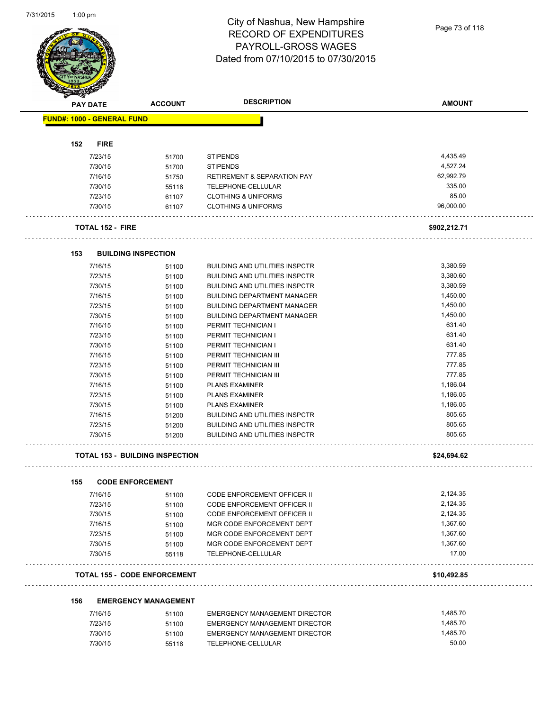|     | PAY DATE                          | <b>ACCOUNT</b>                         | <b>DESCRIPTION</b>                     | <b>AMOUNT</b> |
|-----|-----------------------------------|----------------------------------------|----------------------------------------|---------------|
|     | <b>FUND#: 1000 - GENERAL FUND</b> |                                        |                                        |               |
|     |                                   |                                        |                                        |               |
| 152 | <b>FIRE</b>                       |                                        |                                        |               |
|     | 7/23/15                           | 51700                                  | <b>STIPENDS</b>                        | 4,435.49      |
|     | 7/30/15                           | 51700                                  | <b>STIPENDS</b>                        | 4,527.24      |
|     | 7/16/15                           | 51750                                  | <b>RETIREMENT &amp; SEPARATION PAY</b> | 62,992.79     |
|     | 7/30/15                           | 55118                                  | TELEPHONE-CELLULAR                     | 335.00        |
|     | 7/23/15                           | 61107                                  | <b>CLOTHING &amp; UNIFORMS</b>         | 85.00         |
|     | 7/30/15                           | 61107                                  | <b>CLOTHING &amp; UNIFORMS</b>         | 96.000.00     |
|     | <b>TOTAL 152 - FIRE</b>           |                                        |                                        | \$902,212.71  |
| 153 |                                   | <b>BUILDING INSPECTION</b>             |                                        |               |
|     | 7/16/15                           | 51100                                  | <b>BUILDING AND UTILITIES INSPCTR</b>  | 3,380.59      |
|     | 7/23/15                           | 51100                                  | <b>BUILDING AND UTILITIES INSPCTR</b>  | 3,380.60      |
|     | 7/30/15                           | 51100                                  | <b>BUILDING AND UTILITIES INSPCTR</b>  | 3,380.59      |
|     | 7/16/15                           | 51100                                  | <b>BUILDING DEPARTMENT MANAGER</b>     | 1,450.00      |
|     | 7/23/15                           | 51100                                  | <b>BUILDING DEPARTMENT MANAGER</b>     | 1,450.00      |
|     | 7/30/15                           | 51100                                  | <b>BUILDING DEPARTMENT MANAGER</b>     | 1,450.00      |
|     | 7/16/15                           | 51100                                  | PERMIT TECHNICIAN I                    | 631.40        |
|     | 7/23/15                           | 51100                                  | PERMIT TECHNICIAN I                    | 631.40        |
|     | 7/30/15                           | 51100                                  | PERMIT TECHNICIAN I                    | 631.40        |
|     | 7/16/15                           | 51100                                  | PERMIT TECHNICIAN III                  | 777.85        |
|     | 7/23/15                           | 51100                                  | PERMIT TECHNICIAN III                  | 777.85        |
|     | 7/30/15                           | 51100                                  | PERMIT TECHNICIAN III                  | 777.85        |
|     | 7/16/15                           | 51100                                  | <b>PLANS EXAMINER</b>                  | 1,186.04      |
|     | 7/23/15                           | 51100                                  | <b>PLANS EXAMINER</b>                  | 1,186.05      |
|     | 7/30/15                           | 51100                                  | <b>PLANS EXAMINER</b>                  | 1,186.05      |
|     | 7/16/15                           | 51200                                  | <b>BUILDING AND UTILITIES INSPCTR</b>  | 805.65        |
|     | 7/23/15                           | 51200                                  | <b>BUILDING AND UTILITIES INSPCTR</b>  | 805.65        |
|     | 7/30/15                           | 51200                                  | <b>BUILDING AND UTILITIES INSPCTR</b>  | 805.65        |
|     |                                   | <b>TOTAL 153 - BUILDING INSPECTION</b> |                                        | \$24,694.62   |
| 155 |                                   | <b>CODE ENFORCEMENT</b>                |                                        |               |
|     | 7/16/15                           | 51100                                  | <b>CODE ENFORCEMENT OFFICER II</b>     | 2,124.35      |
|     | 7/23/15                           | 51100                                  | <b>CODE ENFORCEMENT OFFICER II</b>     | 2,124.35      |
|     | 7/30/15                           | 51100                                  | <b>CODE ENFORCEMENT OFFICER II</b>     | 2,124.35      |
|     | 7/16/15                           | 51100                                  | MGR CODE ENFORCEMENT DEPT              | 1,367.60      |
|     | 7/23/15                           | 51100                                  | MGR CODE ENFORCEMENT DEPT              | 1,367.60      |
|     | 7/30/15                           | 51100                                  | MGR CODE ENFORCEMENT DEPT              | 1,367.60      |
|     | 7/30/15                           | 55118                                  | TELEPHONE-CELLULAR                     | 17.00         |
|     |                                   | <b>TOTAL 155 - CODE ENFORCEMENT</b>    |                                        | \$10,492.85   |
| 156 |                                   | <b>EMERGENCY MANAGEMENT</b>            |                                        |               |
|     | 7/16/15                           | 51100                                  | EMERGENCY MANAGEMENT DIRECTOR          | 1,485.70      |
|     | 7/23/15                           | 51100                                  | <b>EMERGENCY MANAGEMENT DIRECTOR</b>   | 1,485.70      |
|     |                                   |                                        |                                        |               |
|     | 7/30/15                           | 51100                                  | <b>EMERGENCY MANAGEMENT DIRECTOR</b>   | 1,485.70      |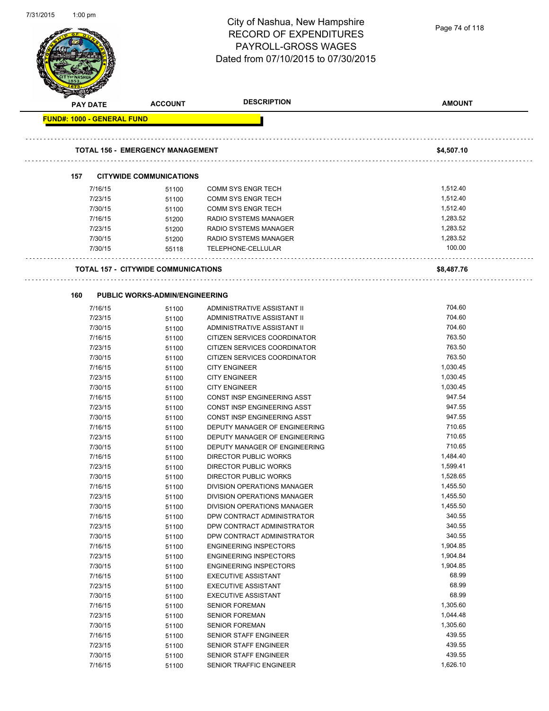| 7/31/2015 | $1:00$ pm                         |                                            | City of Nashua, New Hampshire<br><b>RECORD OF EXPENDITURES</b><br>PAYROLL-GROSS WAGES<br>Dated from 07/10/2015 to 07/30/2015 | Page 74 of 118       |
|-----------|-----------------------------------|--------------------------------------------|------------------------------------------------------------------------------------------------------------------------------|----------------------|
|           | <b>PAY DATE</b>                   | <b>ACCOUNT</b>                             | <b>DESCRIPTION</b>                                                                                                           | <b>AMOUNT</b>        |
|           | <b>FUND#: 1000 - GENERAL FUND</b> |                                            |                                                                                                                              |                      |
|           |                                   | <b>TOTAL 156 - EMERGENCY MANAGEMENT</b>    |                                                                                                                              | \$4,507.10           |
|           | 157                               | <b>CITYWIDE COMMUNICATIONS</b>             |                                                                                                                              |                      |
|           | 7/16/15                           | 51100                                      | <b>COMM SYS ENGR TECH</b>                                                                                                    | 1,512.40             |
|           | 7/23/15                           | 51100                                      | <b>COMM SYS ENGR TECH</b>                                                                                                    | 1,512.40             |
|           | 7/30/15                           | 51100                                      | <b>COMM SYS ENGR TECH</b>                                                                                                    | 1,512.40             |
|           | 7/16/15                           | 51200                                      | RADIO SYSTEMS MANAGER                                                                                                        | 1,283.52             |
|           | 7/23/15                           | 51200                                      | RADIO SYSTEMS MANAGER                                                                                                        | 1,283.52             |
|           | 7/30/15                           | 51200                                      | RADIO SYSTEMS MANAGER                                                                                                        | 1,283.52             |
|           | 7/30/15                           | 55118                                      | TELEPHONE-CELLULAR                                                                                                           | 100.00               |
|           |                                   | <b>TOTAL 157 - CITYWIDE COMMUNICATIONS</b> |                                                                                                                              | \$8,487.76           |
|           |                                   |                                            |                                                                                                                              |                      |
|           | 160                               | <b>PUBLIC WORKS-ADMIN/ENGINEERING</b>      |                                                                                                                              |                      |
|           | 7/16/15                           | 51100                                      | ADMINISTRATIVE ASSISTANT II                                                                                                  | 704.60<br>704.60     |
|           | 7/23/15<br>7/30/15                | 51100                                      | ADMINISTRATIVE ASSISTANT II<br>ADMINISTRATIVE ASSISTANT II                                                                   | 704.60               |
|           | 7/16/15                           | 51100<br>51100                             | CITIZEN SERVICES COORDINATOR                                                                                                 | 763.50               |
|           | 7/23/15                           | 51100                                      | CITIZEN SERVICES COORDINATOR                                                                                                 | 763.50               |
|           | 7/30/15                           | 51100                                      | CITIZEN SERVICES COORDINATOR                                                                                                 | 763.50               |
|           | 7/16/15                           | 51100                                      | <b>CITY ENGINEER</b>                                                                                                         | 1,030.45             |
|           | 7/23/15                           | 51100                                      | <b>CITY ENGINEER</b>                                                                                                         | 1,030.45             |
|           | 7/30/15                           | 51100                                      | <b>CITY ENGINEER</b>                                                                                                         | 1,030.45             |
|           | 7/16/15                           | 51100                                      | CONST INSP ENGINEERING ASST                                                                                                  | 947.54               |
|           | 7/23/15                           | 51100                                      | CONST INSP ENGINEERING ASST                                                                                                  | 947.55               |
|           | 7/30/15                           | 51100                                      | CONST INSP ENGINEERING ASST                                                                                                  | 947.55               |
|           | 7/16/15                           | 51100                                      | DEPUTY MANAGER OF ENGINEERING                                                                                                | 710.65               |
|           | 7/23/15                           | 51100                                      | DEPUTY MANAGER OF ENGINEERING                                                                                                | 710.65               |
|           | 7/30/15                           | 51100                                      | DEPUTY MANAGER OF ENGINEERING                                                                                                | 710.65               |
|           | 7/16/15                           | 51100                                      | DIRECTOR PUBLIC WORKS                                                                                                        | 1,484.40<br>1,599.41 |
|           | 7/23/15<br>7/30/15                | 51100                                      | DIRECTOR PUBLIC WORKS<br>DIRECTOR PUBLIC WORKS                                                                               | 1,528.65             |
|           | 7/16/15                           | 51100<br>51100                             | DIVISION OPERATIONS MANAGER                                                                                                  | 1,455.50             |
|           | 7/23/15                           | 51100                                      | DIVISION OPERATIONS MANAGER                                                                                                  | 1,455.50             |
|           | 7/30/15                           | 51100                                      | DIVISION OPERATIONS MANAGER                                                                                                  | 1,455.50             |
|           | 7/16/15                           | 51100                                      | DPW CONTRACT ADMINISTRATOR                                                                                                   | 340.55               |
|           | 7/23/15                           | 51100                                      | DPW CONTRACT ADMINISTRATOR                                                                                                   | 340.55               |
|           | 7/30/15                           | 51100                                      | DPW CONTRACT ADMINISTRATOR                                                                                                   | 340.55               |
|           | 7/16/15                           | 51100                                      | <b>ENGINEERING INSPECTORS</b>                                                                                                | 1,904.85             |
|           | 7/23/15                           | 51100                                      | <b>ENGINEERING INSPECTORS</b>                                                                                                | 1,904.84             |
|           | 7/30/15                           | 51100                                      | <b>ENGINEERING INSPECTORS</b>                                                                                                | 1,904.85             |
|           | 7/16/15                           | 51100                                      | <b>EXECUTIVE ASSISTANT</b>                                                                                                   | 68.99                |
|           | 7/23/15                           | 51100                                      | <b>EXECUTIVE ASSISTANT</b>                                                                                                   | 68.99                |
|           | 7/30/15                           | 51100                                      | <b>EXECUTIVE ASSISTANT</b>                                                                                                   | 68.99                |
|           | 7/16/15                           | 51100                                      | <b>SENIOR FOREMAN</b>                                                                                                        | 1,305.60             |
|           | 7/23/15                           | 51100                                      | <b>SENIOR FOREMAN</b>                                                                                                        | 1,044.48<br>1,305.60 |
|           | 7/30/15<br>7/16/15                | 51100                                      | <b>SENIOR FOREMAN</b><br>SENIOR STAFF ENGINEER                                                                               | 439.55               |
|           | 7/23/15                           | 51100<br>51100                             | SENIOR STAFF ENGINEER                                                                                                        | 439.55               |
|           | 7/30/15                           | 51100                                      | SENIOR STAFF ENGINEER                                                                                                        | 439.55               |
|           | 7/16/15                           | 51100                                      | SENIOR TRAFFIC ENGINEER                                                                                                      | 1,626.10             |
|           |                                   |                                            |                                                                                                                              |                      |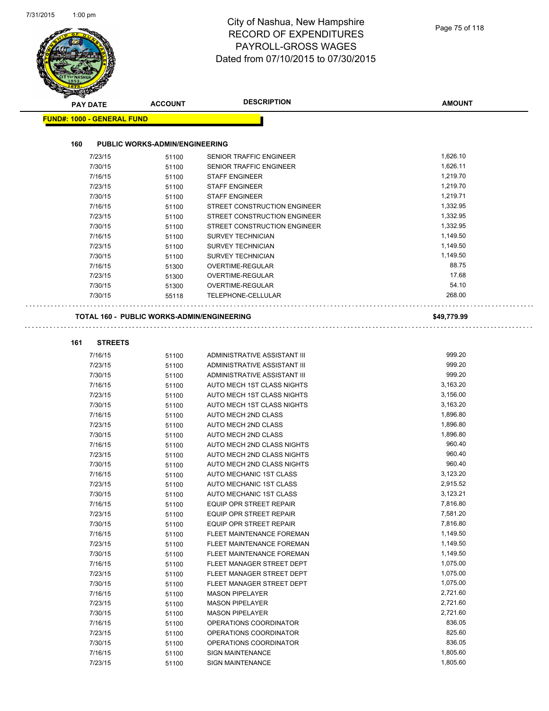# City of Nashua, New Hampshire RECORD OF EXPENDITURES PAYROLL-GROSS WAGES

|                                   |                    |                                                   | Dated from 07/10/2015 to 07/30/2015                        |               |  |
|-----------------------------------|--------------------|---------------------------------------------------|------------------------------------------------------------|---------------|--|
|                                   |                    |                                                   |                                                            |               |  |
|                                   | <b>PAY DATE</b>    | <b>ACCOUNT</b>                                    | <b>DESCRIPTION</b>                                         | <b>AMOUNT</b> |  |
| <b>FUND#: 1000 - GENERAL FUND</b> |                    |                                                   |                                                            |               |  |
|                                   |                    |                                                   |                                                            |               |  |
| 160                               |                    | <b>PUBLIC WORKS-ADMIN/ENGINEERING</b>             |                                                            |               |  |
|                                   | 7/23/15            | 51100                                             | <b>SENIOR TRAFFIC ENGINEER</b>                             | 1,626.10      |  |
|                                   | 7/30/15            | 51100                                             | <b>SENIOR TRAFFIC ENGINEER</b>                             | 1,626.11      |  |
|                                   | 7/16/15            | 51100                                             | <b>STAFF ENGINEER</b>                                      | 1,219.70      |  |
|                                   | 7/23/15            | 51100                                             | <b>STAFF ENGINEER</b>                                      | 1,219.70      |  |
|                                   | 7/30/15            | 51100                                             | <b>STAFF ENGINEER</b>                                      | 1,219.71      |  |
|                                   | 7/16/15            | 51100                                             | STREET CONSTRUCTION ENGINEER                               | 1,332.95      |  |
|                                   | 7/23/15            | 51100                                             | STREET CONSTRUCTION ENGINEER                               | 1,332.95      |  |
|                                   | 7/30/15            | 51100                                             | STREET CONSTRUCTION ENGINEER                               | 1,332.95      |  |
|                                   | 7/16/15            | 51100                                             | <b>SURVEY TECHNICIAN</b>                                   | 1,149.50      |  |
|                                   | 7/23/15            | 51100                                             | <b>SURVEY TECHNICIAN</b>                                   | 1,149.50      |  |
|                                   | 7/30/15            | 51100                                             | <b>SURVEY TECHNICIAN</b>                                   | 1,149.50      |  |
|                                   | 7/16/15            | 51300                                             | OVERTIME-REGULAR                                           | 88.75         |  |
|                                   | 7/23/15            | 51300                                             | OVERTIME-REGULAR                                           | 17.68         |  |
|                                   | 7/30/15            | 51300                                             | OVERTIME-REGULAR                                           | 54.10         |  |
|                                   | 7/30/15            | 55118                                             | TELEPHONE-CELLULAR                                         | 268.00        |  |
|                                   |                    |                                                   |                                                            |               |  |
|                                   |                    | <b>TOTAL 160 - PUBLIC WORKS-ADMIN/ENGINEERING</b> |                                                            | \$49,779.99   |  |
| 161                               | <b>STREETS</b>     |                                                   |                                                            |               |  |
|                                   |                    |                                                   |                                                            | 999.20        |  |
|                                   | 7/16/15            | 51100                                             | ADMINISTRATIVE ASSISTANT III                               | 999.20        |  |
|                                   | 7/23/15            | 51100                                             | ADMINISTRATIVE ASSISTANT III                               | 999.20        |  |
|                                   | 7/30/15<br>7/16/15 | 51100                                             | ADMINISTRATIVE ASSISTANT III<br>AUTO MECH 1ST CLASS NIGHTS | 3,163.20      |  |
|                                   | 7/23/15            | 51100                                             | AUTO MECH 1ST CLASS NIGHTS                                 | 3,156.00      |  |
|                                   | 7/30/15            | 51100<br>51100                                    | <b>AUTO MECH 1ST CLASS NIGHTS</b>                          | 3,163.20      |  |
|                                   | 7/16/15            | 51100                                             | AUTO MECH 2ND CLASS                                        | 1,896.80      |  |
|                                   | 7/23/15            | 51100                                             | AUTO MECH 2ND CLASS                                        | 1,896.80      |  |
|                                   | 7/30/15            | 51100                                             | AUTO MECH 2ND CLASS                                        | 1,896.80      |  |
|                                   | 7/16/15            | 51100                                             | AUTO MECH 2ND CLASS NIGHTS                                 | 960.40        |  |
|                                   | 7/23/15            | 51100                                             | AUTO MECH 2ND CLASS NIGHTS                                 | 960.40        |  |
|                                   | 7/30/15            | 51100                                             | AUTO MECH 2ND CLASS NIGHTS                                 | 960.40        |  |
|                                   | 7/16/15            | 51100                                             | AUTO MECHANIC 1ST CLASS                                    | 3,123.20      |  |
|                                   | 7/23/15            | 51100                                             | AUTO MECHANIC 1ST CLASS                                    | 2,915.52      |  |
|                                   | 7/30/15            | 51100                                             | AUTO MECHANIC 1ST CLASS                                    | 3,123.21      |  |
|                                   | 7/16/15            | 51100                                             | <b>EQUIP OPR STREET REPAIR</b>                             | 7,816.80      |  |
|                                   | 7/23/15            | 51100                                             | EQUIP OPR STREET REPAIR                                    | 7,581.20      |  |
|                                   | 7/30/15            | 51100                                             | EQUIP OPR STREET REPAIR                                    | 7,816.80      |  |
|                                   | 7/16/15            | 51100                                             | FLEET MAINTENANCE FOREMAN                                  | 1,149.50      |  |
|                                   | 7/23/15            | 51100                                             | FLEET MAINTENANCE FOREMAN                                  | 1,149.50      |  |
|                                   | 7/30/15            | 51100                                             | FLEET MAINTENANCE FOREMAN                                  | 1,149.50      |  |
|                                   | 7/16/15            | 51100                                             | FLEET MANAGER STREET DEPT                                  | 1,075.00      |  |
|                                   | 7/23/15            | 51100                                             | FLEET MANAGER STREET DEPT                                  | 1,075.00      |  |
|                                   | 7/30/15            | 51100                                             | FLEET MANAGER STREET DEPT                                  | 1,075.00      |  |
|                                   | 7/16/15            | 51100                                             | <b>MASON PIPELAYER</b>                                     | 2,721.60      |  |
|                                   | 7/23/15            | 51100                                             | <b>MASON PIPELAYER</b>                                     | 2,721.60      |  |
|                                   | 7/30/15            | 51100                                             | <b>MASON PIPELAYER</b>                                     | 2,721.60      |  |
|                                   | 7/16/15            | 51100                                             | OPERATIONS COORDINATOR                                     | 836.05        |  |
|                                   | 7/23/15            | 51100                                             | OPERATIONS COORDINATOR                                     | 825.60        |  |
|                                   | 7/30/15            | 51100                                             | OPERATIONS COORDINATOR                                     | 836.05        |  |
|                                   | 7/16/15            | 51100                                             | <b>SIGN MAINTENANCE</b>                                    | 1,805.60      |  |
|                                   | 7/23/15            | 51100                                             | <b>SIGN MAINTENANCE</b>                                    | 1,805.60      |  |
|                                   |                    |                                                   |                                                            |               |  |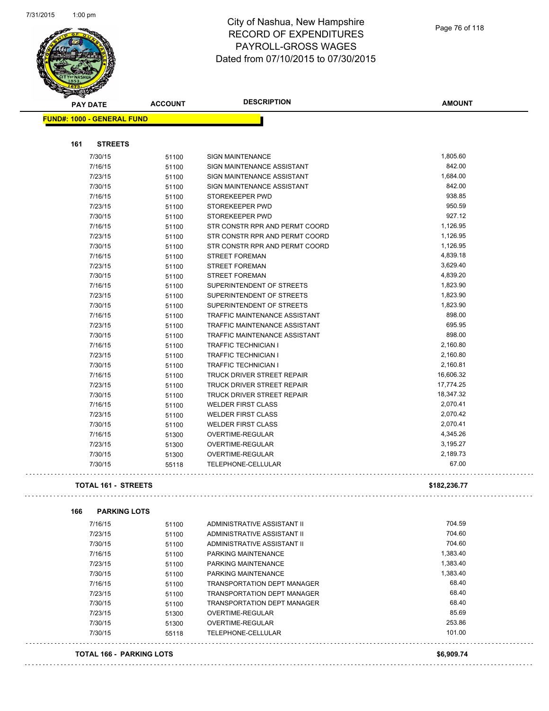$\mathbb{R}^2$ 

 $\mathbb{Z}^2$ 

. . .



# City of Nashua, New Hampshire RECORD OF EXPENDITURES PAYROLL-GROSS WAGES Dated from 07/10/2015 to 07/30/2015

|     | <b>PAY DATE</b>                   | <b>ACCOUNT</b> | <b>DESCRIPTION</b>                                               | <b>AMOUNT</b>    |
|-----|-----------------------------------|----------------|------------------------------------------------------------------|------------------|
|     | <b>FUND#: 1000 - GENERAL FUND</b> |                |                                                                  |                  |
|     |                                   |                |                                                                  |                  |
| 161 | <b>STREETS</b>                    |                |                                                                  |                  |
|     |                                   |                |                                                                  |                  |
|     | 7/30/15                           | 51100          | <b>SIGN MAINTENANCE</b>                                          | 1,805.60         |
|     | 7/16/15                           | 51100          | SIGN MAINTENANCE ASSISTANT                                       | 842.00           |
|     | 7/23/15                           | 51100          | SIGN MAINTENANCE ASSISTANT                                       | 1,684.00         |
|     | 7/30/15                           | 51100          | SIGN MAINTENANCE ASSISTANT                                       | 842.00           |
|     | 7/16/15                           | 51100          | STOREKEEPER PWD                                                  | 938.85           |
|     | 7/23/15                           | 51100          | STOREKEEPER PWD                                                  | 950.59<br>927.12 |
|     | 7/30/15                           | 51100          | STOREKEEPER PWD                                                  | 1,126.95         |
|     | 7/16/15                           | 51100          | STR CONSTR RPR AND PERMT COORD                                   | 1,126.95         |
|     | 7/23/15<br>7/30/15                | 51100          | STR CONSTR RPR AND PERMT COORD<br>STR CONSTR RPR AND PERMT COORD | 1,126.95         |
|     | 7/16/15                           | 51100          | <b>STREET FOREMAN</b>                                            | 4,839.18         |
|     | 7/23/15                           | 51100          | <b>STREET FOREMAN</b>                                            | 3,629.40         |
|     | 7/30/15                           | 51100<br>51100 | <b>STREET FOREMAN</b>                                            | 4,839.20         |
|     | 7/16/15                           | 51100          | SUPERINTENDENT OF STREETS                                        | 1,823.90         |
|     | 7/23/15                           | 51100          | SUPERINTENDENT OF STREETS                                        | 1,823.90         |
|     | 7/30/15                           | 51100          | SUPERINTENDENT OF STREETS                                        | 1,823.90         |
|     | 7/16/15                           | 51100          | TRAFFIC MAINTENANCE ASSISTANT                                    | 898.00           |
|     | 7/23/15                           | 51100          | TRAFFIC MAINTENANCE ASSISTANT                                    | 695.95           |
|     | 7/30/15                           | 51100          | TRAFFIC MAINTENANCE ASSISTANT                                    | 898.00           |
|     | 7/16/15                           | 51100          | <b>TRAFFIC TECHNICIAN I</b>                                      | 2,160.80         |
|     | 7/23/15                           | 51100          | <b>TRAFFIC TECHNICIAN I</b>                                      | 2,160.80         |
|     | 7/30/15                           | 51100          | <b>TRAFFIC TECHNICIAN I</b>                                      | 2,160.81         |
|     | 7/16/15                           | 51100          | TRUCK DRIVER STREET REPAIR                                       | 16,606.32        |
|     | 7/23/15                           | 51100          | TRUCK DRIVER STREET REPAIR                                       | 17,774.25        |
|     | 7/30/15                           | 51100          | <b>TRUCK DRIVER STREET REPAIR</b>                                | 18,347.32        |
|     | 7/16/15                           | 51100          | <b>WELDER FIRST CLASS</b>                                        | 2,070.41         |
|     | 7/23/15                           | 51100          | <b>WELDER FIRST CLASS</b>                                        | 2,070.42         |
|     | 7/30/15                           | 51100          | <b>WELDER FIRST CLASS</b>                                        | 2,070.41         |
|     | 7/16/15                           | 51300          | OVERTIME-REGULAR                                                 | 4,345.26         |
|     | 7/23/15                           | 51300          | OVERTIME-REGULAR                                                 | 3,195.27         |
|     | 7/30/15                           | 51300          | OVERTIME-REGULAR                                                 | 2,189.73         |
|     | 7/30/15                           | 55118          | TELEPHONE-CELLULAR                                               | 67.00            |
|     |                                   |                |                                                                  |                  |
|     | <b>TOTAL 161 - STREETS</b>        |                |                                                                  | \$182,236.77     |
|     |                                   |                |                                                                  |                  |
| 166 | <b>PARKING LOTS</b>               |                |                                                                  |                  |
|     | 7/16/15                           | 51100          | ADMINISTRATIVE ASSISTANT II                                      | 704.59           |
|     | 7/23/15                           | 51100          | ADMINISTRATIVE ASSISTANT II                                      | 704.60           |
|     | 7/30/15                           | 51100          | ADMINISTRATIVE ASSISTANT II                                      | 704.60           |
|     | 7/16/15                           | 51100          | PARKING MAINTENANCE                                              | 1,383.40         |
|     | 7/23/15                           | 51100          | PARKING MAINTENANCE                                              | 1,383.40         |
|     | 7/30/15                           | 51100          | PARKING MAINTENANCE                                              | 1,383.40         |
|     | 7/16/15                           | 51100          | <b>TRANSPORTATION DEPT MANAGER</b>                               | 68.40            |
|     | 7/23/15                           | 51100          | <b>TRANSPORTATION DEPT MANAGER</b>                               | 68.40            |
|     | 7/30/15                           | 51100          | <b>TRANSPORTATION DEPT MANAGER</b>                               | 68.40            |
|     | 7/23/15                           | 51300          | OVERTIME-REGULAR                                                 | 85.69            |
|     | 7/30/15                           | 51300          | OVERTIME-REGULAR                                                 | 253.86           |
|     | 7/30/15                           | 55118          | TELEPHONE-CELLULAR                                               | 101.00           |
|     |                                   |                |                                                                  |                  |

#### **TOTAL 166 - PARKING LOTS \$6,909.74**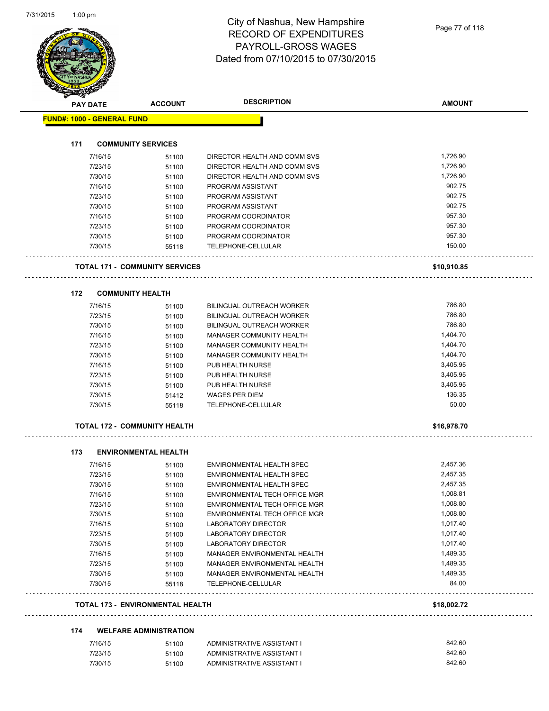| <b>PAY DATE</b>                   | <b>ACCOUNT</b>                          | <b>DESCRIPTION</b>                   | <b>AMOUNT</b> |
|-----------------------------------|-----------------------------------------|--------------------------------------|---------------|
| <b>FUND#: 1000 - GENERAL FUND</b> |                                         |                                      |               |
| 171                               | <b>COMMUNITY SERVICES</b>               |                                      |               |
| 7/16/15                           | 51100                                   | DIRECTOR HEALTH AND COMM SVS         | 1,726.90      |
| 7/23/15                           | 51100                                   | DIRECTOR HEALTH AND COMM SVS         | 1,726.90      |
| 7/30/15                           | 51100                                   | DIRECTOR HEALTH AND COMM SVS         | 1,726.90      |
| 7/16/15                           | 51100                                   | PROGRAM ASSISTANT                    | 902.75        |
| 7/23/15                           | 51100                                   | PROGRAM ASSISTANT                    | 902.75        |
| 7/30/15                           | 51100                                   | PROGRAM ASSISTANT                    | 902.75        |
| 7/16/15                           | 51100                                   | PROGRAM COORDINATOR                  | 957.30        |
| 7/23/15                           | 51100                                   | PROGRAM COORDINATOR                  | 957.30        |
| 7/30/15                           | 51100                                   | PROGRAM COORDINATOR                  | 957.30        |
| 7/30/15                           | 55118                                   | TELEPHONE-CELLULAR                   | 150.00        |
|                                   | <b>TOTAL 171 - COMMUNITY SERVICES</b>   |                                      | \$10,910.85   |
| 172                               | <b>COMMUNITY HEALTH</b>                 |                                      |               |
| 7/16/15                           | 51100                                   | <b>BILINGUAL OUTREACH WORKER</b>     | 786.80        |
| 7/23/15                           | 51100                                   | <b>BILINGUAL OUTREACH WORKER</b>     | 786.80        |
| 7/30/15                           | 51100                                   | <b>BILINGUAL OUTREACH WORKER</b>     | 786.80        |
| 7/16/15                           | 51100                                   | <b>MANAGER COMMUNITY HEALTH</b>      | 1,404.70      |
| 7/23/15                           | 51100                                   | <b>MANAGER COMMUNITY HEALTH</b>      | 1,404.70      |
| 7/30/15                           | 51100                                   | MANAGER COMMUNITY HEALTH             | 1,404.70      |
| 7/16/15                           | 51100                                   | PUB HEALTH NURSE                     | 3,405.95      |
| 7/23/15                           | 51100                                   | PUB HEALTH NURSE                     | 3,405.95      |
| 7/30/15                           | 51100                                   | PUB HEALTH NURSE                     | 3,405.95      |
| 7/30/15                           | 51412                                   | <b>WAGES PER DIEM</b>                | 136.35        |
| 7/30/15                           | 55118                                   | TELEPHONE-CELLULAR                   | 50.00         |
|                                   | <b>TOTAL 172 - COMMUNITY HEALTH</b>     |                                      | \$16,978.70   |
| 173                               | <b>ENVIRONMENTAL HEALTH</b>             |                                      |               |
| 7/16/15                           | 51100                                   | ENVIRONMENTAL HEALTH SPEC            | 2,457.36      |
| 7/23/15                           | 51100                                   | ENVIRONMENTAL HEALTH SPEC            | 2,457.35      |
| 7/30/15                           | 51100                                   | ENVIRONMENTAL HEALTH SPEC            | 2,457.35      |
| 7/16/15                           | 51100                                   | <b>ENVIRONMENTAL TECH OFFICE MGR</b> | 1,008.81      |
| 7/23/15                           | 51100                                   | ENVIRONMENTAL TECH OFFICE MGR        | 1,008.80      |
| 7/30/15                           | 51100                                   | ENVIRONMENTAL TECH OFFICE MGR        | 1,008.80      |
| 7/16/15                           | 51100                                   | LABORATORY DIRECTOR                  | 1,017.40      |
| 7/23/15                           | 51100                                   | LABORATORY DIRECTOR                  | 1,017.40      |
| 7/30/15                           | 51100                                   | LABORATORY DIRECTOR                  | 1,017.40      |
| 7/16/15                           | 51100                                   | MANAGER ENVIRONMENTAL HEALTH         | 1,489.35      |
| 7/23/15                           | 51100                                   | MANAGER ENVIRONMENTAL HEALTH         | 1,489.35      |
| 7/30/15                           | 51100                                   | MANAGER ENVIRONMENTAL HEALTH         | 1,489.35      |
| 7/30/15                           | 55118                                   | TELEPHONE-CELLULAR                   | 84.00         |
|                                   | <b>TOTAL 173 - ENVIRONMENTAL HEALTH</b> |                                      | \$18,002.72   |
|                                   |                                         |                                      |               |
| 174                               | <b>WELFARE ADMINISTRATION</b>           |                                      |               |
| 7/16/15                           | 51100                                   | ADMINISTRATIVE ASSISTANT I           | 842.60        |
| 7/23/15                           | 51100                                   | ADMINISTRATIVE ASSISTANT I           | 842.60        |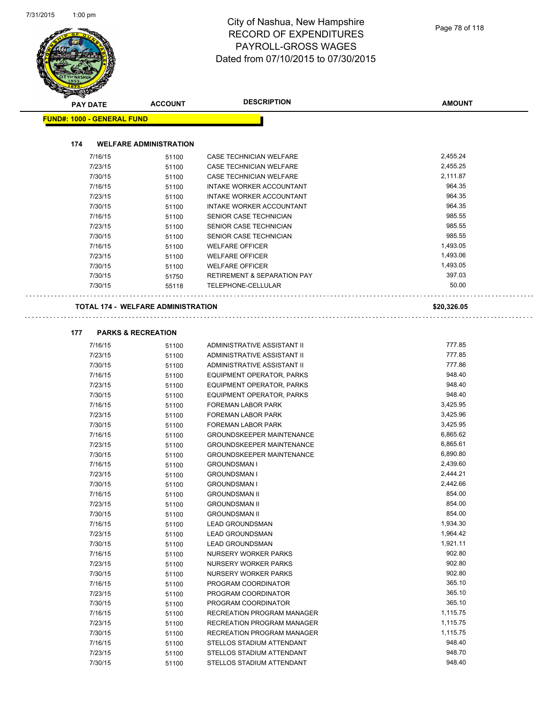| <b>PAY DATE</b>                   | <b>ACCOUNT</b>                            | <b>DESCRIPTION</b>                                     | <b>AMOUNT</b>    |
|-----------------------------------|-------------------------------------------|--------------------------------------------------------|------------------|
| <b>FUND#: 1000 - GENERAL FUND</b> |                                           |                                                        |                  |
| 174                               | <b>WELFARE ADMINISTRATION</b>             |                                                        |                  |
| 7/16/15                           | 51100                                     | CASE TECHNICIAN WELFARE                                | 2,455.24         |
| 7/23/15                           | 51100                                     | CASE TECHNICIAN WELFARE                                | 2,455.25         |
| 7/30/15                           | 51100                                     | <b>CASE TECHNICIAN WELFARE</b>                         | 2,111.87         |
| 7/16/15                           | 51100                                     | INTAKE WORKER ACCOUNTANT                               | 964.35           |
| 7/23/15                           | 51100                                     | INTAKE WORKER ACCOUNTANT                               | 964.35           |
| 7/30/15                           | 51100                                     | INTAKE WORKER ACCOUNTANT                               | 964.35           |
| 7/16/15                           | 51100                                     | SENIOR CASE TECHNICIAN                                 | 985.55           |
| 7/23/15                           | 51100                                     | SENIOR CASE TECHNICIAN                                 | 985.55           |
| 7/30/15                           | 51100                                     | SENIOR CASE TECHNICIAN                                 | 985.55           |
| 7/16/15                           | 51100                                     | <b>WELFARE OFFICER</b>                                 | 1,493.05         |
| 7/23/15                           | 51100                                     | <b>WELFARE OFFICER</b>                                 | 1,493.06         |
| 7/30/15                           | 51100                                     | <b>WELFARE OFFICER</b>                                 | 1,493.05         |
| 7/30/15                           | 51750                                     | <b>RETIREMENT &amp; SEPARATION PAY</b>                 | 397.03           |
| 7/30/15                           | 55118                                     | TELEPHONE-CELLULAR                                     | 50.00            |
|                                   | <b>TOTAL 174 - WELFARE ADMINISTRATION</b> |                                                        | \$20,326.05      |
|                                   |                                           |                                                        |                  |
| 177                               | <b>PARKS &amp; RECREATION</b>             |                                                        |                  |
| 7/16/15                           | 51100                                     | ADMINISTRATIVE ASSISTANT II                            | 777.85           |
| 7/23/15                           | 51100                                     | ADMINISTRATIVE ASSISTANT II                            | 777.85           |
| 7/30/15                           | 51100                                     | ADMINISTRATIVE ASSISTANT II                            | 777.86           |
| 7/16/15                           | 51100                                     | EQUIPMENT OPERATOR, PARKS                              | 948.40           |
| 7/23/15                           | 51100                                     | EQUIPMENT OPERATOR, PARKS                              | 948.40           |
| 7/30/15                           | 51100                                     | EQUIPMENT OPERATOR, PARKS                              | 948.40           |
| 7/16/15                           | 51100                                     | FOREMAN LABOR PARK                                     | 3,425.95         |
| 7/23/15                           | 51100                                     | FOREMAN LABOR PARK                                     | 3,425.96         |
| 7/30/15                           | 51100                                     | FOREMAN LABOR PARK                                     | 3,425.95         |
| 7/16/15                           | 51100                                     | <b>GROUNDSKEEPER MAINTENANCE</b>                       | 6,865.62         |
| 7/23/15                           | 51100                                     | <b>GROUNDSKEEPER MAINTENANCE</b>                       | 6,865.61         |
| 7/30/15                           | 51100                                     | <b>GROUNDSKEEPER MAINTENANCE</b>                       | 6,890.80         |
| 7/16/15                           | 51100                                     | <b>GROUNDSMAN I</b>                                    | 2,439.60         |
| 7/23/15                           | 51100                                     | <b>GROUNDSMAN I</b>                                    | 2,444.21         |
| 7/30/15                           | 51100                                     | <b>GROUNDSMAN I</b>                                    | 2,442.66         |
| 7/16/15                           | 51100                                     | <b>GROUNDSMAN II</b>                                   | 854.00           |
| 7/23/15                           | 51100                                     | <b>GROUNDSMAN II</b>                                   | 854.00           |
| 7/30/15                           | 51100                                     | <b>GROUNDSMAN II</b>                                   | 854.00           |
| 7/16/15                           | 51100                                     | <b>LEAD GROUNDSMAN</b>                                 | 1,934.30         |
| 7/23/15                           | 51100                                     | <b>LEAD GROUNDSMAN</b>                                 | 1,964.42         |
| 7/30/15                           | 51100                                     | <b>LEAD GROUNDSMAN</b>                                 | 1,921.11         |
| 7/16/15                           | 51100                                     | NURSERY WORKER PARKS                                   | 902.80           |
| 7/23/15                           | 51100                                     | NURSERY WORKER PARKS                                   | 902.80           |
| 7/30/15                           | 51100                                     | NURSERY WORKER PARKS                                   | 902.80           |
| 7/16/15                           | 51100                                     | PROGRAM COORDINATOR                                    | 365.10           |
| 7/23/15                           | 51100                                     | PROGRAM COORDINATOR                                    | 365.10           |
| 7/30/15                           | 51100                                     | PROGRAM COORDINATOR                                    | 365.10           |
| 7/16/15                           | 51100                                     | RECREATION PROGRAM MANAGER                             | 1,115.75         |
| 7/23/15                           | 51100                                     | RECREATION PROGRAM MANAGER                             | 1,115.75         |
| 7/30/15                           | 51100                                     | RECREATION PROGRAM MANAGER                             | 1,115.75         |
| 7/16/15                           | 51100<br>51100                            | STELLOS STADIUM ATTENDANT<br>STELLOS STADIUM ATTENDANT | 948.40<br>948.70 |
| 7/23/15                           |                                           |                                                        |                  |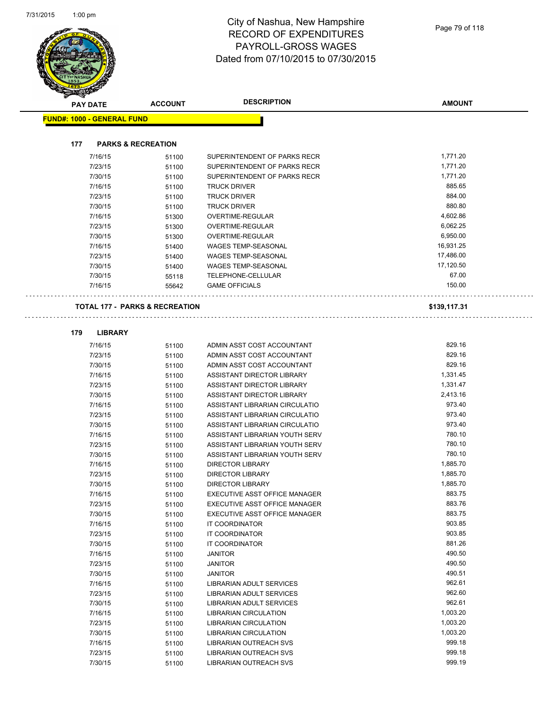$\ddot{\phantom{a}}$ 

| <b>PAY DATE</b>                   | <b>ACCOUNT</b>                            | <b>DESCRIPTION</b>             | <b>AMOUNT</b> |
|-----------------------------------|-------------------------------------------|--------------------------------|---------------|
| <b>FUND#: 1000 - GENERAL FUND</b> |                                           |                                |               |
|                                   |                                           |                                |               |
| 177                               | <b>PARKS &amp; RECREATION</b>             |                                |               |
| 7/16/15                           | 51100                                     | SUPERINTENDENT OF PARKS RECR   | 1,771.20      |
| 7/23/15                           | 51100                                     | SUPERINTENDENT OF PARKS RECR   | 1,771.20      |
| 7/30/15                           | 51100                                     | SUPERINTENDENT OF PARKS RECR   | 1,771.20      |
| 7/16/15                           | 51100                                     | <b>TRUCK DRIVER</b>            | 885.65        |
| 7/23/15                           | 51100                                     | <b>TRUCK DRIVER</b>            | 884.00        |
| 7/30/15                           | 51100                                     | <b>TRUCK DRIVER</b>            | 880.80        |
| 7/16/15                           | 51300                                     | OVERTIME-REGULAR               | 4,602.86      |
| 7/23/15                           | 51300                                     | OVERTIME-REGULAR               | 6,062.25      |
| 7/30/15                           | 51300                                     | OVERTIME-REGULAR               | 6,950.00      |
| 7/16/15                           | 51400                                     | <b>WAGES TEMP-SEASONAL</b>     | 16,931.25     |
| 7/23/15                           | 51400                                     | <b>WAGES TEMP-SEASONAL</b>     | 17,486.00     |
| 7/30/15                           | 51400                                     | <b>WAGES TEMP-SEASONAL</b>     | 17,120.50     |
| 7/30/15                           | 55118                                     | <b>TELEPHONE-CELLULAR</b>      | 67.00         |
| 7/16/15                           | 55642                                     | <b>GAME OFFICIALS</b>          | 150.00        |
|                                   | <b>TOTAL 177 - PARKS &amp; RECREATION</b> |                                | \$139,117.31  |
|                                   |                                           |                                |               |
| 179<br><b>LIBRARY</b>             |                                           |                                |               |
| 7/16/15                           | 51100                                     | ADMIN ASST COST ACCOUNTANT     | 829.16        |
| 7/23/15                           | 51100                                     | ADMIN ASST COST ACCOUNTANT     | 829.16        |
| 7/30/15                           | 51100                                     | ADMIN ASST COST ACCOUNTANT     | 829.16        |
| 7/16/15                           | 51100                                     | ASSISTANT DIRECTOR LIBRARY     | 1,331.45      |
| 7/23/15                           | 51100                                     | ASSISTANT DIRECTOR LIBRARY     | 1,331.47      |
| 7/30/15                           | 51100                                     | ASSISTANT DIRECTOR LIBRARY     | 2,413.16      |
| 7/16/15                           | 51100                                     | ASSISTANT LIBRARIAN CIRCULATIO | 973.40        |
| 7/23/15                           | 51100                                     | ASSISTANT LIBRARIAN CIRCULATIO | 973.40        |
| 7/30/15                           | 51100                                     | ASSISTANT LIBRARIAN CIRCULATIO | 973.40        |
| 7/16/15                           | 51100                                     | ASSISTANT LIBRARIAN YOUTH SERV | 780.10        |
| 7/23/15                           | 51100                                     | ASSISTANT LIBRARIAN YOUTH SERV | 780.10        |
| 7/30/15                           | 51100                                     | ASSISTANT LIBRARIAN YOUTH SERV | 780.10        |
| 7/16/15                           | 51100                                     | <b>DIRECTOR LIBRARY</b>        | 1,885.70      |
| 7/23/15                           | 51100                                     | <b>DIRECTOR LIBRARY</b>        | 1,885.70      |
| 7/30/15                           | 51100                                     | <b>DIRECTOR LIBRARY</b>        | 1,885.70      |
| 7/16/15                           | 51100                                     | EXECUTIVE ASST OFFICE MANAGER  | 883.75        |
| 7/23/15                           | 51100                                     | EXECUTIVE ASST OFFICE MANAGER  | 883.76        |
| 7/30/15                           | 51100                                     | EXECUTIVE ASST OFFICE MANAGER  | 883.75        |
| 7/16/15                           | 51100                                     | IT COORDINATOR                 | 903.85        |
| 7/23/15                           | 51100                                     | IT COORDINATOR                 | 903.85        |
| 7/30/15                           | 51100                                     | IT COORDINATOR                 | 881.26        |
| 7/16/15                           | 51100                                     | <b>JANITOR</b>                 | 490.50        |
| 7/23/15                           | 51100                                     | <b>JANITOR</b>                 | 490.50        |
| 7/30/15                           | 51100                                     | <b>JANITOR</b>                 | 490.51        |
| 7/16/15                           | 51100                                     | LIBRARIAN ADULT SERVICES       | 962.61        |
| 7/23/15                           | 51100                                     | LIBRARIAN ADULT SERVICES       | 962.60        |
| 7/30/15                           | 51100                                     | LIBRARIAN ADULT SERVICES       | 962.61        |
| 7/16/15                           | 51100                                     | LIBRARIAN CIRCULATION          | 1,003.20      |
| 7/23/15                           | 51100                                     | LIBRARIAN CIRCULATION          | 1,003.20      |
| 7/30/15                           | 51100                                     | LIBRARIAN CIRCULATION          | 1,003.20      |
| 7/16/15                           | 51100                                     | LIBRARIAN OUTREACH SVS         | 999.18        |
| 7/23/15                           | 51100                                     | <b>LIBRARIAN OUTREACH SVS</b>  | 999.18        |
| 7/30/15                           | 51100                                     | <b>LIBRARIAN OUTREACH SVS</b>  | 999.19        |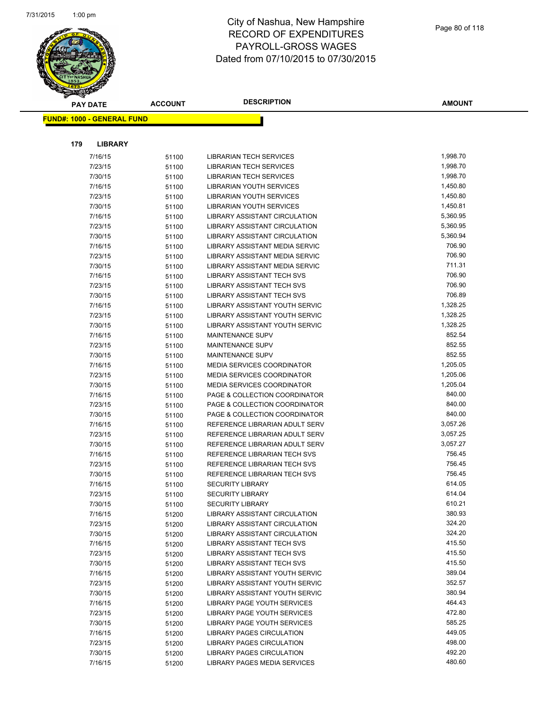

**AMOUNT**

|     | <b>FUND#: 1000 - GENERAL FUND</b> |                |                                                    |                  |
|-----|-----------------------------------|----------------|----------------------------------------------------|------------------|
|     |                                   |                |                                                    |                  |
| 179 | <b>LIBRARY</b>                    |                |                                                    |                  |
|     | 7/16/15                           | 51100          | <b>LIBRARIAN TECH SERVICES</b>                     | 1,998.70         |
|     | 7/23/15                           | 51100          | <b>LIBRARIAN TECH SERVICES</b>                     | 1,998.70         |
|     | 7/30/15                           | 51100          | <b>LIBRARIAN TECH SERVICES</b>                     | 1,998.70         |
|     | 7/16/15                           | 51100          | LIBRARIAN YOUTH SERVICES                           | 1,450.80         |
|     | 7/23/15                           | 51100          | <b>LIBRARIAN YOUTH SERVICES</b>                    | 1,450.80         |
|     | 7/30/15                           | 51100          | <b>LIBRARIAN YOUTH SERVICES</b>                    | 1,450.81         |
|     | 7/16/15                           | 51100          | <b>LIBRARY ASSISTANT CIRCULATION</b>               | 5,360.95         |
|     | 7/23/15                           | 51100          | LIBRARY ASSISTANT CIRCULATION                      | 5,360.95         |
|     | 7/30/15                           | 51100          | <b>LIBRARY ASSISTANT CIRCULATION</b>               | 5,360.94         |
|     | 7/16/15                           | 51100          | LIBRARY ASSISTANT MEDIA SERVIC                     | 706.90           |
|     | 7/23/15                           | 51100          | LIBRARY ASSISTANT MEDIA SERVIC                     | 706.90           |
|     | 7/30/15                           | 51100          | LIBRARY ASSISTANT MEDIA SERVIC                     | 711.31           |
|     | 7/16/15                           | 51100          | <b>LIBRARY ASSISTANT TECH SVS</b>                  | 706.90           |
|     | 7/23/15                           | 51100          | <b>LIBRARY ASSISTANT TECH SVS</b>                  | 706.90           |
|     | 7/30/15                           | 51100          | <b>LIBRARY ASSISTANT TECH SVS</b>                  | 706.89           |
|     | 7/16/15                           | 51100          | LIBRARY ASSISTANT YOUTH SERVIC                     | 1,328.25         |
|     | 7/23/15                           | 51100          | LIBRARY ASSISTANT YOUTH SERVIC                     | 1,328.25         |
|     | 7/30/15                           | 51100          | LIBRARY ASSISTANT YOUTH SERVIC                     | 1,328.25         |
|     | 7/16/15                           | 51100          | MAINTENANCE SUPV                                   | 852.54           |
|     | 7/23/15                           | 51100          | <b>MAINTENANCE SUPV</b>                            | 852.55           |
|     | 7/30/15                           | 51100          | MAINTENANCE SUPV                                   | 852.55           |
|     | 7/16/15                           | 51100          | <b>MEDIA SERVICES COORDINATOR</b>                  | 1,205.05         |
|     | 7/23/15                           | 51100          | <b>MEDIA SERVICES COORDINATOR</b>                  | 1,205.06         |
|     | 7/30/15                           | 51100          | MEDIA SERVICES COORDINATOR                         | 1,205.04         |
|     | 7/16/15                           | 51100          | PAGE & COLLECTION COORDINATOR                      | 840.00           |
|     | 7/23/15                           | 51100          | PAGE & COLLECTION COORDINATOR                      | 840.00           |
|     | 7/30/15                           | 51100          | PAGE & COLLECTION COORDINATOR                      | 840.00           |
|     | 7/16/15                           | 51100          | REFERENCE LIBRARIAN ADULT SERV                     | 3,057.26         |
|     | 7/23/15                           | 51100          | REFERENCE LIBRARIAN ADULT SERV                     | 3,057.25         |
|     | 7/30/15                           | 51100          | REFERENCE LIBRARIAN ADULT SERV                     | 3,057.27         |
|     | 7/16/15                           | 51100          | REFERENCE LIBRARIAN TECH SVS                       | 756.45           |
|     | 7/23/15                           | 51100          | REFERENCE LIBRARIAN TECH SVS                       | 756.45           |
|     | 7/30/15                           | 51100          | REFERENCE LIBRARIAN TECH SVS                       | 756.45<br>614.05 |
|     | 7/16/15<br>7/23/15                | 51100          | <b>SECURITY LIBRARY</b><br><b>SECURITY LIBRARY</b> | 614.04           |
|     | 7/30/15                           | 51100<br>51100 | <b>SECURITY LIBRARY</b>                            | 610.21           |
|     | 7/16/15                           | 51200          | LIBRARY ASSISTANT CIRCULATION                      | 380.93           |
|     | 7/23/15                           | 51200          | LIBRARY ASSISTANT CIRCULATION                      | 324.20           |
|     | 7/30/15                           | 51200          | LIBRARY ASSISTANT CIRCULATION                      | 324.20           |
|     | 7/16/15                           | 51200          | <b>LIBRARY ASSISTANT TECH SVS</b>                  | 415.50           |
|     | 7/23/15                           | 51200          | LIBRARY ASSISTANT TECH SVS                         | 415.50           |
|     | 7/30/15                           | 51200          | LIBRARY ASSISTANT TECH SVS                         | 415.50           |
|     | 7/16/15                           | 51200          | <b>LIBRARY ASSISTANT YOUTH SERVIC</b>              | 389.04           |
|     | 7/23/15                           | 51200          | LIBRARY ASSISTANT YOUTH SERVIC                     | 352.57           |
|     | 7/30/15                           | 51200          | LIBRARY ASSISTANT YOUTH SERVIC                     | 380.94           |
|     | 7/16/15                           | 51200          | LIBRARY PAGE YOUTH SERVICES                        | 464.43           |
|     | 7/23/15                           | 51200          | LIBRARY PAGE YOUTH SERVICES                        | 472.80           |
|     | 7/30/15                           | 51200          | LIBRARY PAGE YOUTH SERVICES                        | 585.25           |
|     | 7/16/15                           | 51200          | LIBRARY PAGES CIRCULATION                          | 449.05           |
|     | 7/23/15                           | 51200          | <b>LIBRARY PAGES CIRCULATION</b>                   | 498.00           |
|     | 7/30/15                           | 51200          | LIBRARY PAGES CIRCULATION                          | 492.20           |
|     | 7/16/15                           | 51200          | <b>LIBRARY PAGES MEDIA SERVICES</b>                | 480.60           |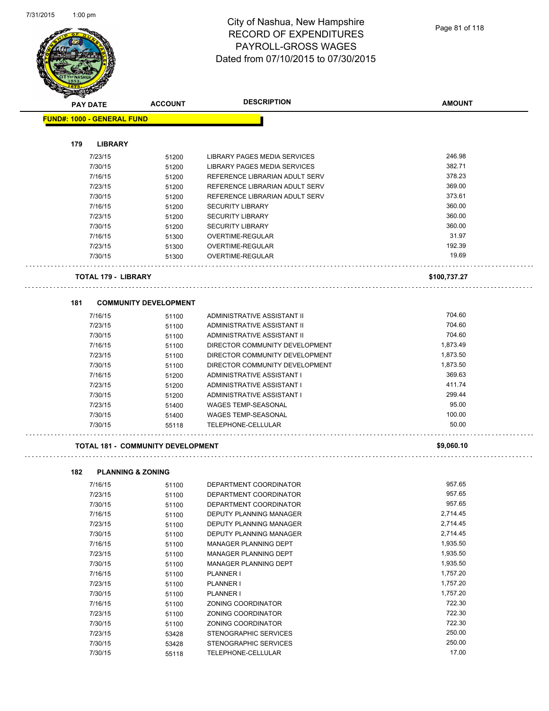

| <b>PAY DATE</b>                   | <b>ACCOUNT</b>                           | <b>DESCRIPTION</b>                       | <b>AMOUNT</b> |
|-----------------------------------|------------------------------------------|------------------------------------------|---------------|
| <b>FUND#: 1000 - GENERAL FUND</b> |                                          |                                          |               |
|                                   |                                          |                                          |               |
| 179                               | <b>LIBRARY</b>                           |                                          |               |
| 7/23/15                           | 51200                                    | LIBRARY PAGES MEDIA SERVICES             | 246.98        |
| 7/30/15                           | 51200                                    | LIBRARY PAGES MEDIA SERVICES             | 382.71        |
| 7/16/15                           | 51200                                    | REFERENCE LIBRARIAN ADULT SERV           | 378.23        |
| 7/23/15                           | 51200                                    | REFERENCE LIBRARIAN ADULT SERV           | 369.00        |
| 7/30/15                           | 51200                                    | REFERENCE LIBRARIAN ADULT SERV           | 373.61        |
| 7/16/15                           | 51200                                    | <b>SECURITY LIBRARY</b>                  | 360.00        |
| 7/23/15                           | 51200                                    | <b>SECURITY LIBRARY</b>                  | 360.00        |
| 7/30/15                           | 51200                                    | <b>SECURITY LIBRARY</b>                  | 360.00        |
| 7/16/15                           | 51300                                    | OVERTIME-REGULAR                         | 31.97         |
| 7/23/15                           | 51300                                    | OVERTIME-REGULAR                         | 192.39        |
| 7/30/15                           | 51300                                    | OVERTIME-REGULAR                         | 19.69         |
|                                   | <b>TOTAL 179 - LIBRARY</b>               |                                          | \$100,737.27  |
| 181                               | <b>COMMUNITY DEVELOPMENT</b>             |                                          |               |
| 7/16/15                           | 51100                                    | ADMINISTRATIVE ASSISTANT II              | 704.60        |
| 7/23/15                           | 51100                                    | ADMINISTRATIVE ASSISTANT II              | 704.60        |
| 7/30/15                           | 51100                                    | ADMINISTRATIVE ASSISTANT II              | 704.60        |
| 7/16/15                           | 51100                                    | DIRECTOR COMMUNITY DEVELOPMENT           | 1,873.49      |
| 7/23/15                           | 51100                                    | DIRECTOR COMMUNITY DEVELOPMENT           | 1,873.50      |
| 7/30/15                           | 51100                                    | DIRECTOR COMMUNITY DEVELOPMENT           | 1,873.50      |
| 7/16/15                           | 51200                                    | ADMINISTRATIVE ASSISTANT I               | 369.63        |
| 7/23/15                           | 51200                                    | ADMINISTRATIVE ASSISTANT I               | 411.74        |
| 7/30/15                           | 51200                                    | ADMINISTRATIVE ASSISTANT I               | 299.44        |
| 7/23/15                           | 51400                                    | <b>WAGES TEMP-SEASONAL</b>               | 95.00         |
| 7/30/15                           | 51400                                    | <b>WAGES TEMP-SEASONAL</b>               | 100.00        |
| 7/30/15                           | 55118                                    | TELEPHONE-CELLULAR                       | 50.00         |
|                                   | <b>TOTAL 181 - COMMUNITY DEVELOPMENT</b> |                                          | \$9,060.10    |
| 182                               | <b>PLANNING &amp; ZONING</b>             |                                          |               |
| 7/16/15                           | 51100                                    | DEPARTMENT COORDINATOR                   | 957.65        |
| 7/23/15                           | 51100                                    | DEPARTMENT COORDINATOR                   | 957.65        |
| 7/30/15                           |                                          | DEPARTMENT COORDINATOR                   | 957.65        |
| 7/16/15                           | 51100<br>51100                           | DEPUTY PLANNING MANAGER                  | 2,714.45      |
| 7/23/15                           | 51100                                    | DEPUTY PLANNING MANAGER                  | 2,714.45      |
| 7/30/15                           | 51100                                    | DEPUTY PLANNING MANAGER                  | 2,714.45      |
| 7/16/15                           |                                          | MANAGER PLANNING DEPT                    | 1,935.50      |
| 7/23/15                           | 51100                                    | MANAGER PLANNING DEPT                    | 1,935.50      |
| 7/30/15                           | 51100                                    | MANAGER PLANNING DEPT                    | 1,935.50      |
| 7/16/15                           | 51100                                    | <b>PLANNER I</b>                         | 1,757.20      |
| 7/23/15                           | 51100                                    | PLANNER I                                | 1,757.20      |
| 7/30/15                           | 51100                                    | PLANNER I                                | 1,757.20      |
| 7/16/15                           | 51100                                    |                                          | 722.30        |
| 7/23/15                           | 51100                                    | ZONING COORDINATOR<br>ZONING COORDINATOR | 722.30        |
|                                   | 51100                                    |                                          | 722.30        |
| 7/30/15                           | 51100                                    | ZONING COORDINATOR                       |               |

7/23/15 53428 STENOGRAPHIC SERVICES 250.00 7/30/15 53428 STENOGRAPHIC SERVICES 250.00

7/30/15 55118 TELEPHONE-CELLULAR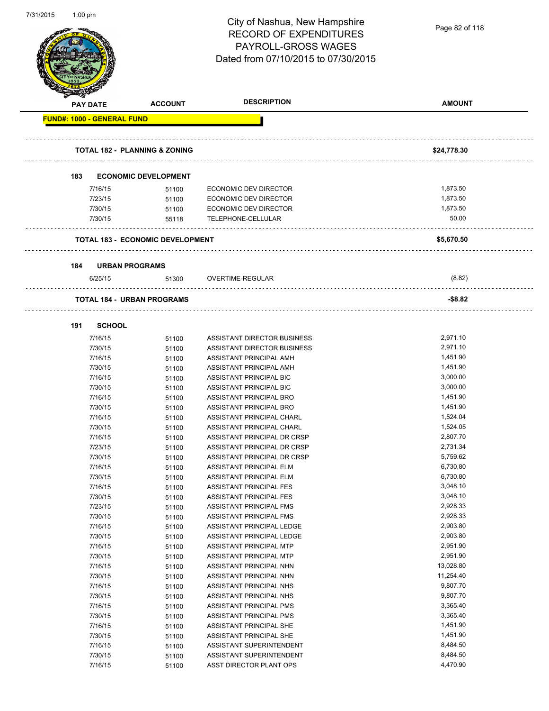| 7/31/2015 | 1:00 $pm$ |                                   |                                          | City of Nashua, New Hampshire<br><b>RECORD OF EXPENDITURES</b><br>PAYROLL-GROSS WAGES<br>Dated from 07/10/2015 to 07/30/2015 | Page 82 of 118       |
|-----------|-----------|-----------------------------------|------------------------------------------|------------------------------------------------------------------------------------------------------------------------------|----------------------|
|           |           | <b>PAY DATE</b>                   | <b>ACCOUNT</b>                           | <b>DESCRIPTION</b>                                                                                                           | <b>AMOUNT</b>        |
|           |           | <b>FUND#: 1000 - GENERAL FUND</b> |                                          |                                                                                                                              |                      |
|           |           |                                   | <b>TOTAL 182 - PLANNING &amp; ZONING</b> |                                                                                                                              | \$24,778.30          |
|           | 183       |                                   | <b>ECONOMIC DEVELOPMENT</b>              |                                                                                                                              |                      |
|           |           | 7/16/15                           | 51100                                    | ECONOMIC DEV DIRECTOR                                                                                                        | 1,873.50             |
|           |           | 7/23/15                           | 51100                                    | <b>ECONOMIC DEV DIRECTOR</b>                                                                                                 | 1,873.50             |
|           |           | 7/30/15                           | 51100                                    | <b>ECONOMIC DEV DIRECTOR</b>                                                                                                 | 1,873.50             |
|           |           | 7/30/15                           | 55118                                    | TELEPHONE-CELLULAR                                                                                                           | 50.00                |
|           |           |                                   | <b>TOTAL 183 - ECONOMIC DEVELOPMENT</b>  |                                                                                                                              | \$5,670.50           |
|           |           |                                   |                                          |                                                                                                                              |                      |
|           | 184       | <b>URBAN PROGRAMS</b>             |                                          |                                                                                                                              |                      |
|           |           | 6/25/15                           | 51300                                    | OVERTIME-REGULAR                                                                                                             | (8.82)               |
|           |           |                                   | <b>TOTAL 184 - URBAN PROGRAMS</b>        |                                                                                                                              | $-$ \$8.82           |
|           |           |                                   |                                          |                                                                                                                              |                      |
|           | 191       | <b>SCHOOL</b>                     |                                          |                                                                                                                              |                      |
|           |           | 7/16/15                           | 51100                                    | ASSISTANT DIRECTOR BUSINESS                                                                                                  | 2,971.10             |
|           |           | 7/30/15                           | 51100                                    | ASSISTANT DIRECTOR BUSINESS                                                                                                  | 2,971.10             |
|           |           | 7/16/15                           | 51100                                    | ASSISTANT PRINCIPAL AMH                                                                                                      | 1,451.90             |
|           |           | 7/30/15                           | 51100                                    | ASSISTANT PRINCIPAL AMH                                                                                                      | 1,451.90             |
|           |           | 7/16/15                           | 51100                                    | ASSISTANT PRINCIPAL BIC                                                                                                      | 3,000.00             |
|           |           | 7/30/15                           | 51100                                    | ASSISTANT PRINCIPAL BIC                                                                                                      | 3,000.00             |
|           |           | 7/16/15                           | 51100                                    | ASSISTANT PRINCIPAL BRO                                                                                                      | 1,451.90             |
|           |           | 7/30/15                           | 51100                                    | ASSISTANT PRINCIPAL BRO                                                                                                      | 1,451.90             |
|           |           | 7/16/15                           | 51100                                    | ASSISTANT PRINCIPAL CHARL                                                                                                    | 1,524.04             |
|           |           | 7/30/15                           | 51100                                    | ASSISTANT PRINCIPAL CHARL                                                                                                    | 1,524.05             |
|           |           | 7/16/15                           | 51100                                    | ASSISTANT PRINCIPAL DR CRSP                                                                                                  | 2,807.70             |
|           |           | 7/23/15                           | 51100                                    | ASSISTANT PRINCIPAL DR CRSP                                                                                                  | 2,731.34             |
|           |           | 7/30/15                           | 51100                                    | ASSISTANT PRINCIPAL DR CRSP                                                                                                  | 5,759.62             |
|           |           | 7/16/15                           | 51100                                    | ASSISTANT PRINCIPAL ELM                                                                                                      | 6,730.80             |
|           |           | 7/30/15                           | 51100                                    | ASSISTANT PRINCIPAL ELM                                                                                                      | 6,730.80             |
|           |           | 7/16/15                           | 51100                                    | ASSISTANT PRINCIPAL FES                                                                                                      | 3,048.10             |
|           |           | 7/30/15                           | 51100                                    | <b>ASSISTANT PRINCIPAL FES</b>                                                                                               | 3,048.10             |
|           |           | 7/23/15                           | 51100                                    | ASSISTANT PRINCIPAL FMS                                                                                                      | 2,928.33             |
|           |           | 7/30/15                           | 51100                                    | ASSISTANT PRINCIPAL FMS                                                                                                      | 2,928.33             |
|           |           | 7/16/15                           | 51100                                    | ASSISTANT PRINCIPAL LEDGE                                                                                                    | 2,903.80             |
|           |           | 7/30/15                           | 51100                                    | ASSISTANT PRINCIPAL LEDGE                                                                                                    | 2,903.80             |
|           |           | 7/16/15<br>7/30/15                | 51100                                    | ASSISTANT PRINCIPAL MTP<br>ASSISTANT PRINCIPAL MTP                                                                           | 2,951.90<br>2,951.90 |
|           |           | 7/16/15                           | 51100                                    | ASSISTANT PRINCIPAL NHN                                                                                                      | 13,028.80            |
|           |           | 7/30/15                           | 51100<br>51100                           | ASSISTANT PRINCIPAL NHN                                                                                                      | 11,254.40            |
|           |           | 7/16/15                           | 51100                                    | ASSISTANT PRINCIPAL NHS                                                                                                      | 9,807.70             |
|           |           | 7/30/15                           | 51100                                    | ASSISTANT PRINCIPAL NHS                                                                                                      | 9,807.70             |
|           |           | 7/16/15                           | 51100                                    | ASSISTANT PRINCIPAL PMS                                                                                                      | 3,365.40             |
|           |           | 7/30/15                           | 51100                                    | ASSISTANT PRINCIPAL PMS                                                                                                      | 3,365.40             |
|           |           | 7/16/15                           | 51100                                    | ASSISTANT PRINCIPAL SHE                                                                                                      | 1,451.90             |
|           |           | 7/30/15                           | 51100                                    | ASSISTANT PRINCIPAL SHE                                                                                                      | 1,451.90             |
|           |           | 7/16/15                           | 51100                                    | ASSISTANT SUPERINTENDENT                                                                                                     | 8,484.50             |
|           |           | 7/30/15                           | 51100                                    | ASSISTANT SUPERINTENDENT                                                                                                     | 8,484.50             |
|           |           | 7/16/15                           | 51100                                    | ASST DIRECTOR PLANT OPS                                                                                                      | 4,470.90             |
|           |           |                                   |                                          |                                                                                                                              |                      |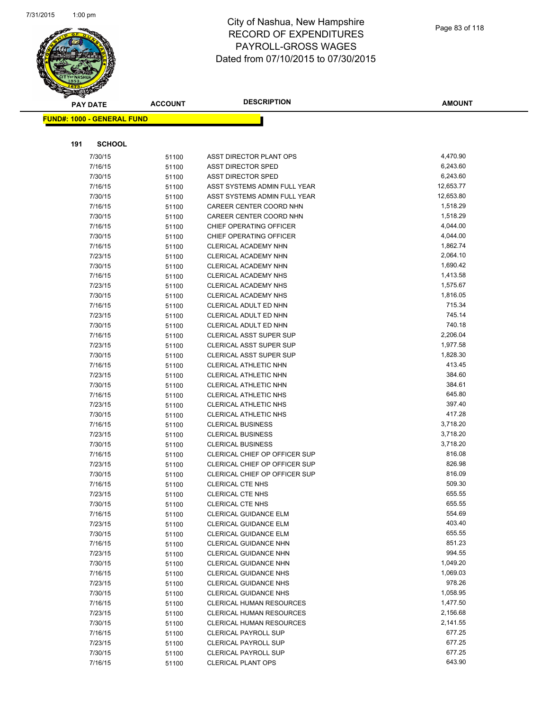

|     | <b>PAY DATE</b>                   | <b>ACCOUNT</b> | <b>DESCRIPTION</b>              | <b>AMOUNT</b> |
|-----|-----------------------------------|----------------|---------------------------------|---------------|
|     | <b>FUND#: 1000 - GENERAL FUND</b> |                |                                 |               |
|     |                                   |                |                                 |               |
|     |                                   |                |                                 |               |
| 191 | <b>SCHOOL</b>                     |                |                                 |               |
|     | 7/30/15                           | 51100          | ASST DIRECTOR PLANT OPS         | 4,470.90      |
|     | 7/16/15                           | 51100          | <b>ASST DIRECTOR SPED</b>       | 6,243.60      |
|     | 7/30/15                           | 51100          | <b>ASST DIRECTOR SPED</b>       | 6,243.60      |
|     | 7/16/15                           | 51100          | ASST SYSTEMS ADMIN FULL YEAR    | 12,653.77     |
|     | 7/30/15                           | 51100          | ASST SYSTEMS ADMIN FULL YEAR    | 12,653.80     |
|     | 7/16/15                           | 51100          | CAREER CENTER COORD NHN         | 1,518.29      |
|     | 7/30/15                           | 51100          | CAREER CENTER COORD NHN         | 1,518.29      |
|     | 7/16/15                           | 51100          | CHIEF OPERATING OFFICER         | 4,044.00      |
|     | 7/30/15                           | 51100          | CHIEF OPERATING OFFICER         | 4,044.00      |
|     | 7/16/15                           | 51100          | CLERICAL ACADEMY NHN            | 1,862.74      |
|     | 7/23/15                           | 51100          | CLERICAL ACADEMY NHN            | 2,064.10      |
|     | 7/30/15                           | 51100          | CLERICAL ACADEMY NHN            | 1,690.42      |
|     | 7/16/15                           | 51100          | CLERICAL ACADEMY NHS            | 1,413.58      |
|     | 7/23/15                           | 51100          | CLERICAL ACADEMY NHS            | 1,575.67      |
|     | 7/30/15                           | 51100          | CLERICAL ACADEMY NHS            | 1,816.05      |
|     | 7/16/15                           | 51100          | CLERICAL ADULT ED NHN           | 715.34        |
|     | 7/23/15                           | 51100          | CLERICAL ADULT ED NHN           | 745.14        |
|     | 7/30/15                           | 51100          | CLERICAL ADULT ED NHN           | 740.18        |
|     | 7/16/15                           | 51100          | <b>CLERICAL ASST SUPER SUP</b>  | 2,206.04      |
|     | 7/23/15                           | 51100          | CLERICAL ASST SUPER SUP         | 1,977.58      |
|     | 7/30/15                           | 51100          | <b>CLERICAL ASST SUPER SUP</b>  | 1,828.30      |
|     | 7/16/15                           | 51100          | CLERICAL ATHLETIC NHN           | 413.45        |
|     | 7/23/15                           | 51100          | CLERICAL ATHLETIC NHN           | 384.60        |
|     | 7/30/15                           | 51100          | CLERICAL ATHLETIC NHN           | 384.61        |
|     | 7/16/15                           | 51100          | CLERICAL ATHLETIC NHS           | 645.80        |
|     | 7/23/15                           | 51100          | CLERICAL ATHLETIC NHS           | 397.40        |
|     | 7/30/15                           | 51100          | <b>CLERICAL ATHLETIC NHS</b>    | 417.28        |
|     | 7/16/15                           | 51100          | <b>CLERICAL BUSINESS</b>        | 3,718.20      |
|     | 7/23/15                           | 51100          | <b>CLERICAL BUSINESS</b>        | 3,718.20      |
|     | 7/30/15                           | 51100          | <b>CLERICAL BUSINESS</b>        | 3,718.20      |
|     | 7/16/15                           | 51100          | CLERICAL CHIEF OP OFFICER SUP   | 816.08        |
|     | 7/23/15                           | 51100          | CLERICAL CHIEF OP OFFICER SUP   | 826.98        |
|     | 7/30/15                           | 51100          | CLERICAL CHIEF OP OFFICER SUP   | 816.09        |
|     | 7/16/15                           | 51100          | <b>CLERICAL CTE NHS</b>         | 509.30        |
|     | 7/23/15                           | 51100          | <b>CLERICAL CTE NHS</b>         | 655.55        |
|     | 7/30/15                           | 51100          | CLERICAL CTE NHS                | 655.55        |
|     | 7/16/15                           | 51100          | <b>CLERICAL GUIDANCE ELM</b>    | 554.69        |
|     | 7/23/15                           | 51100          | <b>CLERICAL GUIDANCE ELM</b>    | 403.40        |
|     | 7/30/15                           | 51100          | <b>CLERICAL GUIDANCE ELM</b>    | 655.55        |
|     | 7/16/15                           | 51100          | CLERICAL GUIDANCE NHN           | 851.23        |
|     | 7/23/15                           | 51100          | <b>CLERICAL GUIDANCE NHN</b>    | 994.55        |
|     | 7/30/15                           | 51100          | CLERICAL GUIDANCE NHN           | 1,049.20      |
|     | 7/16/15                           | 51100          | <b>CLERICAL GUIDANCE NHS</b>    | 1,069.03      |
|     | 7/23/15                           | 51100          | CLERICAL GUIDANCE NHS           | 978.26        |
|     | 7/30/15                           | 51100          | <b>CLERICAL GUIDANCE NHS</b>    | 1,058.95      |
|     | 7/16/15                           | 51100          | <b>CLERICAL HUMAN RESOURCES</b> | 1,477.50      |
|     | 7/23/15                           | 51100          | CLERICAL HUMAN RESOURCES        | 2,156.68      |
|     | 7/30/15                           | 51100          | CLERICAL HUMAN RESOURCES        | 2,141.55      |
|     | 7/16/15                           | 51100          | <b>CLERICAL PAYROLL SUP</b>     | 677.25        |
|     | 7/23/15                           | 51100          | <b>CLERICAL PAYROLL SUP</b>     | 677.25        |
|     | 7/30/15                           | 51100          | <b>CLERICAL PAYROLL SUP</b>     | 677.25        |
|     | 7/16/15                           | 51100          | <b>CLERICAL PLANT OPS</b>       | 643.90        |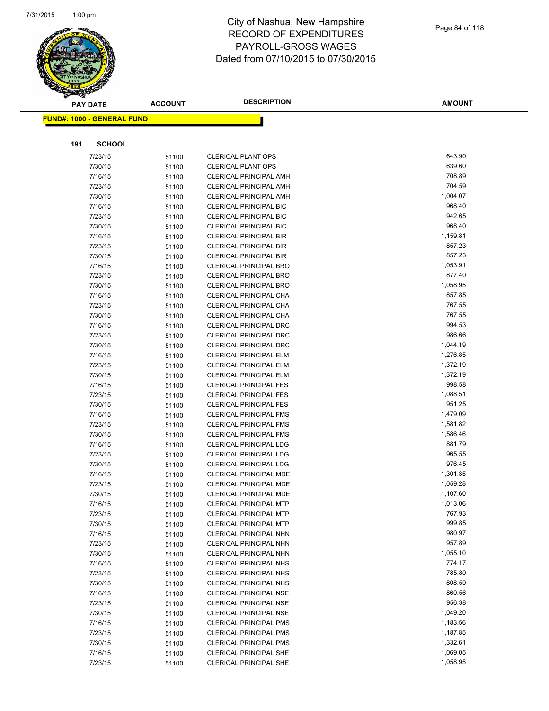

**AMOUNT**

| <u> FUND#: 1000 - GENERAL FUND</u> |                |                                                                |                    |
|------------------------------------|----------------|----------------------------------------------------------------|--------------------|
|                                    |                |                                                                |                    |
| 191<br><b>SCHOOL</b>               |                |                                                                |                    |
| 7/23/15                            | 51100          | <b>CLERICAL PLANT OPS</b>                                      | 643.90             |
| 7/30/15                            | 51100          | <b>CLERICAL PLANT OPS</b>                                      | 639.60             |
| 7/16/15                            | 51100          | <b>CLERICAL PRINCIPAL AMH</b>                                  | 708.89             |
| 7/23/15                            | 51100          | <b>CLERICAL PRINCIPAL AMH</b>                                  | 704.59             |
| 7/30/15                            | 51100          | <b>CLERICAL PRINCIPAL AMH</b>                                  | 1,004.07           |
| 7/16/15                            | 51100          | <b>CLERICAL PRINCIPAL BIC</b>                                  | 968.40             |
| 7/23/15                            | 51100          | <b>CLERICAL PRINCIPAL BIC</b>                                  | 942.65             |
| 7/30/15                            | 51100          | <b>CLERICAL PRINCIPAL BIC</b>                                  | 968.40             |
| 7/16/15                            | 51100          | <b>CLERICAL PRINCIPAL BIR</b>                                  | 1,159.81           |
| 7/23/15                            | 51100          | CLERICAL PRINCIPAL BIR                                         | 857.23             |
| 7/30/15                            | 51100          | <b>CLERICAL PRINCIPAL BIR</b>                                  | 857.23             |
| 7/16/15                            | 51100          | <b>CLERICAL PRINCIPAL BRO</b>                                  | 1,053.91           |
| 7/23/15                            | 51100          | <b>CLERICAL PRINCIPAL BRO</b>                                  | 877.40             |
| 7/30/15                            | 51100          | <b>CLERICAL PRINCIPAL BRO</b>                                  | 1,058.95           |
| 7/16/15                            | 51100          | CLERICAL PRINCIPAL CHA                                         | 857.85             |
| 7/23/15                            | 51100          | CLERICAL PRINCIPAL CHA                                         | 767.55             |
| 7/30/15                            | 51100          | CLERICAL PRINCIPAL CHA                                         | 767.55             |
| 7/16/15                            | 51100          | <b>CLERICAL PRINCIPAL DRC</b>                                  | 994.53             |
| 7/23/15                            | 51100          | <b>CLERICAL PRINCIPAL DRC</b>                                  | 986.66             |
| 7/30/15                            | 51100          | <b>CLERICAL PRINCIPAL DRC</b>                                  | 1,044.19           |
| 7/16/15                            | 51100          | <b>CLERICAL PRINCIPAL ELM</b>                                  | 1,276.85           |
| 7/23/15                            | 51100          | <b>CLERICAL PRINCIPAL ELM</b>                                  | 1,372.19           |
| 7/30/15                            | 51100          | <b>CLERICAL PRINCIPAL ELM</b>                                  | 1,372.19           |
| 7/16/15                            | 51100          | <b>CLERICAL PRINCIPAL FES</b>                                  | 998.58             |
| 7/23/15                            | 51100          | <b>CLERICAL PRINCIPAL FES</b>                                  | 1,088.51<br>951.25 |
| 7/30/15<br>7/16/15                 | 51100          | <b>CLERICAL PRINCIPAL FES</b><br><b>CLERICAL PRINCIPAL FMS</b> | 1,479.09           |
| 7/23/15                            | 51100<br>51100 | <b>CLERICAL PRINCIPAL FMS</b>                                  | 1,581.82           |
| 7/30/15                            | 51100          | <b>CLERICAL PRINCIPAL FMS</b>                                  | 1,586.46           |
| 7/16/15                            | 51100          | <b>CLERICAL PRINCIPAL LDG</b>                                  | 881.79             |
| 7/23/15                            | 51100          | <b>CLERICAL PRINCIPAL LDG</b>                                  | 965.55             |
| 7/30/15                            | 51100          | <b>CLERICAL PRINCIPAL LDG</b>                                  | 976.45             |
| 7/16/15                            | 51100          | CLERICAL PRINCIPAL MDE                                         | 1,301.35           |
| 7/23/15                            | 51100          | CLERICAL PRINCIPAL MDE                                         | 1,059.28           |
| 7/30/15                            | 51100          | <b>CLERICAL PRINCIPAL MDE</b>                                  | 1,107.60           |
| 7/16/15                            | 51100          | <b>CLERICAL PRINCIPAL MTP</b>                                  | 1,013.06           |
| 7/23/15                            | 51100          | CLERICAL PRINCIPAL MTP                                         | 767.93             |
| 7/30/15                            | 51100          | <b>CLERICAL PRINCIPAL MTP</b>                                  | 999.85             |
| 7/16/15                            | 51100          | CLERICAL PRINCIPAL NHN                                         | 980.97             |
| 7/23/15                            | 51100          | CLERICAL PRINCIPAL NHN                                         | 957.89             |
| 7/30/15                            | 51100          | CLERICAL PRINCIPAL NHN                                         | 1,055.10           |
| 7/16/15                            | 51100          | CLERICAL PRINCIPAL NHS                                         | 774.17             |
| 7/23/15                            | 51100          | CLERICAL PRINCIPAL NHS                                         | 785.80             |
| 7/30/15                            | 51100          | <b>CLERICAL PRINCIPAL NHS</b>                                  | 808.50             |
| 7/16/15                            | 51100          | <b>CLERICAL PRINCIPAL NSE</b>                                  | 860.56             |
| 7/23/15                            | 51100          | <b>CLERICAL PRINCIPAL NSE</b>                                  | 956.38             |
| 7/30/15                            | 51100          | <b>CLERICAL PRINCIPAL NSE</b>                                  | 1,049.20           |
| 7/16/15                            | 51100          | <b>CLERICAL PRINCIPAL PMS</b>                                  | 1,183.56           |
| 7/23/15                            | 51100          | <b>CLERICAL PRINCIPAL PMS</b>                                  | 1,187.85           |
| 7/30/15                            | 51100          | <b>CLERICAL PRINCIPAL PMS</b>                                  | 1,332.61           |
| 7/16/15                            | 51100          | <b>CLERICAL PRINCIPAL SHE</b>                                  | 1,069.05           |
| 7/23/15                            | 51100          | <b>CLERICAL PRINCIPAL SHE</b>                                  | 1,058.95           |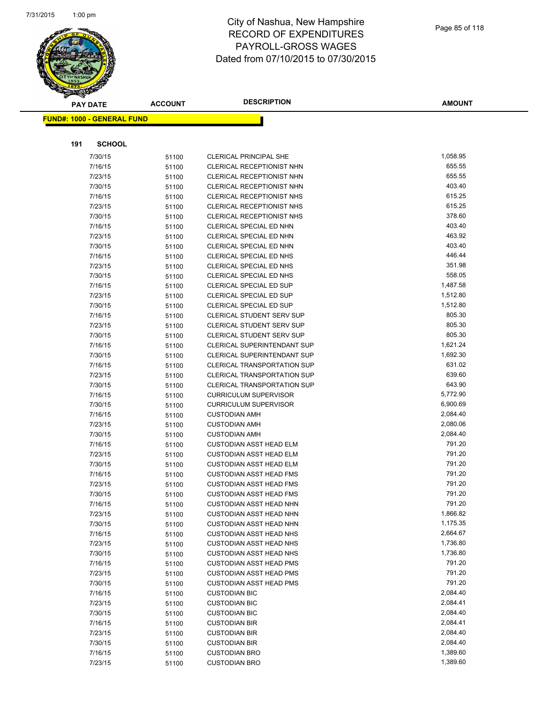

**AMOUNT**

| <u> FUND#: 1000 - GENERAL FUND</u> |                |                                                                  |                  |
|------------------------------------|----------------|------------------------------------------------------------------|------------------|
|                                    |                |                                                                  |                  |
| 191<br><b>SCHOOL</b>               |                |                                                                  |                  |
|                                    |                |                                                                  | 1,058.95         |
| 7/30/15                            | 51100          | <b>CLERICAL PRINCIPAL SHE</b>                                    | 655.55           |
| 7/16/15<br>7/23/15                 | 51100          | CLERICAL RECEPTIONIST NHN<br>CLERICAL RECEPTIONIST NHN           | 655.55           |
| 7/30/15                            | 51100          | CLERICAL RECEPTIONIST NHN                                        | 403.40           |
| 7/16/15                            | 51100<br>51100 | <b>CLERICAL RECEPTIONIST NHS</b>                                 | 615.25           |
| 7/23/15                            | 51100          | CLERICAL RECEPTIONIST NHS                                        | 615.25           |
| 7/30/15                            | 51100          | CLERICAL RECEPTIONIST NHS                                        | 378.60           |
| 7/16/15                            | 51100          | CLERICAL SPECIAL ED NHN                                          | 403.40           |
| 7/23/15                            | 51100          | CLERICAL SPECIAL ED NHN                                          | 463.92           |
| 7/30/15                            | 51100          | CLERICAL SPECIAL ED NHN                                          | 403.40           |
| 7/16/15                            | 51100          | CLERICAL SPECIAL ED NHS                                          | 446.44           |
| 7/23/15                            | 51100          | CLERICAL SPECIAL ED NHS                                          | 351.98           |
| 7/30/15                            | 51100          | CLERICAL SPECIAL ED NHS                                          | 558.05           |
| 7/16/15                            | 51100          | <b>CLERICAL SPECIAL ED SUP</b>                                   | 1,487.58         |
| 7/23/15                            | 51100          | CLERICAL SPECIAL ED SUP                                          | 1,512.80         |
| 7/30/15                            | 51100          | <b>CLERICAL SPECIAL ED SUP</b>                                   | 1,512.80         |
| 7/16/15                            | 51100          | <b>CLERICAL STUDENT SERV SUP</b>                                 | 805.30           |
| 7/23/15                            | 51100          | <b>CLERICAL STUDENT SERV SUP</b>                                 | 805.30           |
| 7/30/15                            | 51100          | CLERICAL STUDENT SERV SUP                                        | 805.30           |
| 7/16/15                            | 51100          | <b>CLERICAL SUPERINTENDANT SUP</b>                               | 1,621.24         |
| 7/30/15                            | 51100          | CLERICAL SUPERINTENDANT SUP                                      | 1,692.30         |
| 7/16/15                            | 51100          | <b>CLERICAL TRANSPORTATION SUP</b>                               | 631.02           |
| 7/23/15                            | 51100          | <b>CLERICAL TRANSPORTATION SUP</b>                               | 639.60           |
| 7/30/15                            | 51100          | <b>CLERICAL TRANSPORTATION SUP</b>                               | 643.90           |
| 7/16/15                            | 51100          | <b>CURRICULUM SUPERVISOR</b>                                     | 5,772.90         |
| 7/30/15                            | 51100          | <b>CURRICULUM SUPERVISOR</b>                                     | 6,900.69         |
| 7/16/15                            | 51100          | <b>CUSTODIAN AMH</b>                                             | 2,084.40         |
| 7/23/15                            | 51100          | <b>CUSTODIAN AMH</b>                                             | 2,080.06         |
| 7/30/15                            | 51100          | <b>CUSTODIAN AMH</b>                                             | 2,084.40         |
| 7/16/15                            | 51100          | <b>CUSTODIAN ASST HEAD ELM</b>                                   | 791.20<br>791.20 |
| 7/23/15                            | 51100          | <b>CUSTODIAN ASST HEAD ELM</b>                                   | 791.20           |
| 7/30/15<br>7/16/15                 | 51100          | <b>CUSTODIAN ASST HEAD ELM</b><br><b>CUSTODIAN ASST HEAD FMS</b> | 791.20           |
| 7/23/15                            | 51100<br>51100 | <b>CUSTODIAN ASST HEAD FMS</b>                                   | 791.20           |
| 7/30/15                            | 51100          | <b>CUSTODIAN ASST HEAD FMS</b>                                   | 791.20           |
| 7/16/15                            | 51100          | <b>CUSTODIAN ASST HEAD NHN</b>                                   | 791.20           |
| 7/23/15                            | 51100          | CUSTODIAN ASST HEAD NHN                                          | 1,866.82         |
| 7/30/15                            | 51100          | <b>CUSTODIAN ASST HEAD NHN</b>                                   | 1,175.35         |
| 7/16/15                            | 51100          | <b>CUSTODIAN ASST HEAD NHS</b>                                   | 2,664.67         |
| 7/23/15                            | 51100          | <b>CUSTODIAN ASST HEAD NHS</b>                                   | 1,736.80         |
| 7/30/15                            | 51100          | <b>CUSTODIAN ASST HEAD NHS</b>                                   | 1,736.80         |
| 7/16/15                            | 51100          | <b>CUSTODIAN ASST HEAD PMS</b>                                   | 791.20           |
| 7/23/15                            | 51100          | <b>CUSTODIAN ASST HEAD PMS</b>                                   | 791.20           |
| 7/30/15                            | 51100          | <b>CUSTODIAN ASST HEAD PMS</b>                                   | 791.20           |
| 7/16/15                            | 51100          | <b>CUSTODIAN BIC</b>                                             | 2,084.40         |
| 7/23/15                            | 51100          | <b>CUSTODIAN BIC</b>                                             | 2,084.41         |
| 7/30/15                            | 51100          | <b>CUSTODIAN BIC</b>                                             | 2,084.40         |
| 7/16/15                            | 51100          | <b>CUSTODIAN BIR</b>                                             | 2,084.41         |
| 7/23/15                            | 51100          | <b>CUSTODIAN BIR</b>                                             | 2,084.40         |
| 7/30/15                            | 51100          | <b>CUSTODIAN BIR</b>                                             | 2,084.40         |
| 7/16/15                            | 51100          | <b>CUSTODIAN BRO</b>                                             | 1,389.60         |
| 7/23/15                            | 51100          | <b>CUSTODIAN BRO</b>                                             | 1,389.60         |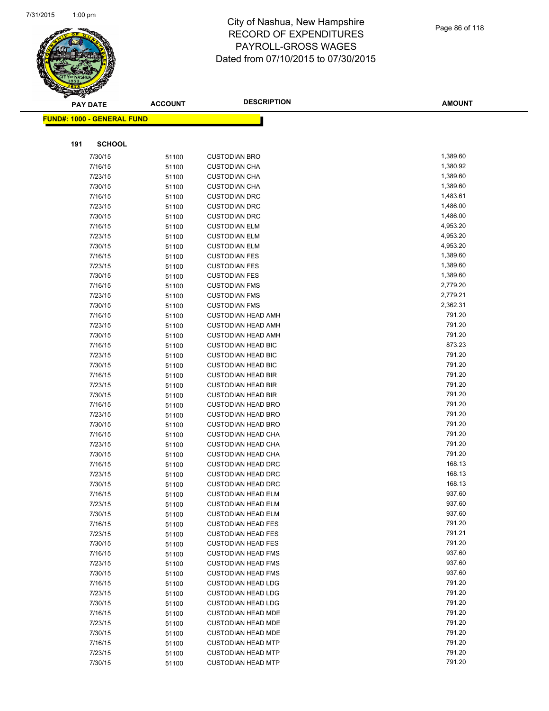

|     | <b>PAY DATE</b>                    | <b>ACCOUNT</b> | <b>DESCRIPTION</b>                                     | <b>AMOUNT</b>      |
|-----|------------------------------------|----------------|--------------------------------------------------------|--------------------|
|     | <u> FUND#: 1000 - GENERAL FUND</u> |                |                                                        |                    |
|     |                                    |                |                                                        |                    |
|     |                                    |                |                                                        |                    |
| 191 | <b>SCHOOL</b>                      |                |                                                        |                    |
|     | 7/30/15                            | 51100          | <b>CUSTODIAN BRO</b>                                   | 1,389.60           |
|     | 7/16/15                            | 51100          | <b>CUSTODIAN CHA</b>                                   | 1,380.92           |
|     | 7/23/15                            | 51100          | <b>CUSTODIAN CHA</b>                                   | 1,389.60           |
|     | 7/30/15                            | 51100          | <b>CUSTODIAN CHA</b>                                   | 1,389.60           |
|     | 7/16/15                            | 51100          | <b>CUSTODIAN DRC</b>                                   | 1,483.61           |
|     | 7/23/15                            | 51100          | <b>CUSTODIAN DRC</b>                                   | 1,486.00           |
|     | 7/30/15                            | 51100          | <b>CUSTODIAN DRC</b>                                   | 1,486.00           |
|     | 7/16/15                            | 51100          | <b>CUSTODIAN ELM</b>                                   | 4,953.20           |
|     | 7/23/15                            | 51100          | <b>CUSTODIAN ELM</b>                                   | 4,953.20           |
|     | 7/30/15                            | 51100          | <b>CUSTODIAN ELM</b>                                   | 4,953.20           |
|     | 7/16/15                            | 51100          | <b>CUSTODIAN FES</b>                                   | 1,389.60           |
|     | 7/23/15                            | 51100          | <b>CUSTODIAN FES</b>                                   | 1,389.60           |
|     | 7/30/15                            | 51100          | <b>CUSTODIAN FES</b>                                   | 1,389.60           |
|     | 7/16/15                            | 51100          | <b>CUSTODIAN FMS</b>                                   | 2,779.20           |
|     | 7/23/15                            | 51100          | <b>CUSTODIAN FMS</b>                                   | 2,779.21           |
|     | 7/30/15                            | 51100          | <b>CUSTODIAN FMS</b><br><b>CUSTODIAN HEAD AMH</b>      | 2,362.31<br>791.20 |
|     | 7/16/15                            | 51100          |                                                        | 791.20             |
|     | 7/23/15<br>7/30/15                 | 51100          | <b>CUSTODIAN HEAD AMH</b><br><b>CUSTODIAN HEAD AMH</b> | 791.20             |
|     | 7/16/15                            | 51100          | <b>CUSTODIAN HEAD BIC</b>                              | 873.23             |
|     | 7/23/15                            | 51100<br>51100 | <b>CUSTODIAN HEAD BIC</b>                              | 791.20             |
|     | 7/30/15                            | 51100          | <b>CUSTODIAN HEAD BIC</b>                              | 791.20             |
|     | 7/16/15                            | 51100          | <b>CUSTODIAN HEAD BIR</b>                              | 791.20             |
|     | 7/23/15                            | 51100          | <b>CUSTODIAN HEAD BIR</b>                              | 791.20             |
|     | 7/30/15                            | 51100          | <b>CUSTODIAN HEAD BIR</b>                              | 791.20             |
|     | 7/16/15                            | 51100          | <b>CUSTODIAN HEAD BRO</b>                              | 791.20             |
|     | 7/23/15                            | 51100          | <b>CUSTODIAN HEAD BRO</b>                              | 791.20             |
|     | 7/30/15                            | 51100          | <b>CUSTODIAN HEAD BRO</b>                              | 791.20             |
|     | 7/16/15                            | 51100          | <b>CUSTODIAN HEAD CHA</b>                              | 791.20             |
|     | 7/23/15                            | 51100          | <b>CUSTODIAN HEAD CHA</b>                              | 791.20             |
|     | 7/30/15                            | 51100          | <b>CUSTODIAN HEAD CHA</b>                              | 791.20             |
|     | 7/16/15                            | 51100          | <b>CUSTODIAN HEAD DRC</b>                              | 168.13             |
|     | 7/23/15                            | 51100          | <b>CUSTODIAN HEAD DRC</b>                              | 168.13             |
|     | 7/30/15                            | 51100          | <b>CUSTODIAN HEAD DRC</b>                              | 168.13             |
|     | 7/16/15                            | 51100          | <b>CUSTODIAN HEAD ELM</b>                              | 937.60             |
|     | 7/23/15                            | 51100          | <b>CUSTODIAN HEAD ELM</b>                              | 937.60             |
|     | 7/30/15                            | 51100          | <b>CUSTODIAN HEAD ELM</b>                              | 937.60             |
|     | 7/16/15                            | 51100          | <b>CUSTODIAN HEAD FES</b>                              | 791.20             |
|     | 7/23/15                            | 51100          | <b>CUSTODIAN HEAD FES</b>                              | 791.21             |
|     | 7/30/15                            | 51100          | <b>CUSTODIAN HEAD FES</b>                              | 791.20             |
|     | 7/16/15                            | 51100          | <b>CUSTODIAN HEAD FMS</b>                              | 937.60             |
|     | 7/23/15                            | 51100          | <b>CUSTODIAN HEAD FMS</b>                              | 937.60             |
|     | 7/30/15                            | 51100          | <b>CUSTODIAN HEAD FMS</b>                              | 937.60             |
|     | 7/16/15                            | 51100          | <b>CUSTODIAN HEAD LDG</b>                              | 791.20             |
|     | 7/23/15                            | 51100          | <b>CUSTODIAN HEAD LDG</b>                              | 791.20             |
|     | 7/30/15                            | 51100          | <b>CUSTODIAN HEAD LDG</b>                              | 791.20             |
|     | 7/16/15                            | 51100          | <b>CUSTODIAN HEAD MDE</b>                              | 791.20             |
|     | 7/23/15                            | 51100          | <b>CUSTODIAN HEAD MDE</b>                              | 791.20             |
|     | 7/30/15                            | 51100          | <b>CUSTODIAN HEAD MDE</b>                              | 791.20             |
|     | 7/16/15                            | 51100          | <b>CUSTODIAN HEAD MTP</b>                              | 791.20             |
|     | 7/23/15                            | 51100          | <b>CUSTODIAN HEAD MTP</b>                              | 791.20             |
|     | 7/30/15                            | 51100          | <b>CUSTODIAN HEAD MTP</b>                              | 791.20             |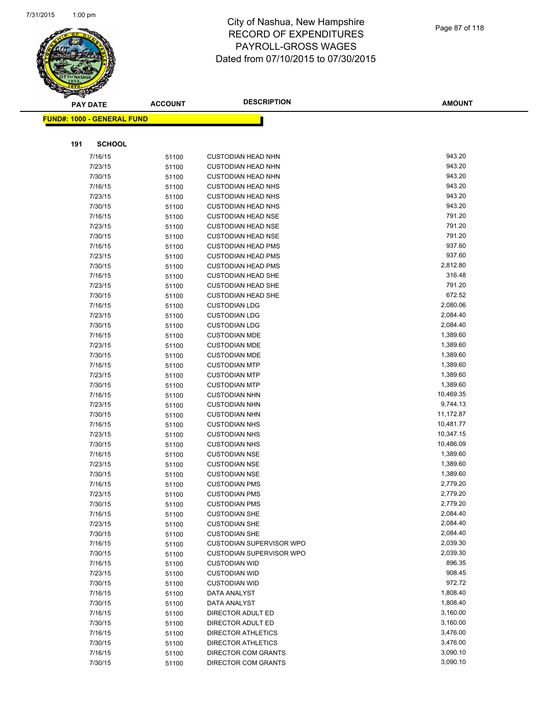

|     | <b>PAY DATE</b>                    | <b>ACCOUNT</b> | <b>DESCRIPTION</b>                                     | <b>AMOUNT</b>    |
|-----|------------------------------------|----------------|--------------------------------------------------------|------------------|
|     | <u> FUND#: 1000 - GENERAL FUND</u> |                |                                                        |                  |
|     |                                    |                |                                                        |                  |
| 191 | <b>SCHOOL</b>                      |                |                                                        |                  |
|     |                                    |                |                                                        |                  |
|     | 7/16/15                            | 51100          | <b>CUSTODIAN HEAD NHN</b>                              | 943.20           |
|     | 7/23/15                            | 51100          | <b>CUSTODIAN HEAD NHN</b>                              | 943.20           |
|     | 7/30/15                            | 51100          | <b>CUSTODIAN HEAD NHN</b>                              | 943.20           |
|     | 7/16/15                            | 51100          | <b>CUSTODIAN HEAD NHS</b>                              | 943.20           |
|     | 7/23/15                            | 51100          | <b>CUSTODIAN HEAD NHS</b>                              | 943.20           |
|     | 7/30/15                            | 51100          | <b>CUSTODIAN HEAD NHS</b>                              | 943.20           |
|     | 7/16/15                            | 51100          | <b>CUSTODIAN HEAD NSE</b>                              | 791.20<br>791.20 |
|     | 7/23/15                            | 51100          | <b>CUSTODIAN HEAD NSE</b>                              | 791.20           |
|     | 7/30/15                            | 51100          | <b>CUSTODIAN HEAD NSE</b>                              | 937.60           |
|     | 7/16/15                            | 51100          | <b>CUSTODIAN HEAD PMS</b>                              | 937.60           |
|     | 7/23/15                            | 51100          | <b>CUSTODIAN HEAD PMS</b>                              | 2,812.80         |
|     | 7/30/15<br>7/16/15                 | 51100          | <b>CUSTODIAN HEAD PMS</b><br><b>CUSTODIAN HEAD SHE</b> | 316.48           |
|     | 7/23/15                            | 51100          |                                                        | 791.20           |
|     | 7/30/15                            | 51100          | <b>CUSTODIAN HEAD SHE</b><br><b>CUSTODIAN HEAD SHE</b> | 672.52           |
|     | 7/16/15                            | 51100          | <b>CUSTODIAN LDG</b>                                   | 2,080.06         |
|     | 7/23/15                            | 51100<br>51100 | <b>CUSTODIAN LDG</b>                                   | 2,084.40         |
|     | 7/30/15                            | 51100          | <b>CUSTODIAN LDG</b>                                   | 2,084.40         |
|     | 7/16/15                            | 51100          | <b>CUSTODIAN MDE</b>                                   | 1,389.60         |
|     | 7/23/15                            | 51100          | <b>CUSTODIAN MDE</b>                                   | 1,389.60         |
|     | 7/30/15                            | 51100          | <b>CUSTODIAN MDE</b>                                   | 1,389.60         |
|     | 7/16/15                            | 51100          | <b>CUSTODIAN MTP</b>                                   | 1,389.60         |
|     | 7/23/15                            | 51100          | <b>CUSTODIAN MTP</b>                                   | 1,389.60         |
|     | 7/30/15                            | 51100          | <b>CUSTODIAN MTP</b>                                   | 1,389.60         |
|     | 7/16/15                            | 51100          | <b>CUSTODIAN NHN</b>                                   | 10,469.35        |
|     | 7/23/15                            | 51100          | <b>CUSTODIAN NHN</b>                                   | 9,744.13         |
|     | 7/30/15                            | 51100          | <b>CUSTODIAN NHN</b>                                   | 11,172.87        |
|     | 7/16/15                            | 51100          | <b>CUSTODIAN NHS</b>                                   | 10,481.77        |
|     | 7/23/15                            | 51100          | <b>CUSTODIAN NHS</b>                                   | 10,347.15        |
|     | 7/30/15                            | 51100          | <b>CUSTODIAN NHS</b>                                   | 10,486.09        |
|     | 7/16/15                            | 51100          | <b>CUSTODIAN NSE</b>                                   | 1,389.60         |
|     | 7/23/15                            | 51100          | <b>CUSTODIAN NSE</b>                                   | 1,389.60         |
|     | 7/30/15                            | 51100          | <b>CUSTODIAN NSE</b>                                   | 1,389.60         |
|     | 7/16/15                            | 51100          | <b>CUSTODIAN PMS</b>                                   | 2,779.20         |
|     | 7/23/15                            | 51100          | <b>CUSTODIAN PMS</b>                                   | 2,779.20         |
|     | 7/30/15                            | 51100          | <b>CUSTODIAN PMS</b>                                   | 2,779.20         |
|     | 7/16/15                            | 51100          | <b>CUSTODIAN SHE</b>                                   | 2,084.40         |
|     | 7/23/15                            | 51100          | <b>CUSTODIAN SHE</b>                                   | 2,084.40         |
|     | 7/30/15                            | 51100          | <b>CUSTODIAN SHE</b>                                   | 2,084.40         |
|     | 7/16/15                            | 51100          | <b>CUSTODIAN SUPERVISOR WPO</b>                        | 2,039.30         |
|     | 7/30/15                            | 51100          | <b>CUSTODIAN SUPERVISOR WPO</b>                        | 2,039.30         |
|     | 7/16/15                            | 51100          | <b>CUSTODIAN WID</b>                                   | 896.35           |
|     | 7/23/15                            | 51100          | <b>CUSTODIAN WID</b>                                   | 908.45           |
|     | 7/30/15                            | 51100          | <b>CUSTODIAN WID</b>                                   | 972.72           |
|     | 7/16/15                            | 51100          | DATA ANALYST                                           | 1,808.40         |
|     | 7/30/15                            | 51100          | DATA ANALYST                                           | 1,808.40         |
|     | 7/16/15                            | 51100          | DIRECTOR ADULT ED                                      | 3,160.00         |
|     | 7/30/15                            | 51100          | DIRECTOR ADULT ED                                      | 3,160.00         |
|     | 7/16/15                            | 51100          | <b>DIRECTOR ATHLETICS</b>                              | 3,476.00         |
|     | 7/30/15                            | 51100          | <b>DIRECTOR ATHLETICS</b>                              | 3,476.00         |
|     | 7/16/15                            | 51100          | DIRECTOR COM GRANTS                                    | 3,090.10         |
|     | 7/30/15                            | 51100          | DIRECTOR COM GRANTS                                    | 3,090.10         |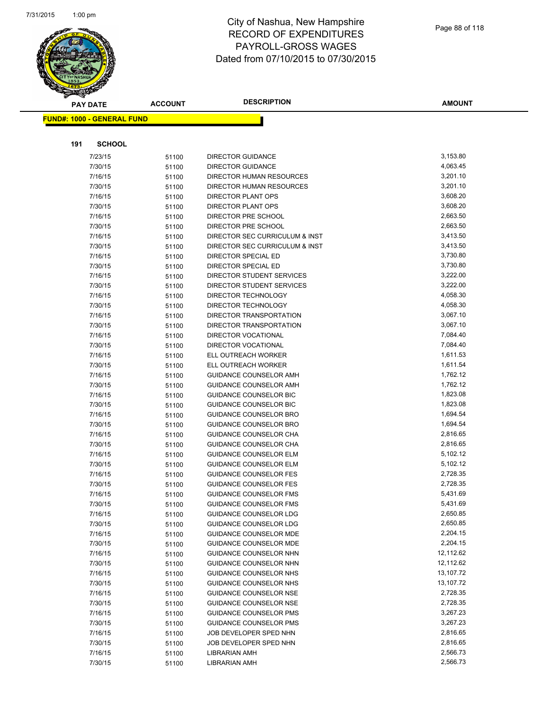

|     | <b>PAY DATE</b>                   | <b>ACCOUNT</b> | <b>DESCRIPTION</b>                                    | <b>AMOUNT</b>        |
|-----|-----------------------------------|----------------|-------------------------------------------------------|----------------------|
|     | <b>FUND#: 1000 - GENERAL FUND</b> |                |                                                       |                      |
|     |                                   |                |                                                       |                      |
|     |                                   |                |                                                       |                      |
| 191 | <b>SCHOOL</b>                     |                |                                                       |                      |
|     | 7/23/15                           | 51100          | <b>DIRECTOR GUIDANCE</b>                              | 3,153.80             |
|     | 7/30/15                           | 51100          | <b>DIRECTOR GUIDANCE</b>                              | 4,063.45             |
|     | 7/16/15                           | 51100          | DIRECTOR HUMAN RESOURCES                              | 3,201.10             |
|     | 7/30/15                           | 51100          | DIRECTOR HUMAN RESOURCES                              | 3,201.10             |
|     | 7/16/15                           | 51100          | <b>DIRECTOR PLANT OPS</b>                             | 3,608.20             |
|     | 7/30/15                           | 51100          | <b>DIRECTOR PLANT OPS</b>                             | 3,608.20             |
|     | 7/16/15                           | 51100          | DIRECTOR PRE SCHOOL                                   | 2,663.50             |
|     | 7/30/15                           | 51100          | DIRECTOR PRE SCHOOL                                   | 2,663.50             |
|     | 7/16/15                           | 51100          | DIRECTOR SEC CURRICULUM & INST                        | 3,413.50             |
|     | 7/30/15                           | 51100          | DIRECTOR SEC CURRICULUM & INST                        | 3,413.50             |
|     | 7/16/15                           | 51100          | DIRECTOR SPECIAL ED                                   | 3,730.80             |
|     | 7/30/15                           | 51100          | DIRECTOR SPECIAL ED                                   | 3,730.80             |
|     | 7/16/15                           | 51100          | DIRECTOR STUDENT SERVICES                             | 3,222.00             |
|     | 7/30/15                           | 51100          | DIRECTOR STUDENT SERVICES                             | 3,222.00             |
|     | 7/16/15                           | 51100          | DIRECTOR TECHNOLOGY                                   | 4,058.30             |
|     | 7/30/15                           | 51100          | DIRECTOR TECHNOLOGY                                   | 4,058.30<br>3,067.10 |
|     | 7/16/15                           | 51100          | DIRECTOR TRANSPORTATION                               |                      |
|     | 7/30/15                           | 51100          | DIRECTOR TRANSPORTATION<br><b>DIRECTOR VOCATIONAL</b> | 3,067.10<br>7,084.40 |
|     | 7/16/15                           | 51100          | <b>DIRECTOR VOCATIONAL</b>                            | 7,084.40             |
|     | 7/30/15<br>7/16/15                | 51100          | ELL OUTREACH WORKER                                   | 1,611.53             |
|     | 7/30/15                           | 51100          | ELL OUTREACH WORKER                                   | 1,611.54             |
|     | 7/16/15                           | 51100          | <b>GUIDANCE COUNSELOR AMH</b>                         | 1,762.12             |
|     | 7/30/15                           | 51100<br>51100 | <b>GUIDANCE COUNSELOR AMH</b>                         | 1,762.12             |
|     | 7/16/15                           | 51100          | <b>GUIDANCE COUNSELOR BIC</b>                         | 1,823.08             |
|     | 7/30/15                           | 51100          | GUIDANCE COUNSELOR BIC                                | 1,823.08             |
|     | 7/16/15                           | 51100          | <b>GUIDANCE COUNSELOR BRO</b>                         | 1,694.54             |
|     | 7/30/15                           | 51100          | GUIDANCE COUNSELOR BRO                                | 1,694.54             |
|     | 7/16/15                           | 51100          | GUIDANCE COUNSELOR CHA                                | 2,816.65             |
|     | 7/30/15                           | 51100          | GUIDANCE COUNSELOR CHA                                | 2,816.65             |
|     | 7/16/15                           | 51100          | <b>GUIDANCE COUNSELOR ELM</b>                         | 5,102.12             |
|     | 7/30/15                           | 51100          | <b>GUIDANCE COUNSELOR ELM</b>                         | 5,102.12             |
|     | 7/16/15                           | 51100          | <b>GUIDANCE COUNSELOR FES</b>                         | 2,728.35             |
|     | 7/30/15                           | 51100          | <b>GUIDANCE COUNSELOR FES</b>                         | 2,728.35             |
|     | 7/16/15                           | 51100          | <b>GUIDANCE COUNSELOR FMS</b>                         | 5,431.69             |
|     | 7/30/15                           | 51100          | <b>GUIDANCE COUNSELOR FMS</b>                         | 5,431.69             |
|     | 7/16/15                           | 51100          | <b>GUIDANCE COUNSELOR LDG</b>                         | 2,650.85             |
|     | 7/30/15                           | 51100          | <b>GUIDANCE COUNSELOR LDG</b>                         | 2,650.85             |
|     | 7/16/15                           | 51100          | <b>GUIDANCE COUNSELOR MDE</b>                         | 2,204.15             |
|     | 7/30/15                           | 51100          | <b>GUIDANCE COUNSELOR MDE</b>                         | 2,204.15             |
|     | 7/16/15                           | 51100          | <b>GUIDANCE COUNSELOR NHN</b>                         | 12,112.62            |
|     | 7/30/15                           | 51100          | GUIDANCE COUNSELOR NHN                                | 12,112.62            |
|     | 7/16/15                           | 51100          | GUIDANCE COUNSELOR NHS                                | 13,107.72            |
|     | 7/30/15                           | 51100          | <b>GUIDANCE COUNSELOR NHS</b>                         | 13,107.72            |
|     | 7/16/15                           | 51100          | <b>GUIDANCE COUNSELOR NSE</b>                         | 2,728.35             |
|     | 7/30/15                           | 51100          | <b>GUIDANCE COUNSELOR NSE</b>                         | 2,728.35             |
|     | 7/16/15                           | 51100          | <b>GUIDANCE COUNSELOR PMS</b>                         | 3,267.23             |
|     | 7/30/15                           | 51100          | <b>GUIDANCE COUNSELOR PMS</b>                         | 3,267.23             |
|     | 7/16/15                           | 51100          | JOB DEVELOPER SPED NHN                                | 2,816.65             |
|     | 7/30/15                           | 51100          | JOB DEVELOPER SPED NHN                                | 2,816.65             |
|     | 7/16/15                           | 51100          | <b>LIBRARIAN AMH</b>                                  | 2,566.73             |
|     | 7/30/15                           | 51100          | <b>LIBRARIAN AMH</b>                                  | 2,566.73             |
|     |                                   |                |                                                       |                      |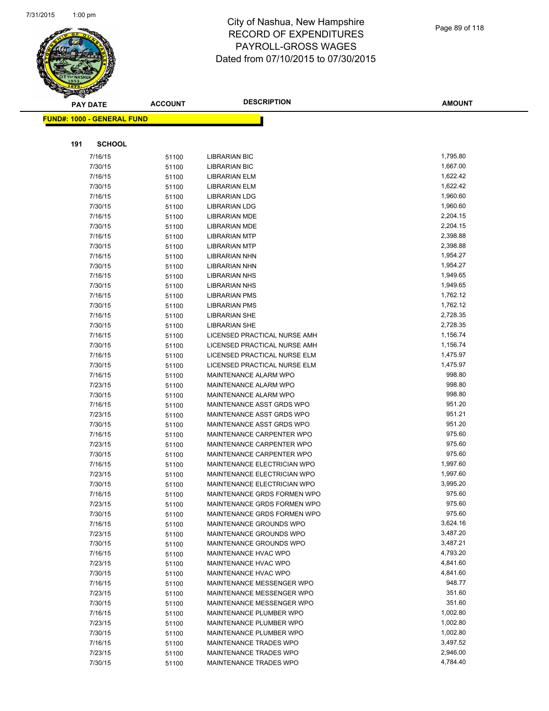

|     | <b>PAY DATE</b>                    | <b>ACCOUNT</b> | <b>DESCRIPTION</b>           | <b>AMOUNT</b> |
|-----|------------------------------------|----------------|------------------------------|---------------|
|     | <u> FUND#: 1000 - GENERAL FUND</u> |                |                              |               |
|     |                                    |                |                              |               |
|     |                                    |                |                              |               |
| 191 | <b>SCHOOL</b>                      |                |                              |               |
|     | 7/16/15                            | 51100          | <b>LIBRARIAN BIC</b>         | 1,795.80      |
|     | 7/30/15                            | 51100          | <b>LIBRARIAN BIC</b>         | 1,667.00      |
|     | 7/16/15                            | 51100          | <b>LIBRARIAN ELM</b>         | 1,622.42      |
|     | 7/30/15                            | 51100          | LIBRARIAN ELM                | 1,622.42      |
|     | 7/16/15                            | 51100          | <b>LIBRARIAN LDG</b>         | 1,960.60      |
|     | 7/30/15                            | 51100          | <b>LIBRARIAN LDG</b>         | 1,960.60      |
|     | 7/16/15                            | 51100          | <b>LIBRARIAN MDE</b>         | 2,204.15      |
|     | 7/30/15                            | 51100          | <b>LIBRARIAN MDE</b>         | 2,204.15      |
|     | 7/16/15                            | 51100          | <b>LIBRARIAN MTP</b>         | 2,398.88      |
|     | 7/30/15                            | 51100          | <b>LIBRARIAN MTP</b>         | 2,398.88      |
|     | 7/16/15                            | 51100          | <b>LIBRARIAN NHN</b>         | 1,954.27      |
|     | 7/30/15                            | 51100          | <b>LIBRARIAN NHN</b>         | 1,954.27      |
|     | 7/16/15                            | 51100          | <b>LIBRARIAN NHS</b>         | 1,949.65      |
|     | 7/30/15                            | 51100          | <b>LIBRARIAN NHS</b>         | 1,949.65      |
|     | 7/16/15                            | 51100          | <b>LIBRARIAN PMS</b>         | 1,762.12      |
|     | 7/30/15                            | 51100          | <b>LIBRARIAN PMS</b>         | 1,762.12      |
|     | 7/16/15                            | 51100          | <b>LIBRARIAN SHE</b>         | 2,728.35      |
|     | 7/30/15                            | 51100          | <b>LIBRARIAN SHE</b>         | 2,728.35      |
|     | 7/16/15                            | 51100          | LICENSED PRACTICAL NURSE AMH | 1,156.74      |
|     | 7/30/15                            | 51100          | LICENSED PRACTICAL NURSE AMH | 1,156.74      |
|     | 7/16/15                            | 51100          | LICENSED PRACTICAL NURSE ELM | 1,475.97      |
|     | 7/30/15                            | 51100          | LICENSED PRACTICAL NURSE ELM | 1,475.97      |
|     | 7/16/15                            | 51100          | MAINTENANCE ALARM WPO        | 998.80        |
|     | 7/23/15                            | 51100          | MAINTENANCE ALARM WPO        | 998.80        |
|     | 7/30/15                            | 51100          | <b>MAINTENANCE ALARM WPO</b> | 998.80        |
|     | 7/16/15                            | 51100          | MAINTENANCE ASST GRDS WPO    | 951.20        |
|     | 7/23/15                            | 51100          | MAINTENANCE ASST GRDS WPO    | 951.21        |
|     | 7/30/15                            | 51100          | MAINTENANCE ASST GRDS WPO    | 951.20        |
|     | 7/16/15                            | 51100          | MAINTENANCE CARPENTER WPO    | 975.60        |
|     | 7/23/15                            | 51100          | MAINTENANCE CARPENTER WPO    | 975.60        |
|     | 7/30/15                            | 51100          | MAINTENANCE CARPENTER WPO    | 975.60        |
|     | 7/16/15                            | 51100          | MAINTENANCE ELECTRICIAN WPO  | 1,997.60      |
|     | 7/23/15                            | 51100          | MAINTENANCE ELECTRICIAN WPO  | 1,997.60      |
|     | 7/30/15                            | 51100          | MAINTENANCE ELECTRICIAN WPO  | 3,995.20      |
|     | 7/16/15                            | 51100          | MAINTENANCE GRDS FORMEN WPO  | 975.60        |
|     | 7/23/15                            | 51100          | MAINTENANCE GRDS FORMEN WPO  | 975.60        |
|     | 7/30/15                            | 51100          | MAINTENANCE GRDS FORMEN WPO  | 975.60        |
|     | 7/16/15                            | 51100          | MAINTENANCE GROUNDS WPO      | 3,624.16      |
|     | 7/23/15                            | 51100          | MAINTENANCE GROUNDS WPO      | 3,487.20      |
|     | 7/30/15                            | 51100          | MAINTENANCE GROUNDS WPO      | 3,487.21      |
|     | 7/16/15                            | 51100          | MAINTENANCE HVAC WPO         | 4,793.20      |
|     | 7/23/15                            | 51100          | MAINTENANCE HVAC WPO         | 4,841.60      |
|     | 7/30/15                            | 51100          | MAINTENANCE HVAC WPO         | 4,841.60      |
|     | 7/16/15                            | 51100          | MAINTENANCE MESSENGER WPO    | 948.77        |
|     | 7/23/15                            | 51100          | MAINTENANCE MESSENGER WPO    | 351.60        |
|     | 7/30/15                            | 51100          | MAINTENANCE MESSENGER WPO    | 351.60        |
|     | 7/16/15                            | 51100          | MAINTENANCE PLUMBER WPO      | 1,002.80      |
|     | 7/23/15                            | 51100          | MAINTENANCE PLUMBER WPO      | 1,002.80      |
|     | 7/30/15                            | 51100          | MAINTENANCE PLUMBER WPO      | 1,002.80      |
|     | 7/16/15                            | 51100          | MAINTENANCE TRADES WPO       | 3,497.52      |
|     | 7/23/15                            | 51100          | MAINTENANCE TRADES WPO       | 2,946.00      |
|     | 7/30/15                            | 51100          | MAINTENANCE TRADES WPO       | 4,784.40      |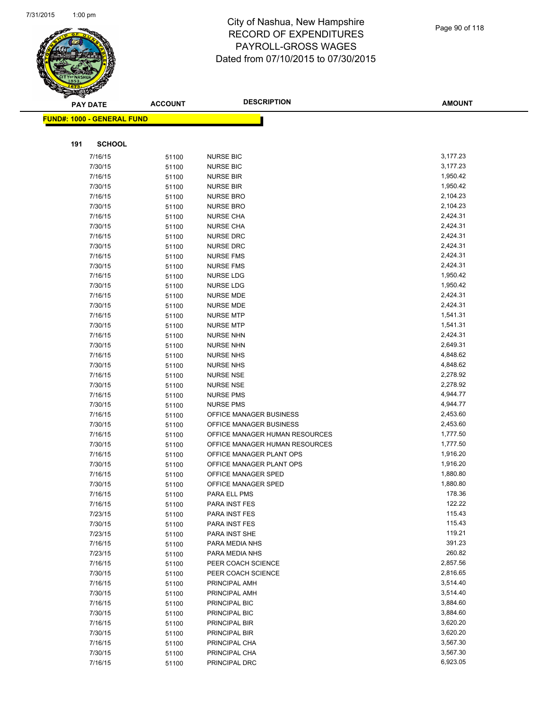

|     | <b>PAY DATE</b>                    | <b>ACCOUNT</b> | <b>DESCRIPTION</b>             | <b>AMOUNT</b> |
|-----|------------------------------------|----------------|--------------------------------|---------------|
|     | <u> FUND#: 1000 - GENERAL FUND</u> |                |                                |               |
|     |                                    |                |                                |               |
|     |                                    |                |                                |               |
| 191 | <b>SCHOOL</b>                      |                |                                |               |
|     | 7/16/15                            | 51100          | <b>NURSE BIC</b>               | 3,177.23      |
|     | 7/30/15                            | 51100          | <b>NURSE BIC</b>               | 3,177.23      |
|     | 7/16/15                            | 51100          | <b>NURSE BIR</b>               | 1,950.42      |
|     | 7/30/15                            | 51100          | <b>NURSE BIR</b>               | 1,950.42      |
|     | 7/16/15                            | 51100          | <b>NURSE BRO</b>               | 2,104.23      |
|     | 7/30/15                            | 51100          | NURSE BRO                      | 2,104.23      |
|     | 7/16/15                            | 51100          | <b>NURSE CHA</b>               | 2,424.31      |
|     | 7/30/15                            | 51100          | <b>NURSE CHA</b>               | 2,424.31      |
|     | 7/16/15                            | 51100          | <b>NURSE DRC</b>               | 2,424.31      |
|     | 7/30/15                            | 51100          | <b>NURSE DRC</b>               | 2,424.31      |
|     | 7/16/15                            | 51100          | <b>NURSE FMS</b>               | 2,424.31      |
|     | 7/30/15                            | 51100          | <b>NURSE FMS</b>               | 2,424.31      |
|     | 7/16/15                            | 51100          | NURSE LDG                      | 1,950.42      |
|     | 7/30/15                            | 51100          | <b>NURSE LDG</b>               | 1,950.42      |
|     | 7/16/15                            | 51100          | <b>NURSE MDE</b>               | 2,424.31      |
|     | 7/30/15                            | 51100          | <b>NURSE MDE</b>               | 2,424.31      |
|     | 7/16/15                            | 51100          | <b>NURSE MTP</b>               | 1,541.31      |
|     | 7/30/15                            | 51100          | <b>NURSE MTP</b>               | 1,541.31      |
|     | 7/16/15                            | 51100          | <b>NURSE NHN</b>               | 2,424.31      |
|     | 7/30/15                            | 51100          | <b>NURSE NHN</b>               | 2,649.31      |
|     | 7/16/15                            | 51100          | <b>NURSE NHS</b>               | 4,848.62      |
|     | 7/30/15                            | 51100          | <b>NURSE NHS</b>               | 4,848.62      |
|     | 7/16/15                            | 51100          | <b>NURSE NSE</b>               | 2,278.92      |
|     | 7/30/15                            | 51100          | <b>NURSE NSE</b>               | 2,278.92      |
|     | 7/16/15                            | 51100          | <b>NURSE PMS</b>               | 4,944.77      |
|     | 7/30/15                            | 51100          | <b>NURSE PMS</b>               | 4,944.77      |
|     | 7/16/15                            | 51100          | OFFICE MANAGER BUSINESS        | 2,453.60      |
|     | 7/30/15                            | 51100          | OFFICE MANAGER BUSINESS        | 2,453.60      |
|     | 7/16/15                            | 51100          | OFFICE MANAGER HUMAN RESOURCES | 1,777.50      |
|     | 7/30/15                            | 51100          | OFFICE MANAGER HUMAN RESOURCES | 1,777.50      |
|     | 7/16/15                            | 51100          | OFFICE MANAGER PLANT OPS       | 1,916.20      |
|     | 7/30/15                            | 51100          | OFFICE MANAGER PLANT OPS       | 1,916.20      |
|     | 7/16/15                            | 51100          | OFFICE MANAGER SPED            | 1,880.80      |
|     | 7/30/15                            | 51100          | OFFICE MANAGER SPED            | 1,880.80      |
|     | 7/16/15                            | 51100          | PARA ELL PMS                   | 178.36        |
|     | 7/16/15                            | 51100          | PARA INST FES                  | 122.22        |
|     | 7/23/15                            | 51100          | PARA INST FES                  | 115.43        |
|     | 7/30/15                            | 51100          | PARA INST FES                  | 115.43        |
|     | 7/23/15                            | 51100          | PARA INST SHE                  | 119.21        |
|     | 7/16/15                            | 51100          | PARA MEDIA NHS                 | 391.23        |
|     | 7/23/15                            | 51100          | PARA MEDIA NHS                 | 260.82        |
|     | 7/16/15                            | 51100          | PEER COACH SCIENCE             | 2,857.56      |
|     | 7/30/15                            | 51100          | PEER COACH SCIENCE             | 2,816.65      |
|     | 7/16/15                            | 51100          | PRINCIPAL AMH                  | 3,514.40      |
|     | 7/30/15                            | 51100          | PRINCIPAL AMH                  | 3,514.40      |
|     | 7/16/15                            | 51100          | PRINCIPAL BIC                  | 3,884.60      |
|     | 7/30/15                            | 51100          | PRINCIPAL BIC                  | 3,884.60      |
|     | 7/16/15                            | 51100          | PRINCIPAL BIR                  | 3,620.20      |
|     | 7/30/15                            | 51100          | PRINCIPAL BIR                  | 3,620.20      |
|     | 7/16/15                            | 51100          | PRINCIPAL CHA                  | 3,567.30      |
|     | 7/30/15                            | 51100          | PRINCIPAL CHA                  | 3,567.30      |
|     | 7/16/15                            | 51100          | PRINCIPAL DRC                  | 6,923.05      |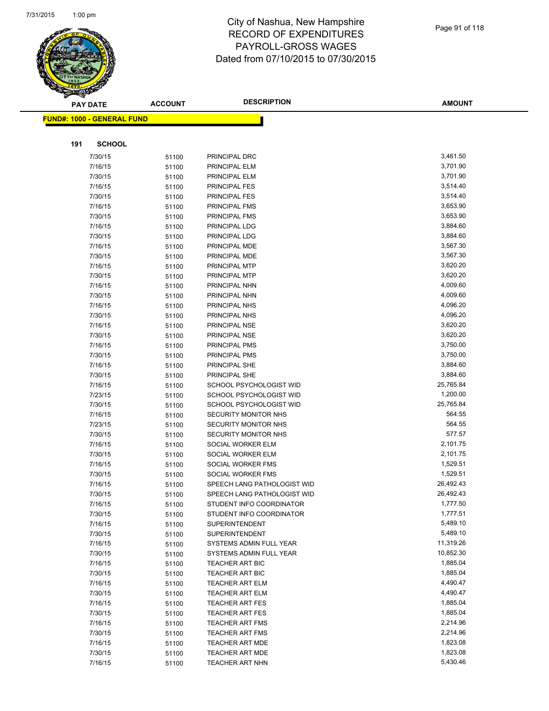

|     | <b>PAY DATE</b>                   | <b>ACCOUNT</b> | <b>DESCRIPTION</b>                               | <b>AMOUNT</b>         |
|-----|-----------------------------------|----------------|--------------------------------------------------|-----------------------|
|     | <b>FUND#: 1000 - GENERAL FUND</b> |                |                                                  |                       |
|     |                                   |                |                                                  |                       |
| 191 | <b>SCHOOL</b>                     |                |                                                  |                       |
|     | 7/30/15                           | 51100          | PRINCIPAL DRC                                    | 3,461.50              |
|     | 7/16/15                           | 51100          | PRINCIPAL ELM                                    | 3,701.90              |
|     | 7/30/15                           | 51100          | PRINCIPAL ELM                                    | 3,701.90              |
|     | 7/16/15                           | 51100          | <b>PRINCIPAL FES</b>                             | 3,514.40              |
|     | 7/30/15                           | 51100          | PRINCIPAL FES                                    | 3,514.40              |
|     | 7/16/15                           | 51100          | PRINCIPAL FMS                                    | 3,653.90              |
|     | 7/30/15                           | 51100          | PRINCIPAL FMS                                    | 3,653.90              |
|     | 7/16/15                           | 51100          | PRINCIPAL LDG                                    | 3,884.60              |
|     | 7/30/15                           | 51100          | PRINCIPAL LDG                                    | 3,884.60              |
|     | 7/16/15                           | 51100          | PRINCIPAL MDE                                    | 3,567.30              |
|     | 7/30/15                           | 51100          | PRINCIPAL MDE                                    | 3,567.30              |
|     | 7/16/15                           | 51100          | PRINCIPAL MTP                                    | 3,620.20              |
|     | 7/30/15                           | 51100          | PRINCIPAL MTP                                    | 3,620.20              |
|     | 7/16/15                           | 51100          | PRINCIPAL NHN                                    | 4,009.60              |
|     | 7/30/15                           | 51100          | PRINCIPAL NHN                                    | 4,009.60              |
|     | 7/16/15                           | 51100          | PRINCIPAL NHS                                    | 4,096.20              |
|     | 7/30/15                           | 51100          | PRINCIPAL NHS                                    | 4,096.20              |
|     | 7/16/15                           | 51100          | PRINCIPAL NSE                                    | 3,620.20              |
|     | 7/30/15                           | 51100          | PRINCIPAL NSE                                    | 3,620.20              |
|     | 7/16/15                           | 51100          | PRINCIPAL PMS                                    | 3,750.00              |
|     | 7/30/15                           | 51100          | PRINCIPAL PMS                                    | 3,750.00              |
|     | 7/16/15                           | 51100          | PRINCIPAL SHE                                    | 3,884.60              |
|     | 7/30/15                           | 51100          | PRINCIPAL SHE                                    | 3,884.60              |
|     | 7/16/15                           | 51100          | SCHOOL PSYCHOLOGIST WID                          | 25,765.84             |
|     | 7/23/15                           | 51100          | SCHOOL PSYCHOLOGIST WID                          | 1,200.00              |
|     | 7/30/15                           | 51100          | SCHOOL PSYCHOLOGIST WID                          | 25,765.84             |
|     | 7/16/15                           | 51100          | SECURITY MONITOR NHS                             | 564.55                |
|     | 7/23/15                           | 51100          | <b>SECURITY MONITOR NHS</b>                      | 564.55                |
|     | 7/30/15                           | 51100          | SECURITY MONITOR NHS                             | 577.57                |
|     | 7/16/15                           | 51100          | SOCIAL WORKER ELM                                | 2,101.75              |
|     | 7/30/15                           | 51100          | SOCIAL WORKER ELM                                | 2,101.75              |
|     | 7/16/15                           | 51100          | SOCIAL WORKER FMS                                | 1,529.51              |
|     | 7/30/15                           | 51100          | SOCIAL WORKER FMS                                | 1,529.51              |
|     | 7/16/15                           | 51100          | SPEECH LANG PATHOLOGIST WID                      | 26,492.43             |
|     | 7/30/15                           | 51100          | SPEECH LANG PATHOLOGIST WID                      | 26,492.43             |
|     | 7/16/15                           | 51100          | STUDENT INFO COORDINATOR                         | 1,777.50              |
|     | 7/30/15                           | 51100          | STUDENT INFO COORDINATOR                         | 1,777.51              |
|     | 7/16/15                           | 51100          | SUPERINTENDENT                                   | 5,489.10              |
|     | 7/30/15                           | 51100          | <b>SUPERINTENDENT</b>                            | 5,489.10<br>11,319.26 |
|     | 7/16/15<br>7/30/15                | 51100          | SYSTEMS ADMIN FULL YEAR                          | 10,852.30             |
|     | 7/16/15                           | 51100          | SYSTEMS ADMIN FULL YEAR                          | 1,885.04              |
|     | 7/30/15                           | 51100          | <b>TEACHER ART BIC</b><br><b>TEACHER ART BIC</b> | 1,885.04              |
|     | 7/16/15                           | 51100          |                                                  | 4,490.47              |
|     | 7/30/15                           | 51100<br>51100 | <b>TEACHER ART ELM</b><br><b>TEACHER ART ELM</b> | 4,490.47              |
|     | 7/16/15                           | 51100          | <b>TEACHER ART FES</b>                           | 1,885.04              |
|     | 7/30/15                           | 51100          | <b>TEACHER ART FES</b>                           | 1,885.04              |
|     | 7/16/15                           | 51100          | <b>TEACHER ART FMS</b>                           | 2,214.96              |
|     | 7/30/15                           | 51100          | <b>TEACHER ART FMS</b>                           | 2,214.96              |
|     | 7/16/15                           | 51100          | TEACHER ART MDE                                  | 1,823.08              |
|     | 7/30/15                           | 51100          | TEACHER ART MDE                                  | 1,823.08              |
|     | 7/16/15                           | 51100          | <b>TEACHER ART NHN</b>                           | 5,430.46              |
|     |                                   |                |                                                  |                       |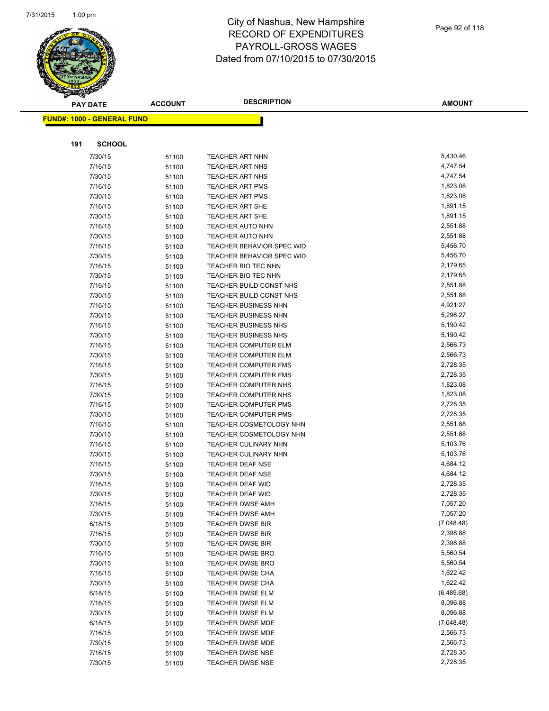

| <b>PAY DATE</b>                   | <b>ACCOUNT</b> | <b>DESCRIPTION</b>               | <b>AMOUNT</b> |
|-----------------------------------|----------------|----------------------------------|---------------|
| <b>FUND#: 1000 - GENERAL FUND</b> |                |                                  |               |
|                                   |                |                                  |               |
|                                   |                |                                  |               |
| 191<br><b>SCHOOL</b>              |                |                                  |               |
| 7/30/15                           | 51100          | <b>TEACHER ART NHN</b>           | 5,430.46      |
| 7/16/15                           | 51100          | TEACHER ART NHS                  | 4,747.54      |
| 7/30/15                           | 51100          | TEACHER ART NHS                  | 4,747.54      |
| 7/16/15                           | 51100          | <b>TEACHER ART PMS</b>           | 1,823.08      |
| 7/30/15                           | 51100          | <b>TEACHER ART PMS</b>           | 1,823.08      |
| 7/16/15                           | 51100          | TEACHER ART SHE                  | 1,891.15      |
| 7/30/15                           | 51100          | <b>TEACHER ART SHE</b>           | 1,891.15      |
| 7/16/15                           | 51100          | <b>TEACHER AUTO NHN</b>          | 2,551.88      |
| 7/30/15                           | 51100          | <b>TEACHER AUTO NHN</b>          | 2,551.88      |
| 7/16/15                           | 51100          | TEACHER BEHAVIOR SPEC WID        | 5,456.70      |
| 7/30/15                           | 51100          | <b>TEACHER BEHAVIOR SPEC WID</b> | 5,456.70      |
| 7/16/15                           | 51100          | TEACHER BIO TEC NHN              | 2,179.65      |
| 7/30/15                           | 51100          | TEACHER BIO TEC NHN              | 2,179.65      |
| 7/16/15                           | 51100          | TEACHER BUILD CONST NHS          | 2,551.88      |
| 7/30/15                           | 51100          | TEACHER BUILD CONST NHS          | 2,551.88      |
| 7/16/15                           | 51100          | <b>TEACHER BUSINESS NHN</b>      | 4,921.27      |
| 7/30/15                           | 51100          | TEACHER BUSINESS NHN             | 5,296.27      |
| 7/16/15                           | 51100          | <b>TEACHER BUSINESS NHS</b>      | 5,190.42      |
| 7/30/15                           | 51100          | <b>TEACHER BUSINESS NHS</b>      | 5,190.42      |
| 7/16/15                           | 51100          | <b>TEACHER COMPUTER ELM</b>      | 2,566.73      |
| 7/30/15                           | 51100          | <b>TEACHER COMPUTER ELM</b>      | 2,566.73      |
| 7/16/15                           | 51100          | <b>TEACHER COMPUTER FMS</b>      | 2,728.35      |
| 7/30/15                           | 51100          | <b>TEACHER COMPUTER FMS</b>      | 2,728.35      |
| 7/16/15                           | 51100          | <b>TEACHER COMPUTER NHS</b>      | 1,823.08      |
| 7/30/15                           | 51100          | TEACHER COMPUTER NHS             | 1,823.08      |
| 7/16/15                           | 51100          | <b>TEACHER COMPUTER PMS</b>      | 2,728.35      |
| 7/30/15                           | 51100          | <b>TEACHER COMPUTER PMS</b>      | 2,728.35      |
| 7/16/15                           | 51100          | TEACHER COSMETOLOGY NHN          | 2,551.88      |
| 7/30/15                           | 51100          | <b>TEACHER COSMETOLOGY NHN</b>   | 2,551.88      |
| 7/16/15                           | 51100          | TEACHER CULINARY NHN             | 5,103.76      |
| 7/30/15                           | 51100          | TEACHER CULINARY NHN             | 5,103.76      |
| 7/16/15                           | 51100          | <b>TEACHER DEAF NSE</b>          | 4,684.12      |
| 7/30/15                           | 51100          | <b>TEACHER DEAF NSE</b>          | 4,684.12      |
| 7/16/15                           | 51100          | TEACHER DEAF WID                 | 2,728.35      |
| 7/30/15                           | 51100          | <b>TEACHER DEAF WID</b>          | 2,728.35      |
| 7/16/15                           | 51100          | <b>TEACHER DWSE AMH</b>          | 7,057.20      |
| 7/30/15                           | 51100          | <b>TEACHER DWSE AMH</b>          | 7,057.20      |
| 6/18/15                           | 51100          | <b>TEACHER DWSE BIR</b>          | (7,048.48)    |
| 7/16/15                           | 51100          | <b>TEACHER DWSE BIR</b>          | 2,398.88      |
| 7/30/15                           | 51100          | <b>TEACHER DWSE BIR</b>          | 2,398.88      |
| 7/16/15                           | 51100          | <b>TEACHER DWSE BRO</b>          | 5,560.54      |
| 7/30/15                           | 51100          | <b>TEACHER DWSE BRO</b>          | 5,560.54      |
| 7/16/15                           | 51100          | TEACHER DWSE CHA                 | 1,622.42      |
| 7/30/15                           | 51100          | <b>TEACHER DWSE CHA</b>          | 1,622.42      |
| 6/18/15                           | 51100          | <b>TEACHER DWSE ELM</b>          | (6,489.68)    |
| 7/16/15                           | 51100          | <b>TEACHER DWSE ELM</b>          | 8,096.88      |
| 7/30/15                           | 51100          | <b>TEACHER DWSE ELM</b>          | 8,096.88      |
| 6/18/15                           | 51100          | <b>TEACHER DWSE MDE</b>          | (7,048.48)    |
| 7/16/15                           | 51100          | TEACHER DWSE MDE                 | 2,566.73      |
| 7/30/15                           | 51100          | TEACHER DWSE MDE                 | 2,566.73      |
| 7/16/15                           | 51100          | <b>TEACHER DWSE NSE</b>          | 2,728.35      |
| 7/30/15                           | 51100          | <b>TEACHER DWSE NSE</b>          | 2,728.35      |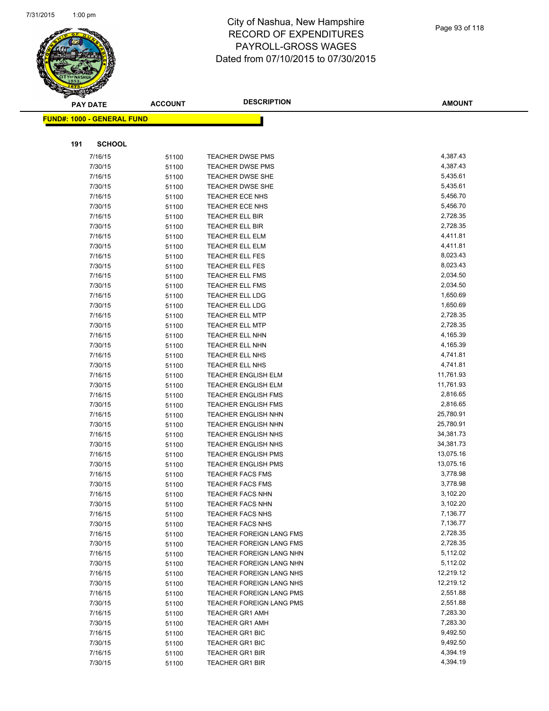

|     | <b>PAY DATE</b>                    | <b>ACCOUNT</b> | <b>DESCRIPTION</b>              | <b>AMOUNT</b> |
|-----|------------------------------------|----------------|---------------------------------|---------------|
|     | <u> FUND#: 1000 - GENERAL FUND</u> |                |                                 |               |
|     |                                    |                |                                 |               |
| 191 | <b>SCHOOL</b>                      |                |                                 |               |
|     | 7/16/15                            | 51100          | TEACHER DWSE PMS                | 4,387.43      |
|     | 7/30/15                            | 51100          | <b>TEACHER DWSE PMS</b>         | 4,387.43      |
|     | 7/16/15                            | 51100          | <b>TEACHER DWSE SHE</b>         | 5,435.61      |
|     | 7/30/15                            | 51100          | <b>TEACHER DWSE SHE</b>         | 5,435.61      |
|     | 7/16/15                            | 51100          | TEACHER ECE NHS                 | 5,456.70      |
|     | 7/30/15                            | 51100          | TEACHER ECE NHS                 | 5,456.70      |
|     | 7/16/15                            | 51100          | <b>TEACHER ELL BIR</b>          | 2,728.35      |
|     | 7/30/15                            | 51100          | <b>TEACHER ELL BIR</b>          | 2,728.35      |
|     | 7/16/15                            | 51100          | <b>TEACHER ELL ELM</b>          | 4,411.81      |
|     | 7/30/15                            | 51100          | <b>TEACHER ELL ELM</b>          | 4,411.81      |
|     | 7/16/15                            | 51100          | <b>TEACHER ELL FES</b>          | 8,023.43      |
|     | 7/30/15                            | 51100          | TEACHER ELL FES                 | 8,023.43      |
|     | 7/16/15                            | 51100          | <b>TEACHER ELL FMS</b>          | 2,034.50      |
|     | 7/30/15                            | 51100          | <b>TEACHER ELL FMS</b>          | 2,034.50      |
|     | 7/16/15                            | 51100          | <b>TEACHER ELL LDG</b>          | 1,650.69      |
|     | 7/30/15                            | 51100          | <b>TEACHER ELL LDG</b>          | 1,650.69      |
|     | 7/16/15                            | 51100          | <b>TEACHER ELL MTP</b>          | 2,728.35      |
|     | 7/30/15                            | 51100          | <b>TEACHER ELL MTP</b>          | 2,728.35      |
|     | 7/16/15                            | 51100          | TEACHER ELL NHN                 | 4,165.39      |
|     | 7/30/15                            | 51100          | TEACHER ELL NHN                 | 4,165.39      |
|     | 7/16/15                            | 51100          | TEACHER ELL NHS                 | 4,741.81      |
|     | 7/30/15                            | 51100          | <b>TEACHER ELL NHS</b>          | 4,741.81      |
|     | 7/16/15                            | 51100          | <b>TEACHER ENGLISH ELM</b>      | 11,761.93     |
|     | 7/30/15                            | 51100          | <b>TEACHER ENGLISH ELM</b>      | 11,761.93     |
|     | 7/16/15                            | 51100          | <b>TEACHER ENGLISH FMS</b>      | 2,816.65      |
|     | 7/30/15                            | 51100          | <b>TEACHER ENGLISH FMS</b>      | 2,816.65      |
|     | 7/16/15                            | 51100          | <b>TEACHER ENGLISH NHN</b>      | 25,780.91     |
|     | 7/30/15                            | 51100          | <b>TEACHER ENGLISH NHN</b>      | 25,780.91     |
|     | 7/16/15                            | 51100          | <b>TEACHER ENGLISH NHS</b>      | 34,381.73     |
|     | 7/30/15                            | 51100          | <b>TEACHER ENGLISH NHS</b>      | 34,381.73     |
|     | 7/16/15                            | 51100          | <b>TEACHER ENGLISH PMS</b>      | 13,075.16     |
|     | 7/30/15                            | 51100          | <b>TEACHER ENGLISH PMS</b>      | 13,075.16     |
|     | 7/16/15                            | 51100          | <b>TEACHER FACS FMS</b>         | 3,778.98      |
|     | 7/30/15                            | 51100          | <b>TEACHER FACS FMS</b>         | 3,778.98      |
|     | 7/16/15                            | 51100          | <b>TEACHER FACS NHN</b>         | 3,102.20      |
|     | 7/30/15                            | 51100          | <b>TEACHER FACS NHN</b>         | 3,102.20      |
|     | 7/16/15                            | 51100          | <b>TEACHER FACS NHS</b>         | 7,136.77      |
|     | 7/30/15                            | 51100          | <b>TEACHER FACS NHS</b>         | 7,136.77      |
|     | 7/16/15                            | 51100          | <b>TEACHER FOREIGN LANG FMS</b> | 2,728.35      |
|     | 7/30/15                            | 51100          | TEACHER FOREIGN LANG FMS        | 2,728.35      |
|     | 7/16/15                            | 51100          | TEACHER FOREIGN LANG NHN        | 5,112.02      |
|     | 7/30/15                            | 51100          | TEACHER FOREIGN LANG NHN        | 5,112.02      |
|     | 7/16/15                            | 51100          | TEACHER FOREIGN LANG NHS        | 12,219.12     |
|     | 7/30/15                            | 51100          | TEACHER FOREIGN LANG NHS        | 12,219.12     |
|     | 7/16/15                            | 51100          | <b>TEACHER FOREIGN LANG PMS</b> | 2,551.88      |
|     | 7/30/15                            | 51100          | <b>TEACHER FOREIGN LANG PMS</b> | 2,551.88      |
|     | 7/16/15                            | 51100          | <b>TEACHER GR1 AMH</b>          | 7,283.30      |
|     | 7/30/15                            | 51100          | <b>TEACHER GR1 AMH</b>          | 7,283.30      |
|     | 7/16/15                            | 51100          | <b>TEACHER GR1 BIC</b>          | 9,492.50      |
|     | 7/30/15                            | 51100          | TEACHER GR1 BIC                 | 9,492.50      |
|     | 7/16/15                            | 51100          | <b>TEACHER GR1 BIR</b>          | 4,394.19      |
|     | 7/30/15                            | 51100          | <b>TEACHER GR1 BIR</b>          | 4,394.19      |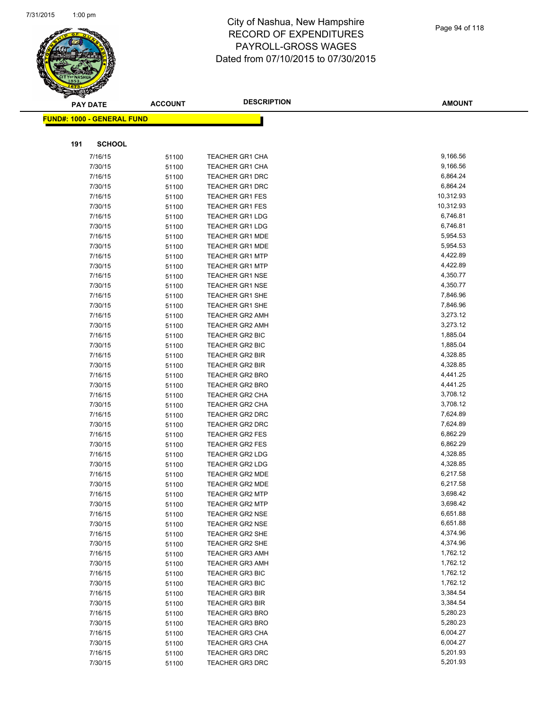

|     | <b>PAY DATE</b>                   | <b>ACCOUNT</b> | <b>DESCRIPTION</b>                               | <b>AMOUNT</b>        |
|-----|-----------------------------------|----------------|--------------------------------------------------|----------------------|
|     | <b>FUND#: 1000 - GENERAL FUND</b> |                |                                                  |                      |
|     |                                   |                |                                                  |                      |
| 191 | <b>SCHOOL</b>                     |                |                                                  |                      |
|     | 7/16/15                           | 51100          | <b>TEACHER GR1 CHA</b>                           | 9,166.56             |
|     | 7/30/15                           | 51100          | <b>TEACHER GR1 CHA</b>                           | 9,166.56             |
|     | 7/16/15                           | 51100          | <b>TEACHER GR1 DRC</b>                           | 6,864.24             |
|     | 7/30/15                           | 51100          | <b>TEACHER GR1 DRC</b>                           | 6,864.24             |
|     | 7/16/15                           | 51100          | <b>TEACHER GR1 FES</b>                           | 10,312.93            |
|     | 7/30/15                           | 51100          | <b>TEACHER GR1 FES</b>                           | 10,312.93            |
|     | 7/16/15                           | 51100          | <b>TEACHER GR1 LDG</b>                           | 6,746.81             |
|     | 7/30/15                           | 51100          | <b>TEACHER GR1 LDG</b>                           | 6,746.81             |
|     | 7/16/15                           | 51100          | <b>TEACHER GR1 MDE</b>                           | 5,954.53             |
|     | 7/30/15                           | 51100          | <b>TEACHER GR1 MDE</b>                           | 5,954.53             |
|     | 7/16/15                           | 51100          | <b>TEACHER GR1 MTP</b>                           | 4,422.89             |
|     | 7/30/15                           | 51100          | <b>TEACHER GR1 MTP</b>                           | 4,422.89             |
|     | 7/16/15                           | 51100          | <b>TEACHER GR1 NSE</b>                           | 4,350.77             |
|     | 7/30/15                           | 51100          | <b>TEACHER GR1 NSE</b>                           | 4,350.77             |
|     | 7/16/15                           | 51100          | <b>TEACHER GR1 SHE</b>                           | 7,846.96             |
|     | 7/30/15                           | 51100          | <b>TEACHER GR1 SHE</b>                           | 7,846.96             |
|     | 7/16/15                           | 51100          | <b>TEACHER GR2 AMH</b>                           | 3,273.12             |
|     | 7/30/15                           | 51100          | <b>TEACHER GR2 AMH</b>                           | 3,273.12             |
|     | 7/16/15                           | 51100          | <b>TEACHER GR2 BIC</b>                           | 1,885.04             |
|     | 7/30/15                           | 51100          | <b>TEACHER GR2 BIC</b>                           | 1,885.04             |
|     | 7/16/15                           | 51100          | <b>TEACHER GR2 BIR</b>                           | 4,328.85             |
|     | 7/30/15                           | 51100          | <b>TEACHER GR2 BIR</b>                           | 4,328.85             |
|     | 7/16/15                           | 51100          | <b>TEACHER GR2 BRO</b>                           | 4,441.25             |
|     | 7/30/15                           | 51100          | <b>TEACHER GR2 BRO</b>                           | 4,441.25             |
|     | 7/16/15                           | 51100          | <b>TEACHER GR2 CHA</b>                           | 3,708.12             |
|     | 7/30/15                           | 51100          | <b>TEACHER GR2 CHA</b>                           | 3,708.12             |
|     | 7/16/15                           | 51100          | <b>TEACHER GR2 DRC</b>                           | 7,624.89             |
|     | 7/30/15                           | 51100          | <b>TEACHER GR2 DRC</b>                           | 7,624.89             |
|     | 7/16/15                           | 51100          | <b>TEACHER GR2 FES</b>                           | 6,862.29             |
|     | 7/30/15                           | 51100          | <b>TEACHER GR2 FES</b>                           | 6,862.29             |
|     | 7/16/15                           | 51100          | <b>TEACHER GR2 LDG</b>                           | 4,328.85             |
|     | 7/30/15                           | 51100          | <b>TEACHER GR2 LDG</b>                           | 4,328.85             |
|     | 7/16/15                           | 51100          | <b>TEACHER GR2 MDE</b>                           | 6,217.58             |
|     | 7/30/15                           | 51100          | <b>TEACHER GR2 MDE</b>                           | 6,217.58             |
|     | 7/16/15                           | 51100          | <b>TEACHER GR2 MTP</b>                           | 3,698.42             |
|     | 7/30/15                           | 51100          | <b>TEACHER GR2 MTP</b>                           | 3,698.42             |
|     | 7/16/15                           | 51100          | <b>TEACHER GR2 NSE</b>                           | 6,651.88             |
|     | 7/30/15                           | 51100          | <b>TEACHER GR2 NSE</b>                           | 6,651.88             |
|     | 7/16/15                           | 51100          | <b>TEACHER GR2 SHE</b>                           | 4,374.96             |
|     | 7/30/15                           | 51100          | <b>TEACHER GR2 SHE</b>                           | 4,374.96             |
|     | 7/16/15                           | 51100          | <b>TEACHER GR3 AMH</b>                           | 1,762.12             |
|     | 7/30/15                           | 51100          | <b>TEACHER GR3 AMH</b>                           | 1,762.12             |
|     | 7/16/15                           | 51100          | <b>TEACHER GR3 BIC</b>                           | 1,762.12             |
|     | 7/30/15                           | 51100          | <b>TEACHER GR3 BIC</b>                           | 1,762.12             |
|     | 7/16/15                           | 51100          | <b>TEACHER GR3 BIR</b>                           | 3,384.54<br>3,384.54 |
|     | 7/30/15<br>7/16/15                | 51100          | <b>TEACHER GR3 BIR</b>                           | 5,280.23             |
|     |                                   | 51100          | <b>TEACHER GR3 BRO</b>                           | 5,280.23             |
|     | 7/30/15<br>7/16/15                | 51100          | <b>TEACHER GR3 BRO</b>                           | 6,004.27             |
|     | 7/30/15                           | 51100          | <b>TEACHER GR3 CHA</b>                           | 6,004.27             |
|     | 7/16/15                           | 51100          | <b>TEACHER GR3 CHA</b><br><b>TEACHER GR3 DRC</b> | 5,201.93             |
|     | 7/30/15                           | 51100<br>51100 | <b>TEACHER GR3 DRC</b>                           | 5,201.93             |
|     |                                   |                |                                                  |                      |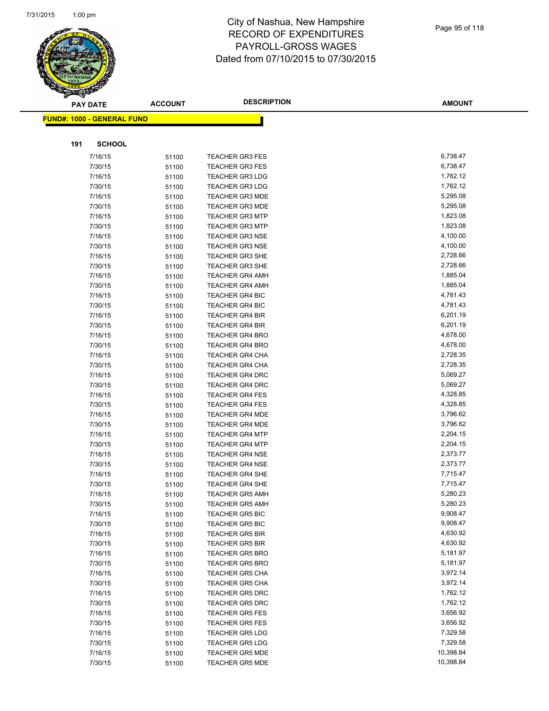

|     | <b>PAY DATE</b>                   | <b>ACCOUNT</b> | <b>DESCRIPTION</b>     | <b>AMOUNT</b> |
|-----|-----------------------------------|----------------|------------------------|---------------|
|     | <b>FUND#: 1000 - GENERAL FUND</b> |                |                        |               |
|     |                                   |                |                        |               |
| 191 | <b>SCHOOL</b>                     |                |                        |               |
|     | 7/16/15                           | 51100          | <b>TEACHER GR3 FES</b> | 6,738.47      |
|     | 7/30/15                           | 51100          | <b>TEACHER GR3 FES</b> | 6,738.47      |
|     | 7/16/15                           | 51100          | <b>TEACHER GR3 LDG</b> | 1,762.12      |
|     | 7/30/15                           | 51100          | <b>TEACHER GR3 LDG</b> | 1,762.12      |
|     | 7/16/15                           | 51100          | <b>TEACHER GR3 MDE</b> | 5,295.08      |
|     | 7/30/15                           | 51100          | <b>TEACHER GR3 MDE</b> | 5,295.08      |
|     | 7/16/15                           | 51100          | <b>TEACHER GR3 MTP</b> | 1,823.08      |
|     | 7/30/15                           | 51100          | <b>TEACHER GR3 MTP</b> | 1,823.08      |
|     | 7/16/15                           | 51100          | <b>TEACHER GR3 NSE</b> | 4,100.00      |
|     | 7/30/15                           | 51100          | <b>TEACHER GR3 NSE</b> | 4,100.00      |
|     | 7/16/15                           | 51100          | <b>TEACHER GR3 SHE</b> | 2,728.66      |
|     | 7/30/15                           | 51100          | <b>TEACHER GR3 SHE</b> | 2,728.66      |
|     | 7/16/15                           | 51100          | <b>TEACHER GR4 AMH</b> | 1,885.04      |
|     | 7/30/15                           | 51100          | <b>TEACHER GR4 AMH</b> | 1,885.04      |
|     | 7/16/15                           | 51100          | <b>TEACHER GR4 BIC</b> | 4,781.43      |
|     | 7/30/15                           | 51100          | TEACHER GR4 BIC        | 4,781.43      |
|     | 7/16/15                           | 51100          | <b>TEACHER GR4 BIR</b> | 6,201.19      |
|     | 7/30/15                           | 51100          | <b>TEACHER GR4 BIR</b> | 6,201.19      |
|     | 7/16/15                           | 51100          | <b>TEACHER GR4 BRO</b> | 4,678.00      |
|     | 7/30/15                           | 51100          | <b>TEACHER GR4 BRO</b> | 4,678.00      |
|     | 7/16/15                           | 51100          | <b>TEACHER GR4 CHA</b> | 2,728.35      |
|     | 7/30/15                           | 51100          | <b>TEACHER GR4 CHA</b> | 2,728.35      |
|     | 7/16/15                           | 51100          | <b>TEACHER GR4 DRC</b> | 5,069.27      |
|     | 7/30/15                           | 51100          | <b>TEACHER GR4 DRC</b> | 5,069.27      |
|     | 7/16/15                           | 51100          | <b>TEACHER GR4 FES</b> | 4,328.85      |
|     | 7/30/15                           | 51100          | <b>TEACHER GR4 FES</b> | 4,328.85      |
|     | 7/16/15                           | 51100          | <b>TEACHER GR4 MDE</b> | 3,796.62      |
|     | 7/30/15                           | 51100          | <b>TEACHER GR4 MDE</b> | 3,796.62      |
|     | 7/16/15                           | 51100          | <b>TEACHER GR4 MTP</b> | 2,204.15      |
|     | 7/30/15                           | 51100          | <b>TEACHER GR4 MTP</b> | 2,204.15      |
|     | 7/16/15                           | 51100          | <b>TEACHER GR4 NSE</b> | 2,373.77      |
|     | 7/30/15                           | 51100          | <b>TEACHER GR4 NSE</b> | 2,373.77      |
|     | 7/16/15                           | 51100          | <b>TEACHER GR4 SHE</b> | 7,715.47      |
|     | 7/30/15                           | 51100          | <b>TEACHER GR4 SHE</b> | 7,715.47      |
|     | 7/16/15                           | 51100          | <b>TEACHER GR5 AMH</b> | 5,280.23      |
|     | 7/30/15                           | 51100          | <b>TEACHER GR5 AMH</b> | 5,280.23      |
|     | 7/16/15                           | 51100          | <b>TEACHER GR5 BIC</b> | 9,908.47      |
|     | 7/30/15                           | 51100          | <b>TEACHER GR5 BIC</b> | 9,908.47      |
|     | 7/16/15                           | 51100          | <b>TEACHER GR5 BIR</b> | 4,630.92      |
|     | 7/30/15                           | 51100          | <b>TEACHER GR5 BIR</b> | 4,630.92      |
|     | 7/16/15                           | 51100          | <b>TEACHER GR5 BRO</b> | 5,181.97      |
|     | 7/30/15                           | 51100          | <b>TEACHER GR5 BRO</b> | 5,181.97      |
|     | 7/16/15                           | 51100          | <b>TEACHER GR5 CHA</b> | 3,972.14      |
|     | 7/30/15                           | 51100          | <b>TEACHER GR5 CHA</b> | 3,972.14      |
|     | 7/16/15                           | 51100          | <b>TEACHER GR5 DRC</b> | 1,762.12      |
|     | 7/30/15                           | 51100          | <b>TEACHER GR5 DRC</b> | 1,762.12      |
|     | 7/16/15                           | 51100          | <b>TEACHER GR5 FES</b> | 3,656.92      |
|     | 7/30/15                           | 51100          | <b>TEACHER GR5 FES</b> | 3,656.92      |
|     | 7/16/15                           | 51100          | <b>TEACHER GR5 LDG</b> | 7,329.58      |
|     | 7/30/15                           | 51100          | <b>TEACHER GR5 LDG</b> | 7,329.58      |
|     | 7/16/15                           | 51100          | <b>TEACHER GR5 MDE</b> | 10,398.84     |
|     | 7/30/15                           | 51100          | <b>TEACHER GR5 MDE</b> | 10,398.84     |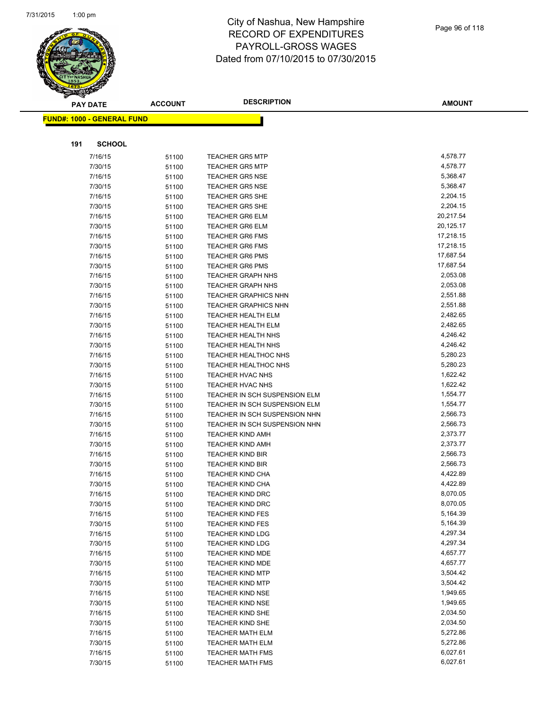

**AMOUNT**

| <u> FUND#: 1000 - GENERAL FUND</u> |                |                                                    |                      |
|------------------------------------|----------------|----------------------------------------------------|----------------------|
|                                    |                |                                                    |                      |
| 191<br><b>SCHOOL</b>               |                |                                                    |                      |
| 7/16/15                            | 51100          | <b>TEACHER GR5 MTP</b>                             | 4,578.77             |
| 7/30/15                            | 51100          | <b>TEACHER GR5 MTP</b>                             | 4,578.77             |
| 7/16/15                            | 51100          | <b>TEACHER GR5 NSE</b>                             | 5,368.47             |
| 7/30/15                            | 51100          | <b>TEACHER GR5 NSE</b>                             | 5,368.47             |
| 7/16/15                            | 51100          | <b>TEACHER GR5 SHE</b>                             | 2,204.15             |
| 7/30/15                            | 51100          | <b>TEACHER GR5 SHE</b>                             | 2,204.15             |
| 7/16/15                            | 51100          | <b>TEACHER GR6 ELM</b>                             | 20,217.54            |
| 7/30/15                            | 51100          | <b>TEACHER GR6 ELM</b>                             | 20,125.17            |
| 7/16/15                            | 51100          | <b>TEACHER GR6 FMS</b>                             | 17,218.15            |
| 7/30/15                            | 51100          | <b>TEACHER GR6 FMS</b>                             | 17,218.15            |
| 7/16/15                            | 51100          | <b>TEACHER GR6 PMS</b>                             | 17,687.54            |
| 7/30/15                            | 51100          | <b>TEACHER GR6 PMS</b>                             | 17,687.54            |
| 7/16/15                            | 51100          | <b>TEACHER GRAPH NHS</b>                           | 2,053.08             |
| 7/30/15                            | 51100          | <b>TEACHER GRAPH NHS</b>                           | 2,053.08             |
| 7/16/15                            | 51100          | <b>TEACHER GRAPHICS NHN</b>                        | 2,551.88             |
| 7/30/15                            | 51100          | <b>TEACHER GRAPHICS NHN</b>                        | 2,551.88             |
| 7/16/15                            | 51100          | <b>TEACHER HEALTH ELM</b>                          | 2,482.65             |
| 7/30/15                            | 51100          | TEACHER HEALTH ELM                                 | 2,482.65             |
| 7/16/15                            | 51100          | TEACHER HEALTH NHS                                 | 4,246.42             |
| 7/30/15                            | 51100          | TEACHER HEALTH NHS                                 | 4,246.42             |
| 7/16/15                            | 51100          | <b>TEACHER HEALTHOC NHS</b>                        | 5,280.23             |
| 7/30/15                            | 51100          | <b>TEACHER HEALTHOC NHS</b>                        | 5,280.23             |
| 7/16/15                            | 51100          | TEACHER HVAC NHS                                   | 1,622.42             |
| 7/30/15                            | 51100          | TEACHER HVAC NHS                                   | 1,622.42             |
| 7/16/15                            | 51100          | TEACHER IN SCH SUSPENSION ELM                      | 1,554.77             |
| 7/30/15                            | 51100          | TEACHER IN SCH SUSPENSION ELM                      | 1,554.77             |
| 7/16/15                            | 51100          | TEACHER IN SCH SUSPENSION NHN                      | 2,566.73             |
| 7/30/15                            | 51100          | TEACHER IN SCH SUSPENSION NHN                      | 2,566.73             |
| 7/16/15                            | 51100          | <b>TEACHER KIND AMH</b>                            | 2,373.77             |
| 7/30/15                            | 51100          | <b>TEACHER KIND AMH</b>                            | 2,373.77             |
| 7/16/15                            | 51100          | <b>TEACHER KIND BIR</b>                            | 2,566.73             |
| 7/30/15                            | 51100          | <b>TEACHER KIND BIR</b>                            | 2,566.73             |
| 7/16/15                            | 51100          | <b>TEACHER KIND CHA</b>                            | 4,422.89             |
| 7/30/15                            | 51100          | <b>TEACHER KIND CHA</b>                            | 4,422.89             |
| 7/16/15                            | 51100          | TEACHER KIND DRC                                   | 8,070.05             |
| 7/30/15                            | 51100          | <b>TEACHER KIND DRC</b>                            | 8,070.05<br>5,164.39 |
| 7/16/15                            | 51100          | TEACHER KIND FES                                   | 5,164.39             |
| 7/30/15                            | 51100          | <b>TEACHER KIND FES</b>                            | 4,297.34             |
| 7/16/15<br>7/30/15                 | 51100          | <b>TEACHER KIND LDG</b>                            | 4,297.34             |
| 7/16/15                            | 51100          | <b>TEACHER KIND LDG</b><br><b>TEACHER KIND MDE</b> | 4,657.77             |
| 7/30/15                            | 51100<br>51100 | TEACHER KIND MDE                                   | 4,657.77             |
| 7/16/15                            | 51100          | <b>TEACHER KIND MTP</b>                            | 3,504.42             |
| 7/30/15                            | 51100          | <b>TEACHER KIND MTP</b>                            | 3,504.42             |
| 7/16/15                            | 51100          | <b>TEACHER KIND NSE</b>                            | 1,949.65             |
| 7/30/15                            | 51100          | <b>TEACHER KIND NSE</b>                            | 1,949.65             |
| 7/16/15                            | 51100          | <b>TEACHER KIND SHE</b>                            | 2,034.50             |
| 7/30/15                            | 51100          | TEACHER KIND SHE                                   | 2,034.50             |
| 7/16/15                            | 51100          | <b>TEACHER MATH ELM</b>                            | 5,272.86             |
| 7/30/15                            | 51100          | <b>TEACHER MATH ELM</b>                            | 5,272.86             |
| 7/16/15                            | 51100          | <b>TEACHER MATH FMS</b>                            | 6,027.61             |
| 7/30/15                            | 51100          | <b>TEACHER MATH FMS</b>                            | 6,027.61             |
|                                    |                |                                                    |                      |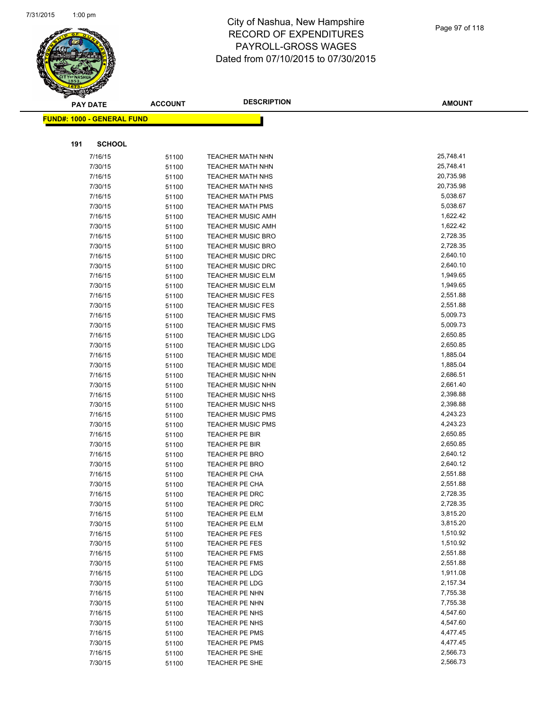

|     | <b>PAY DATE</b>                    | <b>ACCOUNT</b> | <b>DESCRIPTION</b>                                   | <b>AMOUNT</b>        |
|-----|------------------------------------|----------------|------------------------------------------------------|----------------------|
|     | <u> FUND#: 1000 - GENERAL FUND</u> |                |                                                      |                      |
|     |                                    |                |                                                      |                      |
|     |                                    |                |                                                      |                      |
| 191 | <b>SCHOOL</b>                      |                |                                                      |                      |
|     | 7/16/15                            | 51100          | <b>TEACHER MATH NHN</b>                              | 25,748.41            |
|     | 7/30/15                            | 51100          | <b>TEACHER MATH NHN</b>                              | 25,748.41            |
|     | 7/16/15                            | 51100          | <b>TEACHER MATH NHS</b>                              | 20,735.98            |
|     | 7/30/15                            | 51100          | <b>TEACHER MATH NHS</b>                              | 20,735.98            |
|     | 7/16/15                            | 51100          | <b>TEACHER MATH PMS</b>                              | 5,038.67             |
|     | 7/30/15                            | 51100          | <b>TEACHER MATH PMS</b>                              | 5,038.67             |
|     | 7/16/15                            | 51100          | <b>TEACHER MUSIC AMH</b>                             | 1,622.42             |
|     | 7/30/15                            | 51100          | <b>TEACHER MUSIC AMH</b>                             | 1,622.42             |
|     | 7/16/15                            | 51100          | <b>TEACHER MUSIC BRO</b>                             | 2,728.35             |
|     | 7/30/15                            | 51100          | <b>TEACHER MUSIC BRO</b>                             | 2,728.35             |
|     | 7/16/15                            | 51100          | <b>TEACHER MUSIC DRC</b>                             | 2,640.10             |
|     | 7/30/15                            | 51100          | <b>TEACHER MUSIC DRC</b>                             | 2,640.10             |
|     | 7/16/15                            | 51100          | <b>TEACHER MUSIC ELM</b>                             | 1,949.65             |
|     | 7/30/15                            | 51100          | <b>TEACHER MUSIC ELM</b>                             | 1,949.65             |
|     | 7/16/15                            | 51100          | <b>TEACHER MUSIC FES</b>                             | 2,551.88             |
|     | 7/30/15                            | 51100          | <b>TEACHER MUSIC FES</b>                             | 2,551.88             |
|     | 7/16/15                            | 51100          | <b>TEACHER MUSIC FMS</b>                             | 5,009.73             |
|     | 7/30/15                            | 51100          | <b>TEACHER MUSIC FMS</b>                             | 5,009.73             |
|     | 7/16/15                            | 51100          | <b>TEACHER MUSIC LDG</b>                             | 2,650.85             |
|     | 7/30/15                            | 51100          | <b>TEACHER MUSIC LDG</b>                             | 2,650.85             |
|     | 7/16/15                            | 51100          | <b>TEACHER MUSIC MDE</b>                             | 1,885.04             |
|     | 7/30/15                            | 51100          | <b>TEACHER MUSIC MDE</b>                             | 1,885.04             |
|     | 7/16/15                            | 51100          | <b>TEACHER MUSIC NHN</b>                             | 2,686.51             |
|     | 7/30/15                            | 51100          | <b>TEACHER MUSIC NHN</b>                             | 2,661.40<br>2,398.88 |
|     | 7/16/15                            | 51100          | TEACHER MUSIC NHS                                    |                      |
|     | 7/30/15                            | 51100          | <b>TEACHER MUSIC NHS</b>                             | 2,398.88<br>4,243.23 |
|     | 7/16/15                            | 51100          | <b>TEACHER MUSIC PMS</b><br><b>TEACHER MUSIC PMS</b> |                      |
|     | 7/30/15                            | 51100          |                                                      | 4,243.23<br>2,650.85 |
|     | 7/16/15<br>7/30/15                 | 51100          | TEACHER PE BIR<br>TEACHER PE BIR                     | 2,650.85             |
|     | 7/16/15                            | 51100          |                                                      | 2,640.12             |
|     | 7/30/15                            | 51100          | <b>TEACHER PE BRO</b><br><b>TEACHER PE BRO</b>       | 2,640.12             |
|     | 7/16/15                            | 51100          |                                                      | 2,551.88             |
|     | 7/30/15                            | 51100          | <b>TEACHER PE CHA</b><br><b>TEACHER PE CHA</b>       | 2,551.88             |
|     | 7/16/15                            | 51100<br>51100 | <b>TEACHER PE DRC</b>                                | 2,728.35             |
|     | 7/30/15                            |                | TEACHER PE DRC                                       | 2,728.35             |
|     | 7/16/15                            | 51100<br>51100 | TEACHER PE ELM                                       | 3,815.20             |
|     | 7/30/15                            | 51100          | TEACHER PE ELM                                       | 3,815.20             |
|     | 7/16/15                            | 51100          | TEACHER PE FES                                       | 1,510.92             |
|     | 7/30/15                            | 51100          | TEACHER PE FES                                       | 1,510.92             |
|     | 7/16/15                            | 51100          | <b>TEACHER PE FMS</b>                                | 2,551.88             |
|     | 7/30/15                            | 51100          | <b>TEACHER PE FMS</b>                                | 2,551.88             |
|     | 7/16/15                            | 51100          | TEACHER PE LDG                                       | 1,911.08             |
|     | 7/30/15                            | 51100          | <b>TEACHER PE LDG</b>                                | 2,157.34             |
|     | 7/16/15                            | 51100          | TEACHER PE NHN                                       | 7,755.38             |
|     | 7/30/15                            | 51100          | TEACHER PE NHN                                       | 7,755.38             |
|     | 7/16/15                            | 51100          | TEACHER PE NHS                                       | 4,547.60             |
|     | 7/30/15                            | 51100          | TEACHER PE NHS                                       | 4,547.60             |
|     | 7/16/15                            | 51100          | TEACHER PE PMS                                       | 4,477.45             |
|     | 7/30/15                            | 51100          | <b>TEACHER PE PMS</b>                                | 4,477.45             |
|     | 7/16/15                            | 51100          | TEACHER PE SHE                                       | 2,566.73             |
|     | 7/30/15                            | 51100          | TEACHER PE SHE                                       | 2,566.73             |
|     |                                    |                |                                                      |                      |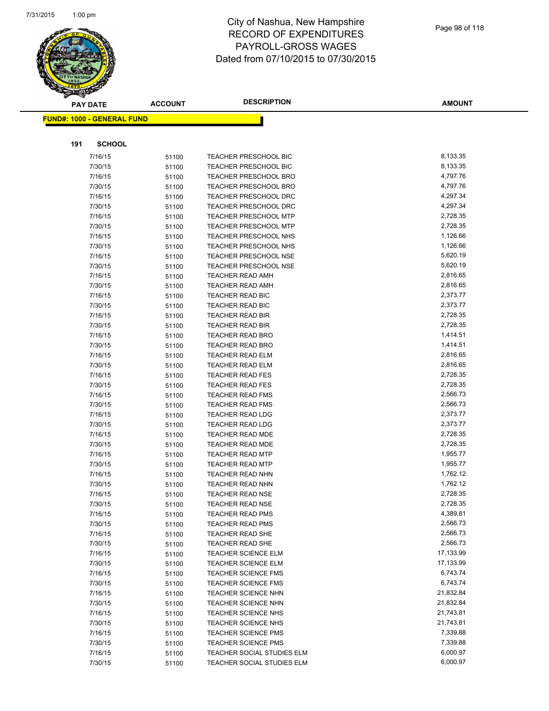

|     | <b>PAY DATE</b>                    | <b>ACCOUNT</b> | <b>DESCRIPTION</b>                                           | <b>AMOUNT</b>        |
|-----|------------------------------------|----------------|--------------------------------------------------------------|----------------------|
|     | <u> FUND#: 1000 - GENERAL FUND</u> |                |                                                              |                      |
|     |                                    |                |                                                              |                      |
|     |                                    |                |                                                              |                      |
| 191 | <b>SCHOOL</b>                      |                |                                                              |                      |
|     | 7/16/15                            | 51100          | TEACHER PRESCHOOL BIC                                        | 8,133.35             |
|     | 7/30/15                            | 51100          | <b>TEACHER PRESCHOOL BIC</b>                                 | 8,133.35             |
|     | 7/16/15                            | 51100          | <b>TEACHER PRESCHOOL BRO</b>                                 | 4,797.76             |
|     | 7/30/15                            | 51100          | <b>TEACHER PRESCHOOL BRO</b>                                 | 4,797.76             |
|     | 7/16/15                            | 51100          | TEACHER PRESCHOOL DRC                                        | 4,297.34             |
|     | 7/30/15                            | 51100          | <b>TEACHER PRESCHOOL DRC</b>                                 | 4,297.34             |
|     | 7/16/15                            | 51100          | TEACHER PRESCHOOL MTP                                        | 2,728.35             |
|     | 7/30/15                            | 51100          | <b>TEACHER PRESCHOOL MTP</b>                                 | 2,728.35             |
|     | 7/16/15                            | 51100          | <b>TEACHER PRESCHOOL NHS</b>                                 | 1,126.66             |
|     | 7/30/15                            | 51100          | <b>TEACHER PRESCHOOL NHS</b>                                 | 1,126.66             |
|     | 7/16/15<br>7/30/15                 | 51100          | <b>TEACHER PRESCHOOL NSE</b><br><b>TEACHER PRESCHOOL NSE</b> | 5,620.19<br>5,620.19 |
|     | 7/16/15                            | 51100          | <b>TEACHER READ AMH</b>                                      | 2,816.65             |
|     | 7/30/15                            | 51100          | <b>TEACHER READ AMH</b>                                      | 2,816.65             |
|     | 7/16/15                            | 51100          | <b>TEACHER READ BIC</b>                                      | 2,373.77             |
|     | 7/30/15                            | 51100<br>51100 | <b>TEACHER READ BIC</b>                                      | 2,373.77             |
|     | 7/16/15                            | 51100          | <b>TEACHER READ BIR</b>                                      | 2,728.35             |
|     | 7/30/15                            | 51100          | <b>TEACHER READ BIR</b>                                      | 2,728.35             |
|     | 7/16/15                            | 51100          | <b>TEACHER READ BRO</b>                                      | 1,414.51             |
|     | 7/30/15                            | 51100          | <b>TEACHER READ BRO</b>                                      | 1,414.51             |
|     | 7/16/15                            | 51100          | <b>TEACHER READ ELM</b>                                      | 2,816.65             |
|     | 7/30/15                            | 51100          | <b>TEACHER READ ELM</b>                                      | 2,816.65             |
|     | 7/16/15                            | 51100          | <b>TEACHER READ FES</b>                                      | 2,728.35             |
|     | 7/30/15                            | 51100          | <b>TEACHER READ FES</b>                                      | 2,728.35             |
|     | 7/16/15                            | 51100          | <b>TEACHER READ FMS</b>                                      | 2,566.73             |
|     | 7/30/15                            | 51100          | <b>TEACHER READ FMS</b>                                      | 2,566.73             |
|     | 7/16/15                            | 51100          | <b>TEACHER READ LDG</b>                                      | 2,373.77             |
|     | 7/30/15                            | 51100          | <b>TEACHER READ LDG</b>                                      | 2,373.77             |
|     | 7/16/15                            | 51100          | <b>TEACHER READ MDE</b>                                      | 2,728.35             |
|     | 7/30/15                            | 51100          | TEACHER READ MDE                                             | 2,728.35             |
|     | 7/16/15                            | 51100          | <b>TEACHER READ MTP</b>                                      | 1,955.77             |
|     | 7/30/15                            | 51100          | <b>TEACHER READ MTP</b>                                      | 1,955.77             |
|     | 7/16/15                            | 51100          | TEACHER READ NHN                                             | 1,762.12             |
|     | 7/30/15                            | 51100          | <b>TEACHER READ NHN</b>                                      | 1,762.12             |
|     | 7/16/15                            | 51100          | <b>TEACHER READ NSE</b>                                      | 2,728.35             |
|     | 7/30/15                            | 51100          | <b>TEACHER READ NSE</b>                                      | 2,728.35             |
|     | 7/16/15                            | 51100          | <b>TEACHER READ PMS</b>                                      | 4,389.81             |
|     | 7/30/15                            | 51100          | <b>TEACHER READ PMS</b>                                      | 2,566.73             |
|     | 7/16/15                            | 51100          | TEACHER READ SHE                                             | 2,566.73             |
|     | 7/30/15                            | 51100          | TEACHER READ SHE                                             | 2,566.73             |
|     | 7/16/15                            | 51100          | TEACHER SCIENCE ELM                                          | 17,133.99            |
|     | 7/30/15                            | 51100          | TEACHER SCIENCE ELM                                          | 17,133.99            |
|     | 7/16/15                            | 51100          | <b>TEACHER SCIENCE FMS</b>                                   | 6,743.74             |
|     | 7/30/15                            | 51100          | TEACHER SCIENCE FMS                                          | 6,743.74             |
|     | 7/16/15                            | 51100          | <b>TEACHER SCIENCE NHN</b>                                   | 21,832.84            |
|     | 7/30/15                            | 51100          | <b>TEACHER SCIENCE NHN</b>                                   | 21,832.84            |
|     | 7/16/15                            | 51100          | <b>TEACHER SCIENCE NHS</b>                                   | 21,743.81            |
|     | 7/30/15                            | 51100          | TEACHER SCIENCE NHS                                          | 21,743.81            |
|     | 7/16/15                            | 51100          | TEACHER SCIENCE PMS                                          | 7,339.88             |
|     | 7/30/15                            | 51100          | <b>TEACHER SCIENCE PMS</b>                                   | 7,339.88             |
|     | 7/16/15                            | 51100          | TEACHER SOCIAL STUDIES ELM                                   | 6,000.97             |
|     | 7/30/15                            | 51100          | TEACHER SOCIAL STUDIES ELM                                   | 6,000.97             |
|     |                                    |                |                                                              |                      |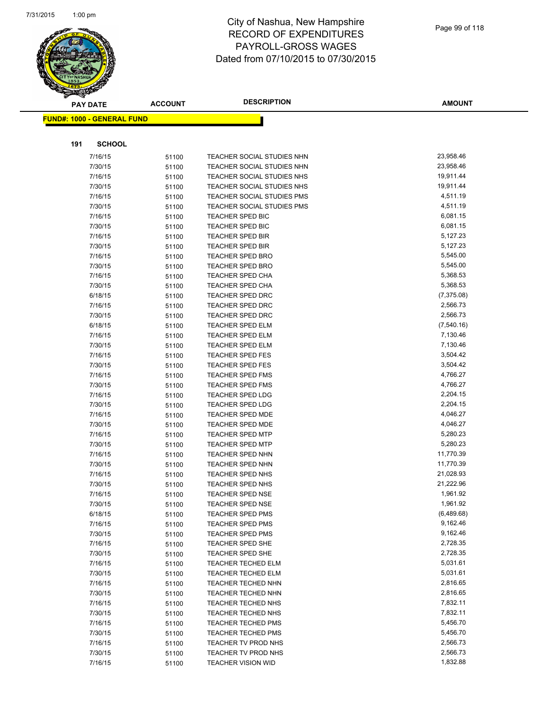

|     | <b>PAY DATE</b>                    | <b>ACCOUNT</b> | <b>DESCRIPTION</b>                                 | <b>AMOUNT</b>        |
|-----|------------------------------------|----------------|----------------------------------------------------|----------------------|
|     | <u> FUND#: 1000 - GENERAL FUND</u> |                |                                                    |                      |
|     |                                    |                |                                                    |                      |
|     |                                    |                |                                                    |                      |
| 191 | <b>SCHOOL</b>                      |                |                                                    |                      |
|     | 7/16/15                            | 51100          | TEACHER SOCIAL STUDIES NHN                         | 23,958.46            |
|     | 7/30/15                            | 51100          | TEACHER SOCIAL STUDIES NHN                         | 23,958.46            |
|     | 7/16/15                            | 51100          | TEACHER SOCIAL STUDIES NHS                         | 19,911.44            |
|     | 7/30/15                            | 51100          | TEACHER SOCIAL STUDIES NHS                         | 19,911.44            |
|     | 7/16/15                            | 51100          | <b>TEACHER SOCIAL STUDIES PMS</b>                  | 4,511.19             |
|     | 7/30/15                            | 51100          | TEACHER SOCIAL STUDIES PMS                         | 4,511.19             |
|     | 7/16/15                            | 51100          | <b>TEACHER SPED BIC</b>                            | 6,081.15             |
|     | 7/30/15                            | 51100          | <b>TEACHER SPED BIC</b>                            | 6,081.15             |
|     | 7/16/15                            | 51100          | <b>TEACHER SPED BIR</b>                            | 5,127.23             |
|     | 7/30/15                            | 51100          | <b>TEACHER SPED BIR</b>                            | 5,127.23             |
|     | 7/16/15                            | 51100          | <b>TEACHER SPED BRO</b>                            | 5,545.00             |
|     | 7/30/15                            | 51100          | TEACHER SPED BRO                                   | 5,545.00             |
|     | 7/16/15                            | 51100          | <b>TEACHER SPED CHA</b>                            | 5,368.53             |
|     | 7/30/15                            | 51100          | TEACHER SPED CHA                                   | 5,368.53             |
|     | 6/18/15                            | 51100          | <b>TEACHER SPED DRC</b>                            | (7,375.08)           |
|     | 7/16/15                            | 51100          | <b>TEACHER SPED DRC</b>                            | 2,566.73             |
|     | 7/30/15                            | 51100          | <b>TEACHER SPED DRC</b>                            | 2,566.73             |
|     | 6/18/15                            | 51100          | <b>TEACHER SPED ELM</b>                            | (7,540.16)           |
|     | 7/16/15                            | 51100          | <b>TEACHER SPED ELM</b>                            | 7,130.46<br>7,130.46 |
|     | 7/30/15                            | 51100          | <b>TEACHER SPED ELM</b>                            | 3,504.42             |
|     | 7/16/15<br>7/30/15                 | 51100          | <b>TEACHER SPED FES</b><br><b>TEACHER SPED FES</b> | 3,504.42             |
|     | 7/16/15                            | 51100          | <b>TEACHER SPED FMS</b>                            | 4,766.27             |
|     | 7/30/15                            | 51100          | <b>TEACHER SPED FMS</b>                            | 4,766.27             |
|     | 7/16/15                            | 51100          | TEACHER SPED LDG                                   | 2,204.15             |
|     | 7/30/15                            | 51100<br>51100 | <b>TEACHER SPED LDG</b>                            | 2,204.15             |
|     | 7/16/15                            | 51100          | TEACHER SPED MDE                                   | 4,046.27             |
|     | 7/30/15                            | 51100          | <b>TEACHER SPED MDE</b>                            | 4,046.27             |
|     | 7/16/15                            | 51100          | <b>TEACHER SPED MTP</b>                            | 5,280.23             |
|     | 7/30/15                            | 51100          | <b>TEACHER SPED MTP</b>                            | 5,280.23             |
|     | 7/16/15                            | 51100          | <b>TEACHER SPED NHN</b>                            | 11,770.39            |
|     | 7/30/15                            | 51100          | <b>TEACHER SPED NHN</b>                            | 11,770.39            |
|     | 7/16/15                            | 51100          | TEACHER SPED NHS                                   | 21,028.93            |
|     | 7/30/15                            | 51100          | <b>TEACHER SPED NHS</b>                            | 21,222.96            |
|     | 7/16/15                            | 51100          | <b>TEACHER SPED NSE</b>                            | 1,961.92             |
|     | 7/30/15                            | 51100          | TEACHER SPED NSE                                   | 1,961.92             |
|     | 6/18/15                            | 51100          | <b>TEACHER SPED PMS</b>                            | (6,489.68)           |
|     | 7/16/15                            | 51100          | TEACHER SPED PMS                                   | 9,162.46             |
|     | 7/30/15                            | 51100          | <b>TEACHER SPED PMS</b>                            | 9,162.46             |
|     | 7/16/15                            | 51100          | <b>TEACHER SPED SHE</b>                            | 2,728.35             |
|     | 7/30/15                            | 51100          | <b>TEACHER SPED SHE</b>                            | 2,728.35             |
|     | 7/16/15                            | 51100          | TEACHER TECHED ELM                                 | 5,031.61             |
|     | 7/30/15                            | 51100          | <b>TEACHER TECHED ELM</b>                          | 5,031.61             |
|     | 7/16/15                            | 51100          | TEACHER TECHED NHN                                 | 2,816.65             |
|     | 7/30/15                            | 51100          | <b>TEACHER TECHED NHN</b>                          | 2,816.65             |
|     | 7/16/15                            | 51100          | <b>TEACHER TECHED NHS</b>                          | 7,832.11             |
|     | 7/30/15                            | 51100          | <b>TEACHER TECHED NHS</b>                          | 7,832.11             |
|     | 7/16/15                            | 51100          | TEACHER TECHED PMS                                 | 5,456.70             |
|     | 7/30/15                            | 51100          | TEACHER TECHED PMS                                 | 5,456.70             |
|     | 7/16/15                            | 51100          | TEACHER TV PROD NHS                                | 2,566.73             |
|     | 7/30/15                            | 51100          | TEACHER TV PROD NHS                                | 2,566.73             |
|     | 7/16/15                            | 51100          | <b>TEACHER VISION WID</b>                          | 1,832.88             |
|     |                                    |                |                                                    |                      |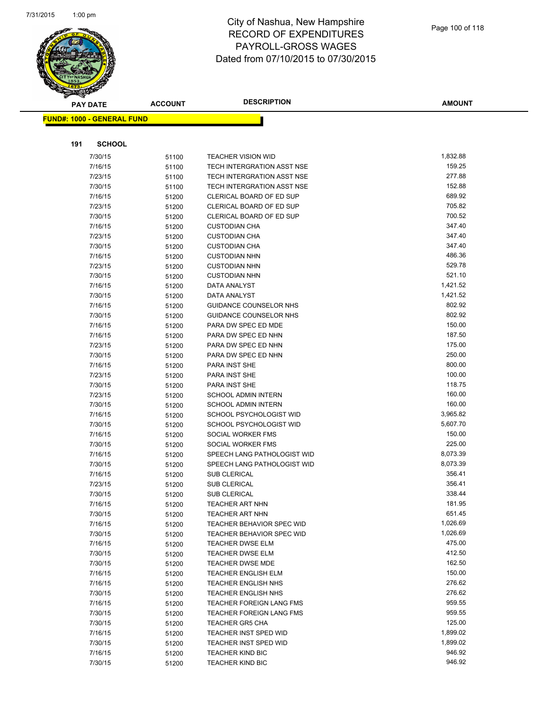

|     | <b>PAY DATE</b>                    | <b>ACCOUNT</b> | <b>DESCRIPTION</b>                                             | <b>AMOUNT</b>    |
|-----|------------------------------------|----------------|----------------------------------------------------------------|------------------|
|     | <u> FUND#: 1000 - GENERAL FUND</u> |                |                                                                |                  |
|     |                                    |                |                                                                |                  |
|     |                                    |                |                                                                |                  |
| 191 | <b>SCHOOL</b>                      |                |                                                                |                  |
|     | 7/30/15                            | 51100          | <b>TEACHER VISION WID</b>                                      | 1,832.88         |
|     | 7/16/15                            | 51100          | TECH INTERGRATION ASST NSE                                     | 159.25           |
|     | 7/23/15                            | 51100          | TECH INTERGRATION ASST NSE                                     | 277.88           |
|     | 7/30/15                            | 51100          | TECH INTERGRATION ASST NSE                                     | 152.88           |
|     | 7/16/15                            | 51200          | CLERICAL BOARD OF ED SUP                                       | 689.92           |
|     | 7/23/15                            | 51200          | CLERICAL BOARD OF ED SUP                                       | 705.82           |
|     | 7/30/15                            | 51200          | CLERICAL BOARD OF ED SUP                                       | 700.52           |
|     | 7/16/15                            | 51200          | <b>CUSTODIAN CHA</b>                                           | 347.40           |
|     | 7/23/15                            | 51200          | <b>CUSTODIAN CHA</b>                                           | 347.40           |
|     | 7/30/15                            | 51200          | <b>CUSTODIAN CHA</b>                                           | 347.40           |
|     | 7/16/15                            | 51200          | <b>CUSTODIAN NHN</b>                                           | 486.36           |
|     | 7/23/15                            | 51200          | <b>CUSTODIAN NHN</b>                                           | 529.78<br>521.10 |
|     | 7/30/15                            | 51200          | <b>CUSTODIAN NHN</b>                                           | 1,421.52         |
|     | 7/16/15<br>7/30/15                 | 51200          | DATA ANALYST                                                   | 1,421.52         |
|     |                                    | 51200          | DATA ANALYST                                                   | 802.92           |
|     | 7/16/15<br>7/30/15                 | 51200          | <b>GUIDANCE COUNSELOR NHS</b><br><b>GUIDANCE COUNSELOR NHS</b> | 802.92           |
|     | 7/16/15                            | 51200          | PARA DW SPEC ED MDE                                            | 150.00           |
|     | 7/16/15                            | 51200          | PARA DW SPEC ED NHN                                            | 187.50           |
|     | 7/23/15                            | 51200<br>51200 | PARA DW SPEC ED NHN                                            | 175.00           |
|     | 7/30/15                            | 51200          | PARA DW SPEC ED NHN                                            | 250.00           |
|     | 7/16/15                            | 51200          | PARA INST SHE                                                  | 800.00           |
|     | 7/23/15                            | 51200          | PARA INST SHE                                                  | 100.00           |
|     | 7/30/15                            | 51200          | PARA INST SHE                                                  | 118.75           |
|     | 7/23/15                            | 51200          | <b>SCHOOL ADMIN INTERN</b>                                     | 160.00           |
|     | 7/30/15                            | 51200          | <b>SCHOOL ADMIN INTERN</b>                                     | 160.00           |
|     | 7/16/15                            | 51200          | SCHOOL PSYCHOLOGIST WID                                        | 3,965.82         |
|     | 7/30/15                            | 51200          | SCHOOL PSYCHOLOGIST WID                                        | 5,607.70         |
|     | 7/16/15                            | 51200          | SOCIAL WORKER FMS                                              | 150.00           |
|     | 7/30/15                            | 51200          | SOCIAL WORKER FMS                                              | 225.00           |
|     | 7/16/15                            | 51200          | SPEECH LANG PATHOLOGIST WID                                    | 8,073.39         |
|     | 7/30/15                            | 51200          | SPEECH LANG PATHOLOGIST WID                                    | 8,073.39         |
|     | 7/16/15                            | 51200          | <b>SUB CLERICAL</b>                                            | 356.41           |
|     | 7/23/15                            | 51200          | <b>SUB CLERICAL</b>                                            | 356.41           |
|     | 7/30/15                            | 51200          | <b>SUB CLERICAL</b>                                            | 338.44           |
|     | 7/16/15                            | 51200          | <b>TEACHER ART NHN</b>                                         | 181.95           |
|     | 7/30/15                            | 51200          | <b>TEACHER ART NHN</b>                                         | 651.45           |
|     | 7/16/15                            | 51200          | <b>TEACHER BEHAVIOR SPEC WID</b>                               | 1,026.69         |
|     | 7/30/15                            | 51200          | <b>TEACHER BEHAVIOR SPEC WID</b>                               | 1,026.69         |
|     | 7/16/15                            | 51200          | <b>TEACHER DWSE ELM</b>                                        | 475.00           |
|     | 7/30/15                            | 51200          | <b>TEACHER DWSE ELM</b>                                        | 412.50           |
|     | 7/30/15                            | 51200          | <b>TEACHER DWSE MDE</b>                                        | 162.50           |
|     | 7/16/15                            | 51200          | <b>TEACHER ENGLISH ELM</b>                                     | 150.00           |
|     | 7/16/15                            | 51200          | <b>TEACHER ENGLISH NHS</b>                                     | 276.62           |
|     | 7/30/15                            | 51200          | <b>TEACHER ENGLISH NHS</b>                                     | 276.62           |
|     | 7/16/15                            | 51200          | <b>TEACHER FOREIGN LANG FMS</b>                                | 959.55           |
|     | 7/30/15                            | 51200          | <b>TEACHER FOREIGN LANG FMS</b>                                | 959.55           |
|     | 7/30/15                            | 51200          | <b>TEACHER GR5 CHA</b>                                         | 125.00           |
|     | 7/16/15                            | 51200          | TEACHER INST SPED WID                                          | 1,899.02         |
|     | 7/30/15                            | 51200          | <b>TEACHER INST SPED WID</b>                                   | 1,899.02         |
|     | 7/16/15                            | 51200          | <b>TEACHER KIND BIC</b>                                        | 946.92           |
|     | 7/30/15                            | 51200          | <b>TEACHER KIND BIC</b>                                        | 946.92           |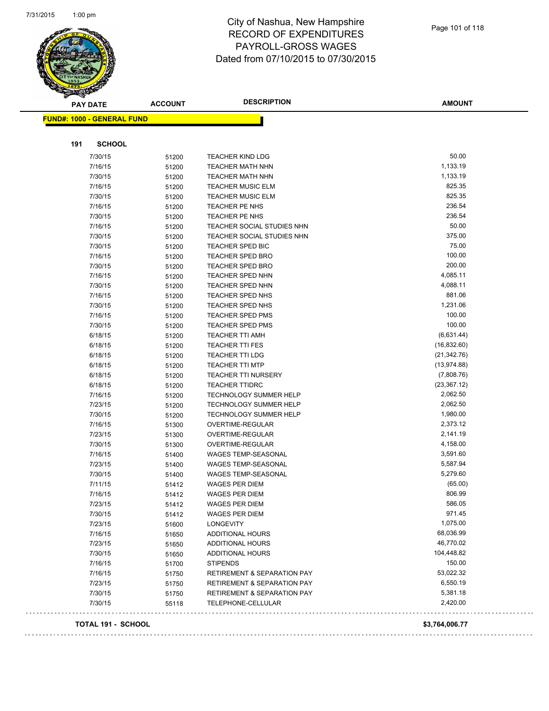

| <b>PAY DATE</b>                   | <b>ACCOUNT</b> | <b>DESCRIPTION</b>                     | <b>AMOUNT</b>  |
|-----------------------------------|----------------|----------------------------------------|----------------|
| <b>FUND#: 1000 - GENERAL FUND</b> |                |                                        |                |
|                                   |                |                                        |                |
| 191<br><b>SCHOOL</b>              |                |                                        |                |
| 7/30/15                           | 51200          | <b>TEACHER KIND LDG</b>                | 50.00          |
| 7/16/15                           | 51200          | <b>TEACHER MATH NHN</b>                | 1,133.19       |
| 7/30/15                           | 51200          | <b>TEACHER MATH NHN</b>                | 1,133.19       |
| 7/16/15                           | 51200          | <b>TEACHER MUSIC ELM</b>               | 825.35         |
| 7/30/15                           | 51200          | <b>TEACHER MUSIC ELM</b>               | 825.35         |
| 7/16/15                           | 51200          | TEACHER PE NHS                         | 236.54         |
| 7/30/15                           | 51200          | TEACHER PE NHS                         | 236.54         |
| 7/16/15                           | 51200          | <b>TEACHER SOCIAL STUDIES NHN</b>      | 50.00          |
| 7/30/15                           | 51200          | TEACHER SOCIAL STUDIES NHN             | 375.00         |
| 7/30/15                           | 51200          | TEACHER SPED BIC                       | 75.00          |
| 7/16/15                           | 51200          | <b>TEACHER SPED BRO</b>                | 100.00         |
| 7/30/15                           | 51200          | <b>TEACHER SPED BRO</b>                | 200.00         |
| 7/16/15                           | 51200          | <b>TEACHER SPED NHN</b>                | 4,085.11       |
| 7/30/15                           | 51200          | TEACHER SPED NHN                       | 4,088.11       |
| 7/16/15                           | 51200          | <b>TEACHER SPED NHS</b>                | 881.06         |
| 7/30/15                           | 51200          | <b>TEACHER SPED NHS</b>                | 1,231.06       |
| 7/16/15                           | 51200          | <b>TEACHER SPED PMS</b>                | 100.00         |
| 7/30/15                           | 51200          | <b>TEACHER SPED PMS</b>                | 100.00         |
| 6/18/15                           | 51200          | <b>TEACHER TTI AMH</b>                 | (6,631.44)     |
| 6/18/15                           | 51200          | <b>TEACHER TTI FES</b>                 | (16, 832.60)   |
| 6/18/15                           | 51200          | <b>TEACHER TTI LDG</b>                 | (21, 342.76)   |
| 6/18/15                           | 51200          | <b>TEACHER TTI MTP</b>                 | (13, 974.88)   |
| 6/18/15                           | 51200          | TEACHER TTI NURSERY                    | (7,808.76)     |
| 6/18/15                           | 51200          | <b>TEACHER TTIDRC</b>                  | (23, 367.12)   |
| 7/16/15                           | 51200          | TECHNOLOGY SUMMER HELP                 | 2,062.50       |
| 7/23/15                           | 51200          | <b>TECHNOLOGY SUMMER HELP</b>          | 2,062.50       |
| 7/30/15                           |                | <b>TECHNOLOGY SUMMER HELP</b>          | 1,980.00       |
| 7/16/15                           | 51200          | OVERTIME-REGULAR                       | 2,373.12       |
|                                   | 51300          |                                        |                |
| 7/23/15                           | 51300          | OVERTIME-REGULAR                       | 2,141.19       |
| 7/30/15                           | 51300          | OVERTIME-REGULAR                       | 4,158.00       |
| 7/16/15                           | 51400          | WAGES TEMP-SEASONAL                    | 3,591.60       |
| 7/23/15                           | 51400          | WAGES TEMP-SEASONAL                    | 5,587.94       |
| 7/30/15                           | 51400          | WAGES TEMP-SEASONAL                    | 5,279.60       |
| 7/11/15                           | 51412          | <b>WAGES PER DIEM</b>                  | (65.00)        |
| 7/16/15                           | 51412          | <b>WAGES PER DIEM</b>                  | 806.99         |
| 7/23/15                           | 51412          | WAGES PER DIEM                         | 586.05         |
| 7/30/15                           | 51412          | <b>WAGES PER DIEM</b>                  | 971.45         |
| 7/23/15                           | 51600          | <b>LONGEVITY</b>                       | 1,075.00       |
| 7/16/15                           | 51650          | <b>ADDITIONAL HOURS</b>                | 68,036.99      |
| 7/23/15                           | 51650          | <b>ADDITIONAL HOURS</b>                | 46,770.02      |
| 7/30/15                           | 51650          | <b>ADDITIONAL HOURS</b>                | 104,448.82     |
| 7/16/15                           | 51700          | <b>STIPENDS</b>                        | 150.00         |
| 7/16/15                           | 51750          | <b>RETIREMENT &amp; SEPARATION PAY</b> | 53,022.32      |
| 7/23/15                           | 51750          | <b>RETIREMENT &amp; SEPARATION PAY</b> | 6,550.19       |
| 7/30/15                           | 51750          | <b>RETIREMENT &amp; SEPARATION PAY</b> | 5,381.18       |
| 7/30/15                           | 55118          | TELEPHONE-CELLULAR                     | 2,420.00       |
| <b>TOTAL 191 - SCHOOL</b>         |                |                                        | \$3,764,006.77 |

 $\sim$   $\sim$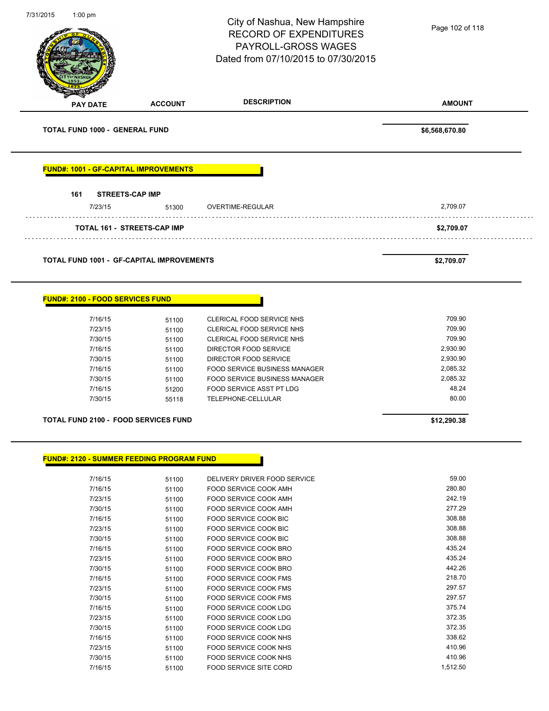| 7/31/2015<br>1:00 $pm$                           |                                    | City of Nashua, New Hampshire<br><b>RECORD OF EXPENDITURES</b><br>PAYROLL-GROSS WAGES<br>Dated from 07/10/2015 to 07/30/2015 | Page 102 of 118      |
|--------------------------------------------------|------------------------------------|------------------------------------------------------------------------------------------------------------------------------|----------------------|
| <b>PAY DATE</b>                                  | <b>ACCOUNT</b>                     | <b>DESCRIPTION</b>                                                                                                           | <b>AMOUNT</b>        |
| <b>TOTAL FUND 1000 - GENERAL FUND</b>            |                                    |                                                                                                                              | \$6,568,670.80       |
| <b>FUND#: 1001 - GF-CAPITAL IMPROVEMENTS</b>     |                                    |                                                                                                                              |                      |
| 161<br><b>STREETS-CAP IMP</b><br>7/23/15         | 51300                              | OVERTIME-REGULAR                                                                                                             | 2,709.07             |
|                                                  | <b>TOTAL 161 - STREETS-CAP IMP</b> |                                                                                                                              | \$2,709.07           |
| <b>TOTAL FUND 1001 - GF-CAPITAL IMPROVEMENTS</b> |                                    |                                                                                                                              | \$2,709.07           |
| <b>FUND#: 2100 - FOOD SERVICES FUND</b>          |                                    |                                                                                                                              |                      |
| 7/16/15                                          | 51100                              | CLERICAL FOOD SERVICE NHS                                                                                                    | 709.90               |
| 7/23/15                                          | 51100                              | CLERICAL FOOD SERVICE NHS                                                                                                    | 709.90               |
| 7/30/15                                          | 51100                              | CLERICAL FOOD SERVICE NHS                                                                                                    | 709.90               |
| 7/16/15                                          | 51100                              | DIRECTOR FOOD SERVICE                                                                                                        | 2,930.90             |
| 7/30/15                                          | 51100                              | DIRECTOR FOOD SERVICE                                                                                                        | 2,930.90             |
| 7/16/15<br>7/30/15                               | 51100                              | FOOD SERVICE BUSINESS MANAGER<br>FOOD SERVICE BUSINESS MANAGER                                                               | 2,085.32<br>2,085.32 |
| 7/16/15                                          | 51100<br>51200                     | <b>FOOD SERVICE ASST PT LDG</b>                                                                                              | 48.24                |
| 7/30/15                                          | 55118                              | TELEPHONE-CELLULAR                                                                                                           | 80.00                |
| <b>TOTAL FUND 2100 - FOOD SERVICES FUND</b>      |                                    |                                                                                                                              | \$12,290.38          |
| <b>FUND#: 2120 - SUMMER FEEDING PROGRAM FUND</b> |                                    |                                                                                                                              |                      |
| 7/16/15                                          |                                    | DELIVERY DRIVER FOOD SERVICE                                                                                                 | 59.00                |
| 7/16/15                                          | 51100<br>51100                     | FOOD SERVICE COOK AMH                                                                                                        | 280.80               |
| 7/23/15                                          | 51100                              | FOOD SERVICE COOK AMH                                                                                                        | 242.19               |
| 7/30/15                                          | 51100                              | FOOD SERVICE COOK AMH                                                                                                        | 277.29               |
| 7/16/15                                          | 51100                              | FOOD SERVICE COOK BIC                                                                                                        | 308.88               |
| 7/23/15                                          | 51100                              | FOOD SERVICE COOK BIC                                                                                                        | 308.88               |
| 7/30/15                                          | 51100                              | FOOD SERVICE COOK BIC                                                                                                        | 308.88               |
| 7/16/15                                          | 51100                              | FOOD SERVICE COOK BRO                                                                                                        | 435.24               |
| 7/23/15                                          | 51100                              | FOOD SERVICE COOK BRO                                                                                                        | 435.24               |
| 7/30/15                                          | 51100                              | FOOD SERVICE COOK BRO                                                                                                        | 442.26               |
| 7/16/15                                          | 51100                              | FOOD SERVICE COOK FMS                                                                                                        | 218.70<br>297.57     |
| 7/23/15                                          | 51100                              | FOOD SERVICE COOK FMS                                                                                                        | 297.57               |
| 7/30/15<br>7/16/15                               | 51100                              | FOOD SERVICE COOK FMS<br>FOOD SERVICE COOK LDG                                                                               | 375.74               |
| 7/23/15                                          | 51100<br>51100                     | FOOD SERVICE COOK LDG                                                                                                        | 372.35               |
| 7/30/15                                          | 51100                              | FOOD SERVICE COOK LDG                                                                                                        | 372.35               |
| 7/16/15                                          | 51100                              | FOOD SERVICE COOK NHS                                                                                                        | 338.62               |
| 7/23/15                                          | 51100                              | FOOD SERVICE COOK NHS                                                                                                        | 410.96               |
| 7/30/15                                          | 51100                              | FOOD SERVICE COOK NHS                                                                                                        | 410.96               |
| 7/16/15                                          | 51100                              | FOOD SERVICE SITE CORD                                                                                                       | 1,512.50             |
|                                                  |                                    |                                                                                                                              |                      |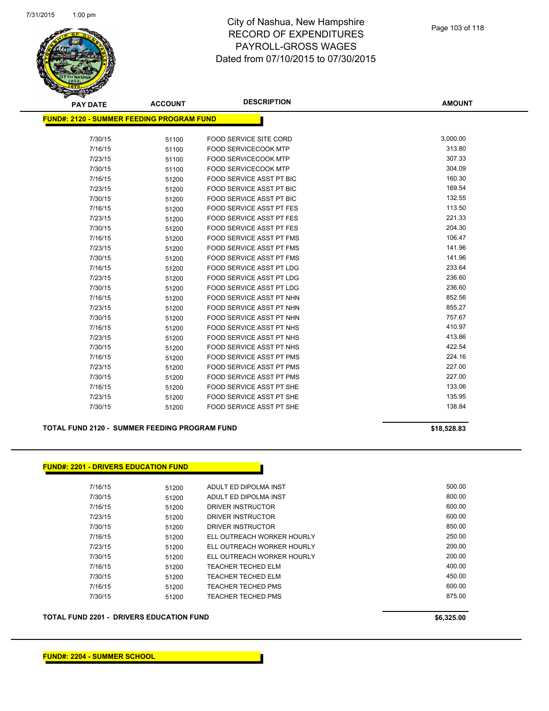

| <b>PAY DATE</b>                                  | <b>ACCOUNT</b> | <b>DESCRIPTION</b>              | <b>AMOUNT</b> |
|--------------------------------------------------|----------------|---------------------------------|---------------|
| <b>FUND#: 2120 - SUMMER FEEDING PROGRAM FUND</b> |                |                                 |               |
|                                                  |                |                                 |               |
| 7/30/15                                          | 51100          | <b>FOOD SERVICE SITE CORD</b>   | 3,000.00      |
| 7/16/15                                          | 51100          | <b>FOOD SERVICECOOK MTP</b>     | 313.80        |
| 7/23/15                                          | 51100          | <b>FOOD SERVICECOOK MTP</b>     | 307.33        |
| 7/30/15                                          | 51100          | <b>FOOD SERVICECOOK MTP</b>     | 304.09        |
| 7/16/15                                          | 51200          | FOOD SERVICE ASST PT BIC        | 160.30        |
| 7/23/15                                          | 51200          | FOOD SERVICE ASST PT BIC        | 169.54        |
| 7/30/15                                          | 51200          | FOOD SERVICE ASST PT BIC        | 132.55        |
| 7/16/15                                          | 51200          | <b>FOOD SERVICE ASST PT FES</b> | 113.50        |
| 7/23/15                                          | 51200          | <b>FOOD SERVICE ASST PT FES</b> | 221.33        |
| 7/30/15                                          | 51200          | <b>FOOD SERVICE ASST PT FES</b> | 204.30        |
| 7/16/15                                          | 51200          | <b>FOOD SERVICE ASST PT FMS</b> | 106.47        |
| 7/23/15                                          | 51200          | <b>FOOD SERVICE ASST PT FMS</b> | 141.96        |
| 7/30/15                                          | 51200          | <b>FOOD SERVICE ASST PT FMS</b> | 141.96        |
| 7/16/15                                          | 51200          | <b>FOOD SERVICE ASST PT LDG</b> | 233.64        |
| 7/23/15                                          | 51200          | <b>FOOD SERVICE ASST PT LDG</b> | 236.60        |
| 7/30/15                                          | 51200          | <b>FOOD SERVICE ASST PT LDG</b> | 236.60        |
| 7/16/15                                          | 51200          | FOOD SERVICE ASST PT NHN        | 852.56        |
| 7/23/15                                          | 51200          | FOOD SERVICE ASST PT NHN        | 855.27        |
| 7/30/15                                          | 51200          | FOOD SERVICE ASST PT NHN        | 757.67        |
| 7/16/15                                          | 51200          | FOOD SERVICE ASST PT NHS        | 410.97        |
| 7/23/15                                          | 51200          | <b>FOOD SERVICE ASST PT NHS</b> | 413.86        |
| 7/30/15                                          | 51200          | FOOD SERVICE ASST PT NHS        | 422.54        |
| 7/16/15                                          | 51200          | <b>FOOD SERVICE ASST PT PMS</b> | 224.16        |
| 7/23/15                                          | 51200          | FOOD SERVICE ASST PT PMS        | 227.00        |
| 7/30/15                                          | 51200          | <b>FOOD SERVICE ASST PT PMS</b> | 227.00        |
| 7/16/15                                          | 51200          | <b>FOOD SERVICE ASST PT SHE</b> | 133.06        |
| 7/23/15                                          | 51200          | <b>FOOD SERVICE ASST PT SHE</b> | 135.95        |
| 7/30/15                                          | 51200          | <b>FOOD SERVICE ASST PT SHE</b> | 138.84        |

**TOTAL FUND 2120 - SUMMER FEEDING PROGRAM FUND \$18,528.83** 

# **FUND#: 2201 - DRIVERS EDUCATION FUND**

| 7/16/15 | 51200 | ADULT ED DIPOLMA INST      | 500.00 |
|---------|-------|----------------------------|--------|
| 7/30/15 | 51200 | ADULT ED DIPOLMA INST      | 800.00 |
| 7/16/15 | 51200 | DRIVER INSTRUCTOR          | 600.00 |
| 7/23/15 | 51200 | DRIVER INSTRUCTOR          | 600.00 |
| 7/30/15 | 51200 | DRIVER INSTRUCTOR          | 850.00 |
| 7/16/15 | 51200 | ELL OUTREACH WORKER HOURLY | 250.00 |
| 7/23/15 | 51200 | ELL OUTREACH WORKER HOURLY | 200.00 |
| 7/30/15 | 51200 | ELL OUTREACH WORKER HOURLY | 200.00 |
| 7/16/15 | 51200 | <b>TEACHER TECHED ELM</b>  | 400.00 |
| 7/30/15 | 51200 | <b>TEACHER TECHED ELM</b>  | 450.00 |
| 7/16/15 | 51200 | TEACHER TECHED PMS         | 600.00 |
| 7/30/15 | 51200 | TEACHER TECHED PMS         | 875.00 |
|         |       |                            |        |

#### **TOTAL FUND 2201 - DRIVERS EDUCATION FUND \$6,325.00**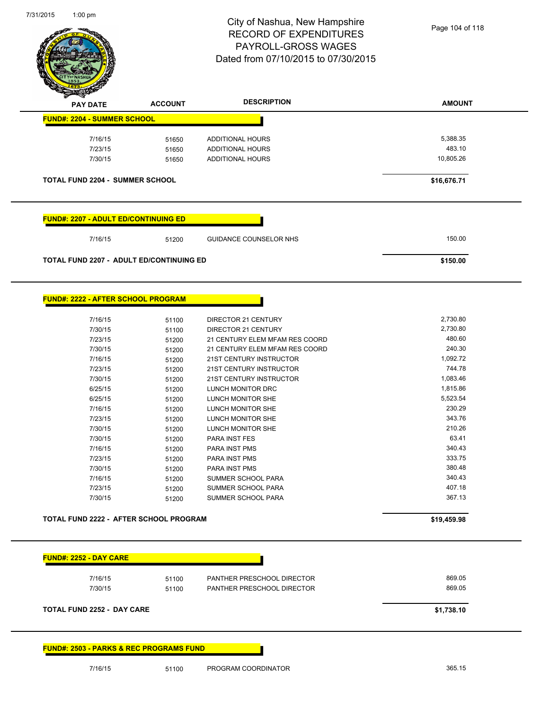$\overline{\phantom{a}}$ 



| <b>PAY DATE</b>                                 | <b>ACCOUNT</b> | <b>DESCRIPTION</b>             | <b>AMOUNT</b> |
|-------------------------------------------------|----------------|--------------------------------|---------------|
| <b>FUND#: 2204 - SUMMER SCHOOL</b>              |                |                                |               |
| 7/16/15                                         | 51650          | <b>ADDITIONAL HOURS</b>        | 5,388.35      |
| 7/23/15                                         | 51650          | ADDITIONAL HOURS               | 483.10        |
| 7/30/15                                         | 51650          | ADDITIONAL HOURS               | 10,805.26     |
| <b>TOTAL FUND 2204 - SUMMER SCHOOL</b>          |                |                                | \$16,676.71   |
|                                                 |                |                                |               |
| <u> FUND#: 2207 - ADULT ED/CONTINUING ED</u>    |                |                                |               |
| 7/16/15                                         | 51200          | <b>GUIDANCE COUNSELOR NHS</b>  | 150.00        |
| <b>TOTAL FUND 2207 - ADULT ED/CONTINUING ED</b> |                |                                | \$150.00      |
|                                                 |                |                                |               |
| FUND#: 2222 - AFTER SCHOOL PROGRAM              |                |                                |               |
| 7/16/15                                         | 51100          | <b>DIRECTOR 21 CENTURY</b>     | 2,730.80      |
| 7/30/15                                         | 51100          | DIRECTOR 21 CENTURY            | 2,730.80      |
| 7/23/15                                         | 51200          | 21 CENTURY ELEM MFAM RES COORD | 480.60        |
| 7/30/15                                         | 51200          | 21 CENTURY ELEM MFAM RES COORD | 240.30        |
| 7/16/15                                         | 51200          | 21ST CENTURY INSTRUCTOR        | 1,092.72      |
| 7/23/15                                         | 51200          | 21ST CENTURY INSTRUCTOR        | 744.78        |
| 7/30/15                                         | 51200          | 21ST CENTURY INSTRUCTOR        | 1,083.46      |
| 6/25/15                                         | 51200          | LUNCH MONITOR DRC              | 1,815.86      |
| 6/25/15                                         | 51200          | LUNCH MONITOR SHE              | 5,523.54      |
| 7/16/15                                         | 51200          | LUNCH MONITOR SHE              | 230.29        |
| 7/23/15                                         | 51200          | LUNCH MONITOR SHE              | 343.76        |
| 7/30/15                                         | 51200          | LUNCH MONITOR SHE              | 210.26        |
| 7/30/15                                         | 51200          | <b>PARA INST FES</b>           | 63.41         |
| 7/16/15                                         | 51200          | PARA INST PMS                  | 340.43        |
| 7/23/15                                         | 51200          | PARA INST PMS                  | 333.75        |
| 7/30/15                                         | 51200          | PARA INST PMS                  | 380.48        |
| 7/16/15                                         | 51200          | <b>SUMMER SCHOOL PARA</b>      | 340.43        |
| 7/23/15                                         | 51200          | SUMMER SCHOOL PARA             | 407.18        |
| 7/30/15                                         | 51200          | SUMMER SCHOOL PARA             | 367.13        |
| TOTAL FUND 2222 - AFTER SCHOOL PROGRAM          |                |                                | \$19,459.98   |
|                                                 |                |                                |               |
| <b>FUND#: 2252 - DAY CARE</b>                   |                |                                |               |
| 7/16/15                                         | 51100          | PANTHER PRESCHOOL DIRECTOR     | 869.05        |
| 7/30/15                                         | 51100          | PANTHER PRESCHOOL DIRECTOR     | 869.05        |
| TOTAL FUND 2252 - DAY CARE                      |                |                                | \$1,738.10    |
|                                                 |                |                                |               |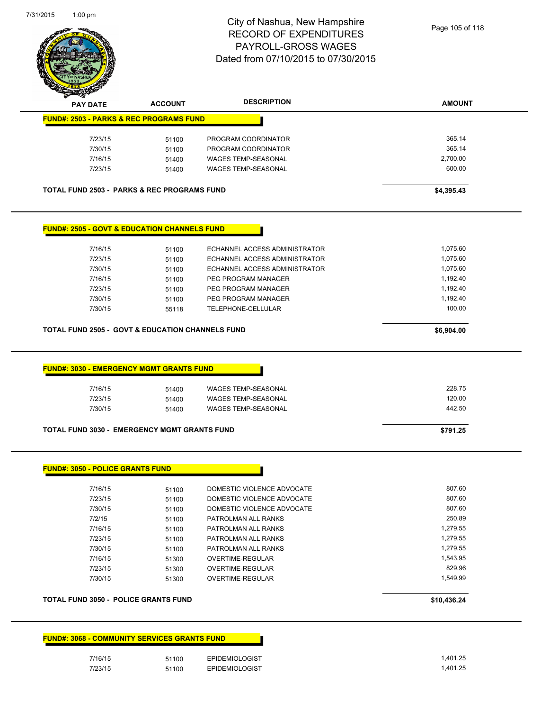

| <b>PAY DATE</b>                                                                                                                        | <b>ACCOUNT</b> | <b>DESCRIPTION</b>                   | <b>AMOUNT</b> |
|----------------------------------------------------------------------------------------------------------------------------------------|----------------|--------------------------------------|---------------|
| <b>FUND#: 2503 - PARKS &amp; REC PROGRAMS FUND</b>                                                                                     |                |                                      |               |
| 7/23/15                                                                                                                                | 51100          | PROGRAM COORDINATOR                  | 365.14        |
| 7/30/15                                                                                                                                | 51100          | PROGRAM COORDINATOR                  | 365.14        |
| 7/16/15                                                                                                                                | 51400          | <b>WAGES TEMP-SEASONAL</b>           | 2,700.00      |
| 7/23/15                                                                                                                                | 51400          | <b>WAGES TEMP-SEASONAL</b>           | 600.00        |
| <b>TOTAL FUND 2503 - PARKS &amp; REC PROGRAMS FUND</b>                                                                                 |                |                                      | \$4,395.43    |
| <b>FUND#: 2505 - GOVT &amp; EDUCATION CHANNELS FUND</b>                                                                                |                |                                      |               |
| 7/16/15                                                                                                                                | 51100          | ECHANNEL ACCESS ADMINISTRATOR        | 1,075.60      |
| 7/23/15                                                                                                                                | 51100          | ECHANNEL ACCESS ADMINISTRATOR        | 1,075.60      |
| 7/30/15                                                                                                                                | 51100          | ECHANNEL ACCESS ADMINISTRATOR        | 1,075.60      |
| 7/16/15                                                                                                                                | 51100          | PEG PROGRAM MANAGER                  | 1,192.40      |
| 7/23/15                                                                                                                                | 51100          | PEG PROGRAM MANAGER                  | 1,192.40      |
| 7/30/15                                                                                                                                | 51100          | PEG PROGRAM MANAGER                  | 1,192.40      |
| 7/30/15                                                                                                                                | 55118          | TELEPHONE-CELLULAR                   | 100.00        |
|                                                                                                                                        |                |                                      |               |
|                                                                                                                                        |                |                                      | \$6,904.00    |
| <b>TOTAL FUND 2505 - GOVT &amp; EDUCATION CHANNELS FUND</b>                                                                            |                |                                      |               |
| <b>FUND#: 3030 - EMERGENCY MGMT GRANTS FUND</b>                                                                                        |                |                                      |               |
| 7/16/15                                                                                                                                | 51400          | <b>WAGES TEMP-SEASONAL</b>           | 228.75        |
| 7/23/15                                                                                                                                | 51400          | <b>WAGES TEMP-SEASONAL</b>           | 120.00        |
| 7/30/15                                                                                                                                | 51400          | <b>WAGES TEMP-SEASONAL</b>           | 442.50        |
|                                                                                                                                        |                |                                      | \$791.25      |
|                                                                                                                                        |                |                                      |               |
|                                                                                                                                        |                |                                      |               |
| 7/16/15                                                                                                                                | 51100          | DOMESTIC VIOLENCE ADVOCATE           | 807.60        |
| 7/23/15                                                                                                                                | 51100          | DOMESTIC VIOLENCE ADVOCATE           | 807.60        |
| 7/30/15                                                                                                                                | 51100          | DOMESTIC VIOLENCE ADVOCATE           | 807.60        |
| 7/2/15                                                                                                                                 | 51100          | PATROLMAN ALL RANKS                  | 250.89        |
| 7/16/15                                                                                                                                | 51100          | PATROLMAN ALL RANKS                  | 1,279.55      |
| 7/23/15                                                                                                                                | 51100          | PATROLMAN ALL RANKS                  | 1,279.55      |
| 7/30/15                                                                                                                                | 51100          | PATROLMAN ALL RANKS                  | 1,279.55      |
|                                                                                                                                        |                | OVERTIME-REGULAR                     | 1,543.95      |
| 7/16/15                                                                                                                                | 51300          |                                      | 829.96        |
| 7/23/15<br>7/30/15                                                                                                                     | 51300<br>51300 | OVERTIME-REGULAR<br>OVERTIME-REGULAR | 1,549.99      |
| <b>TOTAL FUND 3030 - EMERGENCY MGMT GRANTS FUND</b><br><b>FUND#: 3050 - POLICE GRANTS FUND</b><br>TOTAL FUND 3050 - POLICE GRANTS FUND |                |                                      | \$10,436.24   |

| <b>FUND#: 3068 - COMMUNITY SERVICES GRANTS FUND</b> |  |
|-----------------------------------------------------|--|
|                                                     |  |

| 7/16/15 | 51100 | <b>EPIDEMIOLOGIST</b> | .401.25 |
|---------|-------|-----------------------|---------|
| 7/23/15 | 51100 | <b>EPIDEMIOLOGIST</b> | .401.25 |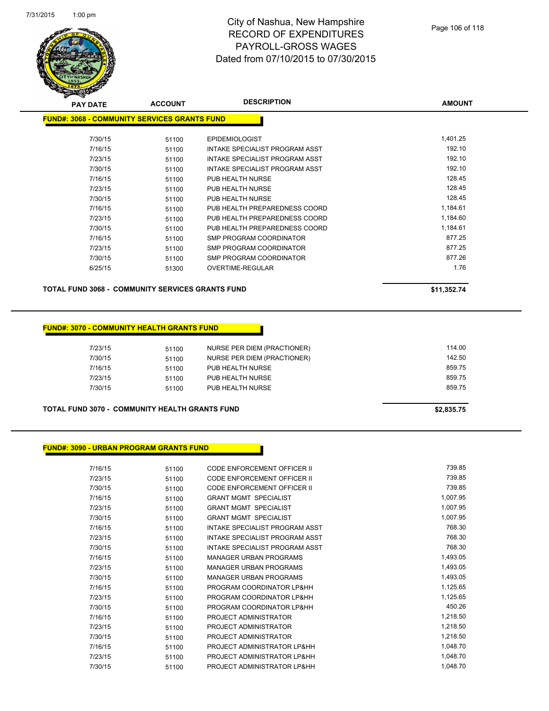

| <b>PAY DATE</b>                              | <b>ACCOUNT</b> | <b>DESCRIPTION</b>             | <b>AMOUNT</b> |
|----------------------------------------------|----------------|--------------------------------|---------------|
| FUND#: 3068 - COMMUNITY SERVICES GRANTS FUND |                |                                |               |
|                                              |                |                                |               |
| 7/30/15                                      | 51100          | <b>EPIDEMIOLOGIST</b>          | 1,401.25      |
| 7/16/15                                      | 51100          | INTAKE SPECIALIST PROGRAM ASST | 192.10        |
| 7/23/15                                      | 51100          | INTAKE SPECIALIST PROGRAM ASST | 192.10        |
| 7/30/15                                      | 51100          | INTAKE SPECIALIST PROGRAM ASST | 192.10        |
| 7/16/15                                      | 51100          | PUB HEALTH NURSE               | 128.45        |
| 7/23/15                                      | 51100          | PUB HEALTH NURSE               | 128.45        |
| 7/30/15                                      | 51100          | PUB HEALTH NURSE               | 128.45        |
| 7/16/15                                      | 51100          | PUB HEALTH PREPAREDNESS COORD  | 1,184.61      |
| 7/23/15                                      | 51100          | PUB HEALTH PREPAREDNESS COORD  | 1,184.60      |
| 7/30/15                                      | 51100          | PUB HEALTH PREPAREDNESS COORD  | 1,184.61      |
| 7/16/15                                      | 51100          | SMP PROGRAM COORDINATOR        | 877.25        |
| 7/23/15                                      | 51100          | SMP PROGRAM COORDINATOR        | 877.25        |
| 7/30/15                                      | 51100          | SMP PROGRAM COORDINATOR        | 877.26        |
| 6/25/15                                      | 51300          | <b>OVERTIME-REGULAR</b>        | 1.76          |
|                                              |                |                                |               |

**TOTAL FUND 3068 - COMMUNITY SERVICES GRANTS FUND \$11,352.74** 

#### **FUND#: 3070 - COMMUNITY HEALTH GRANTS FUND**

| 7/23/15 | 51100 | NURSE PER DIEM (PRACTIONER) | 114.00 |
|---------|-------|-----------------------------|--------|
| 7/30/15 | 51100 | NURSE PER DIEM (PRACTIONER) | 142.50 |
| 7/16/15 | 51100 | PUB HEALTH NURSE            | 859.75 |
| 7/23/15 | 51100 | PUB HEALTH NURSE            | 859.75 |
| 7/30/15 | 51100 | PUB HEALTH NURSE            | 859.75 |
|         |       |                             |        |

**TOTAL FUND 3070 - COMMUNITY HEALTH GRANTS FUND \$2,835.75** 

#### **FUND#: 3090 - URBAN PROGRAM GRANTS FUND**

| 51100 | <b>CODE ENFORCEMENT OFFICER II</b> | 739.85   |
|-------|------------------------------------|----------|
| 51100 | CODE ENFORCEMENT OFFICER II        | 739.85   |
| 51100 | CODE ENFORCEMENT OFFICER II        | 739.85   |
| 51100 | <b>GRANT MGMT SPECIALIST</b>       | 1,007.95 |
| 51100 | <b>GRANT MGMT SPECIALIST</b>       | 1,007.95 |
| 51100 | <b>GRANT MGMT SPECIALIST</b>       | 1,007.95 |
| 51100 | INTAKE SPECIALIST PROGRAM ASST     | 768.30   |
| 51100 | INTAKE SPECIALIST PROGRAM ASST     | 768.30   |
| 51100 | INTAKE SPECIALIST PROGRAM ASST     | 768.30   |
| 51100 | <b>MANAGER URBAN PROGRAMS</b>      | 1,493.05 |
| 51100 | <b>MANAGER URBAN PROGRAMS</b>      | 1,493.05 |
| 51100 | <b>MANAGER URBAN PROGRAMS</b>      | 1,493.05 |
| 51100 | PROGRAM COORDINATOR LP&HH          | 1,125.65 |
| 51100 | PROGRAM COORDINATOR LP&HH          | 1,125.65 |
| 51100 | PROGRAM COORDINATOR LP&HH          | 450.26   |
| 51100 | PROJECT ADMINISTRATOR              | 1,218.50 |
| 51100 | PROJECT ADMINISTRATOR              | 1,218.50 |
| 51100 | PROJECT ADMINISTRATOR              | 1,218.50 |
| 51100 | PROJECT ADMINISTRATOR LP&HH        | 1,048.70 |
| 51100 | PROJECT ADMINISTRATOR LP&HH        | 1,048.70 |
| 51100 | PROJECT ADMINISTRATOR LP&HH        | 1,048.70 |
|       |                                    |          |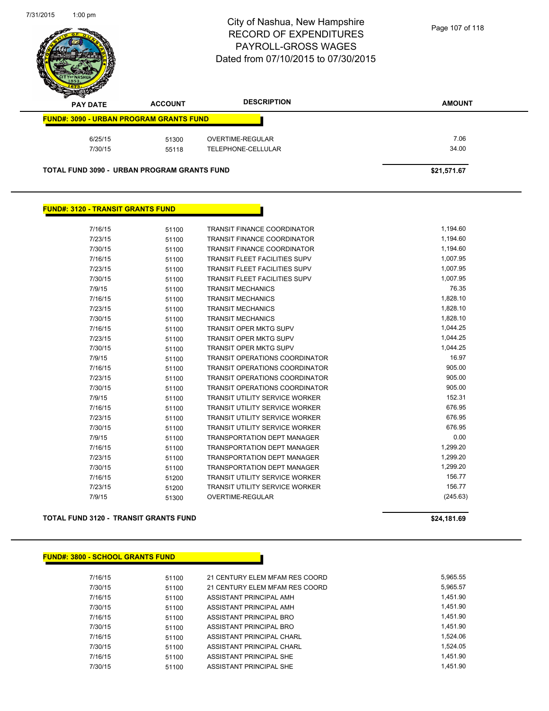

| s<br>$\tilde{\phantom{a}}$<br><b>PAY DATE</b>      | <b>ACCOUNT</b> | <b>DESCRIPTION</b> | <b>AMOUNT</b> |
|----------------------------------------------------|----------------|--------------------|---------------|
| <b>FUND#: 3090 - URBAN PROGRAM GRANTS FUND</b>     |                |                    |               |
| 6/25/15                                            | 51300          | OVERTIME-REGULAR   | 7.06          |
| 7/30/15                                            | 55118          | TELEPHONE-CELLULAR | 34.00         |
| <b>TOTAL FUND 3090 - URBAN PROGRAM GRANTS FUND</b> |                |                    | \$21.571.67   |

#### **FUND#: 3120 - TRANSIT GRANTS FUND**

| 7/16/15 | 51100 | <b>TRANSIT FINANCE COORDINATOR</b>    | 1,194.60 |
|---------|-------|---------------------------------------|----------|
| 7/23/15 | 51100 | <b>TRANSIT FINANCE COORDINATOR</b>    | 1,194.60 |
| 7/30/15 | 51100 | <b>TRANSIT FINANCE COORDINATOR</b>    | 1,194.60 |
| 7/16/15 | 51100 | <b>TRANSIT FLEET FACILITIES SUPV</b>  | 1,007.95 |
| 7/23/15 | 51100 | <b>TRANSIT FLEET FACILITIES SUPV</b>  | 1,007.95 |
| 7/30/15 | 51100 | <b>TRANSIT FLEET FACILITIES SUPV</b>  | 1.007.95 |
| 7/9/15  | 51100 | <b>TRANSIT MECHANICS</b>              | 76.35    |
| 7/16/15 | 51100 | <b>TRANSIT MECHANICS</b>              | 1.828.10 |
| 7/23/15 | 51100 | <b>TRANSIT MECHANICS</b>              | 1,828.10 |
| 7/30/15 | 51100 | <b>TRANSIT MECHANICS</b>              | 1,828.10 |
| 7/16/15 | 51100 | <b>TRANSIT OPER MKTG SUPV</b>         | 1,044.25 |
| 7/23/15 | 51100 | <b>TRANSIT OPER MKTG SUPV</b>         | 1,044.25 |
| 7/30/15 | 51100 | <b>TRANSIT OPER MKTG SUPV</b>         | 1,044.25 |
| 7/9/15  | 51100 | <b>TRANSIT OPERATIONS COORDINATOR</b> | 16.97    |
| 7/16/15 | 51100 | <b>TRANSIT OPERATIONS COORDINATOR</b> | 905.00   |
| 7/23/15 | 51100 | <b>TRANSIT OPERATIONS COORDINATOR</b> | 905.00   |
| 7/30/15 | 51100 | <b>TRANSIT OPERATIONS COORDINATOR</b> | 905.00   |
| 7/9/15  | 51100 | <b>TRANSIT UTILITY SERVICE WORKER</b> | 152.31   |
| 7/16/15 | 51100 | <b>TRANSIT UTILITY SERVICE WORKER</b> | 676.95   |
| 7/23/15 | 51100 | <b>TRANSIT UTILITY SERVICE WORKER</b> | 676.95   |
| 7/30/15 | 51100 | <b>TRANSIT UTILITY SERVICE WORKER</b> | 676.95   |
| 7/9/15  | 51100 | <b>TRANSPORTATION DEPT MANAGER</b>    | 0.00     |
| 7/16/15 | 51100 | <b>TRANSPORTATION DEPT MANAGER</b>    | 1.299.20 |
| 7/23/15 | 51100 | <b>TRANSPORTATION DEPT MANAGER</b>    | 1,299.20 |
| 7/30/15 | 51100 | <b>TRANSPORTATION DEPT MANAGER</b>    | 1,299.20 |
| 7/16/15 | 51200 | <b>TRANSIT UTILITY SERVICE WORKER</b> | 156.77   |
| 7/23/15 | 51200 | <b>TRANSIT UTILITY SERVICE WORKER</b> | 156.77   |
| 7/9/15  | 51300 | <b>OVERTIME-REGULAR</b>               | (245.63) |
|         |       |                                       |          |

#### **TOTAL FUND 3120 - TRANSIT GRANTS FUND \$24,181.69**

#### **FUND#: 3800 - SCHOOL GRANTS FUND**

7/16/15 51100 21 CENTURY ELEM MFAM RES COORD 5,965.55 7/30/15 51100 21 CENTURY ELEM MFAM RES COORD 5,965.57 7/16/15 51100 ASSISTANT PRINCIPAL AMH 7/30/15 51100 ASSISTANT PRINCIPAL AMH 1,451.90 7/16/15 51100 ASSISTANT PRINCIPAL BRO 7/30/15 51100 ASSISTANT PRINCIPAL BRO 51100 7/16/15 51100 ASSISTANT PRINCIPAL CHARL 51524.06 7/30/15 51100 ASSISTANT PRINCIPAL CHARL 65 1100 51100 7/16/15 51100 ASSISTANT PRINCIPAL SHE 1,451.90 7/30/15 51100 ASSISTANT PRINCIPAL SHE 51100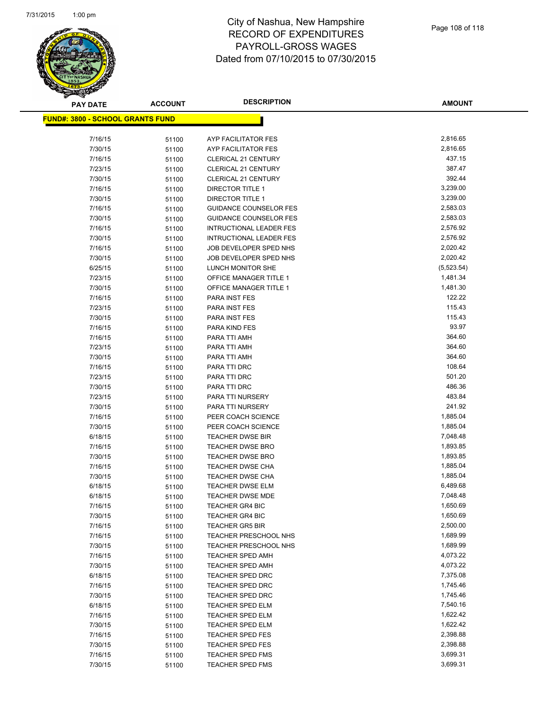

| <b>PAY DATE</b>                          | <b>ACCOUNT</b> | <b>DESCRIPTION</b>                          | <b>AMOUNT</b>        |
|------------------------------------------|----------------|---------------------------------------------|----------------------|
| <u> FUND#: 3800 - SCHOOL GRANTS FUND</u> |                |                                             |                      |
|                                          |                |                                             |                      |
| 7/16/15                                  | 51100          | AYP FACILITATOR FES                         | 2,816.65             |
| 7/30/15                                  | 51100          | AYP FACILITATOR FES                         | 2,816.65             |
| 7/16/15                                  | 51100          | <b>CLERICAL 21 CENTURY</b>                  | 437.15               |
| 7/23/15                                  | 51100          | CLERICAL 21 CENTURY                         | 387.47               |
| 7/30/15                                  | 51100          | <b>CLERICAL 21 CENTURY</b>                  | 392.44               |
| 7/16/15                                  | 51100          | <b>DIRECTOR TITLE 1</b>                     | 3,239.00             |
| 7/30/15                                  | 51100          | <b>DIRECTOR TITLE 1</b>                     | 3,239.00             |
| 7/16/15                                  | 51100          | <b>GUIDANCE COUNSELOR FES</b>               | 2,583.03             |
| 7/30/15                                  | 51100          | <b>GUIDANCE COUNSELOR FES</b>               | 2,583.03             |
| 7/16/15                                  | 51100          | <b>INTRUCTIONAL LEADER FES</b>              | 2,576.92             |
| 7/30/15                                  | 51100          | <b>INTRUCTIONAL LEADER FES</b>              | 2,576.92             |
| 7/16/15                                  | 51100          | JOB DEVELOPER SPED NHS                      | 2,020.42             |
| 7/30/15                                  | 51100          | JOB DEVELOPER SPED NHS                      | 2,020.42             |
| 6/25/15                                  | 51100          | LUNCH MONITOR SHE                           | (5,523.54)           |
| 7/23/15                                  | 51100          | OFFICE MANAGER TITLE 1                      | 1,481.34             |
| 7/30/15                                  | 51100          | <b>OFFICE MANAGER TITLE 1</b>               | 1,481.30             |
| 7/16/15                                  | 51100          | PARA INST FES                               | 122.22               |
| 7/23/15                                  | 51100          | PARA INST FES                               | 115.43               |
| 7/30/15                                  | 51100          | PARA INST FES                               | 115.43               |
| 7/16/15                                  | 51100          | PARA KIND FES                               | 93.97                |
| 7/16/15                                  | 51100          | PARA TTI AMH                                | 364.60               |
| 7/23/15                                  | 51100          | PARA TTI AMH                                | 364.60               |
| 7/30/15                                  | 51100          | PARA TTI AMH                                | 364.60               |
| 7/16/15                                  | 51100          | PARA TTI DRC                                | 108.64               |
| 7/23/15                                  | 51100          | PARA TTI DRC                                | 501.20               |
| 7/30/15                                  | 51100          | PARA TTI DRC                                | 486.36               |
| 7/23/15                                  | 51100          | PARA TTI NURSERY                            | 483.84               |
| 7/30/15                                  | 51100          | PARA TTI NURSERY                            | 241.92               |
| 7/16/15                                  | 51100          | PEER COACH SCIENCE                          | 1,885.04             |
| 7/30/15                                  | 51100          | PEER COACH SCIENCE                          | 1,885.04             |
| 6/18/15                                  | 51100          | <b>TEACHER DWSE BIR</b>                     | 7,048.48             |
| 7/16/15                                  | 51100          | <b>TEACHER DWSE BRO</b>                     | 1,893.85<br>1,893.85 |
| 7/30/15                                  | 51100          | <b>TEACHER DWSE BRO</b><br>TEACHER DWSE CHA | 1,885.04             |
| 7/16/15<br>7/30/15                       | 51100          | <b>TEACHER DWSE CHA</b>                     | 1,885.04             |
| 6/18/15                                  | 51100          | <b>TEACHER DWSE ELM</b>                     | 6,489.68             |
| 6/18/15                                  | 51100<br>51100 | <b>TEACHER DWSE MDE</b>                     | 7,048.48             |
| 7/16/15                                  | 51100          | <b>TEACHER GR4 BIC</b>                      | 1,650.69             |
| 7/30/15                                  | 51100          | TEACHER GR4 BIC                             | 1,650.69             |
| 7/16/15                                  | 51100          | <b>TEACHER GR5 BIR</b>                      | 2,500.00             |
| 7/16/15                                  | 51100          | TEACHER PRESCHOOL NHS                       | 1,689.99             |
| 7/30/15                                  | 51100          | TEACHER PRESCHOOL NHS                       | 1,689.99             |
| 7/16/15                                  | 51100          | <b>TEACHER SPED AMH</b>                     | 4,073.22             |
| 7/30/15                                  | 51100          | <b>TEACHER SPED AMH</b>                     | 4,073.22             |
| 6/18/15                                  | 51100          | <b>TEACHER SPED DRC</b>                     | 7,375.08             |
| 7/16/15                                  | 51100          | <b>TEACHER SPED DRC</b>                     | 1,745.46             |
| 7/30/15                                  | 51100          | <b>TEACHER SPED DRC</b>                     | 1,745.46             |
| 6/18/15                                  | 51100          | TEACHER SPED ELM                            | 7,540.16             |
| 7/16/15                                  | 51100          | TEACHER SPED ELM                            | 1,622.42             |
| 7/30/15                                  | 51100          | TEACHER SPED ELM                            | 1,622.42             |
| 7/16/15                                  | 51100          | TEACHER SPED FES                            | 2,398.88             |
| 7/30/15                                  | 51100          | <b>TEACHER SPED FES</b>                     | 2,398.88             |
| 7/16/15                                  | 51100          | TEACHER SPED FMS                            | 3,699.31             |
| 7/30/15                                  | 51100          | TEACHER SPED FMS                            | 3,699.31             |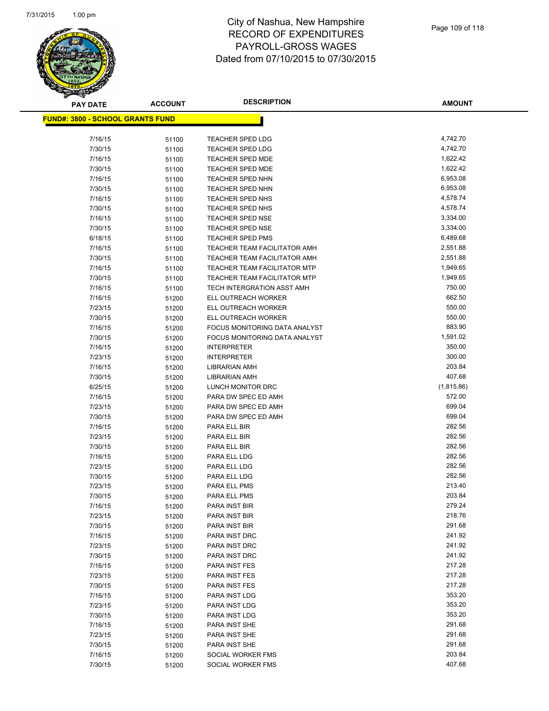

| <b>PAY DATE</b>                          | <b>ACCOUNT</b> | <b>DESCRIPTION</b>                         | <b>AMOUNT</b>    |
|------------------------------------------|----------------|--------------------------------------------|------------------|
| <u> FUND#: 3800 - SCHOOL GRANTS FUND</u> |                |                                            |                  |
|                                          |                |                                            |                  |
| 7/16/15                                  | 51100          | <b>TEACHER SPED LDG</b>                    | 4,742.70         |
| 7/30/15                                  | 51100          | <b>TEACHER SPED LDG</b>                    | 4,742.70         |
| 7/16/15                                  | 51100          | <b>TEACHER SPED MDE</b>                    | 1,622.42         |
| 7/30/15                                  | 51100          | TEACHER SPED MDE                           | 1,622.42         |
| 7/16/15                                  | 51100          | TEACHER SPED NHN                           | 6,953.08         |
| 7/30/15                                  | 51100          | TEACHER SPED NHN                           | 6,953.08         |
| 7/16/15                                  | 51100          | TEACHER SPED NHS                           | 4,578.74         |
| 7/30/15                                  | 51100          | TEACHER SPED NHS                           | 4,578.74         |
| 7/16/15                                  | 51100          | <b>TEACHER SPED NSE</b>                    | 3,334.00         |
| 7/30/15                                  | 51100          | TEACHER SPED NSE                           | 3,334.00         |
| 6/18/15                                  | 51100          | <b>TEACHER SPED PMS</b>                    | 6,489.68         |
| 7/16/15                                  | 51100          | TEACHER TEAM FACILITATOR AMH               | 2,551.88         |
| 7/30/15                                  | 51100          | TEACHER TEAM FACILITATOR AMH               | 2,551.88         |
| 7/16/15                                  | 51100          | TEACHER TEAM FACILITATOR MTP               | 1,949.65         |
| 7/30/15                                  | 51100          | TEACHER TEAM FACILITATOR MTP               | 1,949.65         |
| 7/16/15                                  | 51100          | TECH INTERGRATION ASST AMH                 | 750.00           |
| 7/16/15                                  | 51200          | ELL OUTREACH WORKER                        | 662.50           |
| 7/23/15                                  | 51200          | ELL OUTREACH WORKER                        | 550.00           |
| 7/30/15                                  | 51200          | ELL OUTREACH WORKER                        | 550.00           |
| 7/16/15                                  | 51200          | FOCUS MONITORING DATA ANALYST              | 883.90           |
| 7/30/15                                  | 51200          | FOCUS MONITORING DATA ANALYST              | 1,591.02         |
| 7/16/15                                  | 51200          | <b>INTERPRETER</b>                         | 350.00           |
| 7/23/15                                  | 51200          | <b>INTERPRETER</b>                         | 300.00           |
| 7/16/15                                  | 51200          | <b>LIBRARIAN AMH</b>                       | 203.84           |
| 7/30/15                                  | 51200          | <b>LIBRARIAN AMH</b>                       | 407.68           |
| 6/25/15                                  | 51200          | LUNCH MONITOR DRC                          | (1,815.86)       |
| 7/16/15                                  | 51200          | PARA DW SPEC ED AMH                        | 572.00<br>699.04 |
| 7/23/15                                  | 51200          | PARA DW SPEC ED AMH<br>PARA DW SPEC ED AMH | 699.04           |
| 7/30/15<br>7/16/15                       | 51200          |                                            | 282.56           |
| 7/23/15                                  | 51200          | PARA ELL BIR<br>PARA ELL BIR               | 282.56           |
| 7/30/15                                  | 51200<br>51200 | PARA ELL BIR                               | 282.56           |
| 7/16/15                                  | 51200          | PARA ELL LDG                               | 282.56           |
| 7/23/15                                  | 51200          | PARA ELL LDG                               | 282.56           |
| 7/30/15                                  | 51200          | PARA ELL LDG                               | 282.56           |
| 7/23/15                                  | 51200          | PARA ELL PMS                               | 213.40           |
| 7/30/15                                  | 51200          | PARA ELL PMS                               | 203.84           |
| 7/16/15                                  | 51200          | PARA INST BIR                              | 279.24           |
| 7/23/15                                  | 51200          | PARA INST BIR                              | 218.76           |
| 7/30/15                                  | 51200          | PARA INST BIR                              | 291.68           |
| 7/16/15                                  | 51200          | PARA INST DRC                              | 241.92           |
| 7/23/15                                  | 51200          | PARA INST DRC                              | 241.92           |
| 7/30/15                                  | 51200          | PARA INST DRC                              | 241.92           |
| 7/16/15                                  | 51200          | PARA INST FES                              | 217.28           |
| 7/23/15                                  | 51200          | PARA INST FES                              | 217.28           |
| 7/30/15                                  | 51200          | PARA INST FES                              | 217.28           |
| 7/16/15                                  | 51200          | PARA INST LDG                              | 353.20           |
| 7/23/15                                  | 51200          | PARA INST LDG                              | 353.20           |
| 7/30/15                                  | 51200          | PARA INST LDG                              | 353.20           |
| 7/16/15                                  | 51200          | PARA INST SHE                              | 291.68           |
| 7/23/15                                  | 51200          | PARA INST SHE                              | 291.68           |
| 7/30/15                                  | 51200          | PARA INST SHE                              | 291.68           |
| 7/16/15                                  | 51200          | SOCIAL WORKER FMS                          | 203.84           |
| 7/30/15                                  | 51200          | SOCIAL WORKER FMS                          | 407.68           |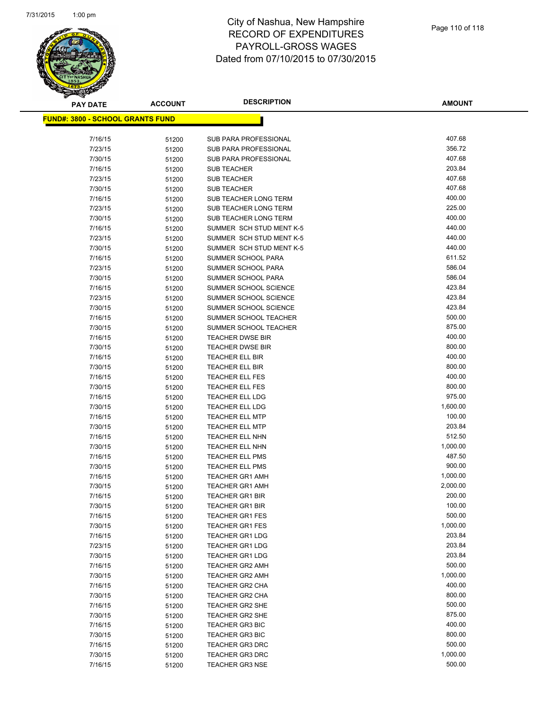

| <b>PAY DATE</b>                          | <b>ACCOUNT</b> | <b>DESCRIPTION</b>                               | <b>AMOUNT</b>      |
|------------------------------------------|----------------|--------------------------------------------------|--------------------|
| <u> FUND#: 3800 - SCHOOL GRANTS FUND</u> |                |                                                  |                    |
|                                          |                |                                                  |                    |
| 7/16/15                                  | 51200          | SUB PARA PROFESSIONAL                            | 407.68             |
| 7/23/15                                  | 51200          | <b>SUB PARA PROFESSIONAL</b>                     | 356.72             |
| 7/30/15                                  | 51200          | SUB PARA PROFESSIONAL                            | 407.68             |
| 7/16/15                                  | 51200          | <b>SUB TEACHER</b>                               | 203.84             |
| 7/23/15                                  | 51200          | <b>SUB TEACHER</b>                               | 407.68             |
| 7/30/15                                  | 51200          | <b>SUB TEACHER</b>                               | 407.68             |
| 7/16/15                                  | 51200          | SUB TEACHER LONG TERM                            | 400.00             |
| 7/23/15                                  | 51200          | SUB TEACHER LONG TERM                            | 225.00             |
| 7/30/15                                  | 51200          | SUB TEACHER LONG TERM                            | 400.00             |
| 7/16/15                                  | 51200          | SUMMER SCH STUD MENT K-5                         | 440.00             |
| 7/23/15                                  | 51200          | SUMMER SCH STUD MENT K-5                         | 440.00             |
| 7/30/15                                  | 51200          | SUMMER SCH STUD MENT K-5                         | 440.00             |
| 7/16/15                                  | 51200          | SUMMER SCHOOL PARA                               | 611.52             |
| 7/23/15                                  | 51200          | SUMMER SCHOOL PARA                               | 586.04             |
| 7/30/15                                  | 51200          | SUMMER SCHOOL PARA                               | 586.04             |
| 7/16/15                                  | 51200          | SUMMER SCHOOL SCIENCE                            | 423.84             |
| 7/23/15                                  | 51200          | SUMMER SCHOOL SCIENCE                            | 423.84             |
| 7/30/15                                  | 51200          | SUMMER SCHOOL SCIENCE                            | 423.84             |
| 7/16/15                                  | 51200          | SUMMER SCHOOL TEACHER                            | 500.00             |
| 7/30/15                                  | 51200          | SUMMER SCHOOL TEACHER                            | 875.00             |
| 7/16/15                                  | 51200          | <b>TEACHER DWSE BIR</b>                          | 400.00             |
| 7/30/15                                  | 51200          | <b>TEACHER DWSE BIR</b>                          | 800.00             |
| 7/16/15                                  | 51200          | <b>TEACHER ELL BIR</b>                           | 400.00             |
| 7/30/15                                  | 51200          | <b>TEACHER ELL BIR</b>                           | 800.00             |
| 7/16/15                                  | 51200          | <b>TEACHER ELL FES</b>                           | 400.00             |
| 7/30/15                                  | 51200          | <b>TEACHER ELL FES</b>                           | 800.00             |
| 7/16/15                                  | 51200          | <b>TEACHER ELL LDG</b>                           | 975.00             |
| 7/30/15                                  | 51200          | <b>TEACHER ELL LDG</b>                           | 1,600.00           |
| 7/16/15                                  | 51200          | <b>TEACHER ELL MTP</b>                           | 100.00             |
| 7/30/15                                  | 51200          | <b>TEACHER ELL MTP</b>                           | 203.84             |
| 7/16/15                                  | 51200          | <b>TEACHER ELL NHN</b>                           | 512.50             |
| 7/30/15                                  | 51200          | <b>TEACHER ELL NHN</b>                           | 1,000.00           |
| 7/16/15                                  | 51200          | <b>TEACHER ELL PMS</b>                           | 487.50             |
| 7/30/15                                  | 51200          | <b>TEACHER ELL PMS</b>                           | 900.00             |
| 7/16/15                                  | 51200          | <b>TEACHER GR1 AMH</b>                           | 1,000.00           |
| 7/30/15                                  | 51200          | <b>TEACHER GR1 AMH</b>                           | 2,000.00<br>200.00 |
| 7/16/15                                  | 51200          | <b>TEACHER GR1 BIR</b>                           |                    |
| 7/30/15                                  | 51200          | <b>TEACHER GR1 BIR</b>                           | 100.00<br>500.00   |
| 7/16/15<br>7/30/15                       | 51200          | <b>TEACHER GR1 FES</b><br><b>TEACHER GR1 FES</b> | 1,000.00           |
| 7/16/15                                  | 51200          | <b>TEACHER GR1 LDG</b>                           | 203.84             |
| 7/23/15                                  | 51200          | <b>TEACHER GR1 LDG</b>                           | 203.84             |
| 7/30/15                                  | 51200<br>51200 | <b>TEACHER GR1 LDG</b>                           | 203.84             |
| 7/16/15                                  |                | <b>TEACHER GR2 AMH</b>                           | 500.00             |
| 7/30/15                                  | 51200<br>51200 | <b>TEACHER GR2 AMH</b>                           | 1,000.00           |
| 7/16/15                                  | 51200          | TEACHER GR2 CHA                                  | 400.00             |
| 7/30/15                                  | 51200          | <b>TEACHER GR2 CHA</b>                           | 800.00             |
| 7/16/15                                  | 51200          | TEACHER GR2 SHE                                  | 500.00             |
| 7/30/15                                  | 51200          | <b>TEACHER GR2 SHE</b>                           | 875.00             |
| 7/16/15                                  | 51200          | <b>TEACHER GR3 BIC</b>                           | 400.00             |
| 7/30/15                                  | 51200          | <b>TEACHER GR3 BIC</b>                           | 800.00             |
| 7/16/15                                  | 51200          | <b>TEACHER GR3 DRC</b>                           | 500.00             |
| 7/30/15                                  | 51200          | <b>TEACHER GR3 DRC</b>                           | 1,000.00           |
| 7/16/15                                  | 51200          | <b>TEACHER GR3 NSE</b>                           | 500.00             |
|                                          |                |                                                  |                    |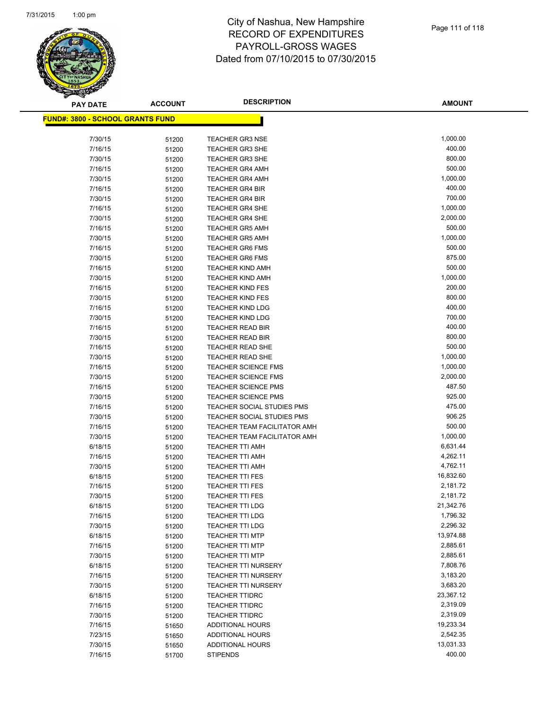

| <b>PAY DATE</b>                          | <b>ACCOUNT</b> | <b>DESCRIPTION</b>                | <b>AMOUNT</b> |
|------------------------------------------|----------------|-----------------------------------|---------------|
| <u> FUND#: 3800 - SCHOOL GRANTS FUND</u> |                |                                   |               |
|                                          |                |                                   |               |
| 7/30/15                                  | 51200          | <b>TEACHER GR3 NSE</b>            | 1,000.00      |
| 7/16/15                                  | 51200          | <b>TEACHER GR3 SHE</b>            | 400.00        |
| 7/30/15                                  | 51200          | <b>TEACHER GR3 SHE</b>            | 800.00        |
| 7/16/15                                  | 51200          | <b>TEACHER GR4 AMH</b>            | 500.00        |
| 7/30/15                                  | 51200          | <b>TEACHER GR4 AMH</b>            | 1,000.00      |
| 7/16/15                                  | 51200          | <b>TEACHER GR4 BIR</b>            | 400.00        |
| 7/30/15                                  | 51200          | <b>TEACHER GR4 BIR</b>            | 700.00        |
| 7/16/15                                  | 51200          | <b>TEACHER GR4 SHE</b>            | 1,000.00      |
| 7/30/15                                  | 51200          | <b>TEACHER GR4 SHE</b>            | 2,000.00      |
| 7/16/15                                  | 51200          | <b>TEACHER GR5 AMH</b>            | 500.00        |
| 7/30/15                                  | 51200          | <b>TEACHER GR5 AMH</b>            | 1,000.00      |
| 7/16/15                                  | 51200          | <b>TEACHER GR6 FMS</b>            | 500.00        |
| 7/30/15                                  | 51200          | <b>TEACHER GR6 FMS</b>            | 875.00        |
| 7/16/15                                  | 51200          | <b>TEACHER KIND AMH</b>           | 500.00        |
| 7/30/15                                  | 51200          | <b>TEACHER KIND AMH</b>           | 1,000.00      |
| 7/16/15                                  | 51200          | <b>TEACHER KIND FES</b>           | 200.00        |
| 7/30/15                                  | 51200          | <b>TEACHER KIND FES</b>           | 800.00        |
| 7/16/15                                  | 51200          | <b>TEACHER KIND LDG</b>           | 400.00        |
| 7/30/15                                  | 51200          | <b>TEACHER KIND LDG</b>           | 700.00        |
| 7/16/15                                  | 51200          | <b>TEACHER READ BIR</b>           | 400.00        |
| 7/30/15                                  | 51200          | <b>TEACHER READ BIR</b>           | 800.00        |
| 7/16/15                                  | 51200          | <b>TEACHER READ SHE</b>           | 500.00        |
| 7/30/15                                  | 51200          | TEACHER READ SHE                  | 1,000.00      |
| 7/16/15                                  | 51200          | <b>TEACHER SCIENCE FMS</b>        | 1,000.00      |
| 7/30/15                                  | 51200          | <b>TEACHER SCIENCE FMS</b>        | 2,000.00      |
| 7/16/15                                  | 51200          | <b>TEACHER SCIENCE PMS</b>        | 487.50        |
| 7/30/15                                  | 51200          | <b>TEACHER SCIENCE PMS</b>        | 925.00        |
| 7/16/15                                  | 51200          | <b>TEACHER SOCIAL STUDIES PMS</b> | 475.00        |
| 7/30/15                                  | 51200          | <b>TEACHER SOCIAL STUDIES PMS</b> | 906.25        |
| 7/16/15                                  | 51200          | TEACHER TEAM FACILITATOR AMH      | 500.00        |
| 7/30/15                                  | 51200          | TEACHER TEAM FACILITATOR AMH      | 1,000.00      |
| 6/18/15                                  | 51200          | <b>TEACHER TTI AMH</b>            | 6,631.44      |
| 7/16/15                                  | 51200          | <b>TEACHER TTI AMH</b>            | 4,262.11      |
| 7/30/15                                  | 51200          | <b>TEACHER TTI AMH</b>            | 4,762.11      |
| 6/18/15                                  | 51200          | <b>TEACHER TTI FES</b>            | 16,832.60     |
| 7/16/15                                  | 51200          | <b>TEACHER TTI FES</b>            | 2,181.72      |
| 7/30/15                                  | 51200          | <b>TEACHER TTI FES</b>            | 2,181.72      |
| 6/18/15                                  | 51200          | <b>TEACHER TTI LDG</b>            | 21,342.76     |
| 7/16/15                                  | 51200          | TEACHER TTI LDG                   | 1,796.32      |
| 7/30/15                                  | 51200          | <b>TEACHER TTI LDG</b>            | 2,296.32      |
| 6/18/15                                  | 51200          | <b>TEACHER TTI MTP</b>            | 13,974.88     |
| 7/16/15                                  | 51200          | <b>TEACHER TTI MTP</b>            | 2,885.61      |
| 7/30/15                                  | 51200          | <b>TEACHER TTI MTP</b>            | 2,885.61      |
| 6/18/15                                  | 51200          | <b>TEACHER TTI NURSERY</b>        | 7,808.76      |
| 7/16/15                                  | 51200          | <b>TEACHER TTI NURSERY</b>        | 3,183.20      |
| 7/30/15                                  | 51200          | <b>TEACHER TTI NURSERY</b>        | 3,683.20      |
| 6/18/15                                  | 51200          | <b>TEACHER TTIDRC</b>             | 23,367.12     |
| 7/16/15                                  | 51200          | <b>TEACHER TTIDRC</b>             | 2,319.09      |
| 7/30/15                                  | 51200          | <b>TEACHER TTIDRC</b>             | 2,319.09      |
| 7/16/15                                  | 51650          | ADDITIONAL HOURS                  | 19,233.34     |
| 7/23/15                                  | 51650          | ADDITIONAL HOURS                  | 2,542.35      |
| 7/30/15                                  | 51650          | ADDITIONAL HOURS                  | 13,031.33     |
| 7/16/15                                  | 51700          | <b>STIPENDS</b>                   | 400.00        |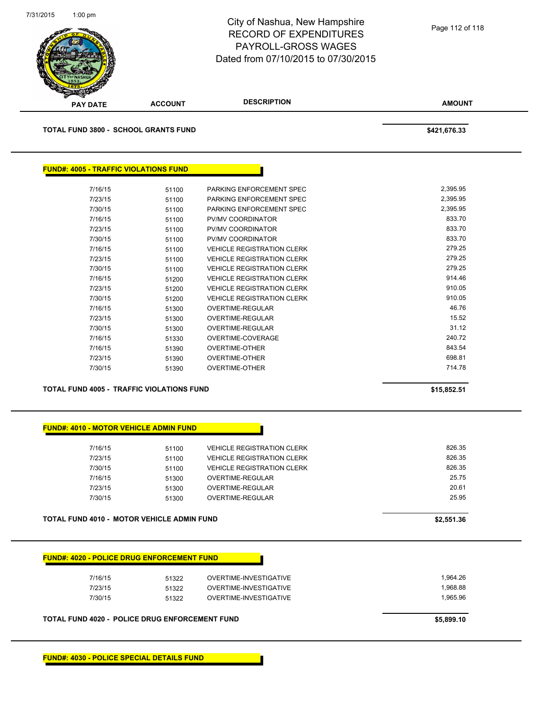

**TOTAL FUND 3800 - SCHOOL GRANTS FUND \$421,676.33** 

| <b>FUND#: 4005 - TRAFFIC VIOLATIONS FUND</b> |       |                                   |          |
|----------------------------------------------|-------|-----------------------------------|----------|
|                                              |       |                                   |          |
| 7/16/15                                      | 51100 | PARKING ENFORCEMENT SPEC          | 2,395.95 |
| 7/23/15                                      | 51100 | PARKING ENFORCEMENT SPEC          | 2,395.95 |
| 7/30/15                                      | 51100 | PARKING ENFORCEMENT SPEC          | 2,395.95 |
| 7/16/15                                      | 51100 | PV/MV COORDINATOR                 | 833.70   |
| 7/23/15                                      | 51100 | PV/MV COORDINATOR                 | 833.70   |
| 7/30/15                                      | 51100 | PV/MV COORDINATOR                 | 833.70   |
| 7/16/15                                      | 51100 | <b>VEHICLE REGISTRATION CLERK</b> | 279.25   |
| 7/23/15                                      | 51100 | <b>VEHICLE REGISTRATION CLERK</b> | 279.25   |
| 7/30/15                                      | 51100 | <b>VEHICLE REGISTRATION CLERK</b> | 279.25   |
| 7/16/15                                      | 51200 | <b>VEHICLE REGISTRATION CLERK</b> | 914.46   |
| 7/23/15                                      | 51200 | <b>VEHICLE REGISTRATION CLERK</b> | 910.05   |
| 7/30/15                                      | 51200 | <b>VEHICLE REGISTRATION CLERK</b> | 910.05   |
| 7/16/15                                      | 51300 | OVERTIME-REGULAR                  | 46.76    |
| 7/23/15                                      | 51300 | OVERTIME-REGULAR                  | 15.52    |
| 7/30/15                                      | 51300 | OVERTIME-REGULAR                  | 31.12    |
| 7/16/15                                      | 51330 | OVERTIME-COVERAGE                 | 240.72   |
| 7/16/15                                      | 51390 | <b>OVERTIME-OTHER</b>             | 843.54   |
| 7/23/15                                      | 51390 | <b>OVERTIME-OTHER</b>             | 698.81   |
| 7/30/15                                      | 51390 | <b>OVERTIME-OTHER</b>             | 714.78   |

**TOTAL FUND 4005 - TRAFFIC VIOLATIONS FUND \$15,852.51** 

#### **FUND#: 4010 - MOTOR VEHICLE ADMIN FUND**

| 7/16/15 | 51100 | <b>VEHICLE REGISTRATION CLERK</b> | 826.35 |
|---------|-------|-----------------------------------|--------|
| 7/23/15 | 51100 | <b>VEHICLE REGISTRATION CLERK</b> | 826.35 |
| 7/30/15 | 51100 | <b>VEHICLE REGISTRATION CLERK</b> | 826.35 |
| 7/16/15 | 51300 | OVERTIME-REGULAR                  | 25.75  |
| 7/23/15 | 51300 | OVERTIME-REGULAR                  | 20.61  |
| 7/30/15 | 51300 | OVERTIME-REGULAR                  | 25.95  |
|         |       |                                   |        |

#### **TOTAL FUND 4010 - MOTOR VEHICLE ADMIN FUND \$2,551.36**

|  | <b>FUND#: 4020 - POLICE DRUG ENFORCEMENT FUND</b> |
|--|---------------------------------------------------|

| 7/16/15 | 51322 | OVERTIME-INVESTIGATIVE | 1.964.26 |
|---------|-------|------------------------|----------|
| 7/23/15 | 51322 | OVERTIME-INVESTIGATIVE | 1.968.88 |
| 7/30/15 | 51322 | OVERTIME-INVESTIGATIVE | 1.965.96 |
|         |       |                        |          |

**TOTAL FUND 4020 - POLICE DRUG ENFORCEMENT FUND \$5,899.10** 

**FUND#: 4030 - POLICE SPECIAL DETAILS FUND**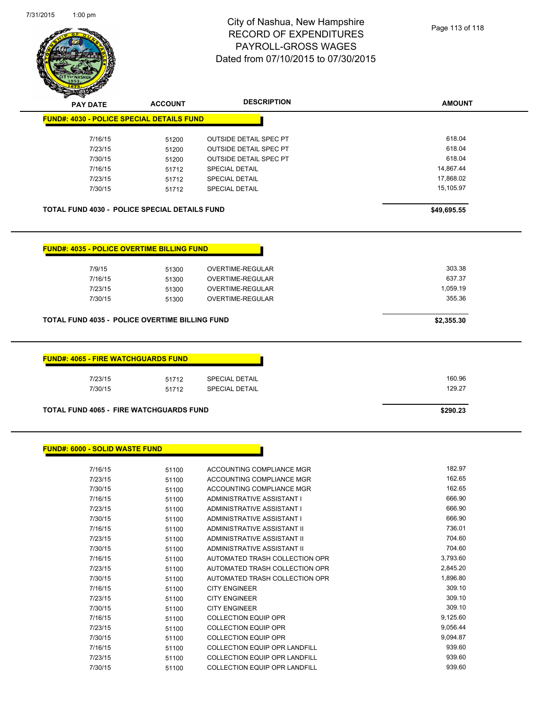

| <b>PAY DATE</b>                                       | <b>ACCOUNT</b> | <b>DESCRIPTION</b>            | <b>AMOUNT</b> |
|-------------------------------------------------------|----------------|-------------------------------|---------------|
| <b>FUND#: 4030 - POLICE SPECIAL DETAILS FUND</b>      |                |                               |               |
| 7/16/15                                               | 51200          | <b>OUTSIDE DETAIL SPEC PT</b> | 618.04        |
| 7/23/15                                               | 51200          | <b>OUTSIDE DETAIL SPEC PT</b> | 618.04        |
| 7/30/15                                               | 51200          | OUTSIDE DETAIL SPEC PT        | 618.04        |
| 7/16/15                                               | 51712          | <b>SPECIAL DETAIL</b>         | 14,867.44     |
| 7/23/15                                               | 51712          | SPECIAL DETAIL                | 17,868.02     |
| 7/30/15                                               | 51712          | <b>SPECIAL DETAIL</b>         | 15,105.97     |
|                                                       |                |                               |               |
| <b>TOTAL FUND 4030 - POLICE SPECIAL DETAILS FUND</b>  |                |                               | \$49,695.55   |
|                                                       |                |                               |               |
| <b>FUND#: 4035 - POLICE OVERTIME BILLING FUND</b>     |                |                               |               |
|                                                       |                |                               |               |
| 7/9/15                                                | 51300          | OVERTIME-REGULAR              | 303.38        |
| 7/16/15                                               | 51300          | OVERTIME-REGULAR              | 637.37        |
| 7/23/15                                               | 51300          | OVERTIME-REGULAR              | 1,059.19      |
| 7/30/15                                               | 51300          | OVERTIME-REGULAR              | 355.36        |
| <b>TOTAL FUND 4035 - POLICE OVERTIME BILLING FUND</b> |                |                               | \$2,355.30    |
|                                                       |                |                               |               |
|                                                       |                |                               |               |
| <b>FUND#: 4065 - FIRE WATCHGUARDS FUND</b>            |                |                               |               |
| 7/23/15                                               | 51712          | SPECIAL DETAIL                | 160.96        |
| 7/30/15                                               | 51712          | <b>SPECIAL DETAIL</b>         | 129.27        |
|                                                       |                |                               |               |
| <b>TOTAL FUND 4065 - FIRE WATCHGUARDS FUND</b>        |                |                               | \$290.23      |

#### **FUND#: 6000 - SOLID WASTE FUND**

| 7/16/15 | 51100 | ACCOUNTING COMPLIANCE MGR            | 182.97   |
|---------|-------|--------------------------------------|----------|
| 7/23/15 | 51100 | ACCOUNTING COMPLIANCE MGR            | 162.65   |
| 7/30/15 | 51100 | ACCOUNTING COMPLIANCE MGR            | 162.65   |
| 7/16/15 | 51100 | ADMINISTRATIVE ASSISTANT I           | 666.90   |
| 7/23/15 | 51100 | ADMINISTRATIVE ASSISTANT I           | 666.90   |
| 7/30/15 | 51100 | ADMINISTRATIVE ASSISTANT I           | 666.90   |
| 7/16/15 | 51100 | ADMINISTRATIVE ASSISTANT II          | 736.01   |
| 7/23/15 | 51100 | ADMINISTRATIVE ASSISTANT II          | 704.60   |
| 7/30/15 | 51100 | ADMINISTRATIVE ASSISTANT II          | 704.60   |
| 7/16/15 | 51100 | AUTOMATED TRASH COLLECTION OPR       | 3,793.60 |
| 7/23/15 | 51100 | AUTOMATED TRASH COLLECTION OPR       | 2,845.20 |
| 7/30/15 | 51100 | AUTOMATED TRASH COLLECTION OPR       | 1,896.80 |
| 7/16/15 | 51100 | <b>CITY ENGINEER</b>                 | 309.10   |
| 7/23/15 | 51100 | <b>CITY ENGINEER</b>                 | 309.10   |
| 7/30/15 | 51100 | <b>CITY ENGINEER</b>                 | 309.10   |
| 7/16/15 | 51100 | <b>COLLECTION EQUIP OPR</b>          | 9,125.60 |
| 7/23/15 | 51100 | <b>COLLECTION EQUIP OPR</b>          | 9,056.44 |
| 7/30/15 | 51100 | <b>COLLECTION EQUIP OPR</b>          | 9,094.87 |
| 7/16/15 | 51100 | <b>COLLECTION EQUIP OPR LANDFILL</b> | 939.60   |
| 7/23/15 | 51100 | <b>COLLECTION EQUIP OPR LANDFILL</b> | 939.60   |
| 7/30/15 | 51100 | <b>COLLECTION EQUIP OPR LANDFILL</b> | 939.60   |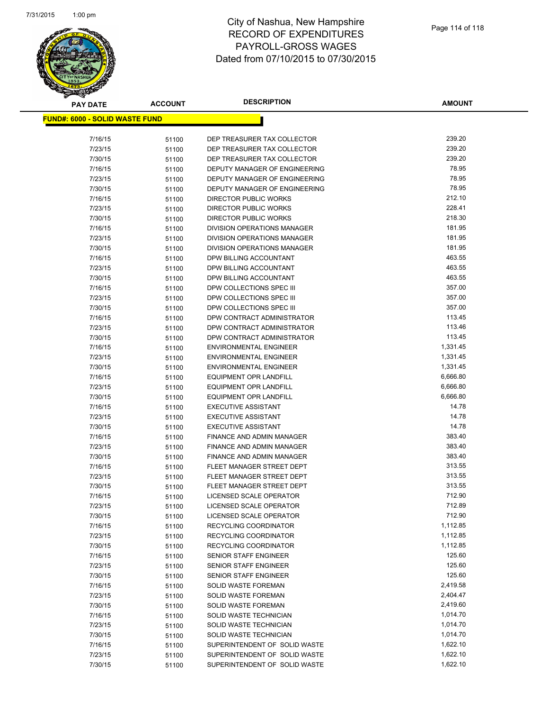

**AMOUNT**

| <u> FUND#: 6000 - SOLID WASTE FUND</u> |                |                               |          |
|----------------------------------------|----------------|-------------------------------|----------|
| 7/16/15                                |                | DEP TREASURER TAX COLLECTOR   | 239.20   |
| 7/23/15                                | 51100<br>51100 | DEP TREASURER TAX COLLECTOR   | 239.20   |
| 7/30/15                                | 51100          | DEP TREASURER TAX COLLECTOR   | 239.20   |
| 7/16/15                                | 51100          | DEPUTY MANAGER OF ENGINEERING | 78.95    |
| 7/23/15                                | 51100          | DEPUTY MANAGER OF ENGINEERING | 78.95    |
| 7/30/15                                | 51100          | DEPUTY MANAGER OF ENGINEERING | 78.95    |
| 7/16/15                                | 51100          | DIRECTOR PUBLIC WORKS         | 212.10   |
| 7/23/15                                | 51100          | <b>DIRECTOR PUBLIC WORKS</b>  | 228.41   |
| 7/30/15                                | 51100          | <b>DIRECTOR PUBLIC WORKS</b>  | 218.30   |
| 7/16/15                                | 51100          | DIVISION OPERATIONS MANAGER   | 181.95   |
| 7/23/15                                | 51100          | DIVISION OPERATIONS MANAGER   | 181.95   |
| 7/30/15                                | 51100          | DIVISION OPERATIONS MANAGER   | 181.95   |
| 7/16/15                                | 51100          | DPW BILLING ACCOUNTANT        | 463.55   |
| 7/23/15                                | 51100          | DPW BILLING ACCOUNTANT        | 463.55   |
| 7/30/15                                | 51100          | DPW BILLING ACCOUNTANT        | 463.55   |
| 7/16/15                                | 51100          | DPW COLLECTIONS SPEC III      | 357.00   |
| 7/23/15                                | 51100          | DPW COLLECTIONS SPEC III      | 357.00   |
| 7/30/15                                | 51100          | DPW COLLECTIONS SPEC III      | 357.00   |
| 7/16/15                                | 51100          | DPW CONTRACT ADMINISTRATOR    | 113.45   |
| 7/23/15                                | 51100          | DPW CONTRACT ADMINISTRATOR    | 113.46   |
| 7/30/15                                | 51100          | DPW CONTRACT ADMINISTRATOR    | 113.45   |
| 7/16/15                                | 51100          | <b>ENVIRONMENTAL ENGINEER</b> | 1,331.45 |
| 7/23/15                                | 51100          | <b>ENVIRONMENTAL ENGINEER</b> | 1,331.45 |
| 7/30/15                                | 51100          | <b>ENVIRONMENTAL ENGINEER</b> | 1,331.45 |
| 7/16/15                                | 51100          | <b>EQUIPMENT OPR LANDFILL</b> | 6,666.80 |
| 7/23/15                                | 51100          | <b>EQUIPMENT OPR LANDFILL</b> | 6,666.80 |
| 7/30/15                                | 51100          | <b>EQUIPMENT OPR LANDFILL</b> | 6,666.80 |
| 7/16/15                                | 51100          | <b>EXECUTIVE ASSISTANT</b>    | 14.78    |
| 7/23/15                                | 51100          | <b>EXECUTIVE ASSISTANT</b>    | 14.78    |
| 7/30/15                                | 51100          | <b>EXECUTIVE ASSISTANT</b>    | 14.78    |
| 7/16/15                                | 51100          | FINANCE AND ADMIN MANAGER     | 383.40   |
| 7/23/15                                | 51100          | FINANCE AND ADMIN MANAGER     | 383.40   |
| 7/30/15                                | 51100          | FINANCE AND ADMIN MANAGER     | 383.40   |
| 7/16/15                                | 51100          | FLEET MANAGER STREET DEPT     | 313.55   |
| 7/23/15                                | 51100          | FLEET MANAGER STREET DEPT     | 313.55   |
| 7/30/15                                | 51100          | FLEET MANAGER STREET DEPT     | 313.55   |
| 7/16/15                                | 51100          | LICENSED SCALE OPERATOR       | 712.90   |
| 7/23/15                                | 51100          | LICENSED SCALE OPERATOR       | 712.89   |
| 7/30/15                                | 51100          | LICENSED SCALE OPERATOR       | 712.90   |
| 7/16/15                                | 51100          | RECYCLING COORDINATOR         | 1,112.85 |
| 7/23/15                                | 51100          | RECYCLING COORDINATOR         | 1,112.85 |
| 7/30/15                                | 51100          | RECYCLING COORDINATOR         | 1,112.85 |
| 7/16/15                                | 51100          | SENIOR STAFF ENGINEER         | 125.60   |
| 7/23/15                                | 51100          | SENIOR STAFF ENGINEER         | 125.60   |
| 7/30/15                                | 51100          | SENIOR STAFF ENGINEER         | 125.60   |
| 7/16/15                                | 51100          | SOLID WASTE FOREMAN           | 2,419.58 |
| 7/23/15                                | 51100          | SOLID WASTE FOREMAN           | 2,404.47 |
| 7/30/15                                | 51100          | SOLID WASTE FOREMAN           | 2,419.60 |
| 7/16/15                                | 51100          | SOLID WASTE TECHNICIAN        | 1,014.70 |
| 7/23/15                                | 51100          | SOLID WASTE TECHNICIAN        | 1,014.70 |
| 7/30/15                                | 51100          | SOLID WASTE TECHNICIAN        | 1,014.70 |
| 7/16/15                                | 51100          | SUPERINTENDENT OF SOLID WASTE | 1,622.10 |
| 7/23/15                                | 51100          | SUPERINTENDENT OF SOLID WASTE | 1,622.10 |
| 7/30/15                                | 51100          | SUPERINTENDENT OF SOLID WASTE | 1,622.10 |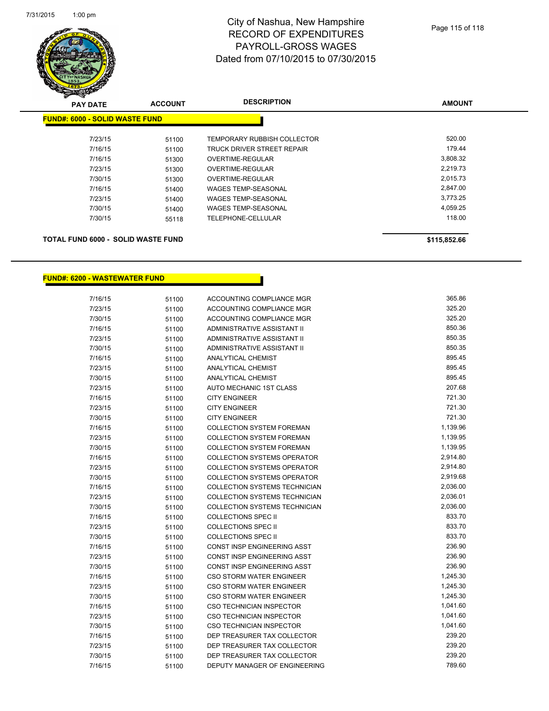

| <b>PAY DATE</b>                       | <b>ACCOUNT</b> | <b>DESCRIPTION</b>          | <b>AMOUNT</b> |
|---------------------------------------|----------------|-----------------------------|---------------|
| <b>FUND#: 6000 - SOLID WASTE FUND</b> |                |                             |               |
| 7/23/15                               | 51100          | TEMPORARY RUBBISH COLLECTOR | 520.00        |
| 7/16/15                               | 51100          | TRUCK DRIVER STREET REPAIR  | 179.44        |
| 7/16/15                               | 51300          | OVERTIME-REGULAR            | 3,808.32      |
| 7/23/15                               | 51300          | OVERTIME-REGULAR            | 2,219.73      |
| 7/30/15                               | 51300          | OVERTIME-REGULAR            | 2,015.73      |
| 7/16/15                               | 51400          | <b>WAGES TEMP-SEASONAL</b>  | 2,847.00      |
| 7/23/15                               | 51400          | WAGES TEMP-SEASONAL         | 3,773.25      |
| 7/30/15                               | 51400          | WAGES TEMP-SEASONAL         | 4.059.25      |
| 7/30/15                               | 55118          | TELEPHONE-CELLULAR          | 118.00        |
|                                       |                |                             |               |

#### **TOTAL FUND 6000 - SOLID WASTE FUND \$115,852.66**

#### **FUND#: 6200 - WASTEWATER FUND**

| 7/16/15 | 51100 | ACCOUNTING COMPLIANCE MGR            | 365.86   |
|---------|-------|--------------------------------------|----------|
| 7/23/15 | 51100 | ACCOUNTING COMPLIANCE MGR            | 325.20   |
| 7/30/15 | 51100 | ACCOUNTING COMPLIANCE MGR            | 325.20   |
| 7/16/15 | 51100 | ADMINISTRATIVE ASSISTANT II          | 850.36   |
| 7/23/15 | 51100 | ADMINISTRATIVE ASSISTANT II          | 850.35   |
| 7/30/15 | 51100 | <b>ADMINISTRATIVE ASSISTANT II</b>   | 850.35   |
| 7/16/15 | 51100 | <b>ANALYTICAL CHEMIST</b>            | 895.45   |
| 7/23/15 | 51100 | <b>ANALYTICAL CHEMIST</b>            | 895.45   |
| 7/30/15 | 51100 | <b>ANALYTICAL CHEMIST</b>            | 895.45   |
| 7/23/15 | 51100 | AUTO MECHANIC 1ST CLASS              | 207.68   |
| 7/16/15 | 51100 | <b>CITY ENGINEER</b>                 | 721.30   |
| 7/23/15 | 51100 | <b>CITY ENGINEER</b>                 | 721.30   |
| 7/30/15 | 51100 | <b>CITY ENGINEER</b>                 | 721.30   |
| 7/16/15 | 51100 | <b>COLLECTION SYSTEM FOREMAN</b>     | 1,139.96 |
| 7/23/15 | 51100 | <b>COLLECTION SYSTEM FOREMAN</b>     | 1,139.95 |
| 7/30/15 | 51100 | <b>COLLECTION SYSTEM FOREMAN</b>     | 1,139.95 |
| 7/16/15 | 51100 | <b>COLLECTION SYSTEMS OPERATOR</b>   | 2,914.80 |
| 7/23/15 | 51100 | <b>COLLECTION SYSTEMS OPERATOR</b>   | 2,914.80 |
| 7/30/15 | 51100 | <b>COLLECTION SYSTEMS OPERATOR</b>   | 2,919.68 |
| 7/16/15 | 51100 | <b>COLLECTION SYSTEMS TECHNICIAN</b> | 2,036.00 |
| 7/23/15 | 51100 | COLLECTION SYSTEMS TECHNICIAN        | 2,036.01 |
| 7/30/15 | 51100 | <b>COLLECTION SYSTEMS TECHNICIAN</b> | 2,036.00 |
| 7/16/15 | 51100 | <b>COLLECTIONS SPEC II</b>           | 833.70   |
| 7/23/15 | 51100 | <b>COLLECTIONS SPEC II</b>           | 833.70   |
| 7/30/15 | 51100 | <b>COLLECTIONS SPEC II</b>           | 833.70   |
| 7/16/15 | 51100 | CONST INSP ENGINEERING ASST          | 236.90   |
| 7/23/15 | 51100 | CONST INSP ENGINEERING ASST          | 236.90   |
| 7/30/15 | 51100 | CONST INSP ENGINEERING ASST          | 236.90   |
| 7/16/15 | 51100 | CSO STORM WATER ENGINEER             | 1,245.30 |
| 7/23/15 | 51100 | CSO STORM WATER ENGINEER             | 1,245.30 |
| 7/30/15 | 51100 | CSO STORM WATER ENGINEER             | 1,245.30 |
| 7/16/15 | 51100 | CSO TECHNICIAN INSPECTOR             | 1,041.60 |
| 7/23/15 | 51100 | CSO TECHNICIAN INSPECTOR             | 1,041.60 |
| 7/30/15 | 51100 | <b>CSO TECHNICIAN INSPECTOR</b>      | 1,041.60 |
| 7/16/15 | 51100 | DEP TREASURER TAX COLLECTOR          | 239.20   |
| 7/23/15 | 51100 | DEP TREASURER TAX COLLECTOR          | 239.20   |
| 7/30/15 | 51100 | DEP TREASURER TAX COLLECTOR          | 239.20   |
| 7/16/15 | 51100 | DEPUTY MANAGER OF ENGINEERING        | 789.60   |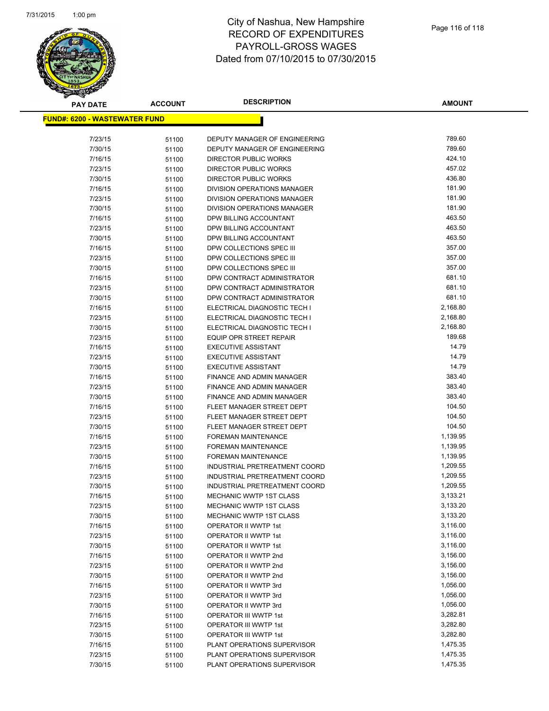

| <b>PAY DATE</b>                       | <b>ACCOUNT</b> | <b>DESCRIPTION</b>                                     | <b>AMOUNT</b>    |
|---------------------------------------|----------------|--------------------------------------------------------|------------------|
| <u> FUND#: 6200 - WASTEWATER FUND</u> |                |                                                        |                  |
|                                       |                |                                                        |                  |
| 7/23/15                               | 51100          | DEPUTY MANAGER OF ENGINEERING                          | 789.60           |
| 7/30/15                               | 51100          | DEPUTY MANAGER OF ENGINEERING                          | 789.60           |
| 7/16/15                               | 51100          | DIRECTOR PUBLIC WORKS                                  | 424.10           |
| 7/23/15                               | 51100          | <b>DIRECTOR PUBLIC WORKS</b>                           | 457.02           |
| 7/30/15                               | 51100          | <b>DIRECTOR PUBLIC WORKS</b>                           | 436.80           |
| 7/16/15                               | 51100          | <b>DIVISION OPERATIONS MANAGER</b>                     | 181.90           |
| 7/23/15                               | 51100          | <b>DIVISION OPERATIONS MANAGER</b>                     | 181.90           |
| 7/30/15                               | 51100          | DIVISION OPERATIONS MANAGER                            | 181.90           |
| 7/16/15                               | 51100          | DPW BILLING ACCOUNTANT                                 | 463.50           |
| 7/23/15                               | 51100          | DPW BILLING ACCOUNTANT                                 | 463.50           |
| 7/30/15                               | 51100          | DPW BILLING ACCOUNTANT                                 | 463.50           |
| 7/16/15                               | 51100          | DPW COLLECTIONS SPEC III                               | 357.00           |
| 7/23/15                               | 51100          | DPW COLLECTIONS SPEC III                               | 357.00           |
| 7/30/15                               | 51100          | DPW COLLECTIONS SPEC III                               | 357.00           |
| 7/16/15                               | 51100          | DPW CONTRACT ADMINISTRATOR                             | 681.10           |
| 7/23/15                               | 51100          | DPW CONTRACT ADMINISTRATOR                             | 681.10           |
| 7/30/15                               | 51100          | DPW CONTRACT ADMINISTRATOR                             | 681.10           |
| 7/16/15                               | 51100          | ELECTRICAL DIAGNOSTIC TECH I                           | 2,168.80         |
| 7/23/15                               | 51100          | ELECTRICAL DIAGNOSTIC TECH I                           | 2,168.80         |
| 7/30/15                               | 51100          | ELECTRICAL DIAGNOSTIC TECH I                           | 2,168.80         |
| 7/23/15                               | 51100          | <b>EQUIP OPR STREET REPAIR</b>                         | 189.68           |
| 7/16/15                               | 51100          | <b>EXECUTIVE ASSISTANT</b>                             | 14.79            |
| 7/23/15                               | 51100          | <b>EXECUTIVE ASSISTANT</b>                             | 14.79            |
| 7/30/15                               | 51100          | <b>EXECUTIVE ASSISTANT</b>                             | 14.79            |
| 7/16/15                               | 51100          | FINANCE AND ADMIN MANAGER                              | 383.40<br>383.40 |
| 7/23/15                               | 51100          | FINANCE AND ADMIN MANAGER                              | 383.40           |
| 7/30/15                               | 51100          | FINANCE AND ADMIN MANAGER                              | 104.50           |
| 7/16/15<br>7/23/15                    | 51100          | FLEET MANAGER STREET DEPT<br>FLEET MANAGER STREET DEPT | 104.50           |
| 7/30/15                               | 51100          | FLEET MANAGER STREET DEPT                              | 104.50           |
| 7/16/15                               | 51100<br>51100 | <b>FOREMAN MAINTENANCE</b>                             | 1,139.95         |
| 7/23/15                               | 51100          | <b>FOREMAN MAINTENANCE</b>                             | 1,139.95         |
| 7/30/15                               | 51100          | <b>FOREMAN MAINTENANCE</b>                             | 1,139.95         |
| 7/16/15                               | 51100          | INDUSTRIAL PRETREATMENT COORD                          | 1,209.55         |
| 7/23/15                               | 51100          | INDUSTRIAL PRETREATMENT COORD                          | 1,209.55         |
| 7/30/15                               | 51100          | INDUSTRIAL PRETREATMENT COORD                          | 1,209.55         |
| 7/16/15                               | 51100          | MECHANIC WWTP 1ST CLASS                                | 3,133.21         |
| 7/23/15                               | 51100          | MECHANIC WWTP 1ST CLASS                                | 3,133.20         |
| 7/30/15                               | 51100          | MECHANIC WWTP 1ST CLASS                                | 3,133.20         |
| 7/16/15                               | 51100          | OPERATOR II WWTP 1st                                   | 3,116.00         |
| 7/23/15                               | 51100          | OPERATOR II WWTP 1st                                   | 3,116.00         |
| 7/30/15                               | 51100          | OPERATOR II WWTP 1st                                   | 3,116.00         |
| 7/16/15                               | 51100          | OPERATOR II WWTP 2nd                                   | 3,156.00         |
| 7/23/15                               | 51100          | OPERATOR II WWTP 2nd                                   | 3,156.00         |
| 7/30/15                               | 51100          | OPERATOR II WWTP 2nd                                   | 3,156.00         |
| 7/16/15                               | 51100          | OPERATOR II WWTP 3rd                                   | 1,056.00         |
| 7/23/15                               | 51100          | <b>OPERATOR II WWTP 3rd</b>                            | 1,056.00         |
| 7/30/15                               | 51100          | OPERATOR II WWTP 3rd                                   | 1,056.00         |
| 7/16/15                               | 51100          | OPERATOR III WWTP 1st                                  | 3,282.81         |
| 7/23/15                               | 51100          | OPERATOR III WWTP 1st                                  | 3,282.80         |
| 7/30/15                               | 51100          | OPERATOR III WWTP 1st                                  | 3,282.80         |
| 7/16/15                               | 51100          | PLANT OPERATIONS SUPERVISOR                            | 1,475.35         |
| 7/23/15                               | 51100          | PLANT OPERATIONS SUPERVISOR                            | 1,475.35         |
| 7/30/15                               | 51100          | PLANT OPERATIONS SUPERVISOR                            | 1,475.35         |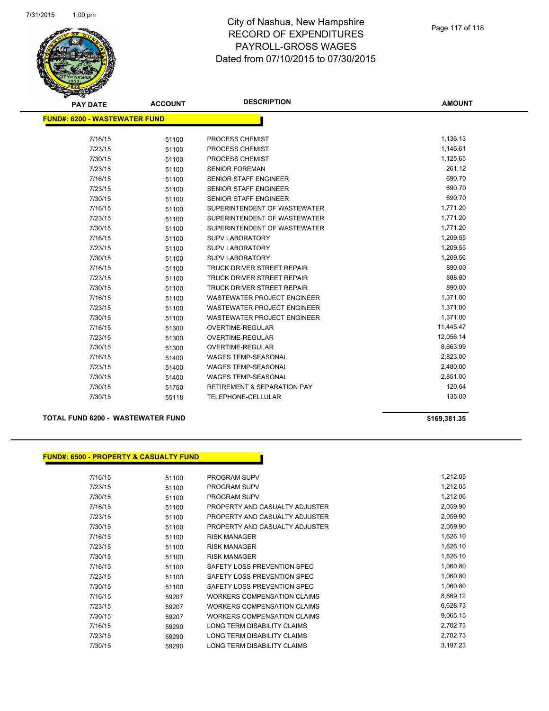

| <b>PAY DATE</b>                      | <b>ACCOUNT</b> | <b>DESCRIPTION</b>                     | <b>AMOUNT</b> |
|--------------------------------------|----------------|----------------------------------------|---------------|
| <b>FUND#: 6200 - WASTEWATER FUND</b> |                |                                        |               |
|                                      |                |                                        |               |
| 7/16/15                              | 51100          | <b>PROCESS CHEMIST</b>                 | 1,136.13      |
| 7/23/15                              | 51100          | PROCESS CHEMIST                        | 1,146.61      |
| 7/30/15                              | 51100          | PROCESS CHEMIST                        | 1,125.65      |
| 7/23/15                              | 51100          | <b>SENIOR FOREMAN</b>                  | 261.12        |
| 7/16/15                              | 51100          | <b>SENIOR STAFF ENGINEER</b>           | 690.70        |
| 7/23/15                              | 51100          | <b>SENIOR STAFF ENGINEER</b>           | 690.70        |
| 7/30/15                              | 51100          | <b>SENIOR STAFF ENGINEER</b>           | 690.70        |
| 7/16/15                              | 51100          | SUPERINTENDENT OF WASTEWATER           | 1,771.20      |
| 7/23/15                              | 51100          | SUPERINTENDENT OF WASTEWATER           | 1,771.20      |
| 7/30/15                              | 51100          | SUPERINTENDENT OF WASTEWATER           | 1,771.20      |
| 7/16/15                              | 51100          | SUPV LABORATORY                        | 1,209.55      |
| 7/23/15                              | 51100          | SUPV LABORATORY                        | 1,209.55      |
| 7/30/15                              | 51100          | <b>SUPV LABORATORY</b>                 | 1,209.56      |
| 7/16/15                              | 51100          | <b>TRUCK DRIVER STREET REPAIR</b>      | 890.00        |
| 7/23/15                              | 51100          | <b>TRUCK DRIVER STREET REPAIR</b>      | 888.80        |
| 7/30/15                              | 51100          | <b>TRUCK DRIVER STREET REPAIR</b>      | 890.00        |
| 7/16/15                              | 51100          | <b>WASTEWATER PROJECT ENGINEER</b>     | 1,371.00      |
| 7/23/15                              | 51100          | <b>WASTEWATER PROJECT ENGINEER</b>     | 1,371.00      |
| 7/30/15                              | 51100          | <b>WASTEWATER PROJECT ENGINEER</b>     | 1,371.00      |
| 7/16/15                              | 51300          | <b>OVERTIME-REGULAR</b>                | 11,445.47     |
| 7/23/15                              | 51300          | <b>OVERTIME-REGULAR</b>                | 12,056.14     |
| 7/30/15                              | 51300          | OVERTIME-REGULAR                       | 8,663.99      |
| 7/16/15                              | 51400          | <b>WAGES TEMP-SEASONAL</b>             | 2,823.00      |
| 7/23/15                              | 51400          | <b>WAGES TEMP-SEASONAL</b>             | 2,480.00      |
| 7/30/15                              | 51400          | <b>WAGES TEMP-SEASONAL</b>             | 2,851.00      |
| 7/30/15                              | 51750          | <b>RETIREMENT &amp; SEPARATION PAY</b> | 120.64        |
| 7/30/15                              | 55118          | TELEPHONE-CELLULAR                     | 135.00        |

#### **TOTAL FUND 6200 - WASTEWATER FUND \$169,381.35**

#### **FUND#: 6500 - PROPERTY & CASUALTY FUND**

| 51100 | <b>PROGRAM SUPV</b>                | 1,212.05 |
|-------|------------------------------------|----------|
| 51100 | <b>PROGRAM SUPV</b>                | 1,212.05 |
| 51100 | <b>PROGRAM SUPV</b>                | 1,212.06 |
| 51100 | PROPERTY AND CASUALTY ADJUSTER     | 2,059.90 |
| 51100 | PROPERTY AND CASUALTY ADJUSTER     | 2,059.90 |
| 51100 | PROPERTY AND CASUALTY ADJUSTER     | 2,059.90 |
| 51100 | <b>RISK MANAGER</b>                | 1,626.10 |
| 51100 | <b>RISK MANAGER</b>                | 1,626.10 |
| 51100 | <b>RISK MANAGER</b>                | 1,626.10 |
| 51100 | SAFETY LOSS PREVENTION SPEC        | 1,060.80 |
| 51100 | SAFETY LOSS PREVENTION SPEC        | 1,060.80 |
| 51100 | SAFETY LOSS PREVENTION SPEC        | 1,060.80 |
| 59207 | WORKERS COMPENSATION CLAIMS        | 8,669.12 |
| 59207 | WORKERS COMPENSATION CLAIMS        | 6,628.73 |
| 59207 | <b>WORKERS COMPENSATION CLAIMS</b> | 9,065.15 |
| 59290 | <b>LONG TERM DISABILITY CLAIMS</b> | 2,702.73 |
| 59290 | LONG TERM DISABILITY CLAIMS        | 2,702.73 |
| 59290 | LONG TERM DISABILITY CLAIMS        | 3,197.23 |
|       |                                    |          |